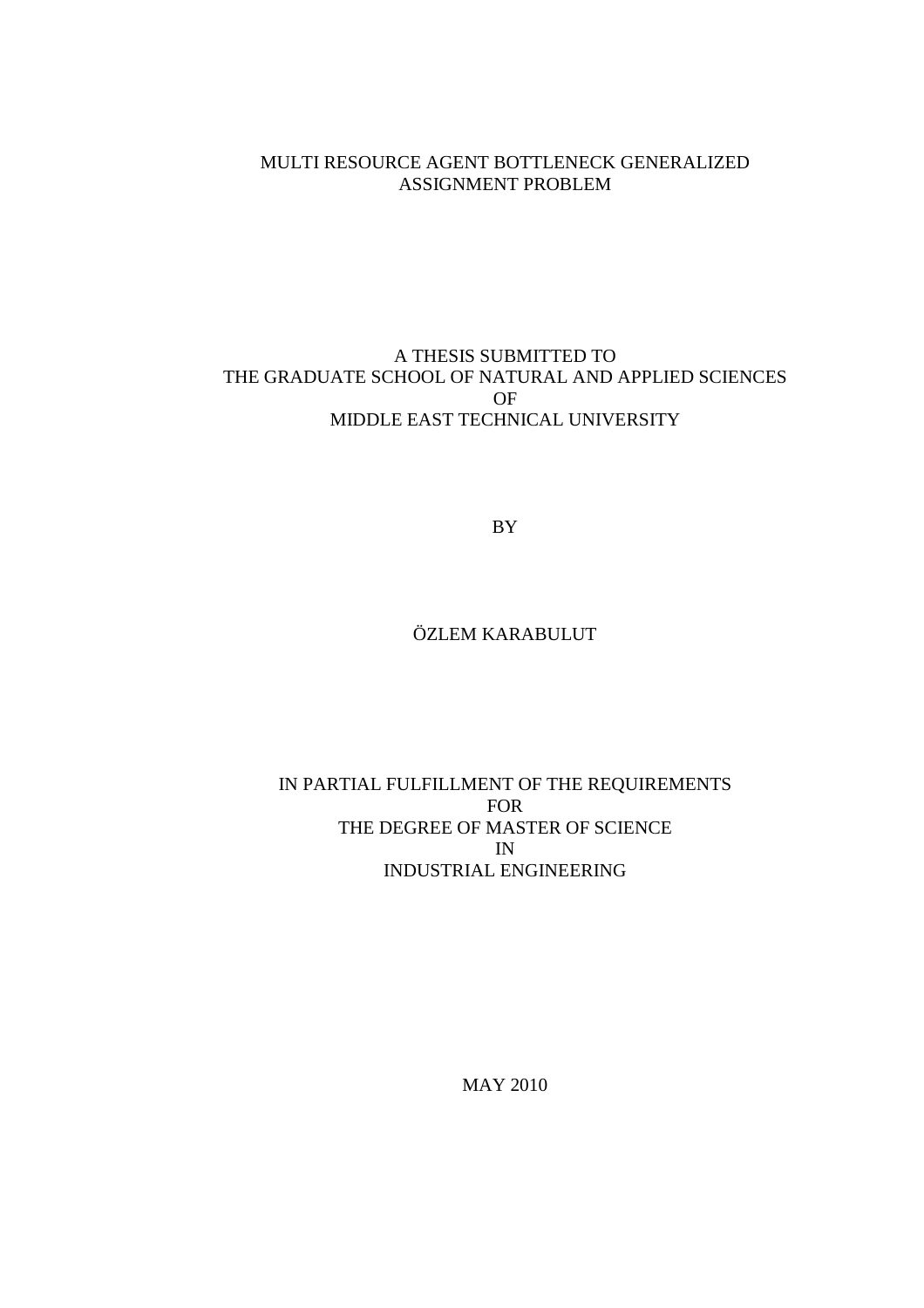# MULTI RESOURCE AGENT BOTTLENECK GENERALIZED ASSIGNMENT PROBLEM

# A THESIS SUBMITTED TO THE GRADUATE SCHOOL OF NATURAL AND APPLIED SCIENCES OF MIDDLE EAST TECHNICAL UNIVERSITY

BY

# ÖZLEM KARABULUT

# IN PARTIAL FULFILLMENT OF THE REQUIREMENTS FOR THE DEGREE OF MASTER OF SCIENCE IN INDUSTRIAL ENGINEERING

MAY 2010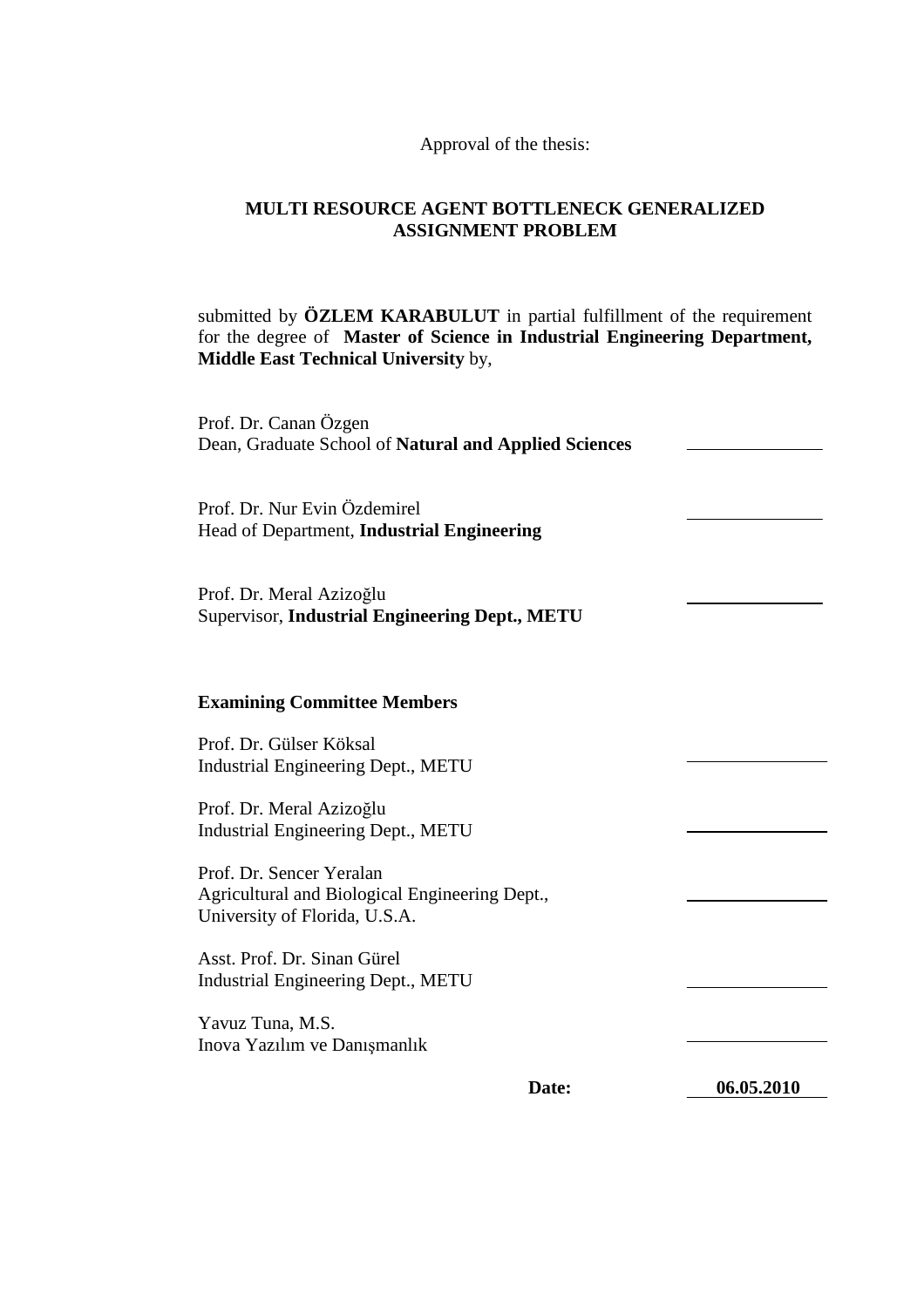# Approval of the thesis:

## **MULTI RESOURCE AGENT BOTTLENECK GENERALIZED ASSIGNMENT PROBLEM**

submitted by **ÖZLEM KARABULUT** in partial fulfillment of the requirement for the degree of **Master of Science in Industrial Engineering Department, Middle East Technical University** by,

| Prof. Dr. Canan Özgen<br>Dean, Graduate School of Natural and Applied Sciences                              |            |
|-------------------------------------------------------------------------------------------------------------|------------|
| Prof. Dr. Nur Evin Özdemirel<br>Head of Department, Industrial Engineering                                  |            |
| Prof. Dr. Meral Azizoğlu<br>Supervisor, Industrial Engineering Dept., METU                                  |            |
| <b>Examining Committee Members</b>                                                                          |            |
| Prof. Dr. Gülser Köksal<br>Industrial Engineering Dept., METU                                               |            |
| Prof. Dr. Meral Azizoğlu<br>Industrial Engineering Dept., METU                                              |            |
| Prof. Dr. Sencer Yeralan<br>Agricultural and Biological Engineering Dept.,<br>University of Florida, U.S.A. |            |
| Asst. Prof. Dr. Sinan Gürel<br>Industrial Engineering Dept., METU                                           |            |
| Yavuz Tuna, M.S.<br>Inova Yazılım ve Danışmanlık                                                            |            |
| Date:                                                                                                       | 06.05.2010 |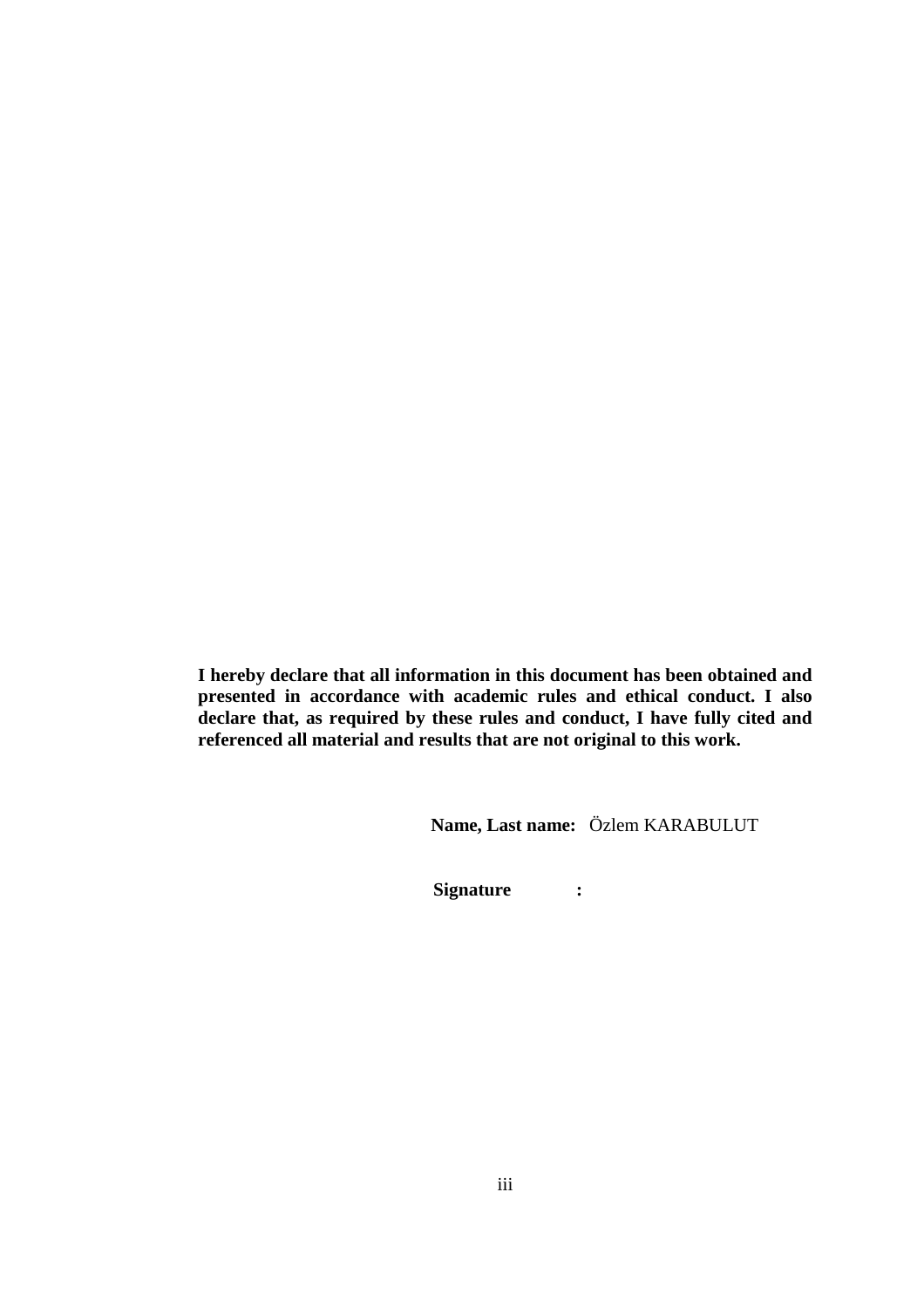**I hereby declare that all information in this document has been obtained and presented in accordance with academic rules and ethical conduct. I also declare that, as required by these rules and conduct, I have fully cited and referenced all material and results that are not original to this work.** 

**Name, Last name:** Özlem KARABULUT

 **Signature :**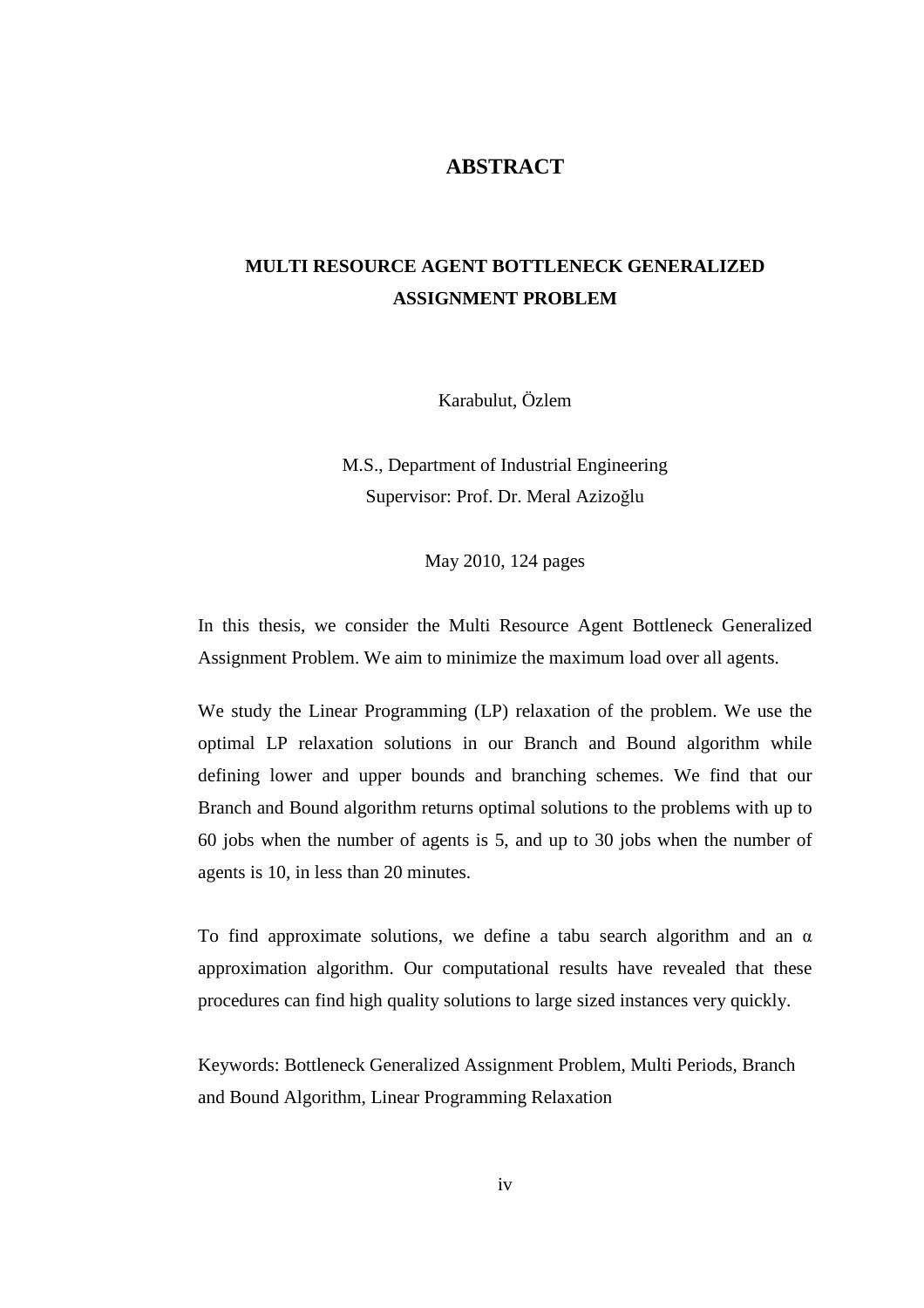# **ABSTRACT**

# **MULTI RESOURCE AGENT BOTTLENECK GENERALIZED ASSIGNMENT PROBLEM**

Karabulut, Özlem

M.S., Department of Industrial Engineering Supervisor: Prof. Dr. Meral Azizoğlu

May 2010, 124 pages

In this thesis, we consider the Multi Resource Agent Bottleneck Generalized Assignment Problem. We aim to minimize the maximum load over all agents.

We study the Linear Programming (LP) relaxation of the problem. We use the optimal LP relaxation solutions in our Branch and Bound algorithm while defining lower and upper bounds and branching schemes. We find that our Branch and Bound algorithm returns optimal solutions to the problems with up to 60 jobs when the number of agents is 5, and up to 30 jobs when the number of agents is 10, in less than 20 minutes.

To find approximate solutions, we define a tabu search algorithm and an  $\alpha$ approximation algorithm. Our computational results have revealed that these procedures can find high quality solutions to large sized instances very quickly.

Keywords: Bottleneck Generalized Assignment Problem, Multi Periods, Branch and Bound Algorithm, Linear Programming Relaxation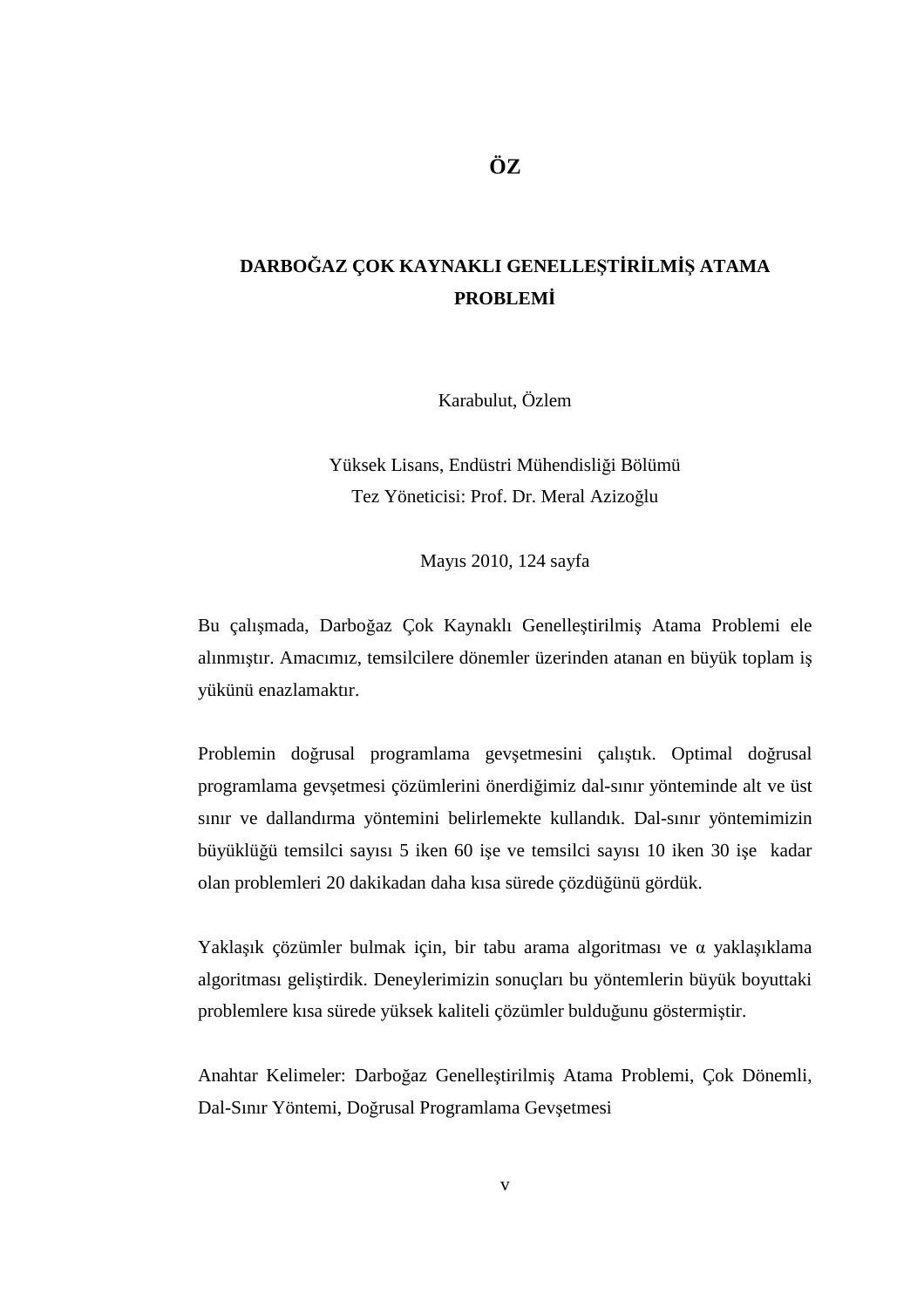# **DARBOĞAZ ÇOK KAYNAKLI GENELLEŞTĐRĐLMĐŞ ATAMA PROBLEMĐ**

Karabulut, Özlem

Yüksek Lisans, Endüstri Mühendisliği Bölümü Tez Yöneticisi: Prof. Dr. Meral Azizoğlu

Mayıs 2010, 124 sayfa

Bu çalışmada, Darboğaz Çok Kaynaklı Genelleştirilmiş Atama Problemi ele alınmıştır. Amacımız, temsilcilere dönemler üzerinden atanan en büyük toplam iş yükünü enazlamaktır.

Problemin doğrusal programlama gevşetmesini çalıştık. Optimal doğrusal programlama gevşetmesi çözümlerini önerdiğimiz dal-sınır yönteminde alt ve üst sınır ve dallandırma yöntemini belirlemekte kullandık. Dal-sınır yöntemimizin büyüklüğü temsilci sayısı 5 iken 60 işe ve temsilci sayısı 10 iken 30 işe kadar olan problemleri 20 dakikadan daha kısa sürede çözdüğünü gördük.

Yaklaşık çözümler bulmak için, bir tabu arama algoritması ve α yaklaşıklama algoritması geliştirdik. Deneylerimizin sonuçları bu yöntemlerin büyük boyuttaki problemlere kısa sürede yüksek kaliteli çözümler bulduğunu göstermiştir.

Anahtar Kelimeler: Darboğaz Genelleştirilmiş Atama Problemi, Çok Dönemli, Dal-Sınır Yöntemi, Doğrusal Programlama Gevşetmesi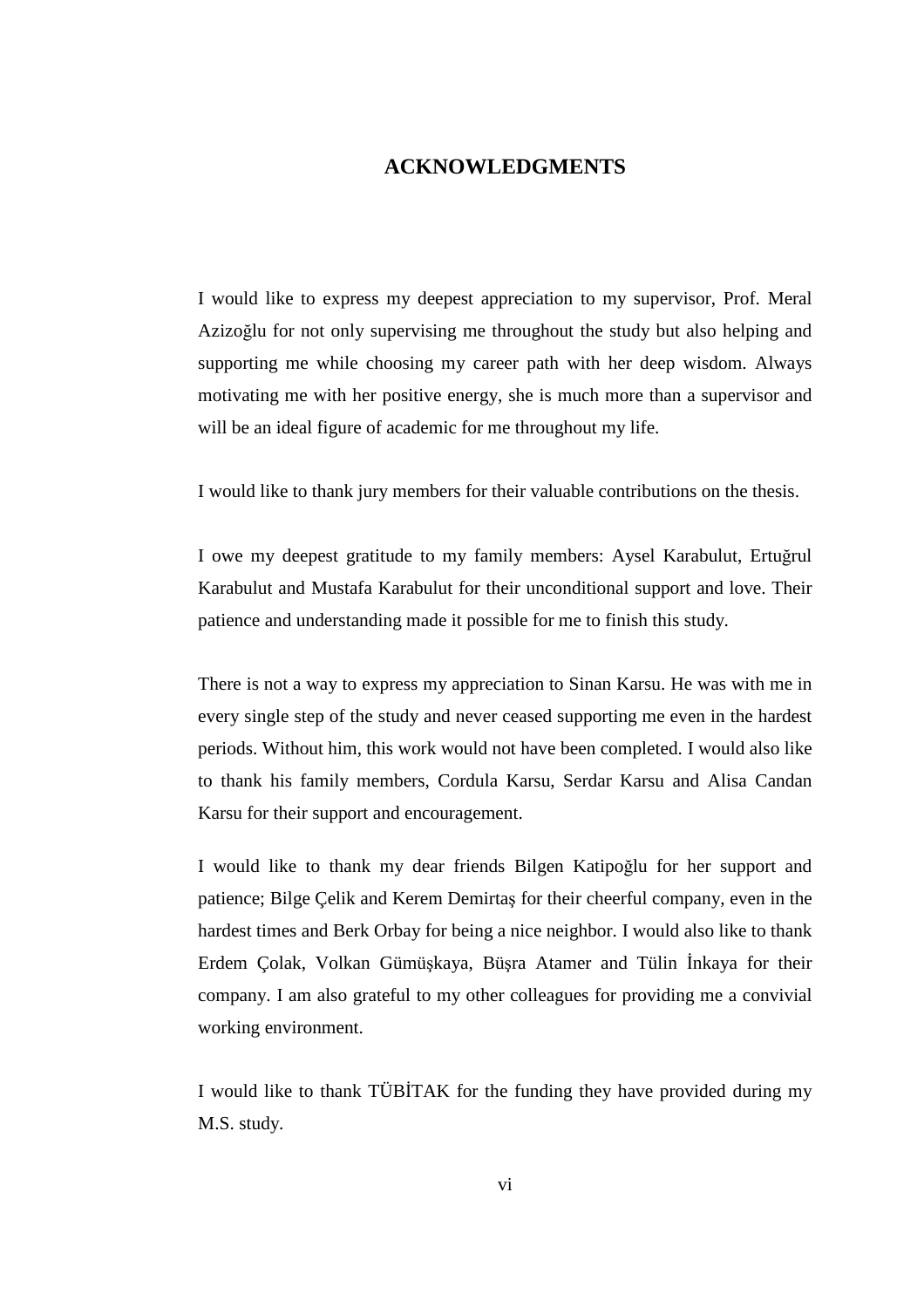# **ACKNOWLEDGMENTS**

I would like to express my deepest appreciation to my supervisor, Prof. Meral Azizoğlu for not only supervising me throughout the study but also helping and supporting me while choosing my career path with her deep wisdom. Always motivating me with her positive energy, she is much more than a supervisor and will be an ideal figure of academic for me throughout my life.

I would like to thank jury members for their valuable contributions on the thesis.

I owe my deepest gratitude to my family members: Aysel Karabulut, Ertuğrul Karabulut and Mustafa Karabulut for their unconditional support and love. Their patience and understanding made it possible for me to finish this study.

There is not a way to express my appreciation to Sinan Karsu. He was with me in every single step of the study and never ceased supporting me even in the hardest periods. Without him, this work would not have been completed. I would also like to thank his family members, Cordula Karsu, Serdar Karsu and Alisa Candan Karsu for their support and encouragement.

I would like to thank my dear friends Bilgen Katipoğlu for her support and patience; Bilge Çelik and Kerem Demirtaş for their cheerful company, even in the hardest times and Berk Orbay for being a nice neighbor. I would also like to thank Erdem Çolak, Volkan Gümüşkaya, Büşra Atamer and Tülin İnkaya for their company. I am also grateful to my other colleagues for providing me a convivial working environment.

I would like to thank TÜBİTAK for the funding they have provided during my M.S. study.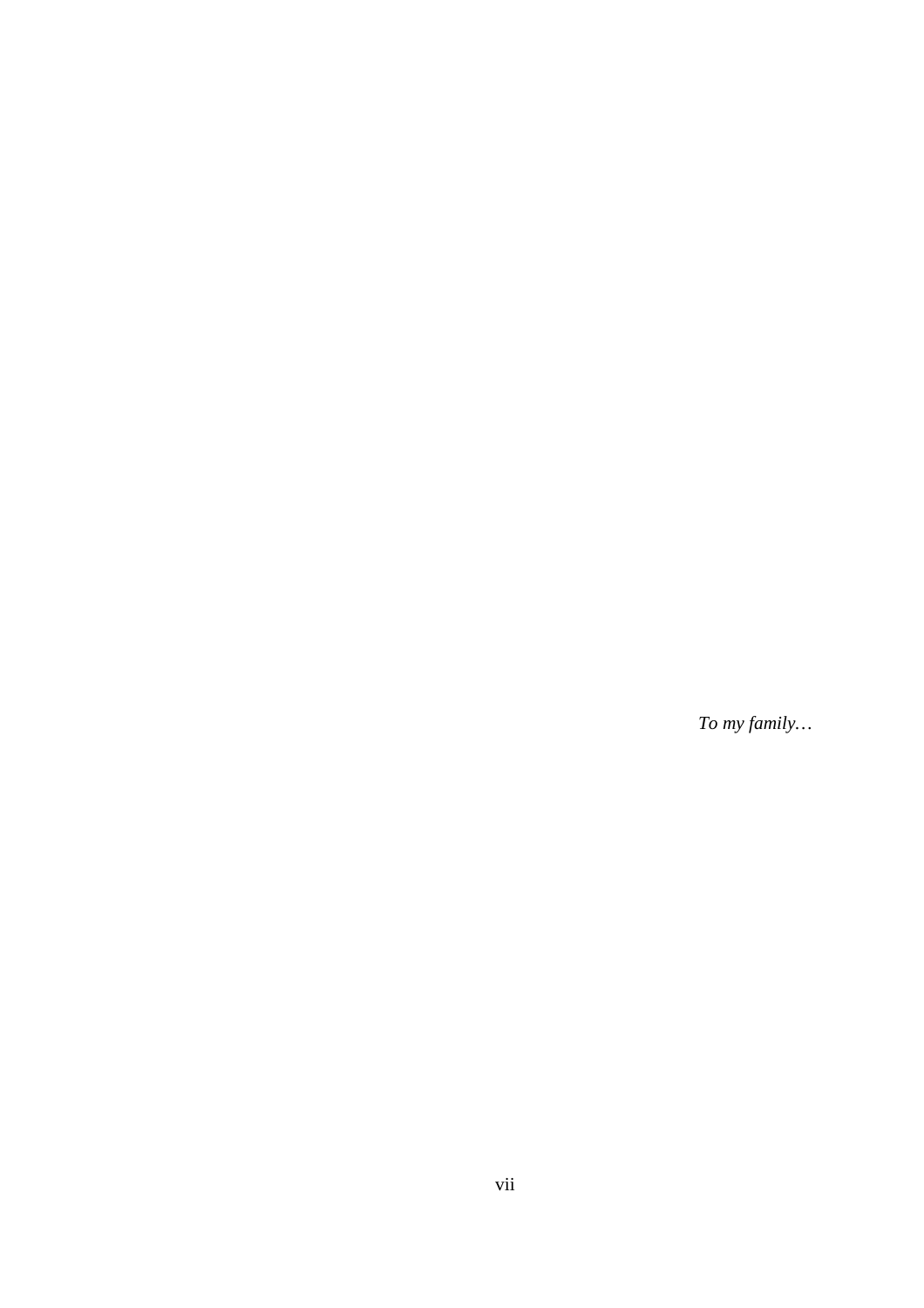*To my family…*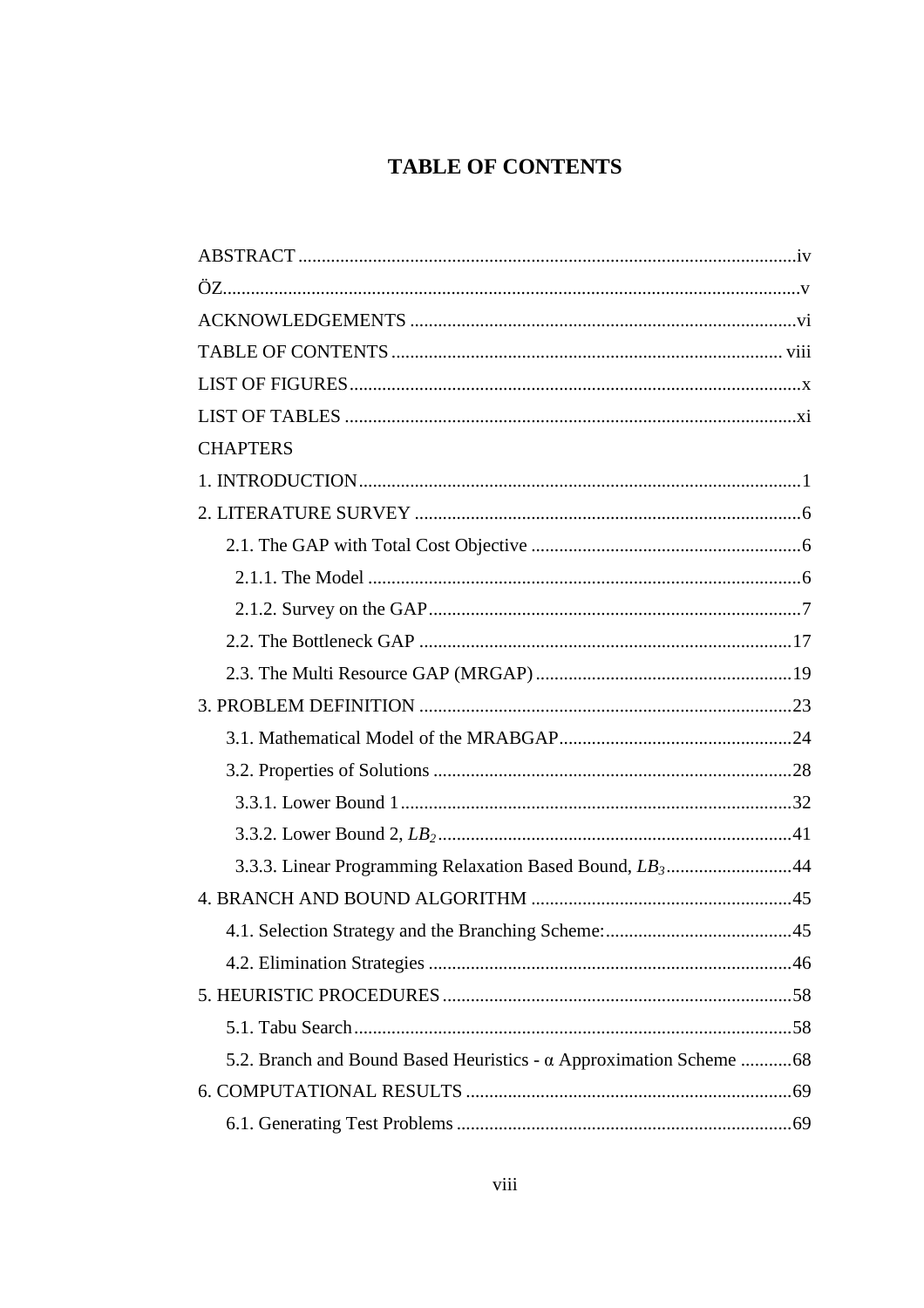# **TABLE OF CONTENTS**

| <b>CHAPTERS</b>                                                           |
|---------------------------------------------------------------------------|
|                                                                           |
|                                                                           |
|                                                                           |
|                                                                           |
|                                                                           |
|                                                                           |
|                                                                           |
|                                                                           |
|                                                                           |
|                                                                           |
|                                                                           |
|                                                                           |
| 3.3.3. Linear Programming Relaxation Based Bound, LB344                   |
|                                                                           |
|                                                                           |
|                                                                           |
|                                                                           |
|                                                                           |
| 5.2. Branch and Bound Based Heuristics - $\alpha$ Approximation Scheme 68 |
|                                                                           |
|                                                                           |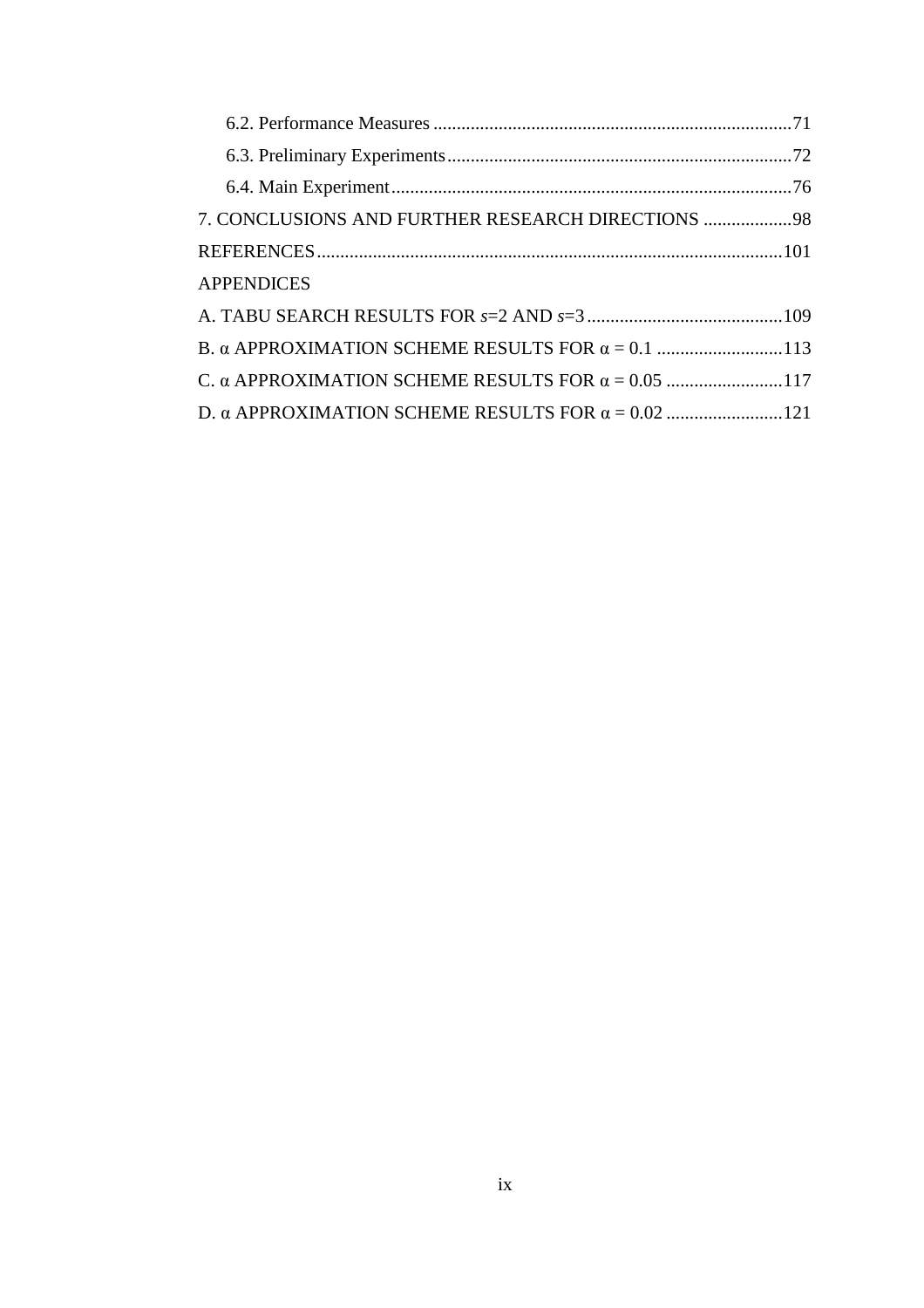| 7. CONCLUSIONS AND FURTHER RESEARCH DIRECTIONS  98               |  |
|------------------------------------------------------------------|--|
|                                                                  |  |
| <b>APPENDICES</b>                                                |  |
|                                                                  |  |
| B. $\alpha$ APPROXIMATION SCHEME RESULTS FOR $\alpha = 0.1$ 113  |  |
| C. $\alpha$ APPROXIMATION SCHEME RESULTS FOR $\alpha = 0.05$ 117 |  |
|                                                                  |  |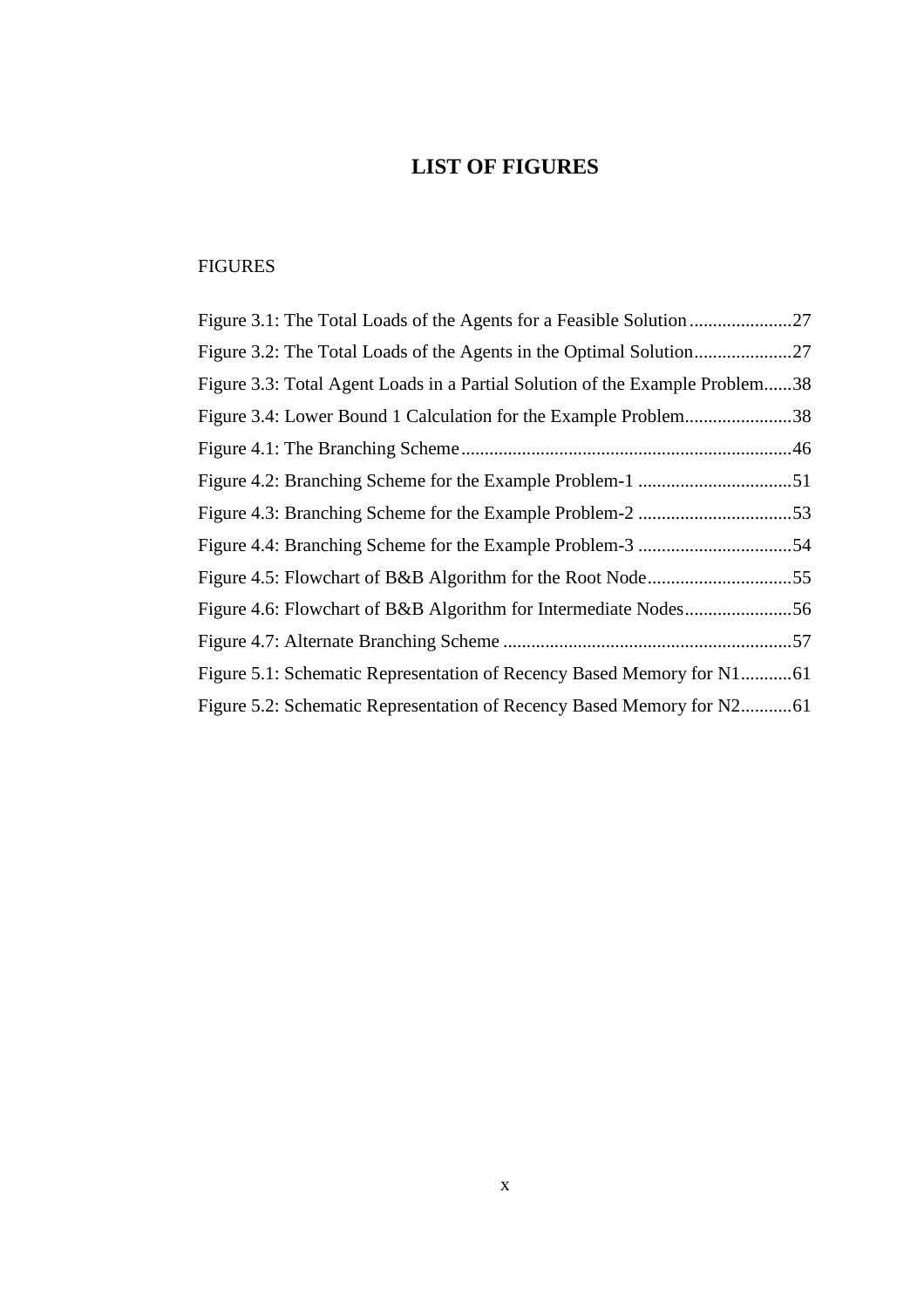# **LIST OF FIGURES**

# FIGURES

| Figure 3.3: Total Agent Loads in a Partial Solution of the Example Problem38 |  |
|------------------------------------------------------------------------------|--|
| Figure 3.4: Lower Bound 1 Calculation for the Example Problem38              |  |
|                                                                              |  |
|                                                                              |  |
|                                                                              |  |
|                                                                              |  |
|                                                                              |  |
|                                                                              |  |
|                                                                              |  |
|                                                                              |  |
|                                                                              |  |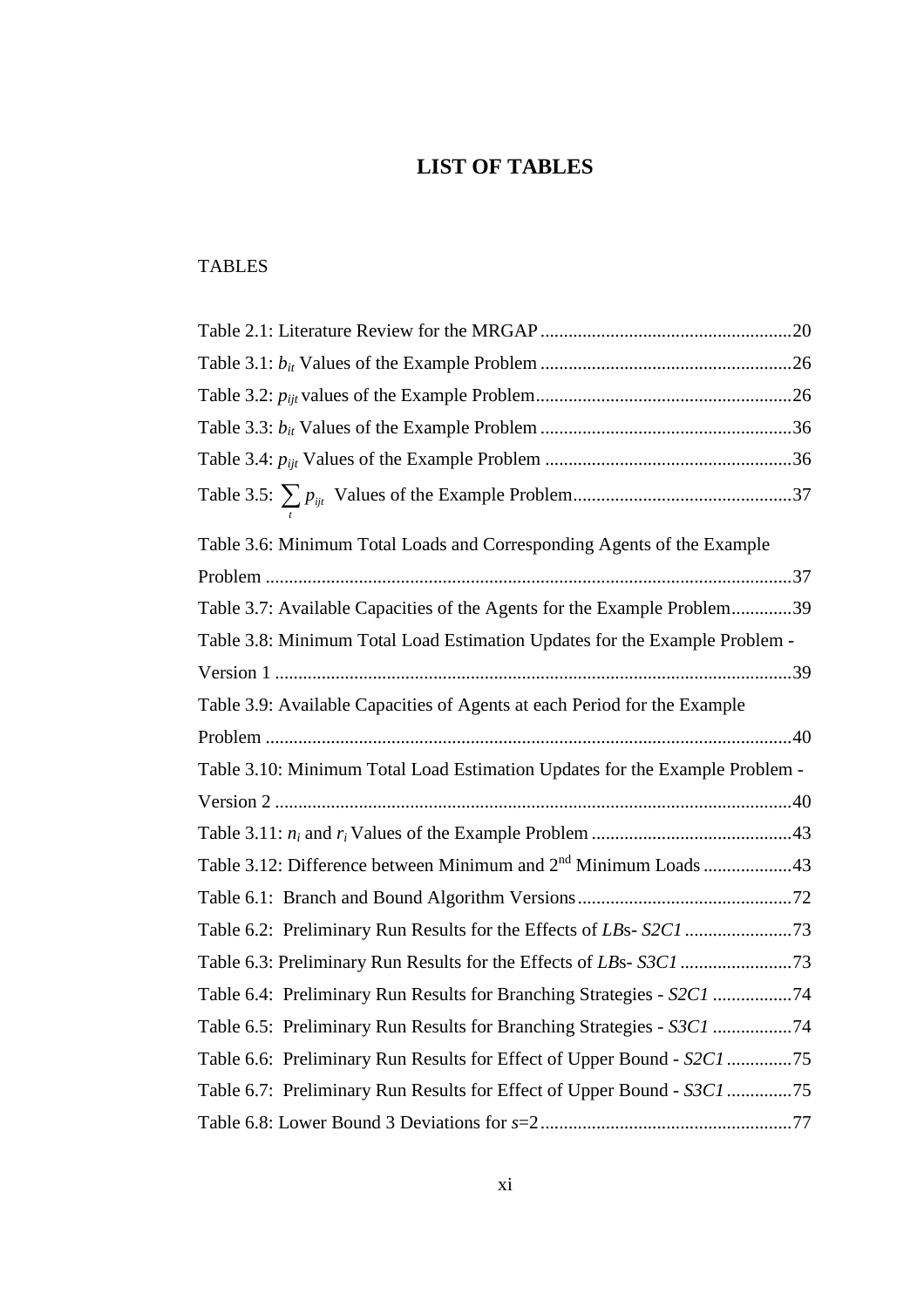# **LIST OF TABLES**

# TABLES

| Table 3.6: Minimum Total Loads and Corresponding Agents of the Example      |
|-----------------------------------------------------------------------------|
|                                                                             |
| Table 3.7: Available Capacities of the Agents for the Example Problem39     |
| Table 3.8: Minimum Total Load Estimation Updates for the Example Problem -  |
|                                                                             |
| Table 3.9: Available Capacities of Agents at each Period for the Example    |
|                                                                             |
| Table 3.10: Minimum Total Load Estimation Updates for the Example Problem - |
|                                                                             |
|                                                                             |
| Table 3.12: Difference between Minimum and 2 <sup>nd</sup> Minimum Loads 43 |
|                                                                             |
|                                                                             |
|                                                                             |
| Table 6.4: Preliminary Run Results for Branching Strategies - S2C1 74       |
|                                                                             |
|                                                                             |
| Table 6.7: Preliminary Run Results for Effect of Upper Bound - S3C1 75      |
|                                                                             |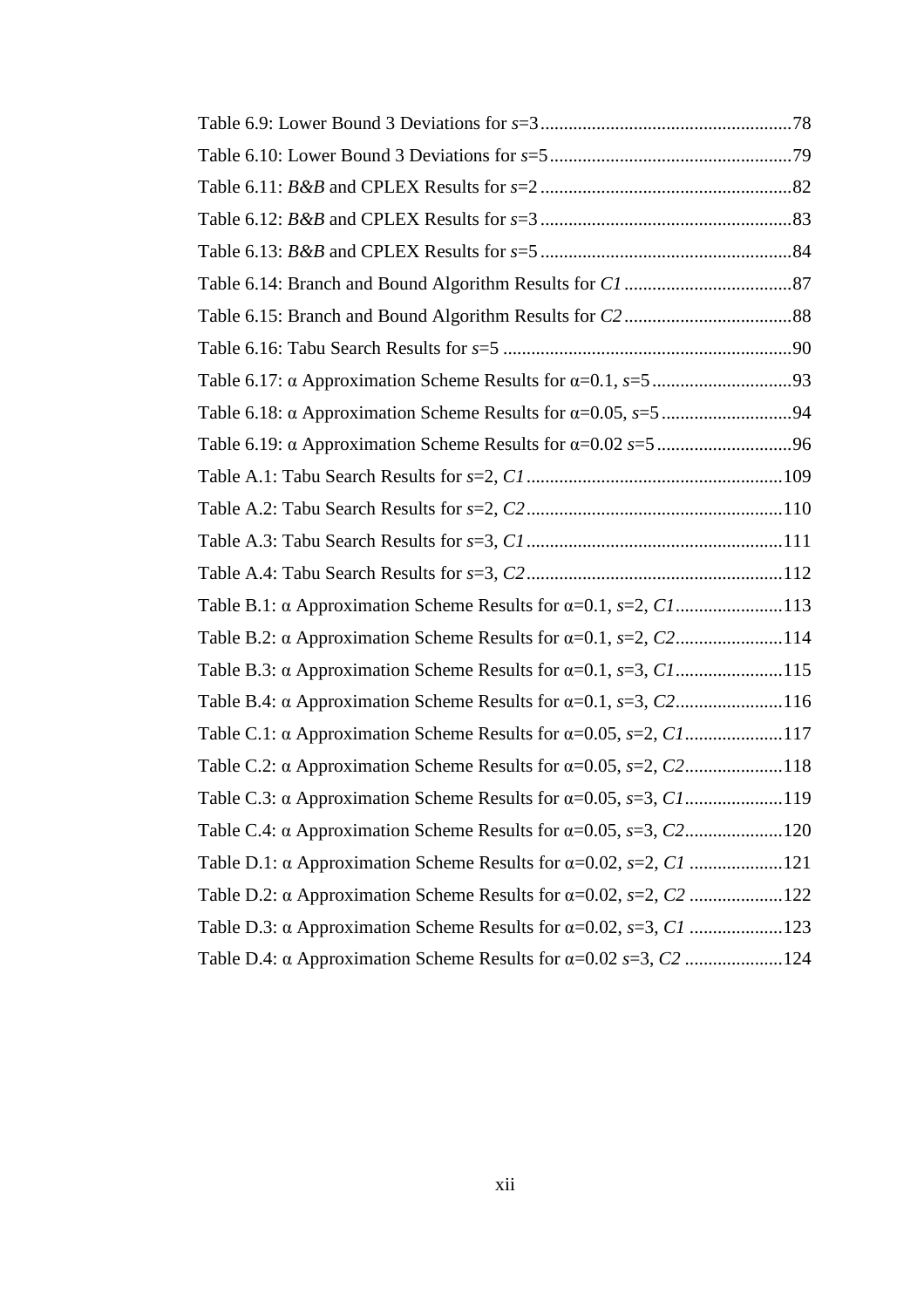| Table B.2: $\alpha$ Approximation Scheme Results for $\alpha$ =0.1, $s$ =2, $C2$ 114 |  |
|--------------------------------------------------------------------------------------|--|
| Table B.3: $\alpha$ Approximation Scheme Results for $\alpha$ =0.1, $s$ =3, Cl115    |  |
| Table B.4: $\alpha$ Approximation Scheme Results for $\alpha$ =0.1, $s$ =3, $C2$ 116 |  |
| Table C.1: $\alpha$ Approximation Scheme Results for $\alpha$ =0.05, $s$ =2, Cl117   |  |
|                                                                                      |  |
| Table C.3: $\alpha$ Approximation Scheme Results for $\alpha$ =0.05, $s$ =3, Cl119   |  |
|                                                                                      |  |
|                                                                                      |  |
|                                                                                      |  |
|                                                                                      |  |
| Table D.4: $\alpha$ Approximation Scheme Results for $\alpha$ =0.02 $s$ =3, C2 124   |  |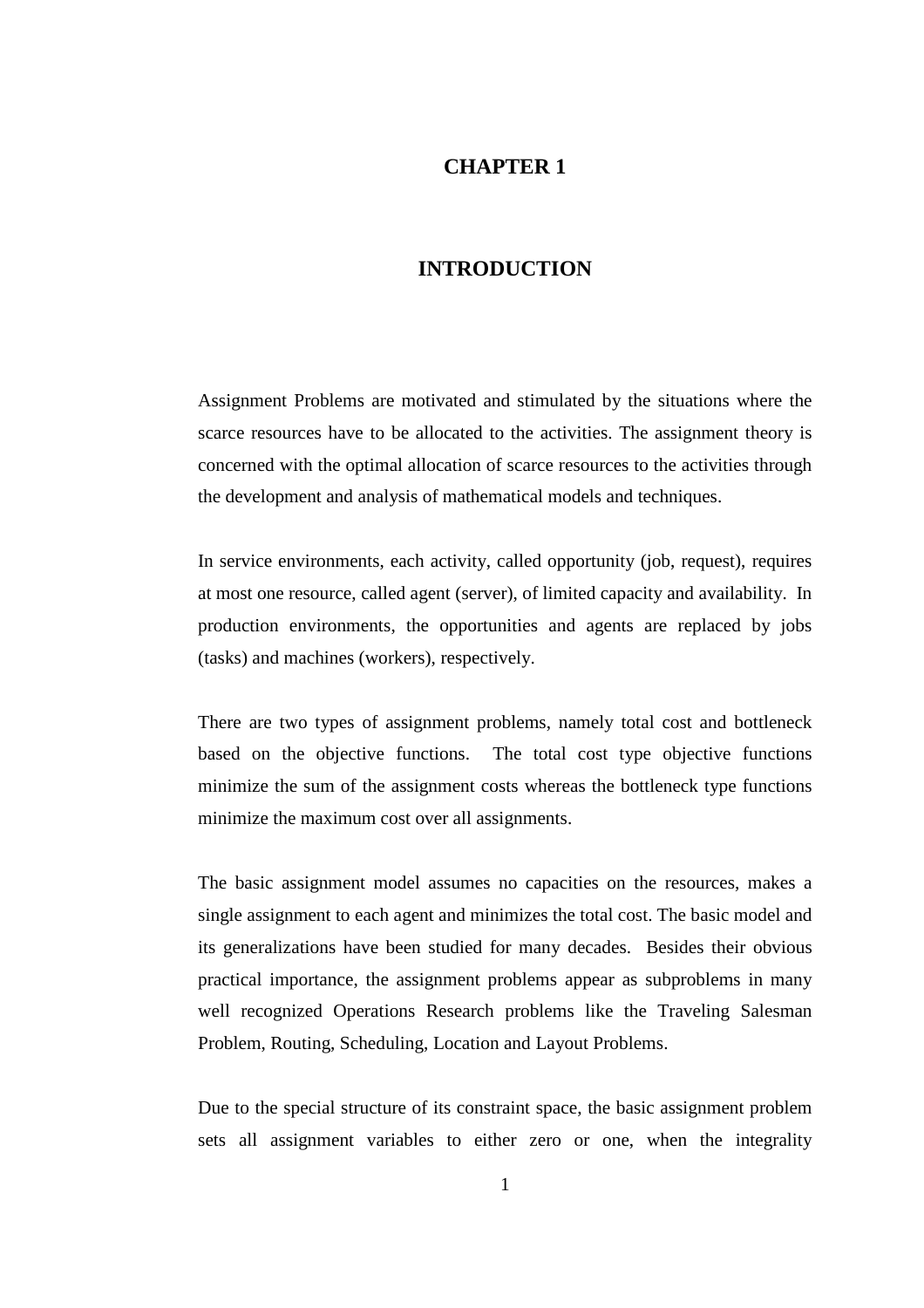# **CHAPTER 1**

# **INTRODUCTION**

Assignment Problems are motivated and stimulated by the situations where the scarce resources have to be allocated to the activities. The assignment theory is concerned with the optimal allocation of scarce resources to the activities through the development and analysis of mathematical models and techniques.

In service environments, each activity, called opportunity (job, request), requires at most one resource, called agent (server), of limited capacity and availability. In production environments, the opportunities and agents are replaced by jobs (tasks) and machines (workers), respectively.

There are two types of assignment problems, namely total cost and bottleneck based on the objective functions. The total cost type objective functions minimize the sum of the assignment costs whereas the bottleneck type functions minimize the maximum cost over all assignments.

The basic assignment model assumes no capacities on the resources, makes a single assignment to each agent and minimizes the total cost. The basic model and its generalizations have been studied for many decades. Besides their obvious practical importance, the assignment problems appear as subproblems in many well recognized Operations Research problems like the Traveling Salesman Problem, Routing, Scheduling, Location and Layout Problems.

Due to the special structure of its constraint space, the basic assignment problem sets all assignment variables to either zero or one, when the integrality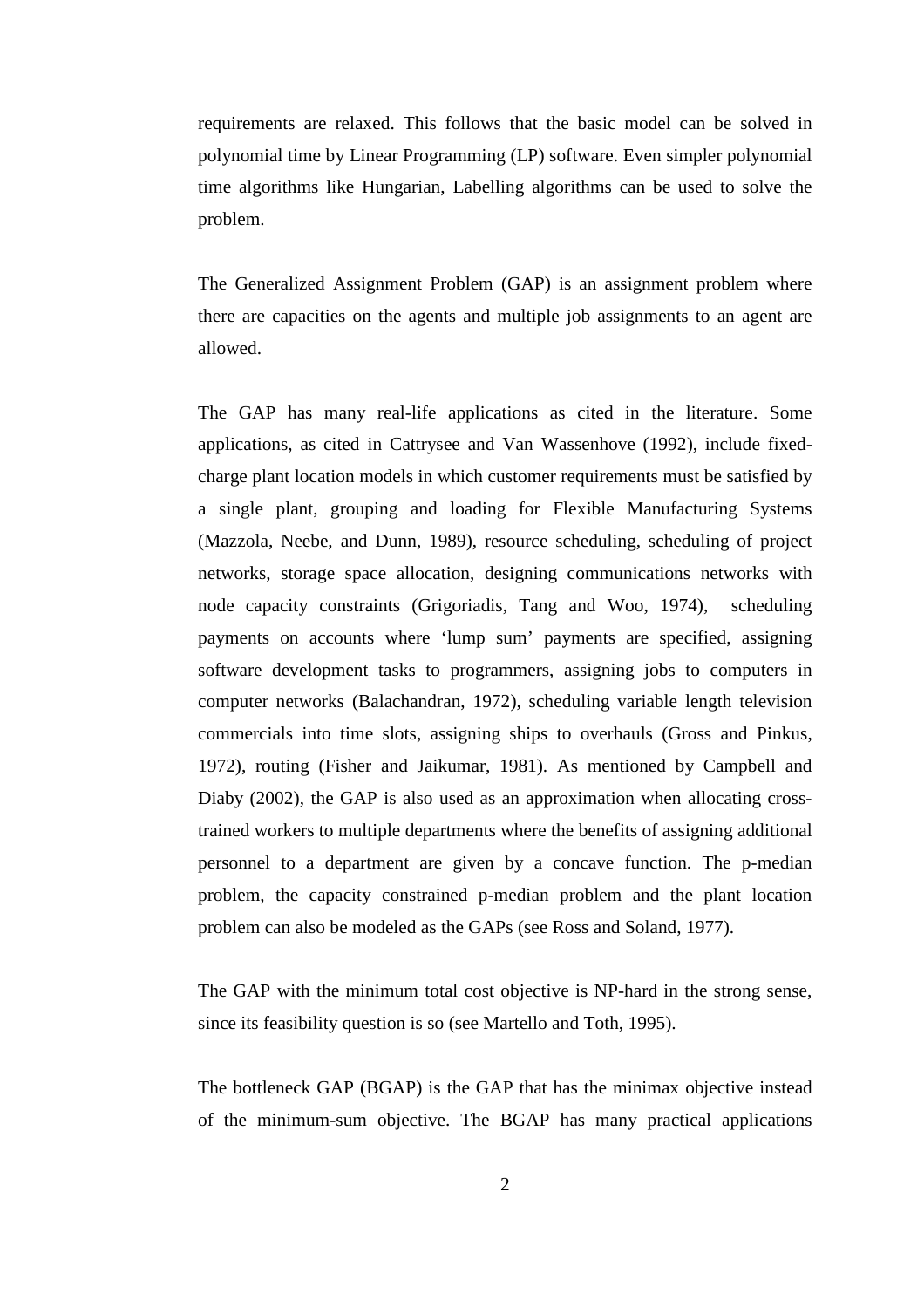requirements are relaxed. This follows that the basic model can be solved in polynomial time by Linear Programming (LP) software. Even simpler polynomial time algorithms like Hungarian, Labelling algorithms can be used to solve the problem.

The Generalized Assignment Problem (GAP) is an assignment problem where there are capacities on the agents and multiple job assignments to an agent are allowed.

The GAP has many real-life applications as cited in the literature. Some applications, as cited in Cattrysee and Van Wassenhove (1992), include fixedcharge plant location models in which customer requirements must be satisfied by a single plant, grouping and loading for Flexible Manufacturing Systems (Mazzola, Neebe, and Dunn, 1989), resource scheduling, scheduling of project networks, storage space allocation, designing communications networks with node capacity constraints (Grigoriadis, Tang and Woo, 1974), scheduling payments on accounts where 'lump sum' payments are specified, assigning software development tasks to programmers, assigning jobs to computers in computer networks (Balachandran, 1972), scheduling variable length television commercials into time slots, assigning ships to overhauls (Gross and Pinkus, 1972), routing (Fisher and Jaikumar, 1981). As mentioned by Campbell and Diaby (2002), the GAP is also used as an approximation when allocating crosstrained workers to multiple departments where the benefits of assigning additional personnel to a department are given by a concave function. The p-median problem, the capacity constrained p-median problem and the plant location problem can also be modeled as the GAPs (see Ross and Soland, 1977).

The GAP with the minimum total cost objective is NP-hard in the strong sense, since its feasibility question is so (see Martello and Toth, 1995).

The bottleneck GAP (BGAP) is the GAP that has the minimax objective instead of the minimum-sum objective. The BGAP has many practical applications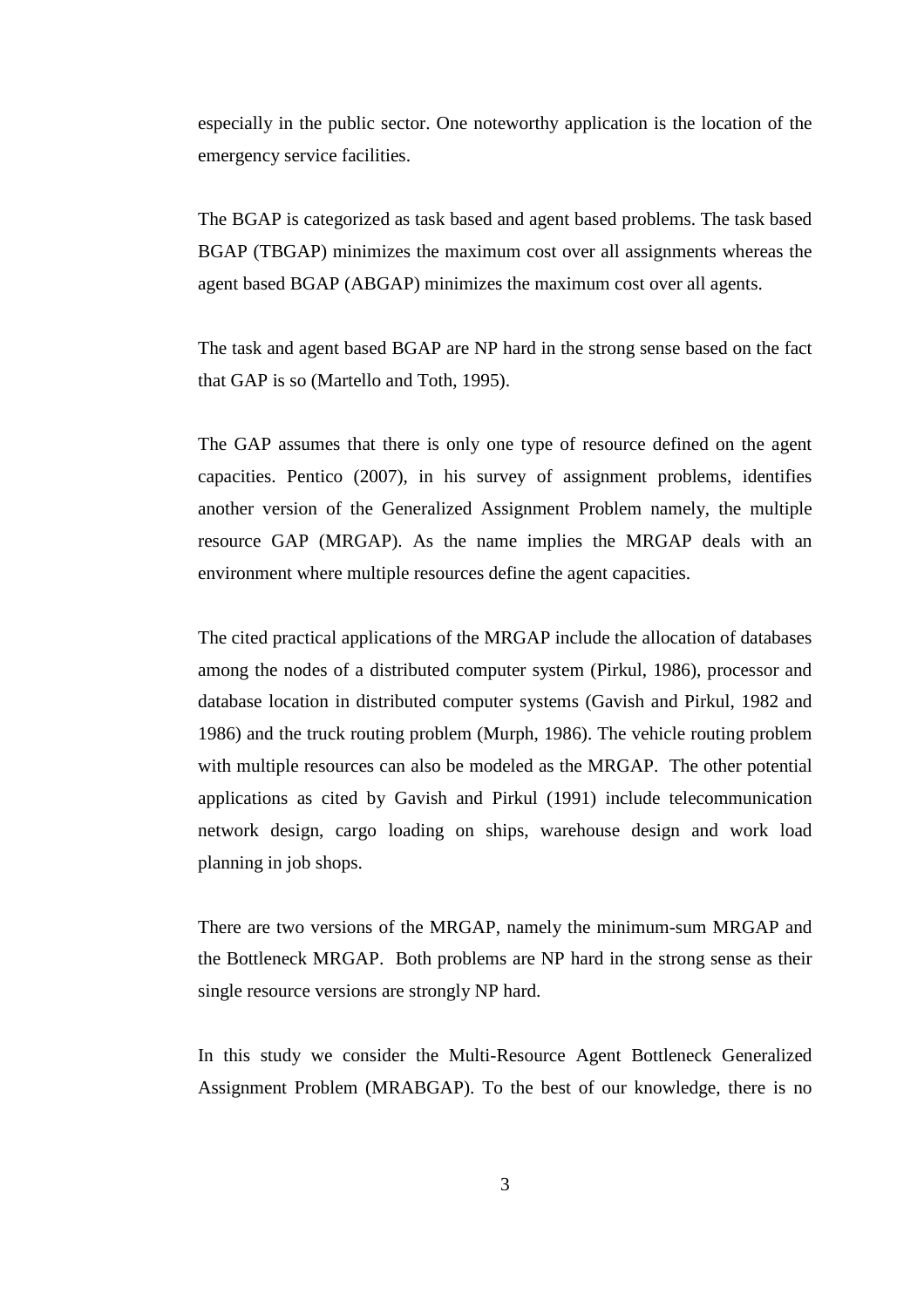especially in the public sector. One noteworthy application is the location of the emergency service facilities.

The BGAP is categorized as task based and agent based problems. The task based BGAP (TBGAP) minimizes the maximum cost over all assignments whereas the agent based BGAP (ABGAP) minimizes the maximum cost over all agents.

The task and agent based BGAP are NP hard in the strong sense based on the fact that GAP is so (Martello and Toth, 1995).

The GAP assumes that there is only one type of resource defined on the agent capacities. Pentico (2007), in his survey of assignment problems, identifies another version of the Generalized Assignment Problem namely, the multiple resource GAP (MRGAP). As the name implies the MRGAP deals with an environment where multiple resources define the agent capacities.

The cited practical applications of the MRGAP include the allocation of databases among the nodes of a distributed computer system (Pirkul, 1986), processor and database location in distributed computer systems (Gavish and Pirkul, 1982 and 1986) and the truck routing problem (Murph, 1986). The vehicle routing problem with multiple resources can also be modeled as the MRGAP. The other potential applications as cited by Gavish and Pirkul (1991) include telecommunication network design, cargo loading on ships, warehouse design and work load planning in job shops.

There are two versions of the MRGAP, namely the minimum-sum MRGAP and the Bottleneck MRGAP. Both problems are NP hard in the strong sense as their single resource versions are strongly NP hard.

In this study we consider the Multi-Resource Agent Bottleneck Generalized Assignment Problem (MRABGAP). To the best of our knowledge, there is no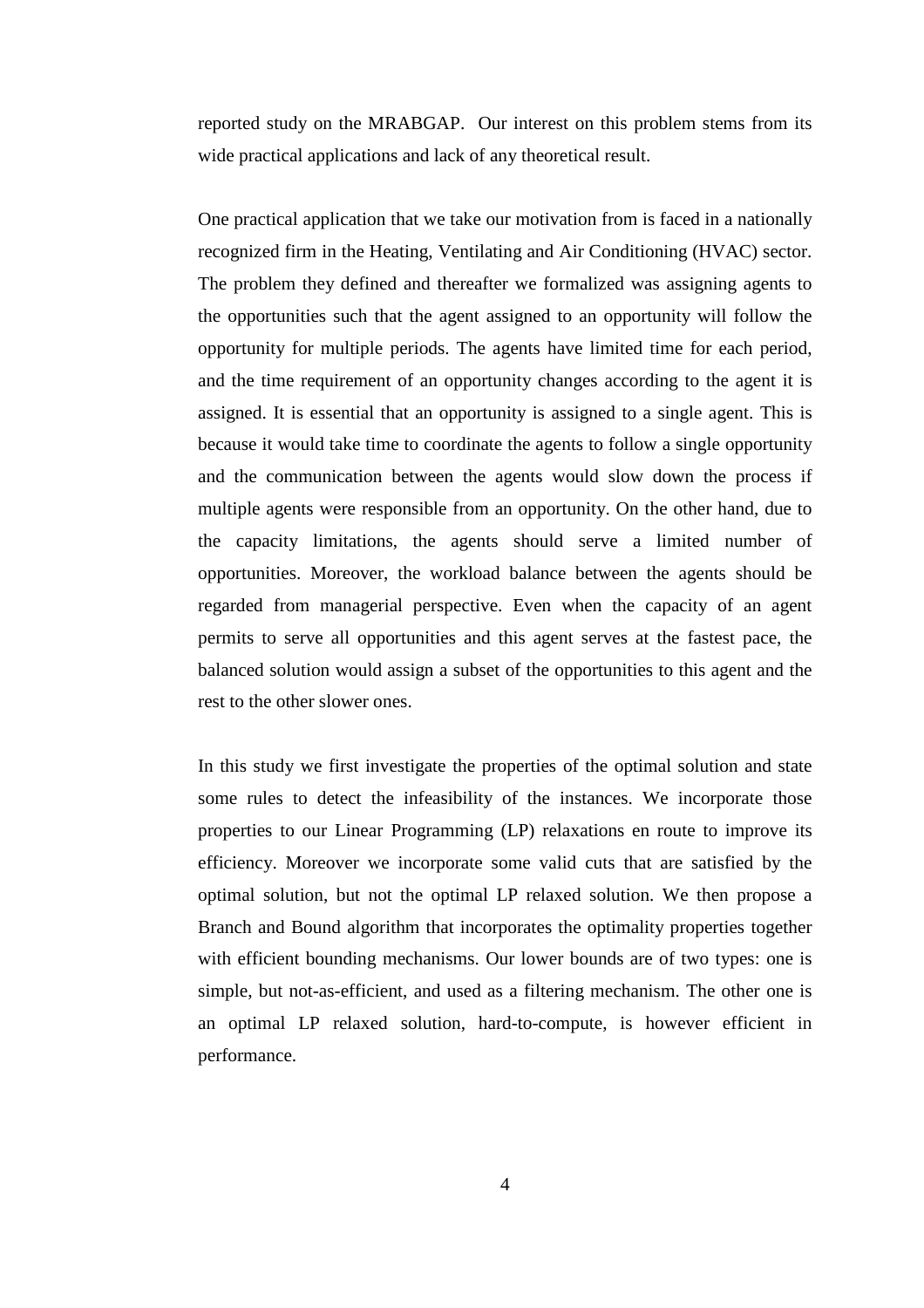reported study on the MRABGAP. Our interest on this problem stems from its wide practical applications and lack of any theoretical result.

One practical application that we take our motivation from is faced in a nationally recognized firm in the Heating, Ventilating and Air Conditioning (HVAC) sector. The problem they defined and thereafter we formalized was assigning agents to the opportunities such that the agent assigned to an opportunity will follow the opportunity for multiple periods. The agents have limited time for each period, and the time requirement of an opportunity changes according to the agent it is assigned. It is essential that an opportunity is assigned to a single agent. This is because it would take time to coordinate the agents to follow a single opportunity and the communication between the agents would slow down the process if multiple agents were responsible from an opportunity. On the other hand, due to the capacity limitations, the agents should serve a limited number of opportunities. Moreover, the workload balance between the agents should be regarded from managerial perspective. Even when the capacity of an agent permits to serve all opportunities and this agent serves at the fastest pace, the balanced solution would assign a subset of the opportunities to this agent and the rest to the other slower ones.

In this study we first investigate the properties of the optimal solution and state some rules to detect the infeasibility of the instances. We incorporate those properties to our Linear Programming (LP) relaxations en route to improve its efficiency. Moreover we incorporate some valid cuts that are satisfied by the optimal solution, but not the optimal LP relaxed solution. We then propose a Branch and Bound algorithm that incorporates the optimality properties together with efficient bounding mechanisms. Our lower bounds are of two types: one is simple, but not-as-efficient, and used as a filtering mechanism. The other one is an optimal LP relaxed solution, hard-to-compute, is however efficient in performance.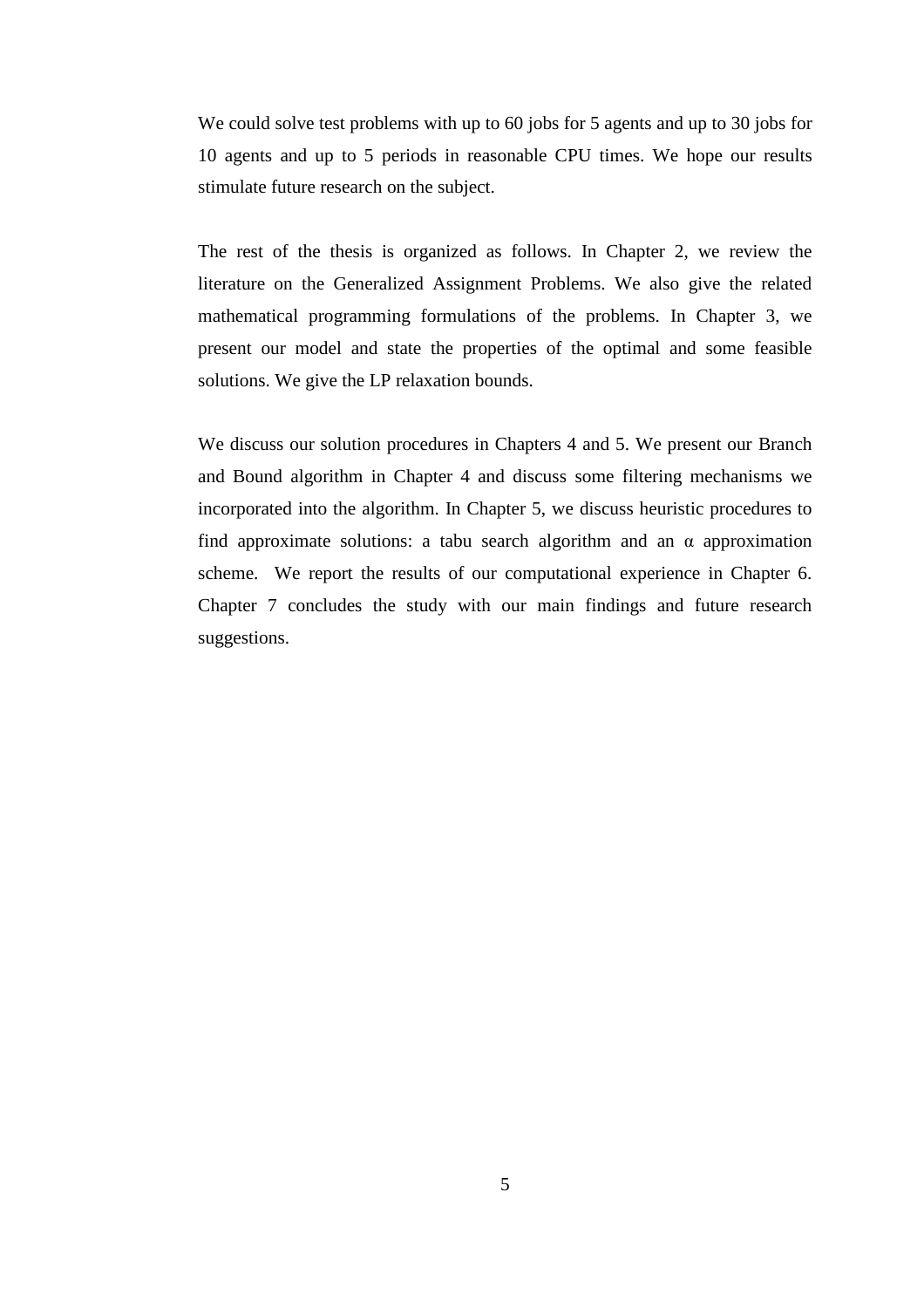We could solve test problems with up to 60 jobs for 5 agents and up to 30 jobs for 10 agents and up to 5 periods in reasonable CPU times. We hope our results stimulate future research on the subject.

The rest of the thesis is organized as follows. In Chapter 2, we review the literature on the Generalized Assignment Problems. We also give the related mathematical programming formulations of the problems. In Chapter 3, we present our model and state the properties of the optimal and some feasible solutions. We give the LP relaxation bounds.

We discuss our solution procedures in Chapters 4 and 5. We present our Branch and Bound algorithm in Chapter 4 and discuss some filtering mechanisms we incorporated into the algorithm. In Chapter 5, we discuss heuristic procedures to find approximate solutions: a tabu search algorithm and an  $\alpha$  approximation scheme. We report the results of our computational experience in Chapter 6. Chapter 7 concludes the study with our main findings and future research suggestions.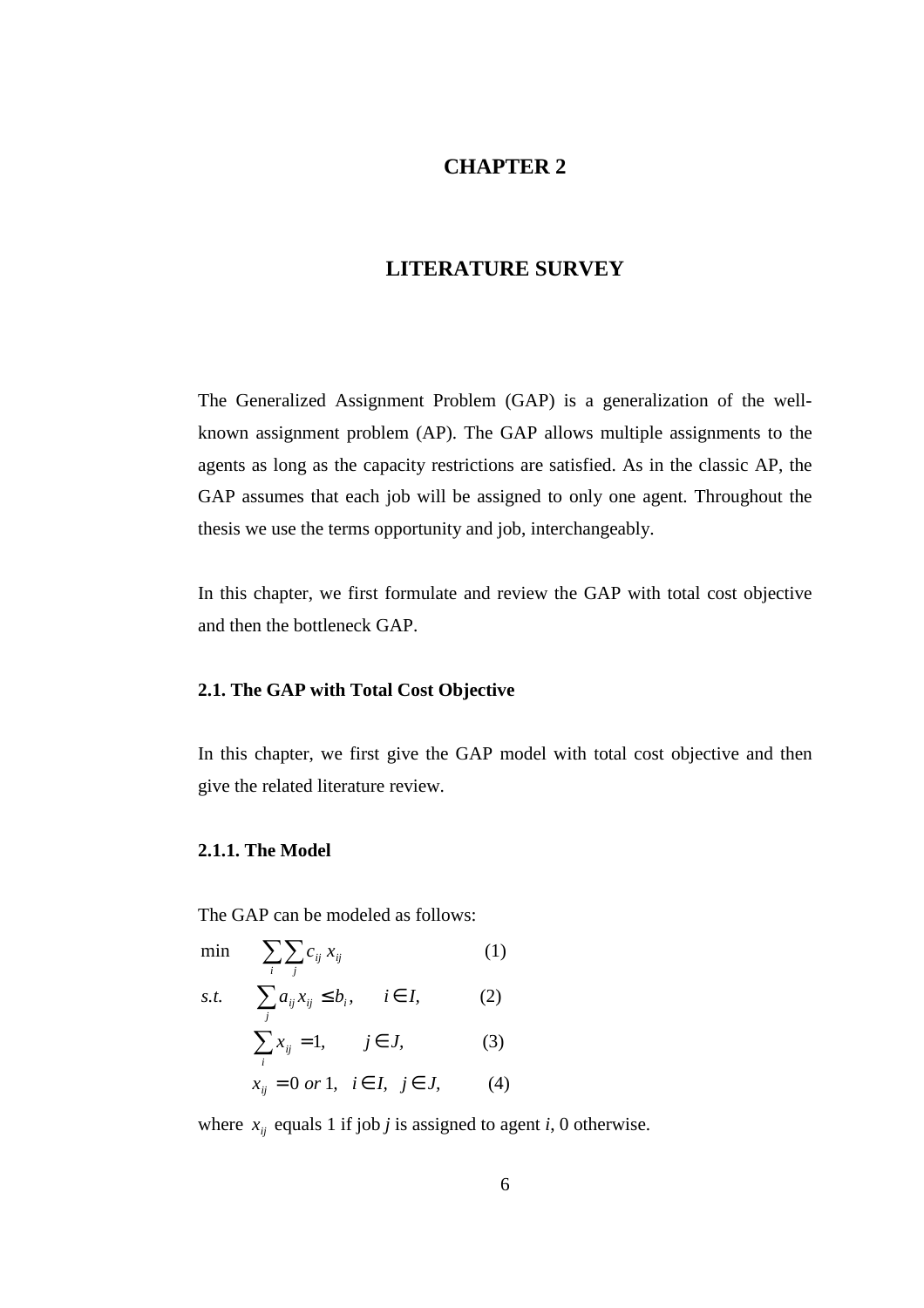# **CHAPTER 2**

# **LITERATURE SURVEY**

The Generalized Assignment Problem (GAP) is a generalization of the wellknown assignment problem (AP). The GAP allows multiple assignments to the agents as long as the capacity restrictions are satisfied. As in the classic AP, the GAP assumes that each job will be assigned to only one agent. Throughout the thesis we use the terms opportunity and job, interchangeably.

In this chapter, we first formulate and review the GAP with total cost objective and then the bottleneck GAP.

### **2.1. The GAP with Total Cost Objective**

In this chapter, we first give the GAP model with total cost objective and then give the related literature review.

#### **2.1.1. The Model**

The GAP can be modeled as follows:

$$
\min \sum_{i} \sum_{j} c_{ij} x_{ij} \qquad (1)
$$
\n
$$
s.t. \sum_{j} a_{ij} x_{ij} \leq b_{i}, \quad i \in I, \qquad (2)
$$
\n
$$
\sum_{i} x_{ij} = 1, \qquad j \in J, \qquad (3)
$$
\n
$$
x_{ij} = 0 \text{ or } 1, \quad i \in I, \quad j \in J, \qquad (4)
$$

where  $x_{ij}$  equals 1 if job *j* is assigned to agent *i*, 0 otherwise.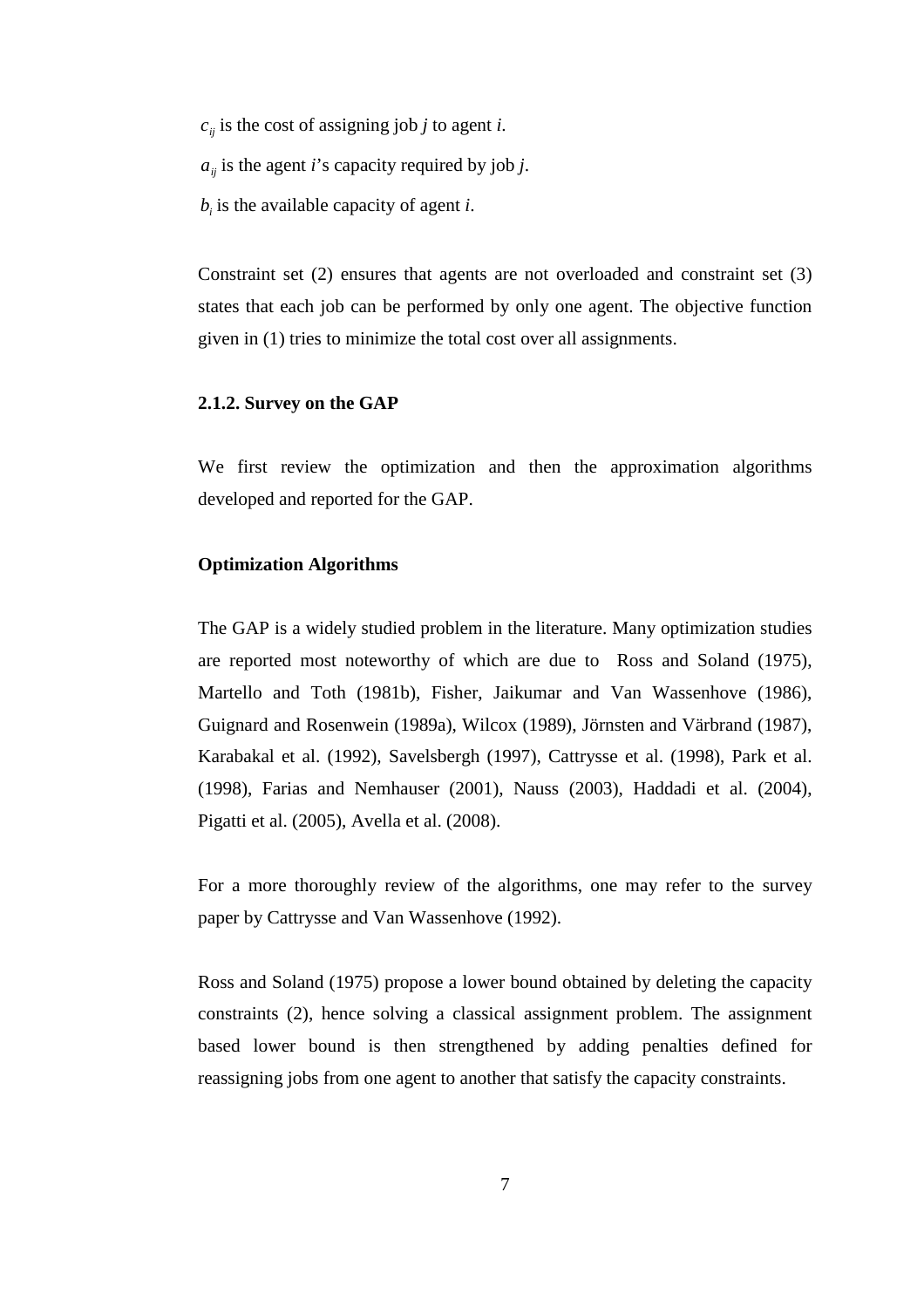$c_{ii}$  is the cost of assigning job *j* to agent *i*.

 $a_{ii}$  is the agent *i*'s capacity required by job *j*.

 $b_i$  is the available capacity of agent *i*.

Constraint set (2) ensures that agents are not overloaded and constraint set (3) states that each job can be performed by only one agent. The objective function given in (1) tries to minimize the total cost over all assignments.

#### **2.1.2. Survey on the GAP**

We first review the optimization and then the approximation algorithms developed and reported for the GAP.

#### **Optimization Algorithms**

The GAP is a widely studied problem in the literature. Many optimization studies are reported most noteworthy of which are due to Ross and Soland (1975), Martello and Toth (1981b), Fisher, Jaikumar and Van Wassenhove (1986), Guignard and Rosenwein (1989a), Wilcox (1989), Jörnsten and Värbrand (1987), Karabakal et al. (1992), Savelsbergh (1997), Cattrysse et al. (1998), Park et al. (1998), Farias and Nemhauser (2001), Nauss (2003), Haddadi et al. (2004), Pigatti et al. (2005), Avella et al. (2008).

For a more thoroughly review of the algorithms, one may refer to the survey paper by Cattrysse and Van Wassenhove (1992).

Ross and Soland (1975) propose a lower bound obtained by deleting the capacity constraints (2), hence solving a classical assignment problem. The assignment based lower bound is then strengthened by adding penalties defined for reassigning jobs from one agent to another that satisfy the capacity constraints.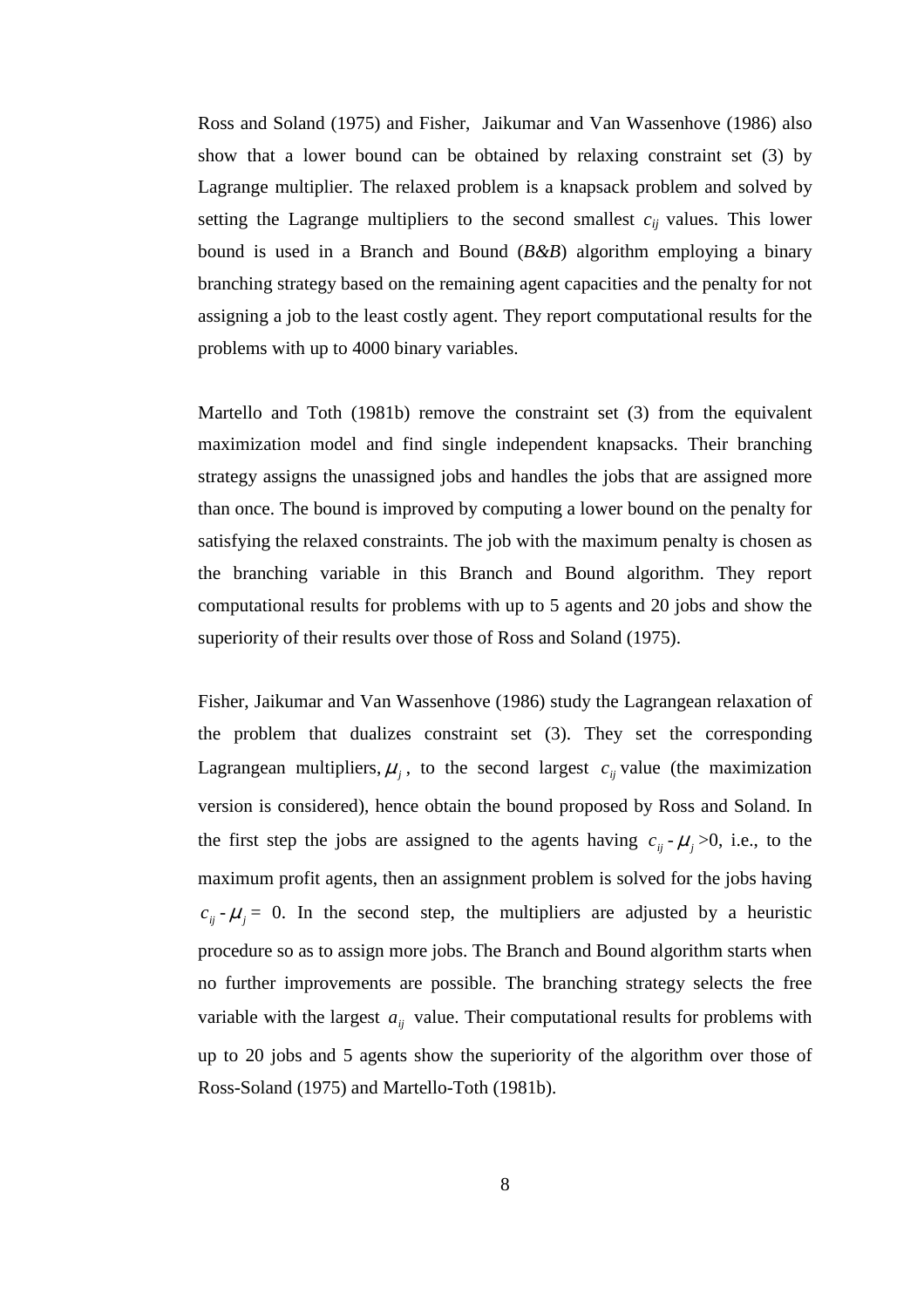Ross and Soland (1975) and Fisher, Jaikumar and Van Wassenhove (1986) also show that a lower bound can be obtained by relaxing constraint set (3) by Lagrange multiplier. The relaxed problem is a knapsack problem and solved by setting the Lagrange multipliers to the second smallest  $c_{ij}$  values. This lower bound is used in a Branch and Bound (*B&B*) algorithm employing a binary branching strategy based on the remaining agent capacities and the penalty for not assigning a job to the least costly agent. They report computational results for the problems with up to 4000 binary variables.

Martello and Toth (1981b) remove the constraint set (3) from the equivalent maximization model and find single independent knapsacks. Their branching strategy assigns the unassigned jobs and handles the jobs that are assigned more than once. The bound is improved by computing a lower bound on the penalty for satisfying the relaxed constraints. The job with the maximum penalty is chosen as the branching variable in this Branch and Bound algorithm. They report computational results for problems with up to 5 agents and 20 jobs and show the superiority of their results over those of Ross and Soland (1975).

Fisher, Jaikumar and Van Wassenhove (1986) study the Lagrangean relaxation of the problem that dualizes constraint set (3). They set the corresponding Lagrangean multipliers,  $\mu_j$ , to the second largest  $c_{ij}$  value (the maximization version is considered), hence obtain the bound proposed by Ross and Soland. In the first step the jobs are assigned to the agents having  $c_{ij}$  -  $\mu_j$  >0, i.e., to the maximum profit agents, then an assignment problem is solved for the jobs having  $c_{ij}$  -  $\mu_j$  = 0. In the second step, the multipliers are adjusted by a heuristic procedure so as to assign more jobs. The Branch and Bound algorithm starts when no further improvements are possible. The branching strategy selects the free variable with the largest  $a_{ij}$  value. Their computational results for problems with up to 20 jobs and 5 agents show the superiority of the algorithm over those of Ross-Soland (1975) and Martello-Toth (1981b).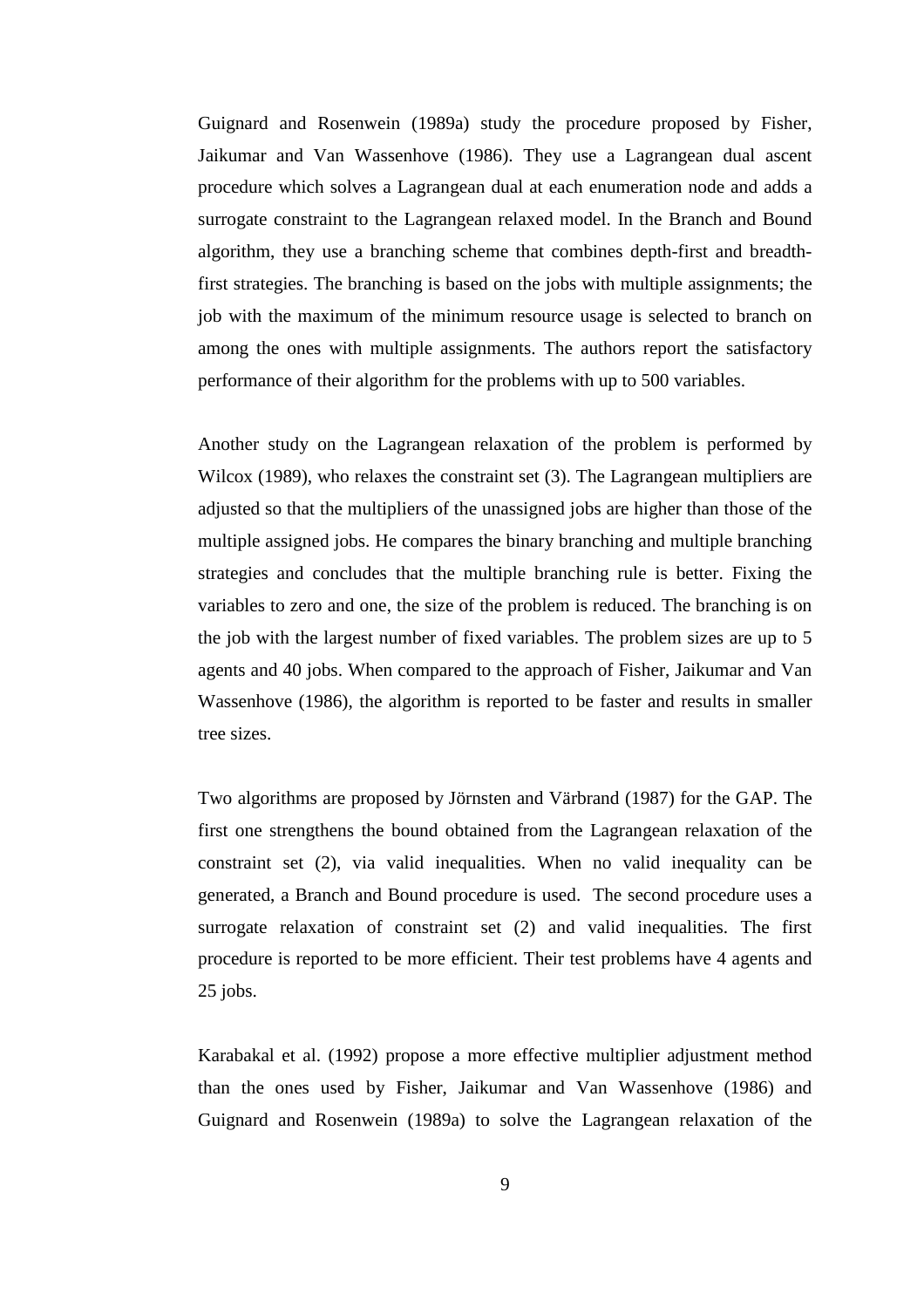Guignard and Rosenwein (1989a) study the procedure proposed by Fisher, Jaikumar and Van Wassenhove (1986). They use a Lagrangean dual ascent procedure which solves a Lagrangean dual at each enumeration node and adds a surrogate constraint to the Lagrangean relaxed model. In the Branch and Bound algorithm, they use a branching scheme that combines depth-first and breadthfirst strategies. The branching is based on the jobs with multiple assignments; the job with the maximum of the minimum resource usage is selected to branch on among the ones with multiple assignments. The authors report the satisfactory performance of their algorithm for the problems with up to 500 variables.

Another study on the Lagrangean relaxation of the problem is performed by Wilcox (1989), who relaxes the constraint set (3). The Lagrangean multipliers are adjusted so that the multipliers of the unassigned jobs are higher than those of the multiple assigned jobs. He compares the binary branching and multiple branching strategies and concludes that the multiple branching rule is better. Fixing the variables to zero and one, the size of the problem is reduced. The branching is on the job with the largest number of fixed variables. The problem sizes are up to 5 agents and 40 jobs. When compared to the approach of Fisher, Jaikumar and Van Wassenhove (1986), the algorithm is reported to be faster and results in smaller tree sizes.

Two algorithms are proposed by Jörnsten and Värbrand (1987) for the GAP. The first one strengthens the bound obtained from the Lagrangean relaxation of the constraint set (2), via valid inequalities. When no valid inequality can be generated, a Branch and Bound procedure is used. The second procedure uses a surrogate relaxation of constraint set (2) and valid inequalities. The first procedure is reported to be more efficient. Their test problems have 4 agents and 25 jobs.

Karabakal et al. (1992) propose a more effective multiplier adjustment method than the ones used by Fisher, Jaikumar and Van Wassenhove (1986) and Guignard and Rosenwein (1989a) to solve the Lagrangean relaxation of the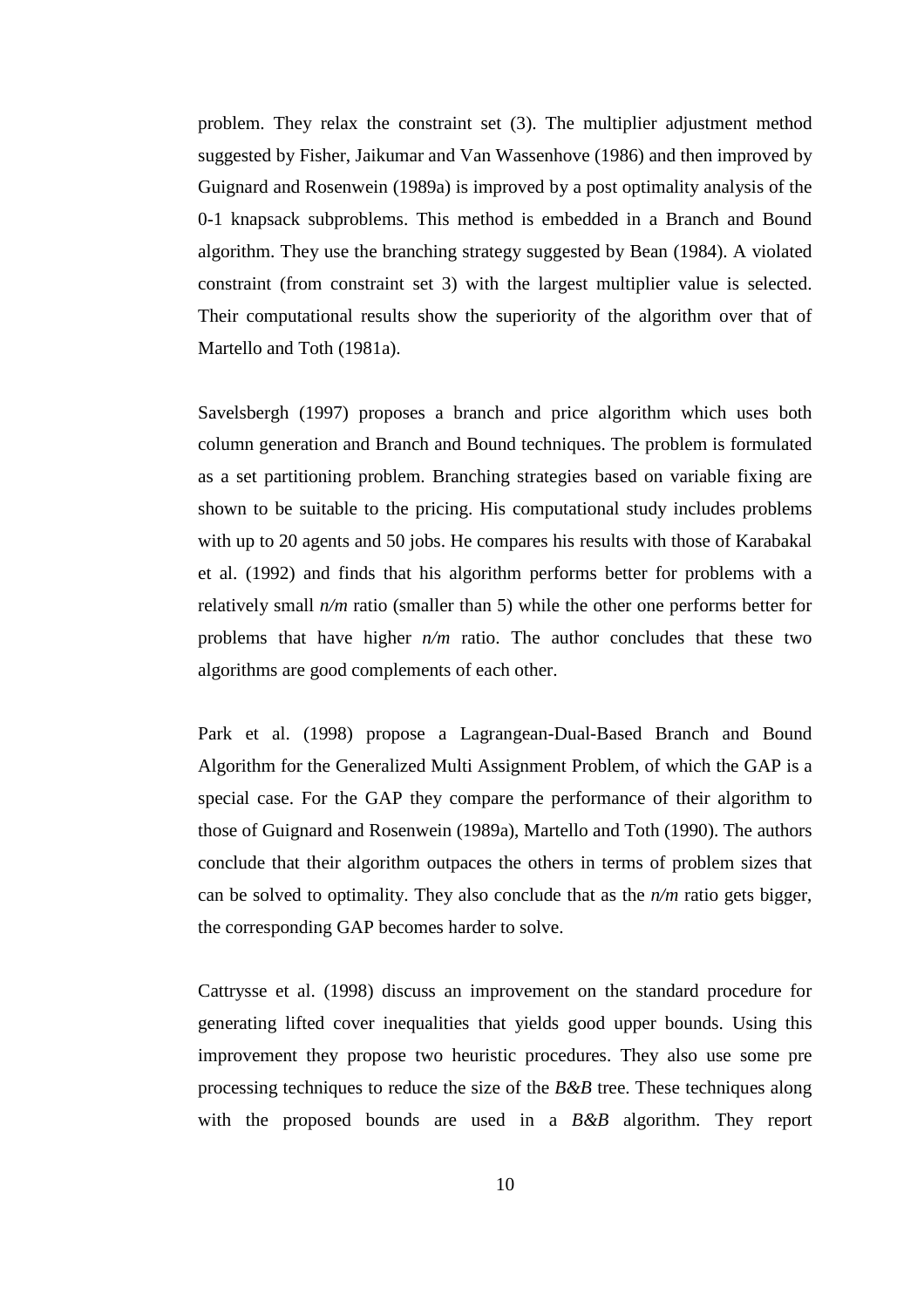problem. They relax the constraint set (3). The multiplier adjustment method suggested by Fisher, Jaikumar and Van Wassenhove (1986) and then improved by Guignard and Rosenwein (1989a) is improved by a post optimality analysis of the 0-1 knapsack subproblems. This method is embedded in a Branch and Bound algorithm. They use the branching strategy suggested by Bean (1984). A violated constraint (from constraint set 3) with the largest multiplier value is selected. Their computational results show the superiority of the algorithm over that of Martello and Toth (1981a).

Savelsbergh (1997) proposes a branch and price algorithm which uses both column generation and Branch and Bound techniques. The problem is formulated as a set partitioning problem. Branching strategies based on variable fixing are shown to be suitable to the pricing. His computational study includes problems with up to 20 agents and 50 jobs. He compares his results with those of Karabakal et al. (1992) and finds that his algorithm performs better for problems with a relatively small *n/m* ratio (smaller than 5) while the other one performs better for problems that have higher *n/m* ratio. The author concludes that these two algorithms are good complements of each other.

Park et al. (1998) propose a Lagrangean-Dual-Based Branch and Bound Algorithm for the Generalized Multi Assignment Problem, of which the GAP is a special case. For the GAP they compare the performance of their algorithm to those of Guignard and Rosenwein (1989a), Martello and Toth (1990). The authors conclude that their algorithm outpaces the others in terms of problem sizes that can be solved to optimality. They also conclude that as the *n/m* ratio gets bigger, the corresponding GAP becomes harder to solve.

Cattrysse et al. (1998) discuss an improvement on the standard procedure for generating lifted cover inequalities that yields good upper bounds. Using this improvement they propose two heuristic procedures. They also use some pre processing techniques to reduce the size of the *B&B* tree. These techniques along with the proposed bounds are used in a *B&B* algorithm. They report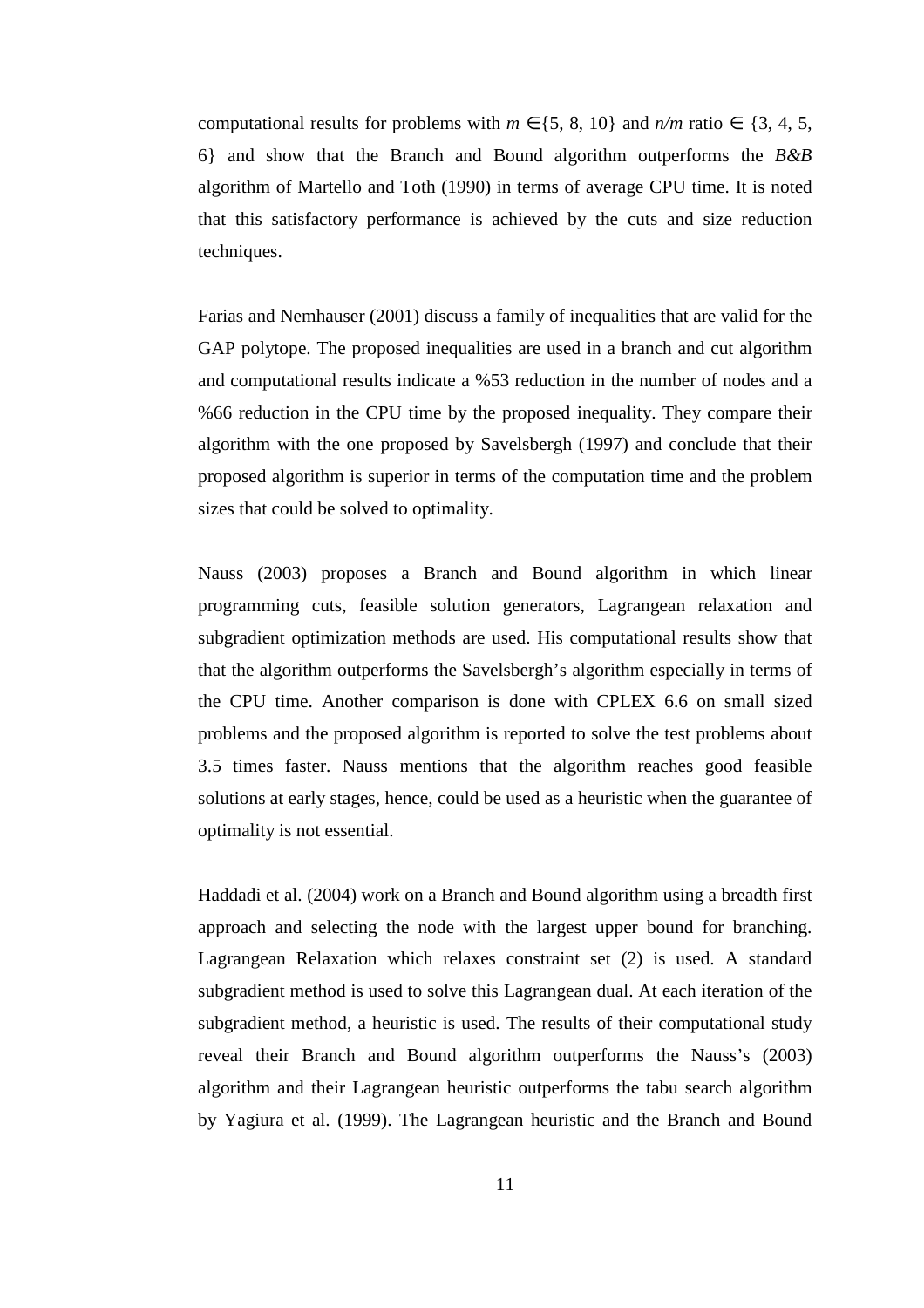computational results for problems with  $m \in \{5, 8, 10\}$  and  $n/m$  ratio  $\in \{3, 4, 5,$ 6} and show that the Branch and Bound algorithm outperforms the *B&B*  algorithm of Martello and Toth (1990) in terms of average CPU time. It is noted that this satisfactory performance is achieved by the cuts and size reduction techniques.

Farias and Nemhauser (2001) discuss a family of inequalities that are valid for the GAP polytope. The proposed inequalities are used in a branch and cut algorithm and computational results indicate a %53 reduction in the number of nodes and a %66 reduction in the CPU time by the proposed inequality. They compare their algorithm with the one proposed by Savelsbergh (1997) and conclude that their proposed algorithm is superior in terms of the computation time and the problem sizes that could be solved to optimality.

Nauss (2003) proposes a Branch and Bound algorithm in which linear programming cuts, feasible solution generators, Lagrangean relaxation and subgradient optimization methods are used. His computational results show that that the algorithm outperforms the Savelsbergh's algorithm especially in terms of the CPU time. Another comparison is done with CPLEX 6.6 on small sized problems and the proposed algorithm is reported to solve the test problems about 3.5 times faster. Nauss mentions that the algorithm reaches good feasible solutions at early stages, hence, could be used as a heuristic when the guarantee of optimality is not essential.

Haddadi et al. (2004) work on a Branch and Bound algorithm using a breadth first approach and selecting the node with the largest upper bound for branching. Lagrangean Relaxation which relaxes constraint set (2) is used. A standard subgradient method is used to solve this Lagrangean dual. At each iteration of the subgradient method, a heuristic is used. The results of their computational study reveal their Branch and Bound algorithm outperforms the Nauss's (2003) algorithm and their Lagrangean heuristic outperforms the tabu search algorithm by Yagiura et al. (1999). The Lagrangean heuristic and the Branch and Bound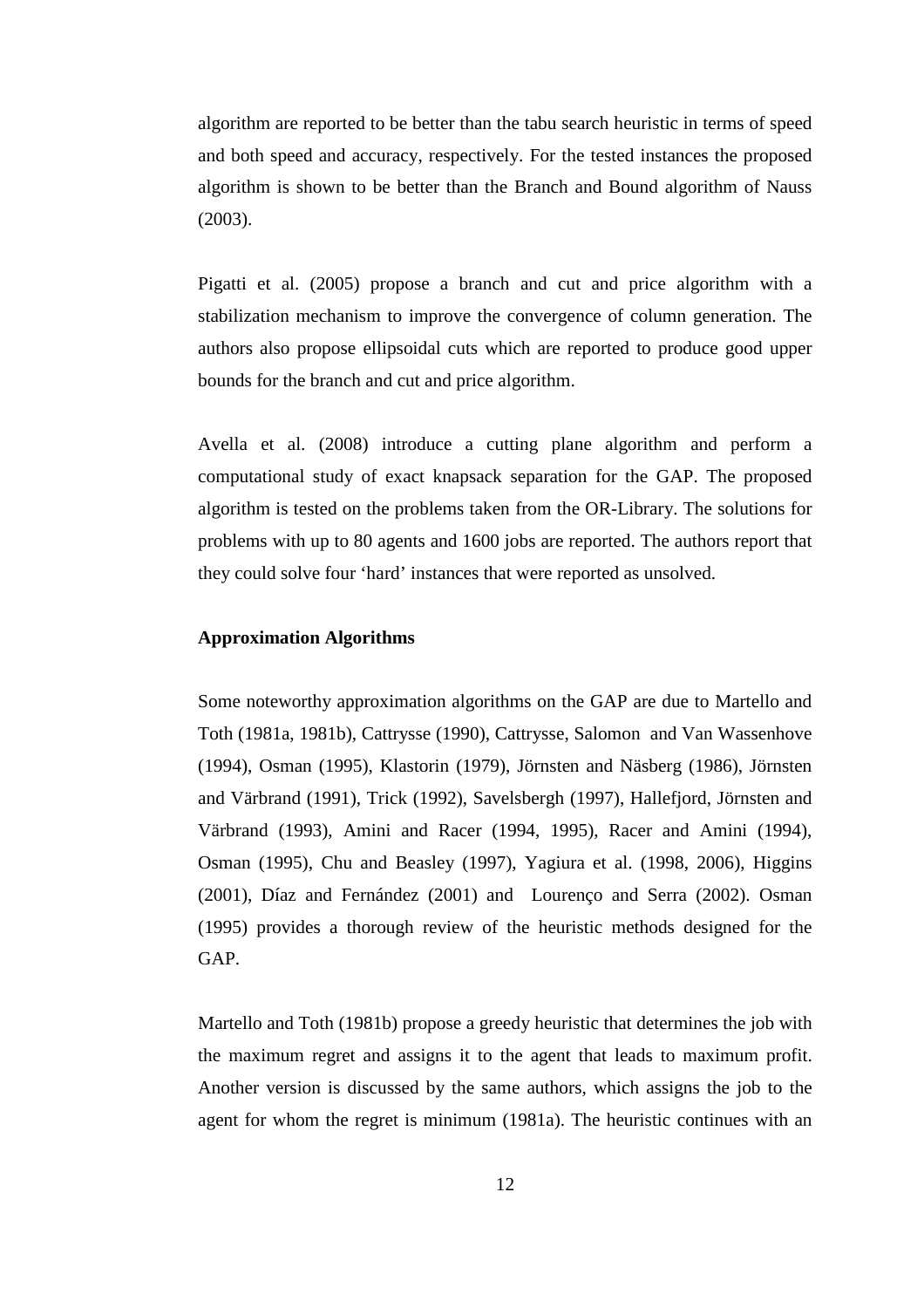algorithm are reported to be better than the tabu search heuristic in terms of speed and both speed and accuracy, respectively. For the tested instances the proposed algorithm is shown to be better than the Branch and Bound algorithm of Nauss (2003).

Pigatti et al. (2005) propose a branch and cut and price algorithm with a stabilization mechanism to improve the convergence of column generation. The authors also propose ellipsoidal cuts which are reported to produce good upper bounds for the branch and cut and price algorithm.

Avella et al. (2008) introduce a cutting plane algorithm and perform a computational study of exact knapsack separation for the GAP. The proposed algorithm is tested on the problems taken from the OR-Library. The solutions for problems with up to 80 agents and 1600 jobs are reported. The authors report that they could solve four 'hard' instances that were reported as unsolved.

### **Approximation Algorithms**

Some noteworthy approximation algorithms on the GAP are due to Martello and Toth (1981a, 1981b), Cattrysse (1990), Cattrysse, Salomon and Van Wassenhove (1994), Osman (1995), Klastorin (1979), Jörnsten and Näsberg (1986), Jörnsten and Värbrand (1991), Trick (1992), Savelsbergh (1997), Hallefjord, Jörnsten and Värbrand (1993), Amini and Racer (1994, 1995), Racer and Amini (1994), Osman (1995), Chu and Beasley (1997), Yagiura et al. (1998, 2006), Higgins (2001), Díaz and Fernández (2001) and Lourenço and Serra (2002). Osman (1995) provides a thorough review of the heuristic methods designed for the GAP.

Martello and Toth (1981b) propose a greedy heuristic that determines the job with the maximum regret and assigns it to the agent that leads to maximum profit. Another version is discussed by the same authors, which assigns the job to the agent for whom the regret is minimum (1981a). The heuristic continues with an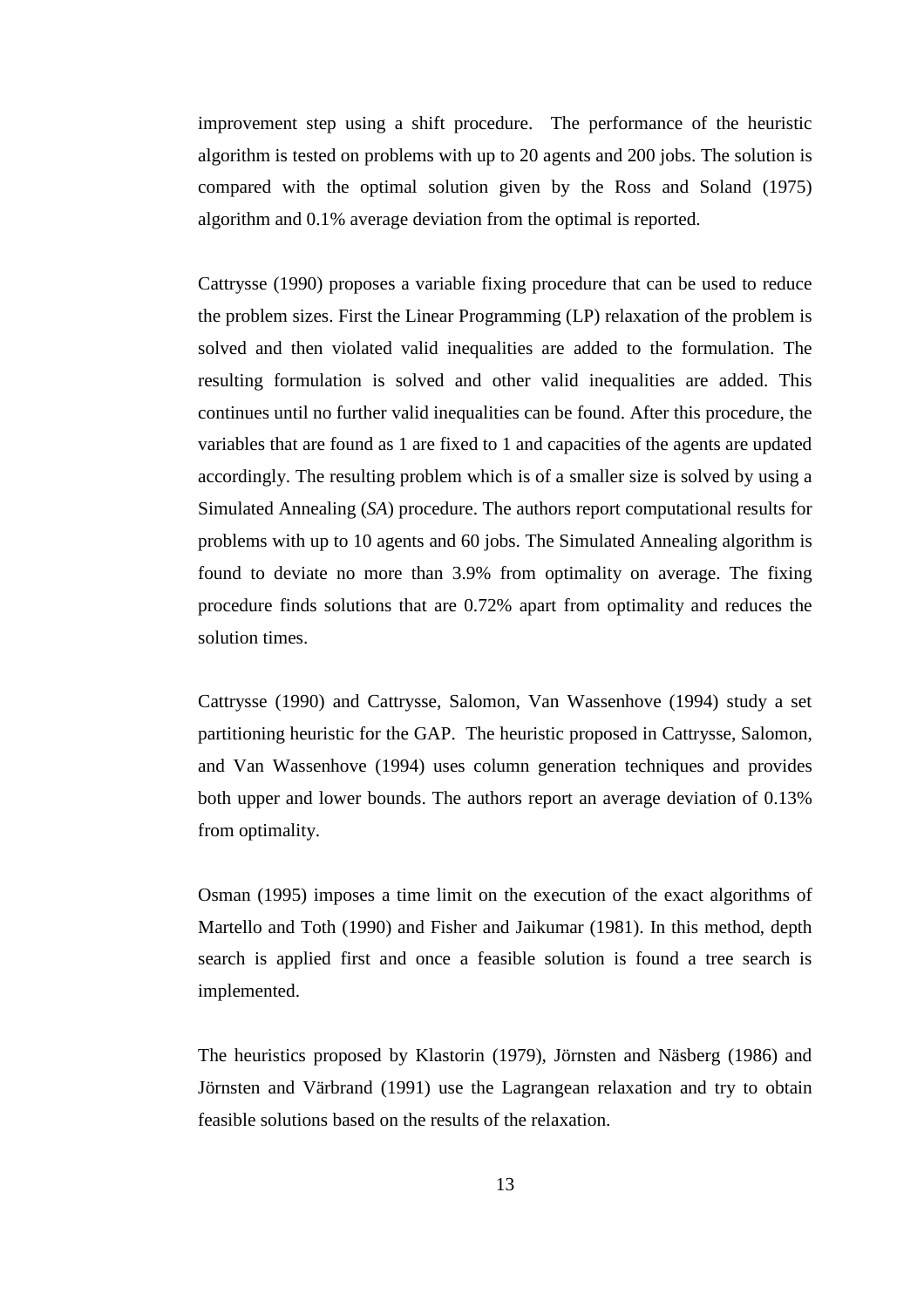improvement step using a shift procedure. The performance of the heuristic algorithm is tested on problems with up to 20 agents and 200 jobs. The solution is compared with the optimal solution given by the Ross and Soland (1975) algorithm and 0.1% average deviation from the optimal is reported.

Cattrysse (1990) proposes a variable fixing procedure that can be used to reduce the problem sizes. First the Linear Programming (LP) relaxation of the problem is solved and then violated valid inequalities are added to the formulation. The resulting formulation is solved and other valid inequalities are added. This continues until no further valid inequalities can be found. After this procedure, the variables that are found as 1 are fixed to 1 and capacities of the agents are updated accordingly. The resulting problem which is of a smaller size is solved by using a Simulated Annealing (*SA*) procedure. The authors report computational results for problems with up to 10 agents and 60 jobs. The Simulated Annealing algorithm is found to deviate no more than 3.9% from optimality on average. The fixing procedure finds solutions that are 0.72% apart from optimality and reduces the solution times.

Cattrysse (1990) and Cattrysse, Salomon, Van Wassenhove (1994) study a set partitioning heuristic for the GAP. The heuristic proposed in Cattrysse, Salomon, and Van Wassenhove (1994) uses column generation techniques and provides both upper and lower bounds. The authors report an average deviation of 0.13% from optimality.

Osman (1995) imposes a time limit on the execution of the exact algorithms of Martello and Toth (1990) and Fisher and Jaikumar (1981). In this method, depth search is applied first and once a feasible solution is found a tree search is implemented.

The heuristics proposed by Klastorin (1979), Jörnsten and Näsberg (1986) and Jörnsten and Värbrand (1991) use the Lagrangean relaxation and try to obtain feasible solutions based on the results of the relaxation.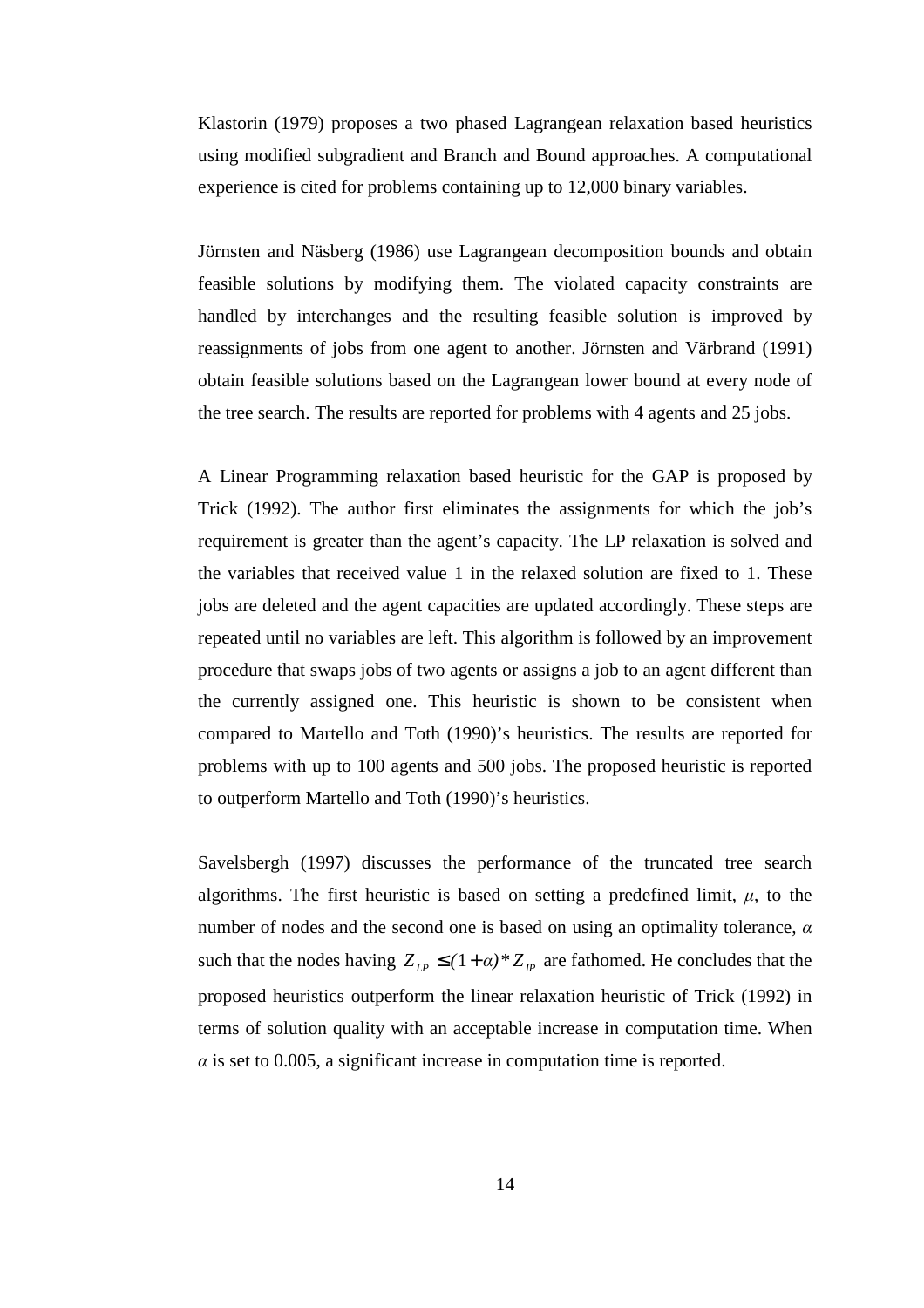Klastorin (1979) proposes a two phased Lagrangean relaxation based heuristics using modified subgradient and Branch and Bound approaches. A computational experience is cited for problems containing up to 12,000 binary variables.

Jörnsten and Näsberg (1986) use Lagrangean decomposition bounds and obtain feasible solutions by modifying them. The violated capacity constraints are handled by interchanges and the resulting feasible solution is improved by reassignments of jobs from one agent to another. Jörnsten and Värbrand (1991) obtain feasible solutions based on the Lagrangean lower bound at every node of the tree search. The results are reported for problems with 4 agents and 25 jobs.

A Linear Programming relaxation based heuristic for the GAP is proposed by Trick (1992). The author first eliminates the assignments for which the job's requirement is greater than the agent's capacity. The LP relaxation is solved and the variables that received value 1 in the relaxed solution are fixed to 1. These jobs are deleted and the agent capacities are updated accordingly. These steps are repeated until no variables are left. This algorithm is followed by an improvement procedure that swaps jobs of two agents or assigns a job to an agent different than the currently assigned one. This heuristic is shown to be consistent when compared to Martello and Toth (1990)'s heuristics. The results are reported for problems with up to 100 agents and 500 jobs. The proposed heuristic is reported to outperform Martello and Toth (1990)'s heuristics.

Savelsbergh (1997) discusses the performance of the truncated tree search algorithms. The first heuristic is based on setting a predefined limit,  $\mu$ , to the number of nodes and the second one is based on using an optimality tolerance, *α* such that the nodes having  $Z_{IP} \leq (1+\alpha)^* Z_{IP}$  are fathomed. He concludes that the proposed heuristics outperform the linear relaxation heuristic of Trick (1992) in terms of solution quality with an acceptable increase in computation time. When  $\alpha$  is set to 0.005, a significant increase in computation time is reported.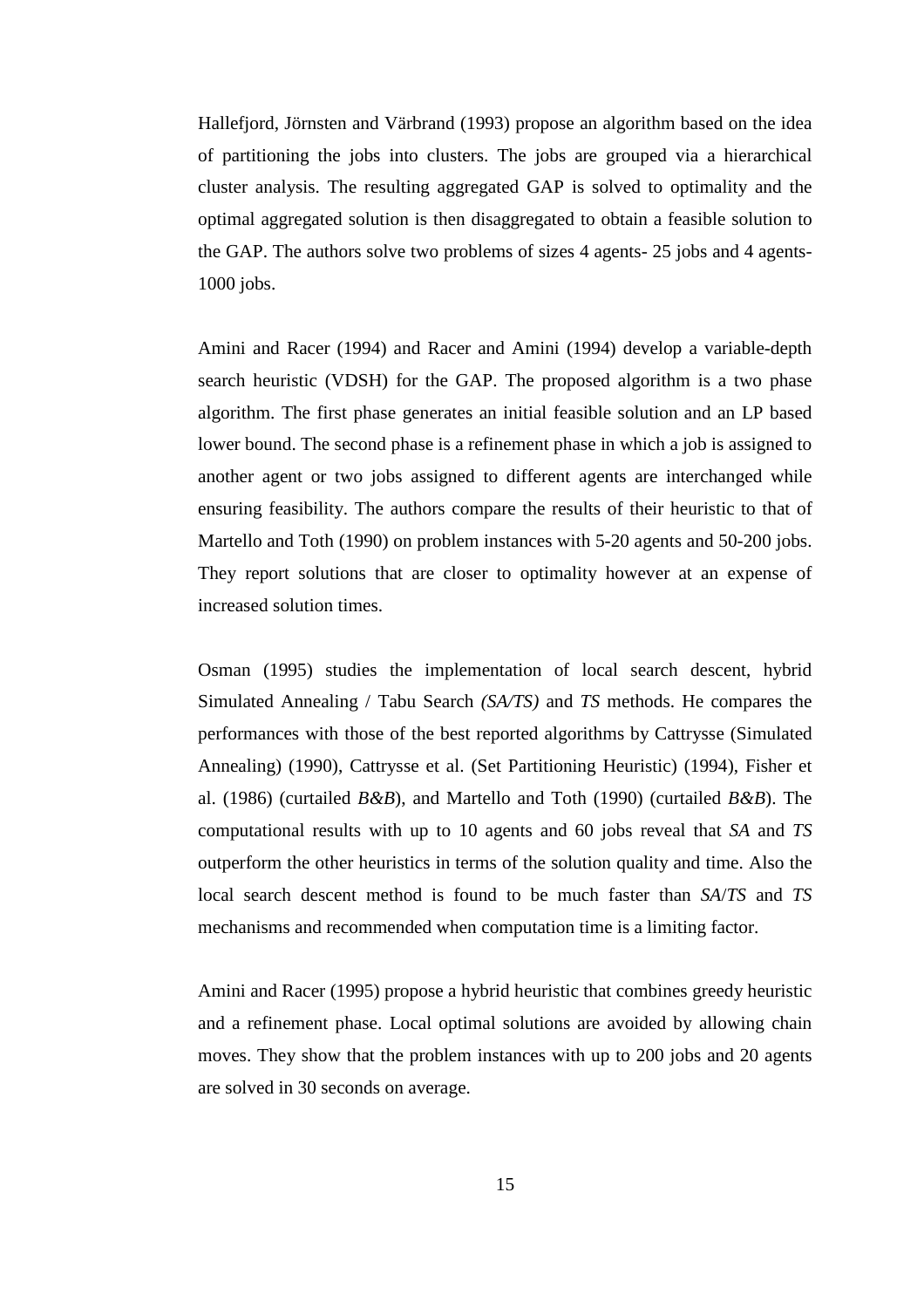Hallefjord, Jörnsten and Värbrand (1993) propose an algorithm based on the idea of partitioning the jobs into clusters. The jobs are grouped via a hierarchical cluster analysis. The resulting aggregated GAP is solved to optimality and the optimal aggregated solution is then disaggregated to obtain a feasible solution to the GAP. The authors solve two problems of sizes 4 agents- 25 jobs and 4 agents-1000 jobs.

Amini and Racer (1994) and Racer and Amini (1994) develop a variable-depth search heuristic (VDSH) for the GAP. The proposed algorithm is a two phase algorithm. The first phase generates an initial feasible solution and an LP based lower bound. The second phase is a refinement phase in which a job is assigned to another agent or two jobs assigned to different agents are interchanged while ensuring feasibility. The authors compare the results of their heuristic to that of Martello and Toth (1990) on problem instances with 5-20 agents and 50-200 jobs. They report solutions that are closer to optimality however at an expense of increased solution times.

Osman (1995) studies the implementation of local search descent, hybrid Simulated Annealing / Tabu Search *(SA/TS)* and *TS* methods. He compares the performances with those of the best reported algorithms by Cattrysse (Simulated Annealing) (1990), Cattrysse et al. (Set Partitioning Heuristic) (1994), Fisher et al. (1986) (curtailed *B&B*), and Martello and Toth (1990) (curtailed *B&B*). The computational results with up to 10 agents and 60 jobs reveal that *SA* and *TS* outperform the other heuristics in terms of the solution quality and time. Also the local search descent method is found to be much faster than *SA*/*TS* and *TS* mechanisms and recommended when computation time is a limiting factor.

Amini and Racer (1995) propose a hybrid heuristic that combines greedy heuristic and a refinement phase. Local optimal solutions are avoided by allowing chain moves. They show that the problem instances with up to 200 jobs and 20 agents are solved in 30 seconds on average.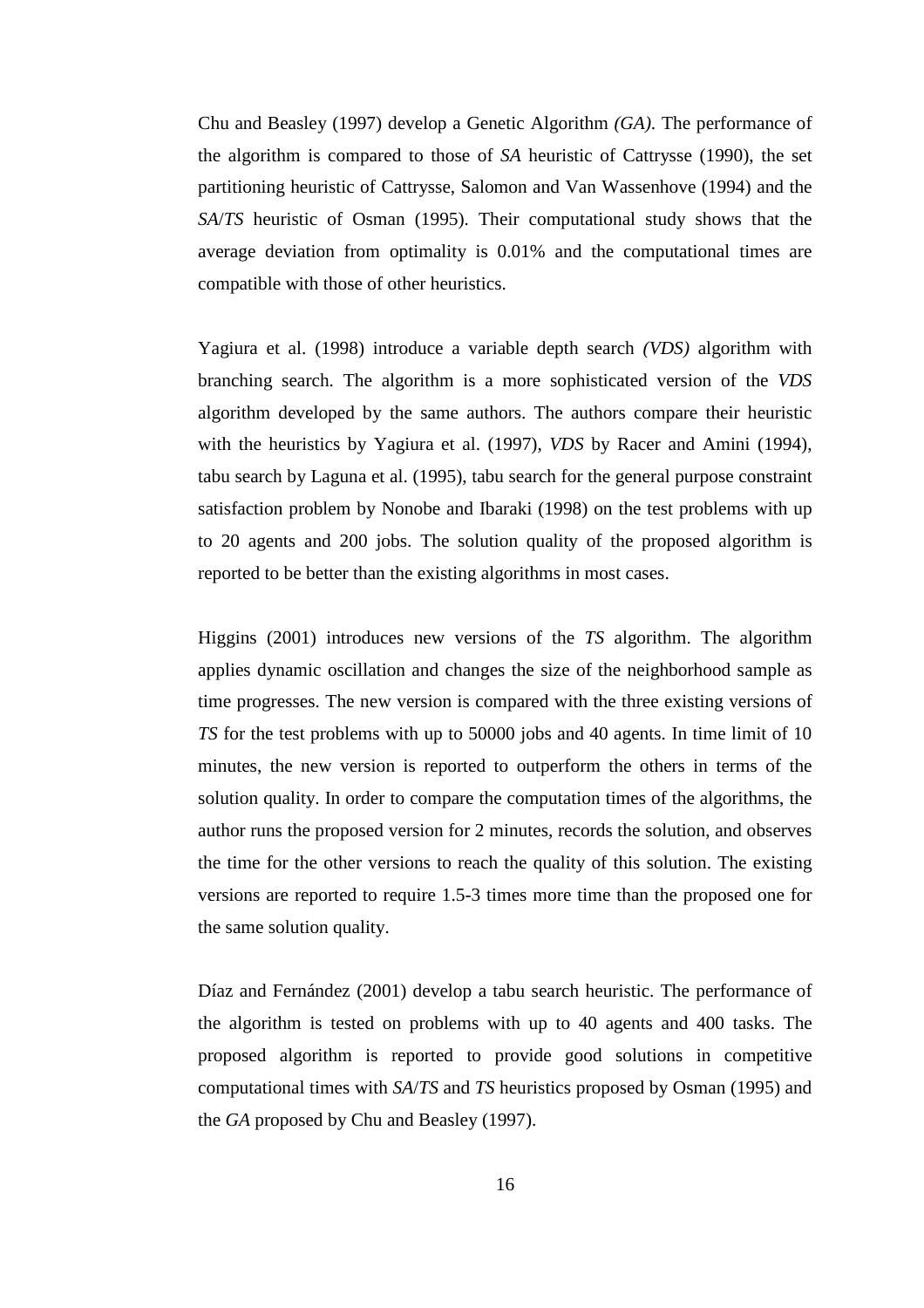Chu and Beasley (1997) develop a Genetic Algorithm *(GA)*. The performance of the algorithm is compared to those of *SA* heuristic of Cattrysse (1990), the set partitioning heuristic of Cattrysse, Salomon and Van Wassenhove (1994) and the *SA*/*TS* heuristic of Osman (1995). Their computational study shows that the average deviation from optimality is 0.01% and the computational times are compatible with those of other heuristics.

Yagiura et al. (1998) introduce a variable depth search *(VDS)* algorithm with branching search. The algorithm is a more sophisticated version of the *VDS*  algorithm developed by the same authors. The authors compare their heuristic with the heuristics by Yagiura et al. (1997), *VDS* by Racer and Amini (1994), tabu search by Laguna et al. (1995), tabu search for the general purpose constraint satisfaction problem by Nonobe and Ibaraki (1998) on the test problems with up to 20 agents and 200 jobs. The solution quality of the proposed algorithm is reported to be better than the existing algorithms in most cases.

Higgins (2001) introduces new versions of the *TS* algorithm. The algorithm applies dynamic oscillation and changes the size of the neighborhood sample as time progresses. The new version is compared with the three existing versions of *TS* for the test problems with up to 50000 jobs and 40 agents. In time limit of 10 minutes, the new version is reported to outperform the others in terms of the solution quality. In order to compare the computation times of the algorithms, the author runs the proposed version for 2 minutes, records the solution, and observes the time for the other versions to reach the quality of this solution. The existing versions are reported to require 1.5-3 times more time than the proposed one for the same solution quality.

Díaz and Fernández (2001) develop a tabu search heuristic. The performance of the algorithm is tested on problems with up to 40 agents and 400 tasks. The proposed algorithm is reported to provide good solutions in competitive computational times with *SA*/*TS* and *TS* heuristics proposed by Osman (1995) and the *GA* proposed by Chu and Beasley (1997).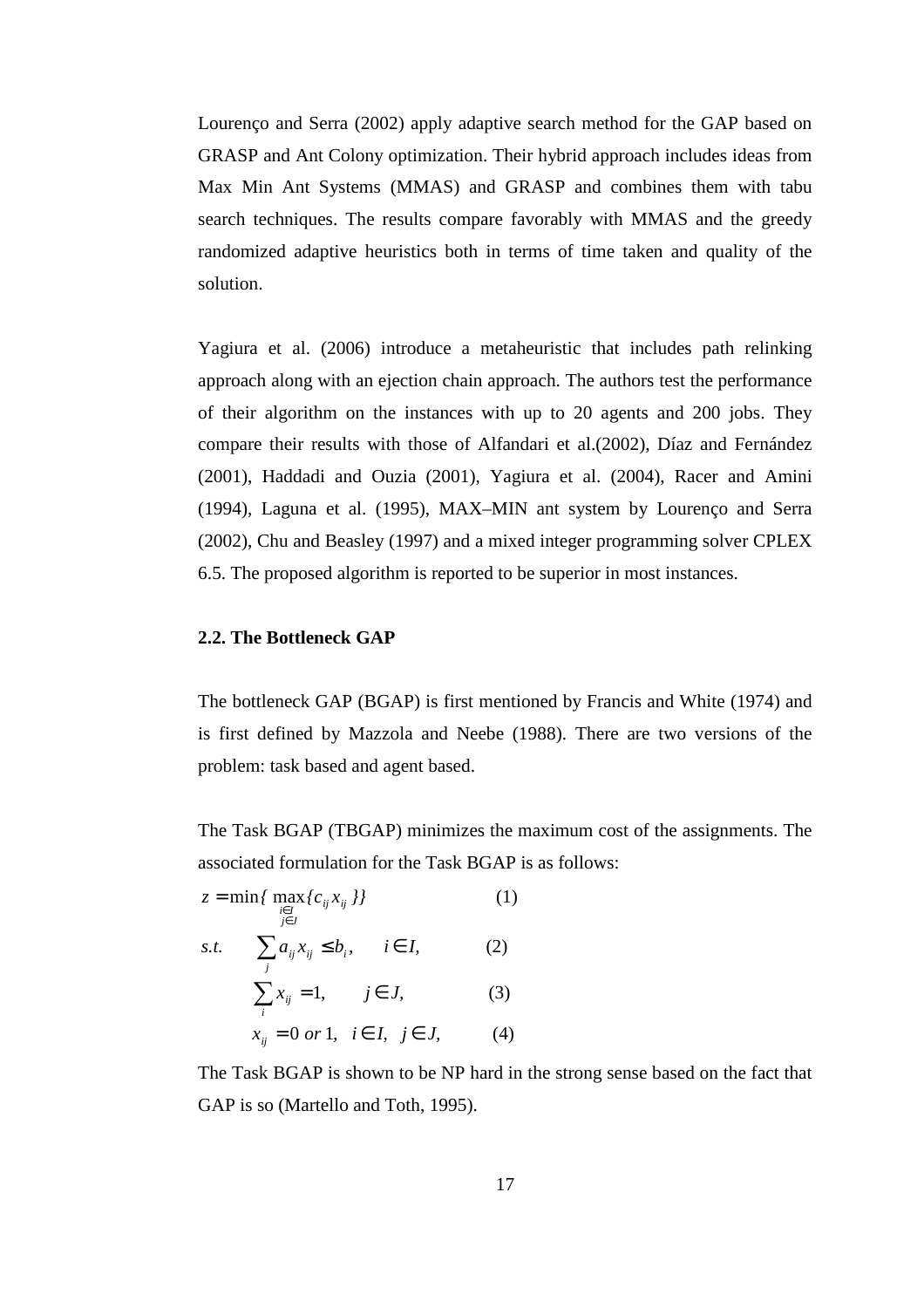Lourenço and Serra (2002) apply adaptive search method for the GAP based on GRASP and Ant Colony optimization. Their hybrid approach includes ideas from Max Min Ant Systems (MMAS) and GRASP and combines them with tabu search techniques. The results compare favorably with MMAS and the greedy randomized adaptive heuristics both in terms of time taken and quality of the solution.

Yagiura et al. (2006) introduce a metaheuristic that includes path relinking approach along with an ejection chain approach. The authors test the performance of their algorithm on the instances with up to 20 agents and 200 jobs. They compare their results with those of Alfandari et al.(2002), Díaz and Fernández (2001), Haddadi and Ouzia (2001), Yagiura et al. (2004), Racer and Amini (1994), Laguna et al. (1995), MAX–MIN ant system by Lourenço and Serra (2002), Chu and Beasley (1997) and a mixed integer programming solver CPLEX 6.5. The proposed algorithm is reported to be superior in most instances.

#### **2.2. The Bottleneck GAP**

The bottleneck GAP (BGAP) is first mentioned by Francis and White (1974) and is first defined by Mazzola and Neebe (1988). There are two versions of the problem: task based and agent based.

The Task BGAP (TBGAP) minimizes the maximum cost of the assignments. The associated formulation for the Task BGAP is as follows:

$$
z = \min\{ \max_{i \in I} \{c_{ij} x_{ij} \} \}
$$
(1)  
s.t. 
$$
\sum_{j} a_{ij} x_{ij} \le b_i, \quad i \in I, \quad (2)
$$

$$
\sum_{i} x_{ij} = 1, \quad j \in J, \quad (3)
$$

$$
x_{ij} = 0 \text{ or } 1, \quad i \in I, \quad j \in J, \quad (4)
$$

The Task BGAP is shown to be NP hard in the strong sense based on the fact that GAP is so (Martello and Toth, 1995).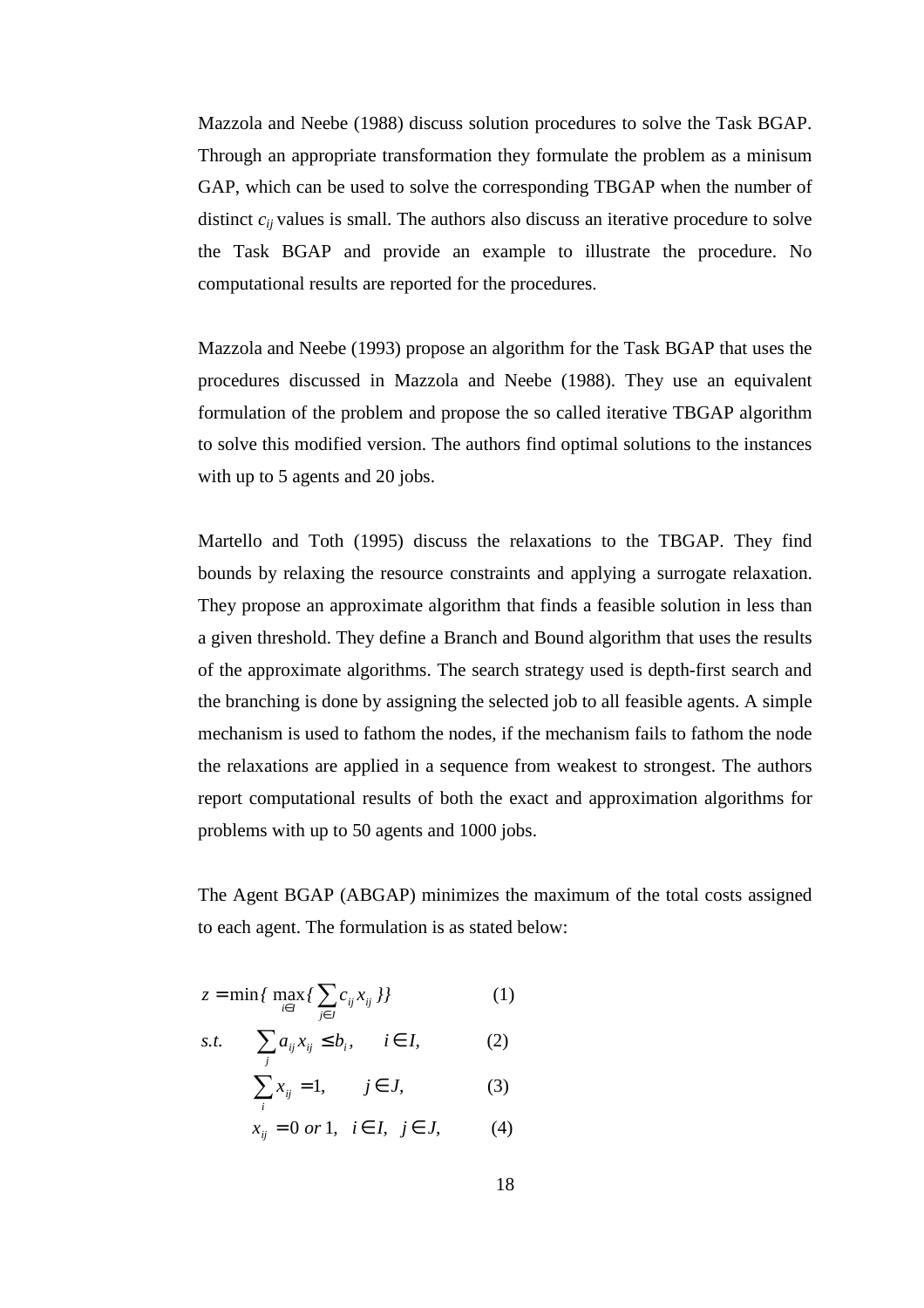Mazzola and Neebe (1988) discuss solution procedures to solve the Task BGAP. Through an appropriate transformation they formulate the problem as a minisum GAP, which can be used to solve the corresponding TBGAP when the number of distinct  $c_{ii}$  values is small. The authors also discuss an iterative procedure to solve the Task BGAP and provide an example to illustrate the procedure. No computational results are reported for the procedures.

Mazzola and Neebe (1993) propose an algorithm for the Task BGAP that uses the procedures discussed in Mazzola and Neebe (1988). They use an equivalent formulation of the problem and propose the so called iterative TBGAP algorithm to solve this modified version. The authors find optimal solutions to the instances with up to 5 agents and 20 jobs.

Martello and Toth (1995) discuss the relaxations to the TBGAP. They find bounds by relaxing the resource constraints and applying a surrogate relaxation. They propose an approximate algorithm that finds a feasible solution in less than a given threshold. They define a Branch and Bound algorithm that uses the results of the approximate algorithms. The search strategy used is depth-first search and the branching is done by assigning the selected job to all feasible agents. A simple mechanism is used to fathom the nodes, if the mechanism fails to fathom the node the relaxations are applied in a sequence from weakest to strongest. The authors report computational results of both the exact and approximation algorithms for problems with up to 50 agents and 1000 jobs.

The Agent BGAP (ABGAP) minimizes the maximum of the total costs assigned to each agent. The formulation is as stated below:

$$
z = \min\{ \max_{i \in I} \left\{ \sum_{j \in J} c_{ij} x_{ij} \right\} \} \tag{1}
$$

$$
s.t. \qquad \sum_{j} a_{ij} x_{ij} \le b_i, \qquad i \in I, \tag{2}
$$

$$
\sum_{i} x_{ij} = 1, \qquad j \in J, \tag{3}
$$

$$
x_{ij} = 0 \text{ or } 1, \quad i \in I, \quad j \in J,
$$
 (4)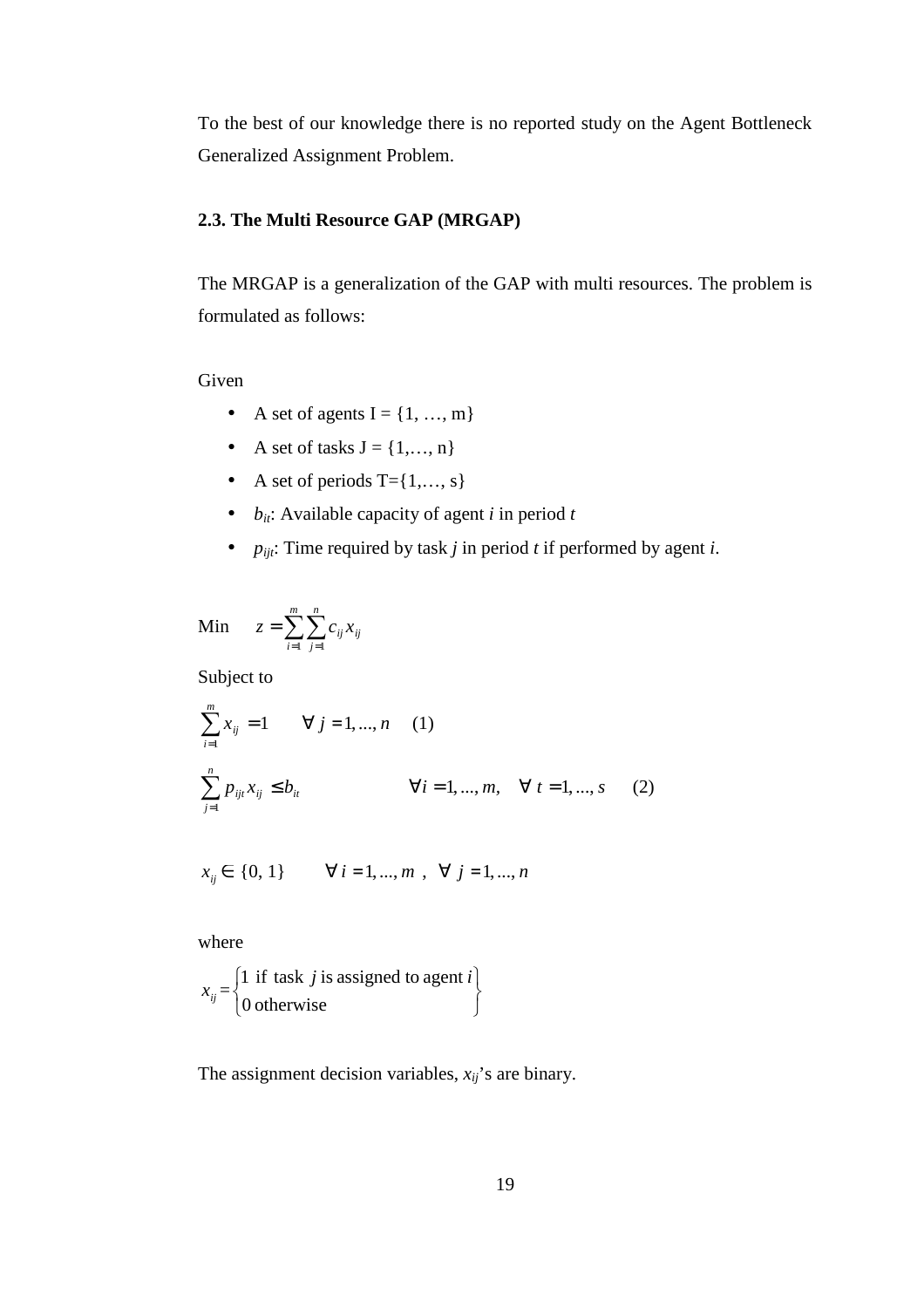To the best of our knowledge there is no reported study on the Agent Bottleneck Generalized Assignment Problem.

## **2.3. The Multi Resource GAP (MRGAP)**

The MRGAP is a generalization of the GAP with multi resources. The problem is formulated as follows:

Given

- A set of agents  $I = \{1, ..., m\}$
- A set of tasks  $J = \{1, ..., n\}$
- A set of periods  $T = \{1, \ldots, s\}$
- *bit*: Available capacity of agent *i* in period *t*
- *pijt*: Time required by task *j* in period *t* if performed by agent *i*.

Min 
$$
z = \sum_{i=1}^{m} \sum_{j=1}^{n} c_{ij} x_{ij}
$$

Subject to

$$
\sum_{i=1}^{m} x_{ij} = 1 \qquad \forall j = 1, ..., n \qquad (1)
$$
  

$$
\sum_{j=1}^{n} p_{ijl} x_{ij} \le b_{il} \qquad \qquad \forall i = 1, ..., m, \quad \forall t = 1, ..., s \qquad (2)
$$

$$
x_{ij} \in \{0, 1\}
$$
  $\forall i = 1, ..., m, \forall j = 1, ..., n$ 

where

$$
x_{ij} = \begin{cases} 1 \text{ if task } j \text{ is assigned to agent } i \\ 0 \text{ otherwise} \end{cases}
$$

The assignment decision variables, *xij*'s are binary.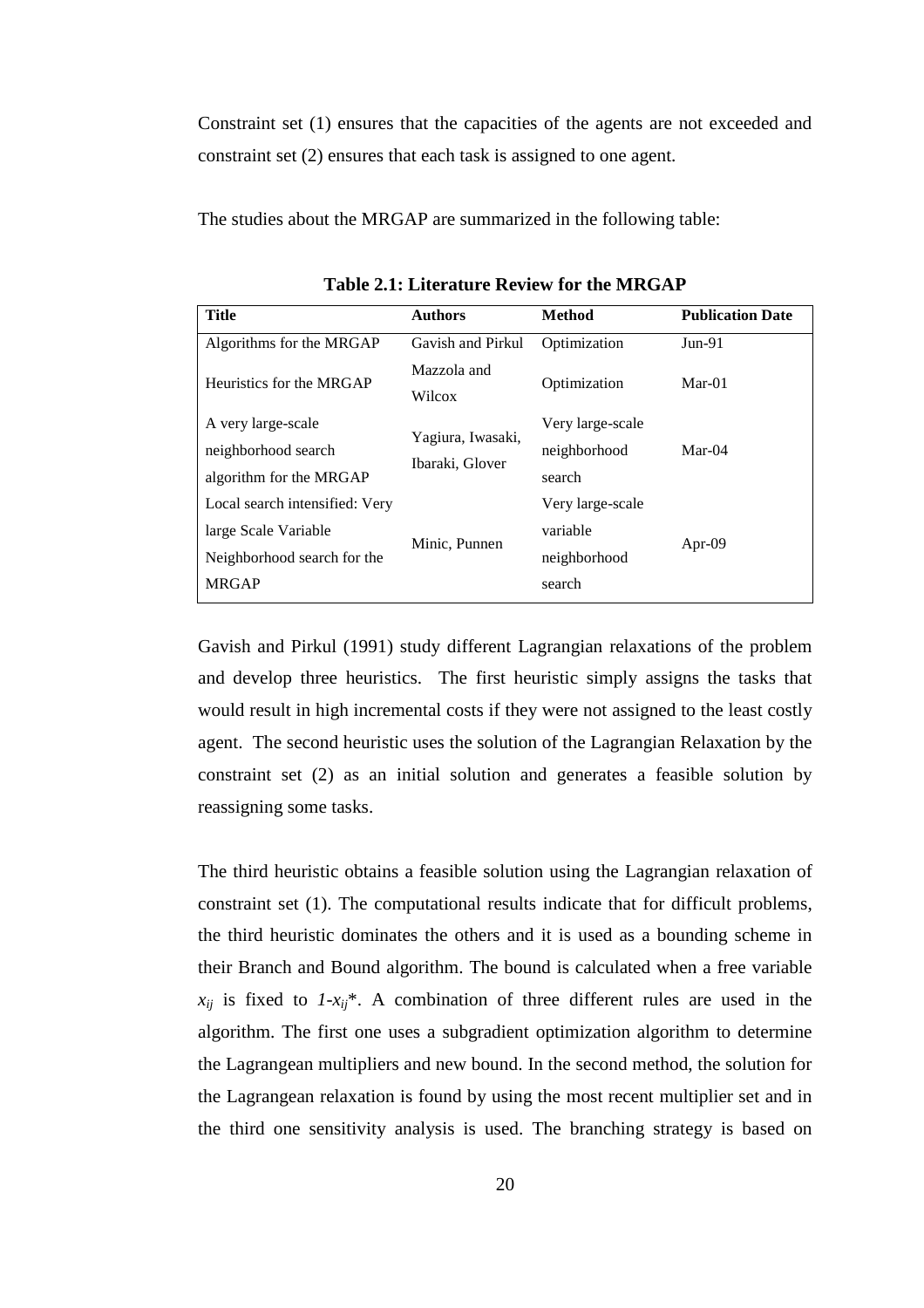Constraint set (1) ensures that the capacities of the agents are not exceeded and constraint set (2) ensures that each task is assigned to one agent.

The studies about the MRGAP are summarized in the following table:

| <b>Title</b>                   | <b>Authors</b>        | <b>Method</b>    | <b>Publication Date</b> |
|--------------------------------|-----------------------|------------------|-------------------------|
| Algorithms for the MRGAP       | Gavish and Pirkul     | Optimization     | $Jun-91$                |
| Heuristics for the MRGAP       | Mazzola and<br>Wilcox | Optimization     | $Mar-01$                |
| A very large-scale             |                       | Very large-scale |                         |
| neighborhood search            | Yagiura, Iwasaki,     | neighborhood     | $Mar-04$                |
| algorithm for the MRGAP        | Ibaraki, Glover       | search           |                         |
| Local search intensified: Very |                       | Very large-scale |                         |
| large Scale Variable           |                       | variable         | Apr-09                  |
| Neighborhood search for the    | Minic, Punnen         | neighborhood     |                         |
| <b>MRGAP</b>                   |                       | search           |                         |

**Table 2.1: Literature Review for the MRGAP** 

Gavish and Pirkul (1991) study different Lagrangian relaxations of the problem and develop three heuristics. The first heuristic simply assigns the tasks that would result in high incremental costs if they were not assigned to the least costly agent. The second heuristic uses the solution of the Lagrangian Relaxation by the constraint set (2) as an initial solution and generates a feasible solution by reassigning some tasks.

The third heuristic obtains a feasible solution using the Lagrangian relaxation of constraint set (1). The computational results indicate that for difficult problems, the third heuristic dominates the others and it is used as a bounding scheme in their Branch and Bound algorithm. The bound is calculated when a free variable  $x_{ij}$  is fixed to  $1-x_{ij}$ <sup>\*</sup>. A combination of three different rules are used in the algorithm. The first one uses a subgradient optimization algorithm to determine the Lagrangean multipliers and new bound. In the second method, the solution for the Lagrangean relaxation is found by using the most recent multiplier set and in the third one sensitivity analysis is used. The branching strategy is based on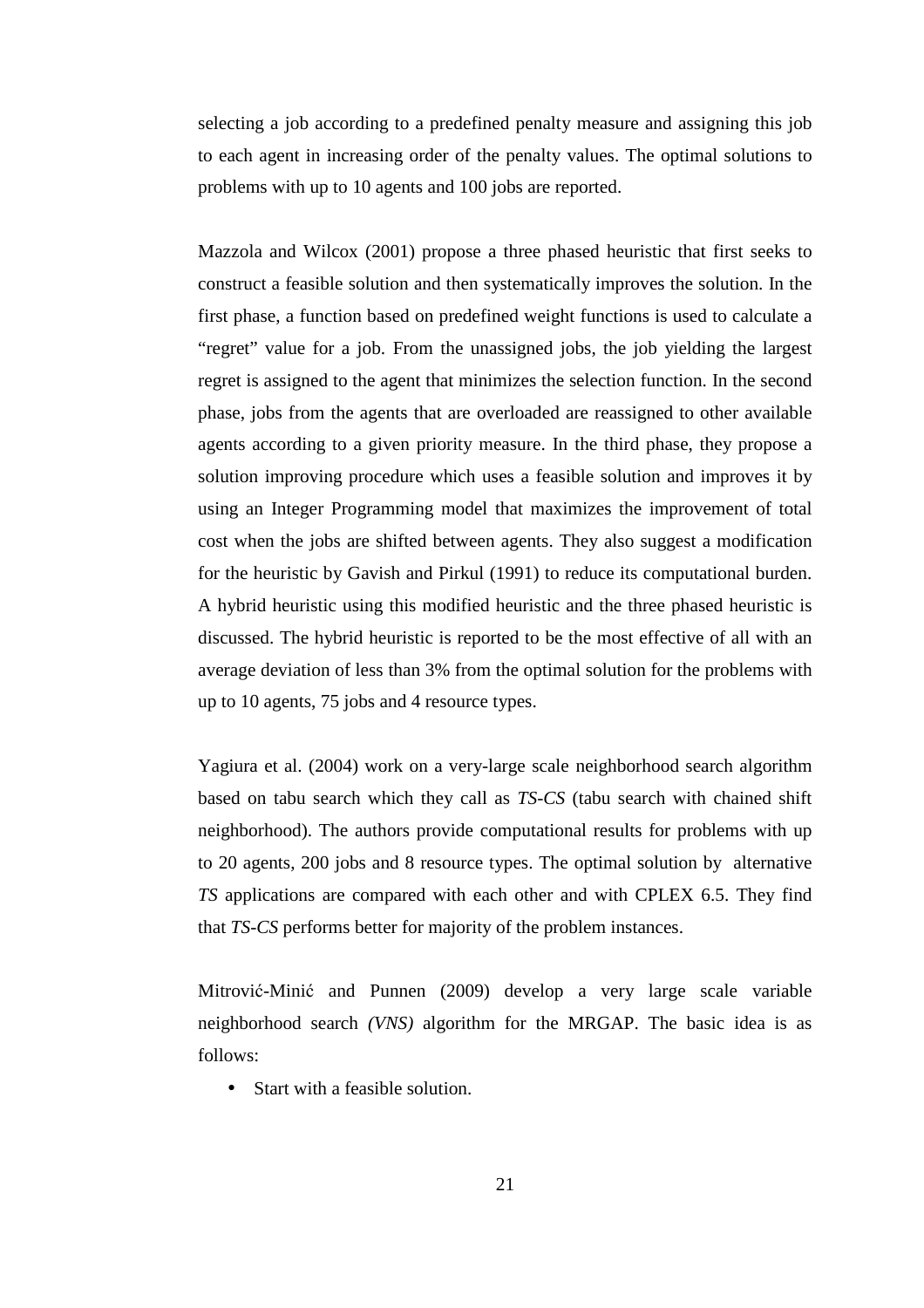selecting a job according to a predefined penalty measure and assigning this job to each agent in increasing order of the penalty values. The optimal solutions to problems with up to 10 agents and 100 jobs are reported.

Mazzola and Wilcox (2001) propose a three phased heuristic that first seeks to construct a feasible solution and then systematically improves the solution. In the first phase, a function based on predefined weight functions is used to calculate a "regret" value for a job. From the unassigned jobs, the job yielding the largest regret is assigned to the agent that minimizes the selection function. In the second phase, jobs from the agents that are overloaded are reassigned to other available agents according to a given priority measure. In the third phase, they propose a solution improving procedure which uses a feasible solution and improves it by using an Integer Programming model that maximizes the improvement of total cost when the jobs are shifted between agents. They also suggest a modification for the heuristic by Gavish and Pirkul (1991) to reduce its computational burden. A hybrid heuristic using this modified heuristic and the three phased heuristic is discussed. The hybrid heuristic is reported to be the most effective of all with an average deviation of less than 3% from the optimal solution for the problems with up to 10 agents, 75 jobs and 4 resource types.

Yagiura et al. (2004) work on a very-large scale neighborhood search algorithm based on tabu search which they call as *TS*-*CS* (tabu search with chained shift neighborhood). The authors provide computational results for problems with up to 20 agents, 200 jobs and 8 resource types. The optimal solution by alternative *TS* applications are compared with each other and with CPLEX 6.5. They find that *TS*-*CS* performs better for majority of the problem instances.

Mitrović-Minić and Punnen (2009) develop a very large scale variable neighborhood search *(VNS)* algorithm for the MRGAP. The basic idea is as follows:

• Start with a feasible solution.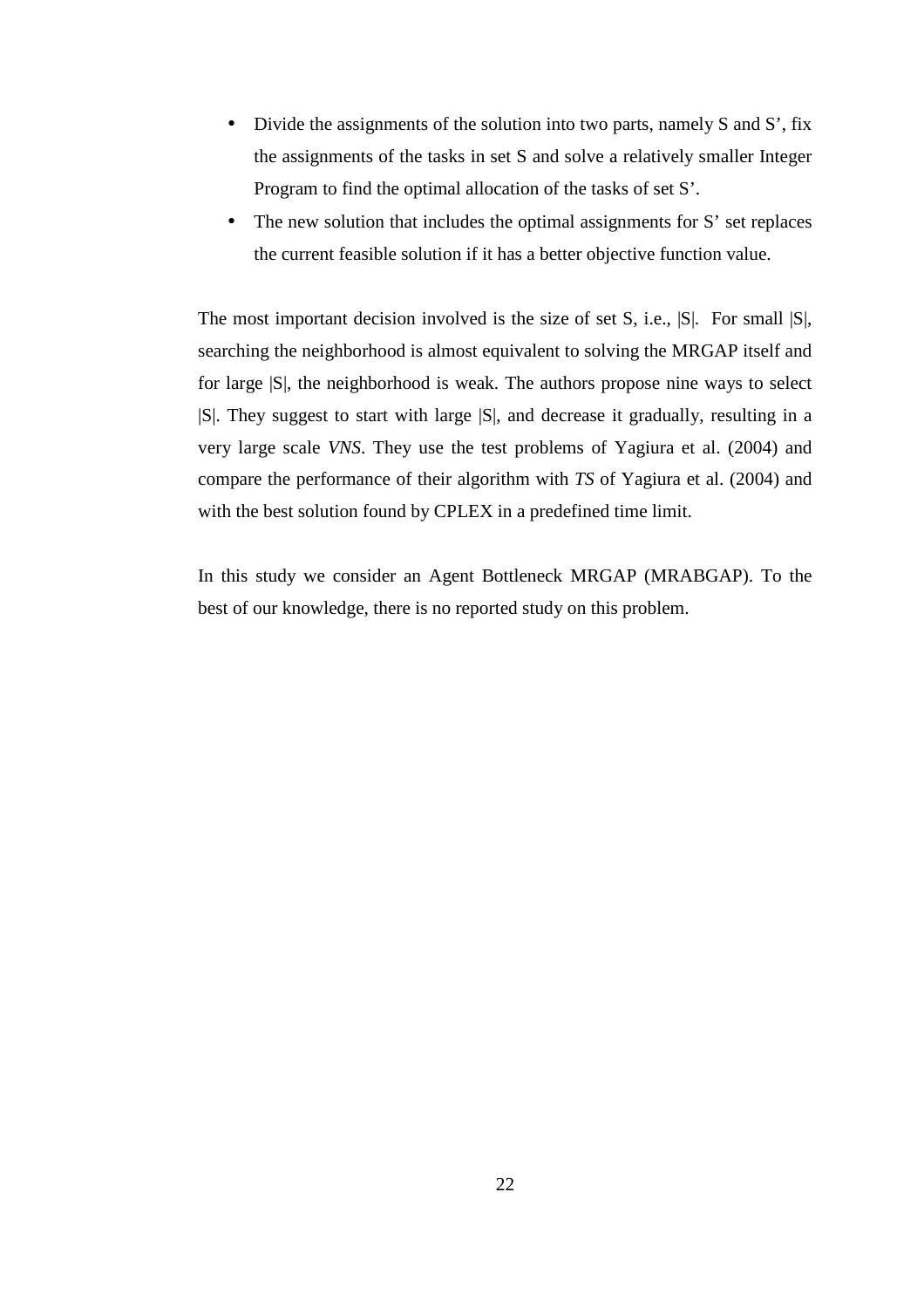- Divide the assignments of the solution into two parts, namely S and S', fix the assignments of the tasks in set S and solve a relatively smaller Integer Program to find the optimal allocation of the tasks of set S'.
- The new solution that includes the optimal assignments for S' set replaces the current feasible solution if it has a better objective function value.

The most important decision involved is the size of set S, i.e.,  $|S|$ . For small  $|S|$ , searching the neighborhood is almost equivalent to solving the MRGAP itself and for large |S|, the neighborhood is weak. The authors propose nine ways to select |S|. They suggest to start with large |S|, and decrease it gradually, resulting in a very large scale *VNS*. They use the test problems of Yagiura et al. (2004) and compare the performance of their algorithm with *TS* of Yagiura et al. (2004) and with the best solution found by CPLEX in a predefined time limit.

In this study we consider an Agent Bottleneck MRGAP (MRABGAP). To the best of our knowledge, there is no reported study on this problem.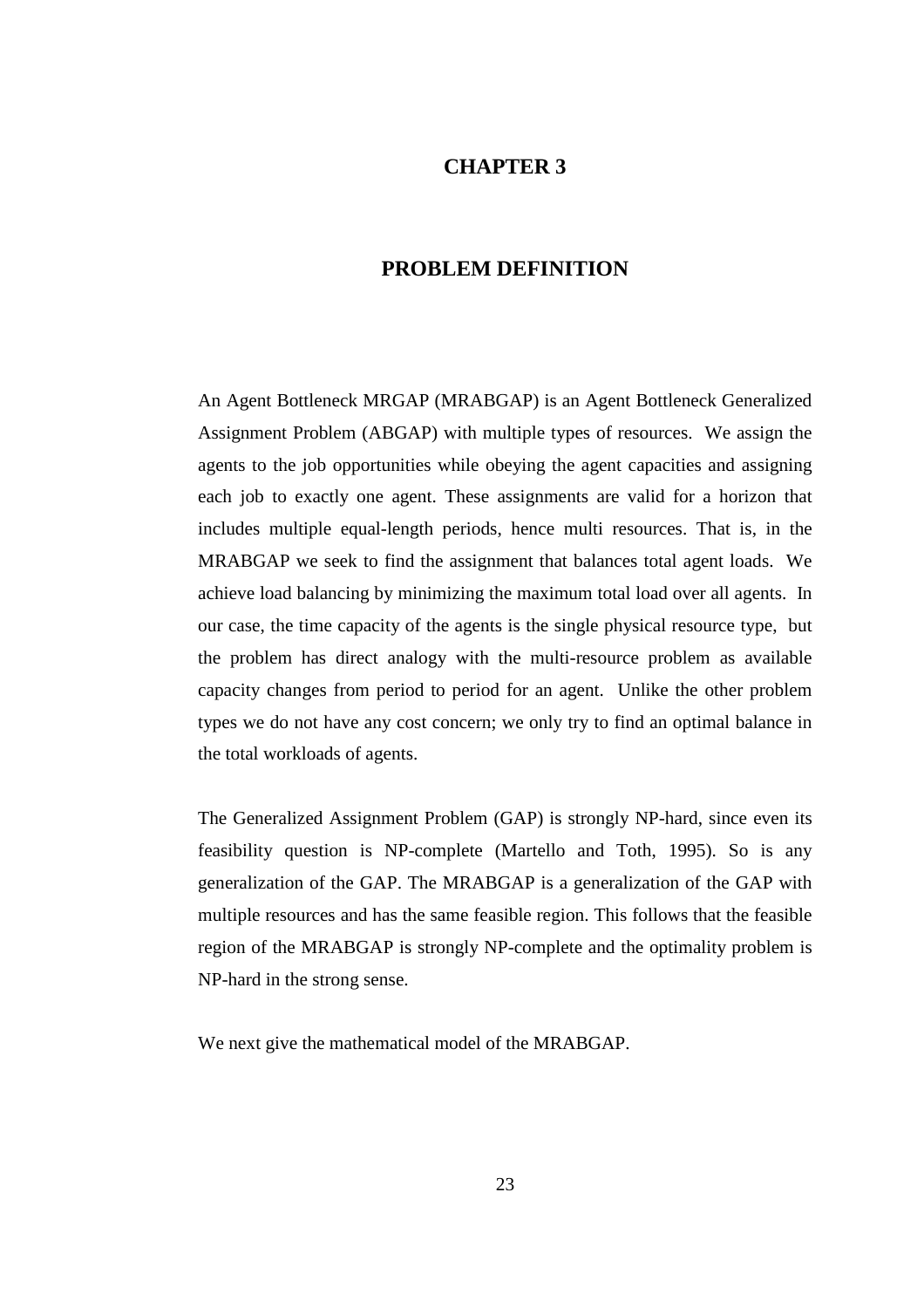# **CHAPTER 3**

# **PROBLEM DEFINITION**

An Agent Bottleneck MRGAP (MRABGAP) is an Agent Bottleneck Generalized Assignment Problem (ABGAP) with multiple types of resources. We assign the agents to the job opportunities while obeying the agent capacities and assigning each job to exactly one agent. These assignments are valid for a horizon that includes multiple equal-length periods, hence multi resources. That is, in the MRABGAP we seek to find the assignment that balances total agent loads. We achieve load balancing by minimizing the maximum total load over all agents. In our case, the time capacity of the agents is the single physical resource type, but the problem has direct analogy with the multi-resource problem as available capacity changes from period to period for an agent. Unlike the other problem types we do not have any cost concern; we only try to find an optimal balance in the total workloads of agents.

The Generalized Assignment Problem (GAP) is strongly NP-hard, since even its feasibility question is NP-complete (Martello and Toth, 1995). So is any generalization of the GAP. The MRABGAP is a generalization of the GAP with multiple resources and has the same feasible region. This follows that the feasible region of the MRABGAP is strongly NP-complete and the optimality problem is NP-hard in the strong sense.

We next give the mathematical model of the MRABGAP.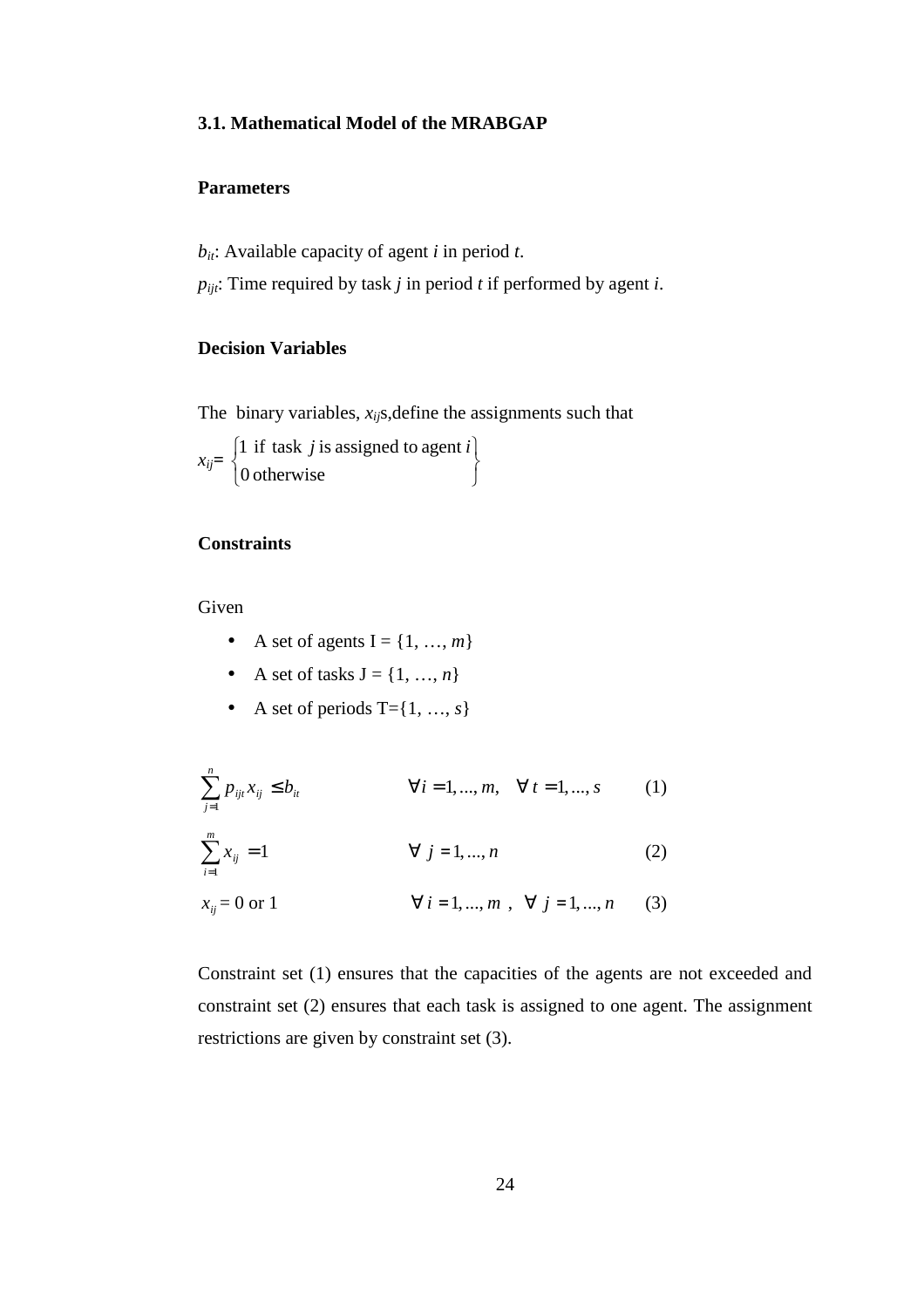### **3.1. Mathematical Model of the MRABGAP**

### **Parameters**

*bit*: Available capacity of agent *i* in period *t*.

 $p_{ijt}$ : Time required by task *j* in period *t* if performed by agent *i*.

# **Decision Variables**

The binary variables,  $x_{ij}$ s, define the assignments such that

*xij***=** J  $\left\{ \right.$ 1  $\overline{\mathcal{L}}$ ∤  $\int$  0 otherwise if 1 task *j* is assigned to agent *i*

### **Constraints**

Given

- A set of agents  $I = \{1, ..., m\}$
- A set of tasks  $J = \{1, ..., n\}$
- A set of periods  $T = \{1, ..., s\}$

$$
\sum_{j=1}^{n} p_{ij} x_{ij} \le b_{ii} \qquad \forall i = 1, ..., m, \forall t = 1, ..., s \qquad (1)
$$
  

$$
\sum_{i=1}^{m} x_{ij} = 1 \qquad \forall j = 1, ..., n \qquad (2)
$$
  

$$
x_{ij} = 0 \text{ or } 1 \qquad \forall i = 1, ..., m, \forall j = 1, ..., n \qquad (3)
$$

Constraint set (1) ensures that the capacities of the agents are not exceeded and constraint set (2) ensures that each task is assigned to one agent. The assignment restrictions are given by constraint set (3).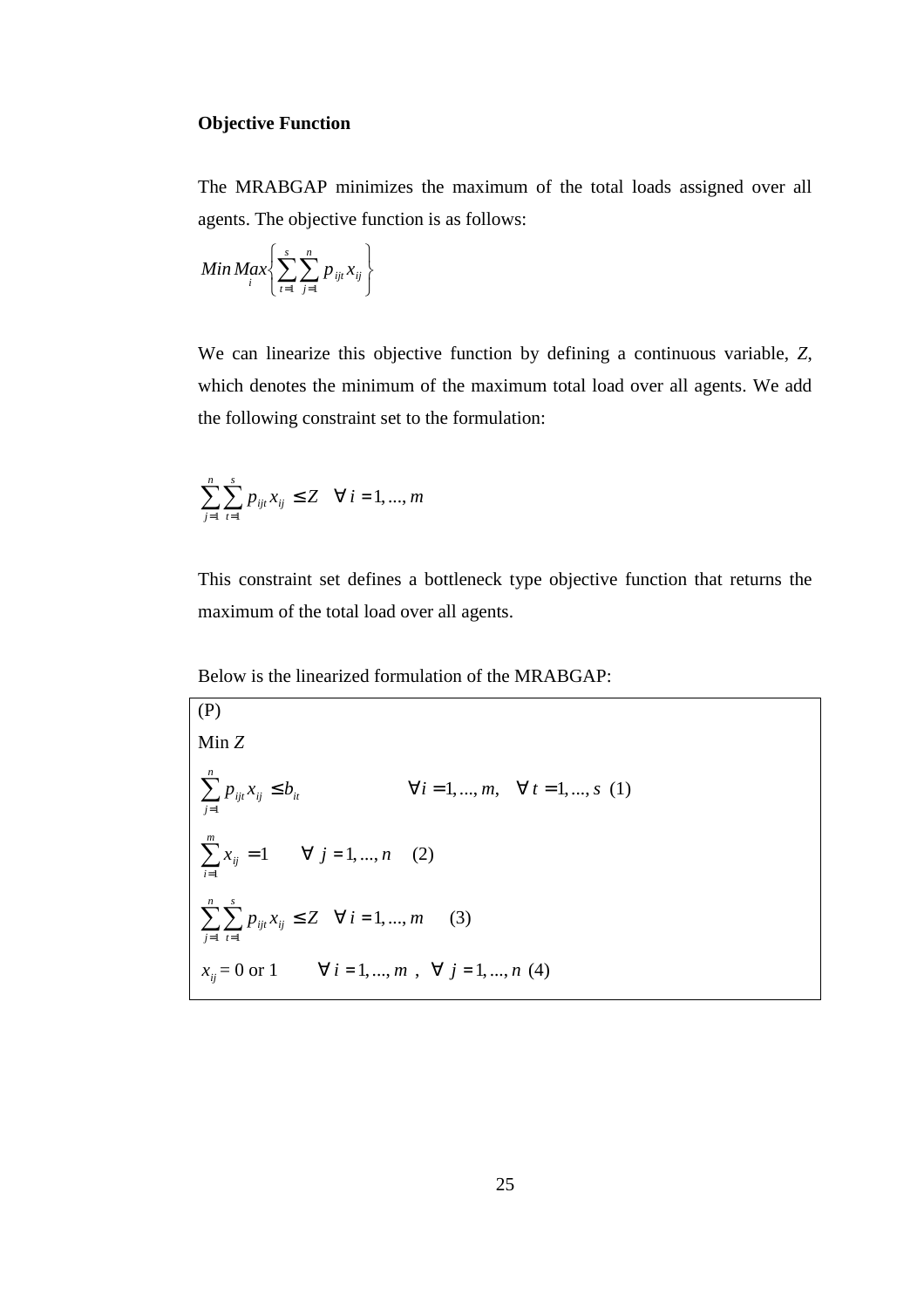#### **Objective Function**

The MRABGAP minimizes the maximum of the total loads assigned over all agents. The objective function is as follows:

$$
Min\, Max_i \Biggl\{ \sum_{t=1}^s \sum_{j=1}^n p_{ijt} x_{ij} \Biggr\}
$$

We can linearize this objective function by defining a continuous variable, *Z*, which denotes the minimum of the maximum total load over all agents. We add the following constraint set to the formulation:

$$
\sum_{j=1}^{n} \sum_{t=1}^{s} p_{ijt} x_{ij} \le Z \quad \forall i = 1, ..., m
$$

This constraint set defines a bottleneck type objective function that returns the maximum of the total load over all agents.

Below is the linearized formulation of the MRABGAP:

(P)  
\nMin Z  
\n
$$
\sum_{j=1}^{n} p_{ijt} x_{ij} \le b_{it} \qquad \forall i = 1, ..., m, \forall t = 1, ..., s (1)
$$
\n
$$
\sum_{i=1}^{m} x_{ij} = 1 \qquad \forall j = 1, ..., n (2)
$$
\n
$$
\sum_{j=1}^{n} \sum_{t=1}^{s} p_{ijt} x_{ij} \le Z \qquad \forall i = 1, ..., m (3)
$$
\n
$$
x_{ij} = 0 \text{ or } 1 \qquad \forall i = 1, ..., m, \forall j = 1, ..., n (4)
$$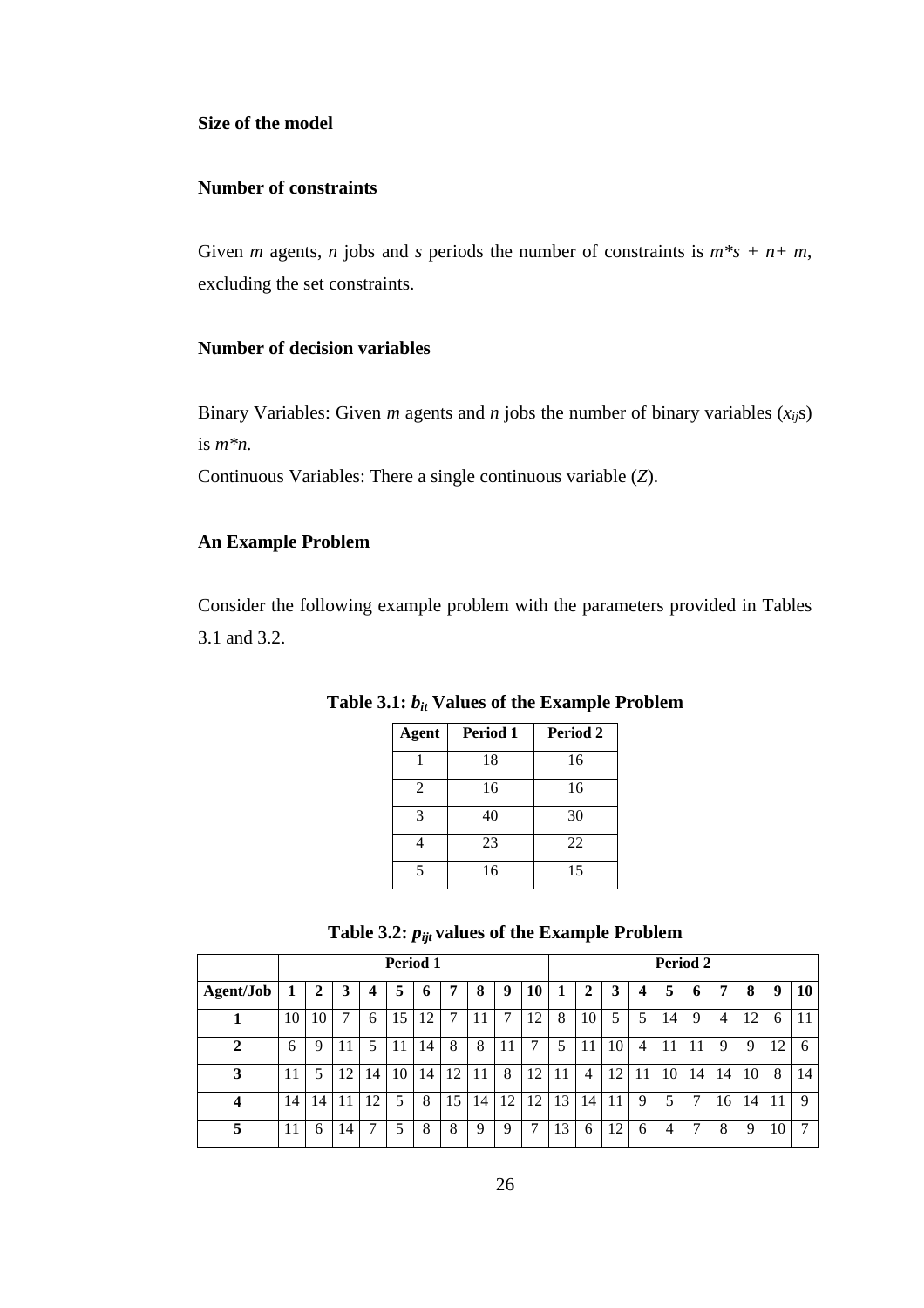## **Size of the model**

## **Number of constraints**

Given *m* agents, *n* jobs and *s* periods the number of constraints is  $m^*s + n + m$ , excluding the set constraints.

## **Number of decision variables**

Binary Variables: Given *m* agents and *n* jobs the number of binary variables  $(x_{ij}s)$ is *m\*n.*

Continuous Variables: There a single continuous variable (*Z*).

## **An Example Problem**

Consider the following example problem with the parameters provided in Tables 3.1 and 3.2.

| <b>Agent</b>             | Period 1 | Period 2 |
|--------------------------|----------|----------|
|                          | 18       | 16       |
| $\overline{c}$           | 16       | 16       |
| 3                        | 40       | 30       |
|                          | 23       | 22       |
| $\overline{\phantom{0}}$ | 16       | 15       |

**Table 3.1:** *bit* **Values of the Example Problem** 

|                         | Period 1 |    |    |    |    |    |    |    |         |    |    |                |    |    | Period 2 |    |    |    |    |               |
|-------------------------|----------|----|----|----|----|----|----|----|---------|----|----|----------------|----|----|----------|----|----|----|----|---------------|
| Agent/Job               | 1        | 2  | 3  | 4  | 5  | o  | 7  | 8  | 9       | 10 |    | $\overline{ }$ | 3  | 4  | 5        | o  | 7  | 8  | 9  | 10            |
|                         | 10       | 10 |    | 6  | 15 | 12 |    | 11 | ┑       | 12 | 8  | 10             | 5  | 5  | 14       | 9  | 4  | 12 | 6  | -11           |
| $\overline{2}$          | 6        | 9  |    |    | 11 | 14 | 8  | 8  | $\perp$ |    |    | 11             | 10 | 4  |          | 11 | 9  | 9  | 12 | 6             |
| 3                       |          | 5  | 12 | 14 | 10 | 14 | 12 | 11 | 8       | 12 | 11 | 4              | 12 | 11 | 10       | 14 | 14 | 10 | 8  | 14            |
| $\overline{\mathbf{4}}$ | 14       | 14 |    | 12 | 5  | 8  | 15 | 14 | 12      | 12 | 13 | 14             | 11 | 9  | 5        |    | 16 | 14 |    | 9             |
| 5                       | 11       | 6  | 14 |    | 5  | 8  | 8  | 9  | Q       |    | 13 | 6              | 12 | 6  | 4        |    | 8  | 9  | 10 | $\mathcal{L}$ |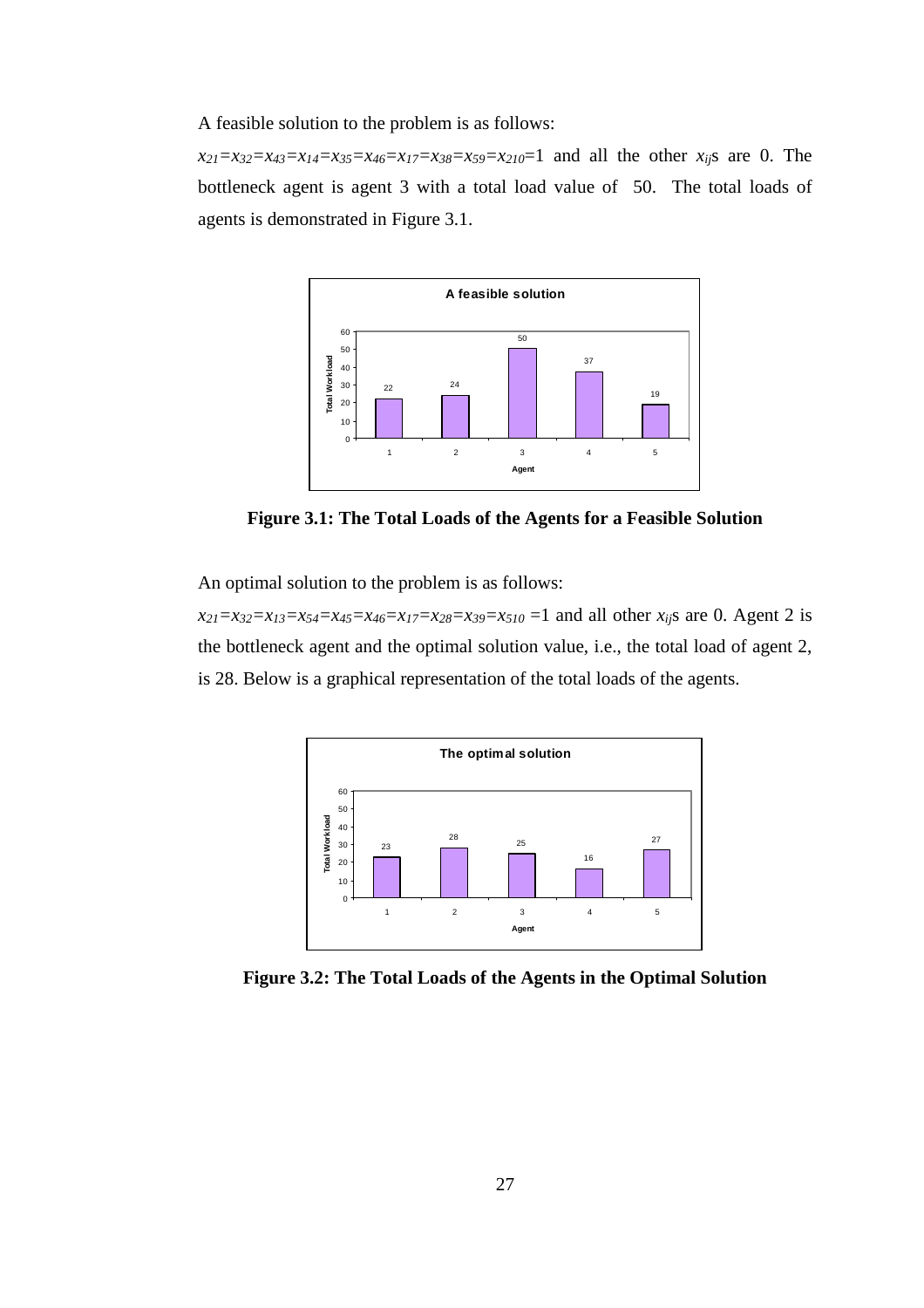A feasible solution to the problem is as follows:

 $x_{21} = x_{32} = x_{43} = x_{14} = x_{35} = x_{46} = x_{17} = x_{38} = x_{59} = x_{210} = 1$  and all the other  $x_{ij}$ s are 0. The bottleneck agent is agent 3 with a total load value of 50. The total loads of agents is demonstrated in Figure 3.1.



**Figure 3.1: The Total Loads of the Agents for a Feasible Solution** 

An optimal solution to the problem is as follows:

 $x_{21} = x_{32} = x_{13} = x_{54} = x_{45} = x_{46} = x_{17} = x_{28} = x_{510} = 1$  and all other  $x_{ij}$ s are 0. Agent 2 is the bottleneck agent and the optimal solution value, i.e., the total load of agent 2, is 28. Below is a graphical representation of the total loads of the agents.



**Figure 3.2: The Total Loads of the Agents in the Optimal Solution**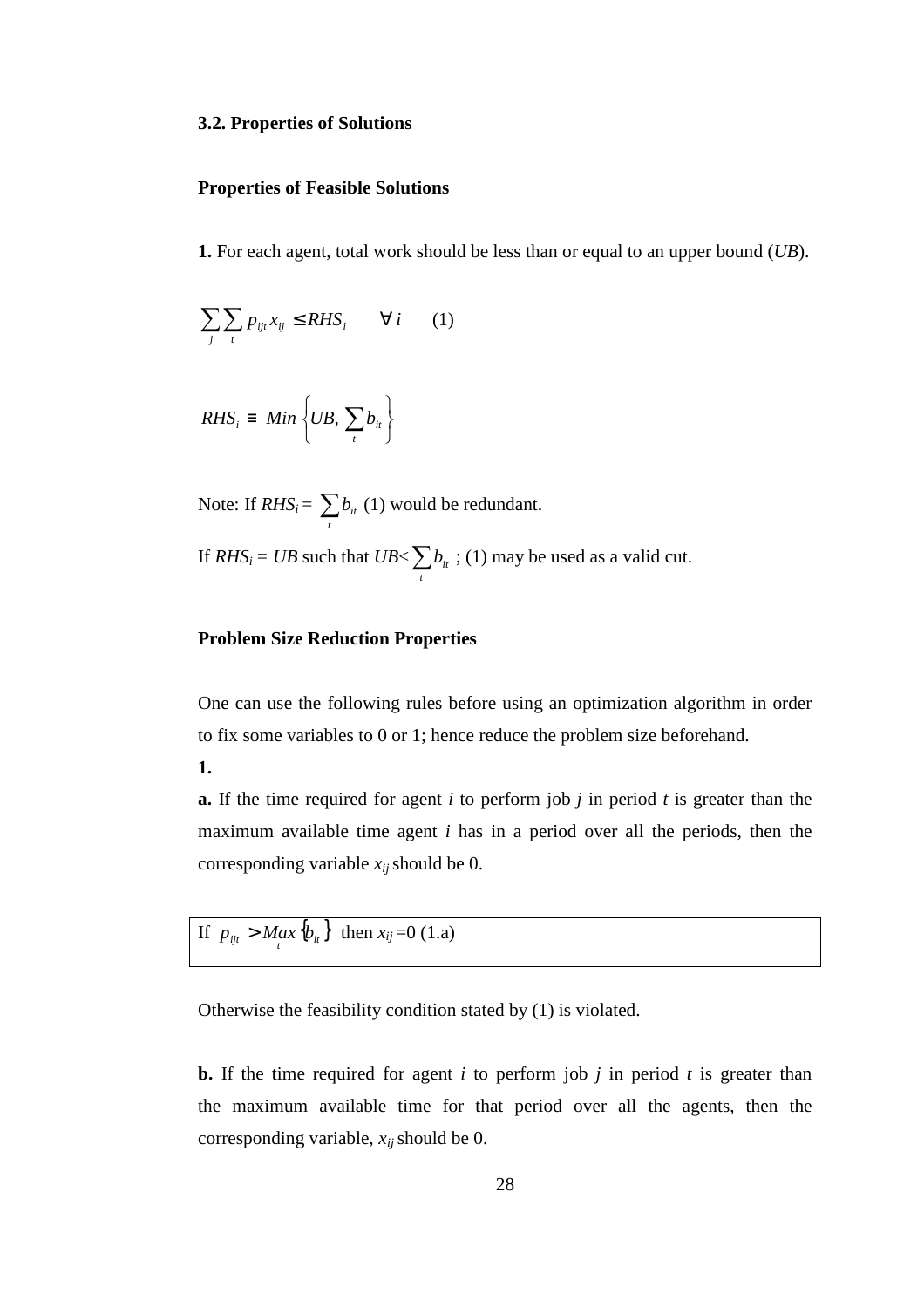#### **3.2. Properties of Solutions**

#### **Properties of Feasible Solutions**

**1.** For each agent, total work should be less than or equal to an upper bound (*UB*).

$$
\sum_{j} \sum_{t} p_{ijt} x_{ij} \le RHS_i \qquad \forall i \qquad (1)
$$

$$
RHS_i \equiv Min \left\{ UB, \sum_t b_{it} \right\}
$$

Note: If  $RHS_i = \sum$ *t*  $b_{it}$  (1) would be redundant. If  $RHS_i = UB$  such that  $UB < \sum$ *t*  $b_{it}$ ; (1) may be used as a valid cut.

## **Problem Size Reduction Properties**

One can use the following rules before using an optimization algorithm in order to fix some variables to 0 or 1; hence reduce the problem size beforehand.

**1.** 

**a.** If the time required for agent *i* to perform job *j* in period *t* is greater than the maximum available time agent *i* has in a period over all the periods, then the corresponding variable  $x_{ij}$  should be 0.

If  $p_{ijt} > Max_{t} \{b_{it}\}$  then  $x_{ij} = 0$  (1.a)

Otherwise the feasibility condition stated by (1) is violated.

**b.** If the time required for agent  $i$  to perform job  $j$  in period  $t$  is greater than the maximum available time for that period over all the agents, then the corresponding variable, *xij*should be 0.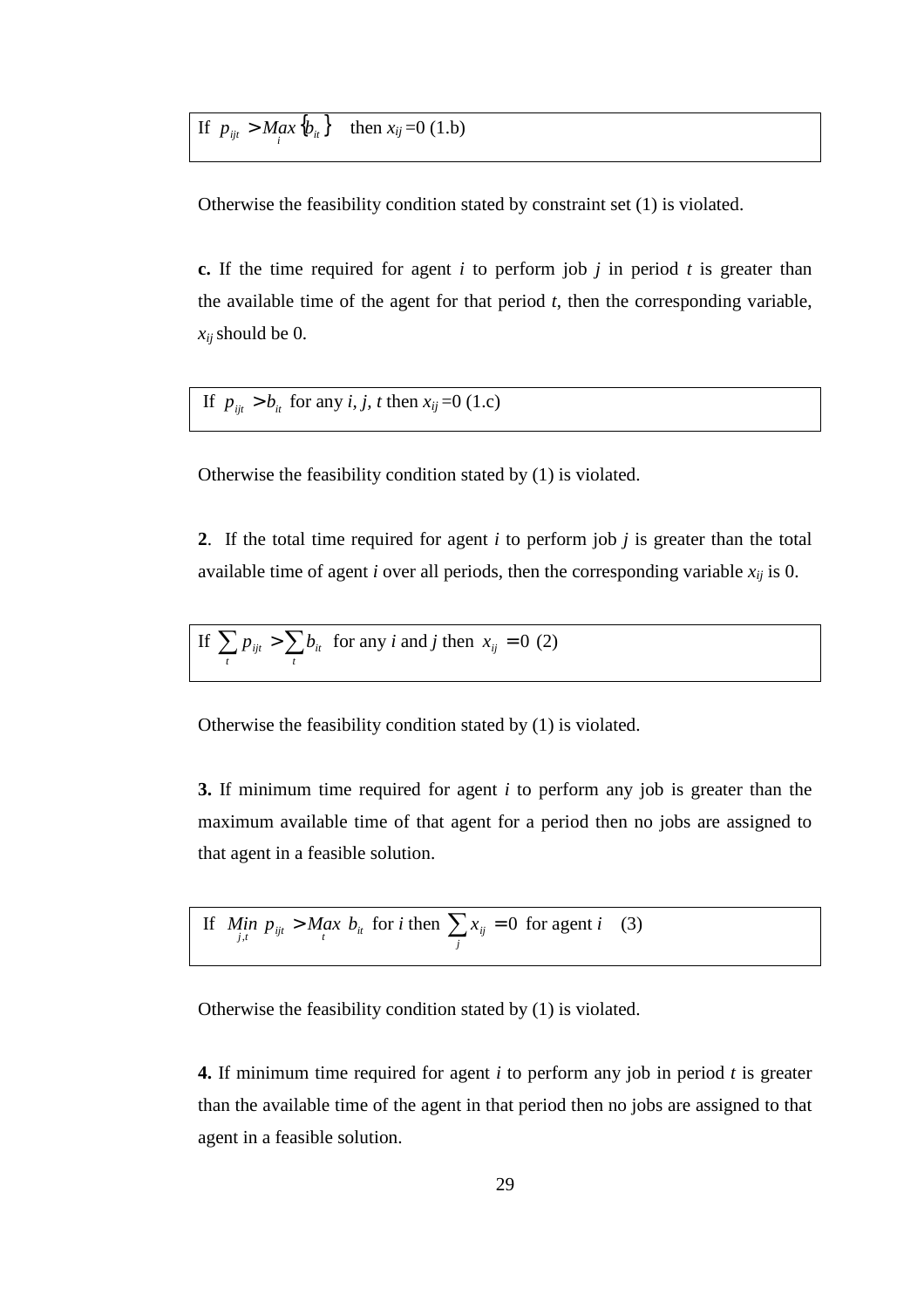If  $p_{ijt} > Max_{i} \{b_{it}\}$  then  $x_{ij} = 0$  (1.b)

Otherwise the feasibility condition stated by constraint set (1) is violated.

**c.** If the time required for agent *i* to perform job *j* in period *t* is greater than the available time of the agent for that period  $t$ , then the corresponding variable, *xij* should be 0.

If  $p_{ijt} > b_{it}$  for any *i*, *j*, *t* then  $x_{ij} = 0$  (1.c)

Otherwise the feasibility condition stated by (1) is violated.

**2**. If the total time required for agent *i* to perform job *j* is greater than the total available time of agent *i* over all periods, then the corresponding variable  $x_{ij}$  is 0.

If  $\sum p_{ijt} > \sum$ *t t*  $p_{ijt} > \sum b_{it}$  for any *i* and *j* then  $x_{ij} = 0$  (2)

Otherwise the feasibility condition stated by (1) is violated.

**3.** If minimum time required for agent *i* to perform any job is greater than the maximum available time of that agent for a period then no jobs are assigned to that agent in a feasible solution.

If 
$$
\lim_{j,i} p_{ij} > \lim_{t} b_{it}
$$
 for *i* then  $\sum_{j} x_{ij} = 0$  for agent *i* (3)

Otherwise the feasibility condition stated by (1) is violated.

**4.** If minimum time required for agent *i* to perform any job in period *t* is greater than the available time of the agent in that period then no jobs are assigned to that agent in a feasible solution.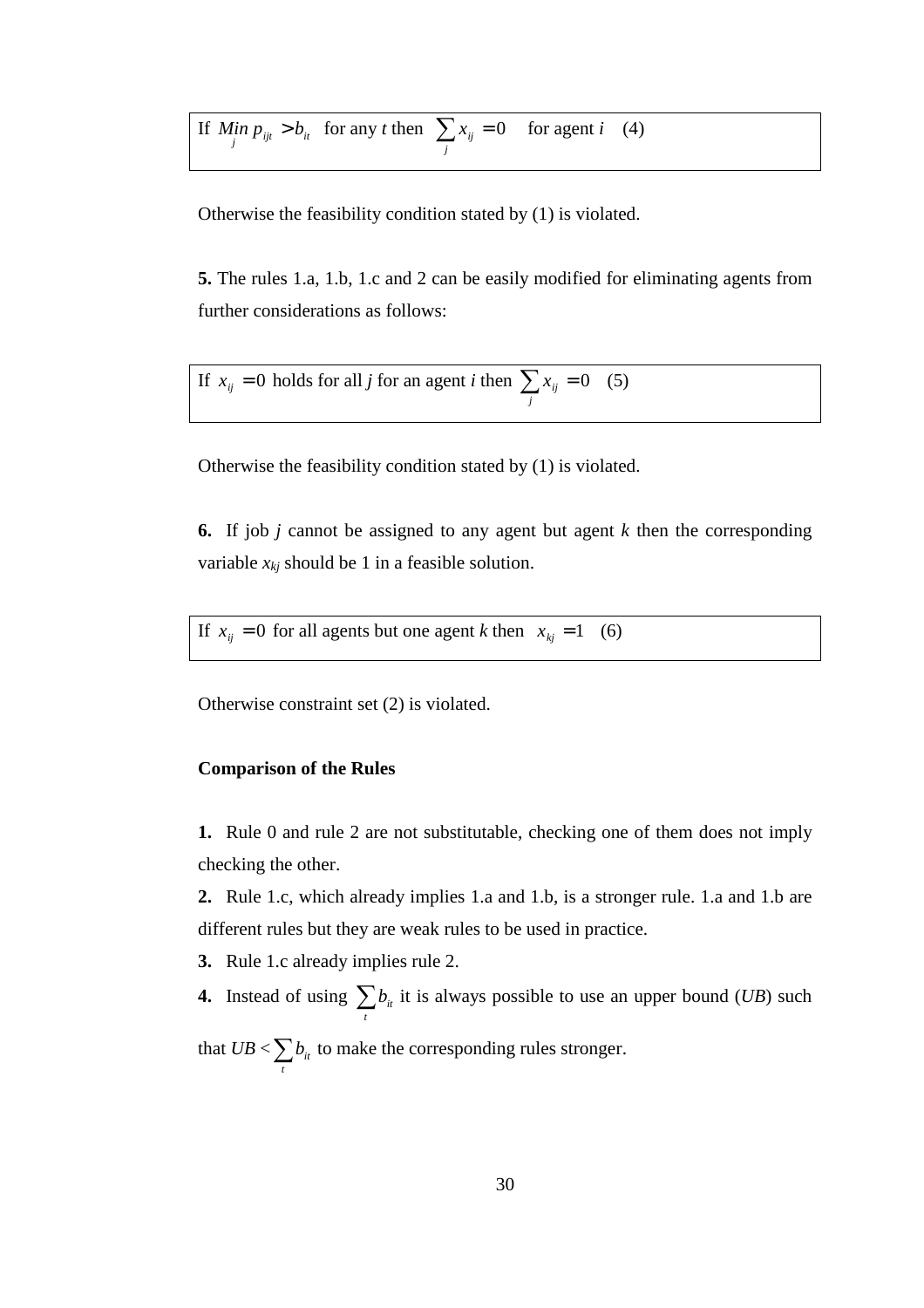If  $\lim_{j} p_{ijt} > b_{it}$  for any *t* then  $\sum_{i} x_{ij} = 0$ *j*  $x_{ij} = 0$  for agent *i* (4)

Otherwise the feasibility condition stated by (1) is violated.

**5.** The rules 1.a, 1.b, 1.c and 2 can be easily modified for eliminating agents from further considerations as follows:

If  $x_{ij} = 0$  holds for all *j* for an agent *i* then  $\sum x_{ij} = 0$ *j*  $x_{ij} = 0$  (5)

Otherwise the feasibility condition stated by (1) is violated.

**6.** If job *j* cannot be assigned to any agent but agent *k* then the corresponding variable  $x_{kj}$  should be 1 in a feasible solution.

If  $x_{ij} = 0$  for all agents but one agent *k* then  $x_{kj} = 1$  (6)

Otherwise constraint set (2) is violated.

#### **Comparison of the Rules**

**1.** Rule 0 and rule 2 are not substitutable, checking one of them does not imply checking the other.

**2.** Rule 1.c, which already implies 1.a and 1.b, is a stronger rule. 1.a and 1.b are different rules but they are weak rules to be used in practice.

**3.** Rule 1.c already implies rule 2.

*t*

**4.** Instead of using ∑*t*  $b_{it}$  it is always possible to use an upper bound (*UB*) such that  $UB < \sum$  $b_{it}$  to make the corresponding rules stronger.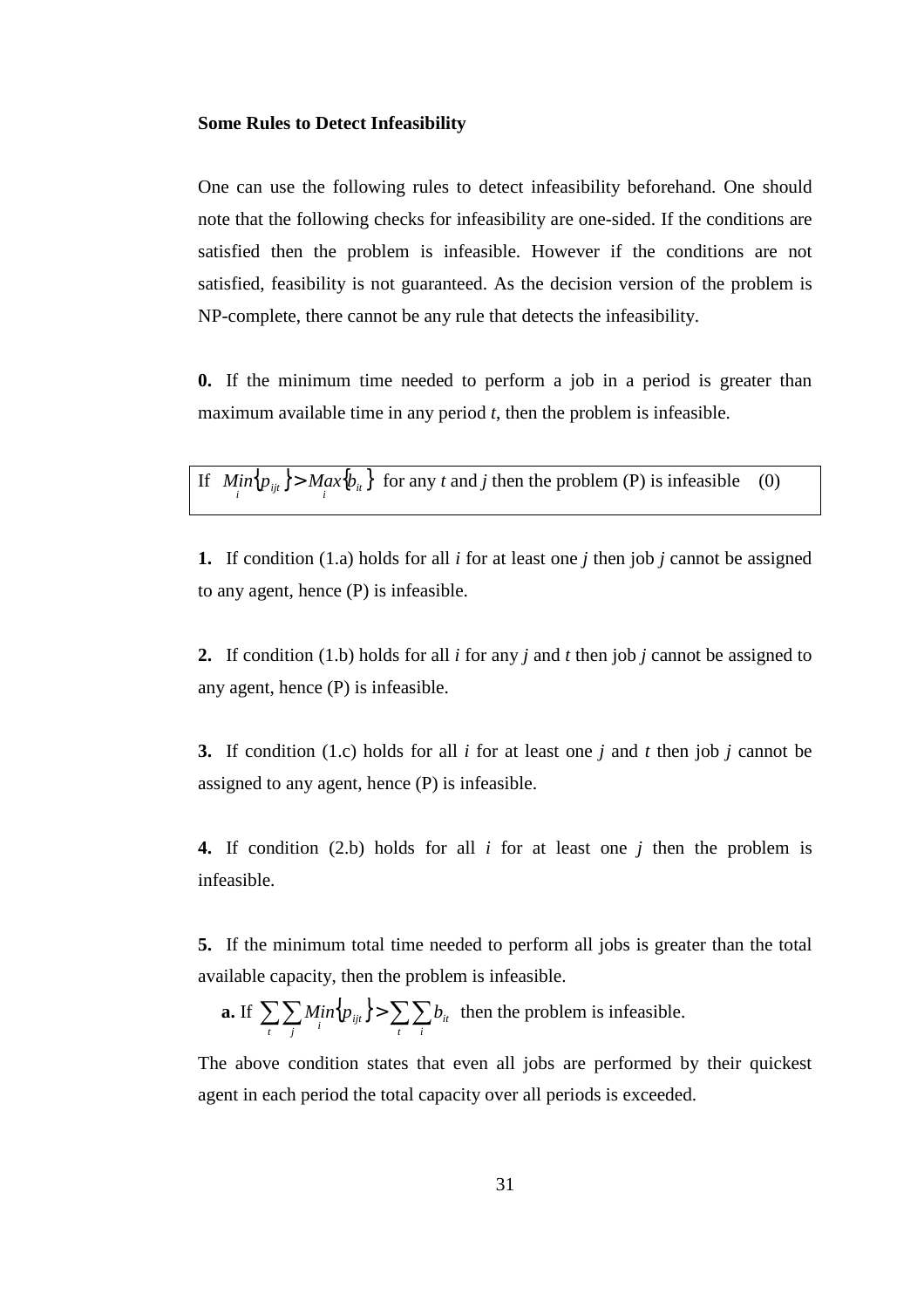#### **Some Rules to Detect Infeasibility**

One can use the following rules to detect infeasibility beforehand. One should note that the following checks for infeasibility are one-sided. If the conditions are satisfied then the problem is infeasible. However if the conditions are not satisfied, feasibility is not guaranteed. As the decision version of the problem is NP-complete, there cannot be any rule that detects the infeasibility.

**0.** If the minimum time needed to perform a job in a period is greater than maximum available time in any period *t*, then the problem is infeasible.

If  ${min_{i}}{p_{ijt}} > Max{b_{ii}}$  for any *t* and *j* then the problem (P) is infeasible (0)

**1.** If condition (1.a) holds for all *i* for at least one *j* then job *j* cannot be assigned to any agent, hence (P) is infeasible.

**2.** If condition (1.b) holds for all *i* for any *j* and *t* then job *j* cannot be assigned to any agent, hence (P) is infeasible.

**3.** If condition (1.c) holds for all *i* for at least one *j* and *t* then job *j* cannot be assigned to any agent, hence (P) is infeasible.

**4.** If condition (2.b) holds for all *i* for at least one *j* then the problem is infeasible.

**5.** If the minimum total time needed to perform all jobs is greater than the total available capacity, then the problem is infeasible.

**a.** If  $\sum \sum Min\{p_{ijt}\} > \sum \sum$ *t i it t ijt*  $\sum_{i}^{\infty}$ *Min* $\{p_{ijt}\}\geq \sum_{i}\sum_{i}^{\infty}b_{it}$  then the problem is infeasible.

The above condition states that even all jobs are performed by their quickest agent in each period the total capacity over all periods is exceeded.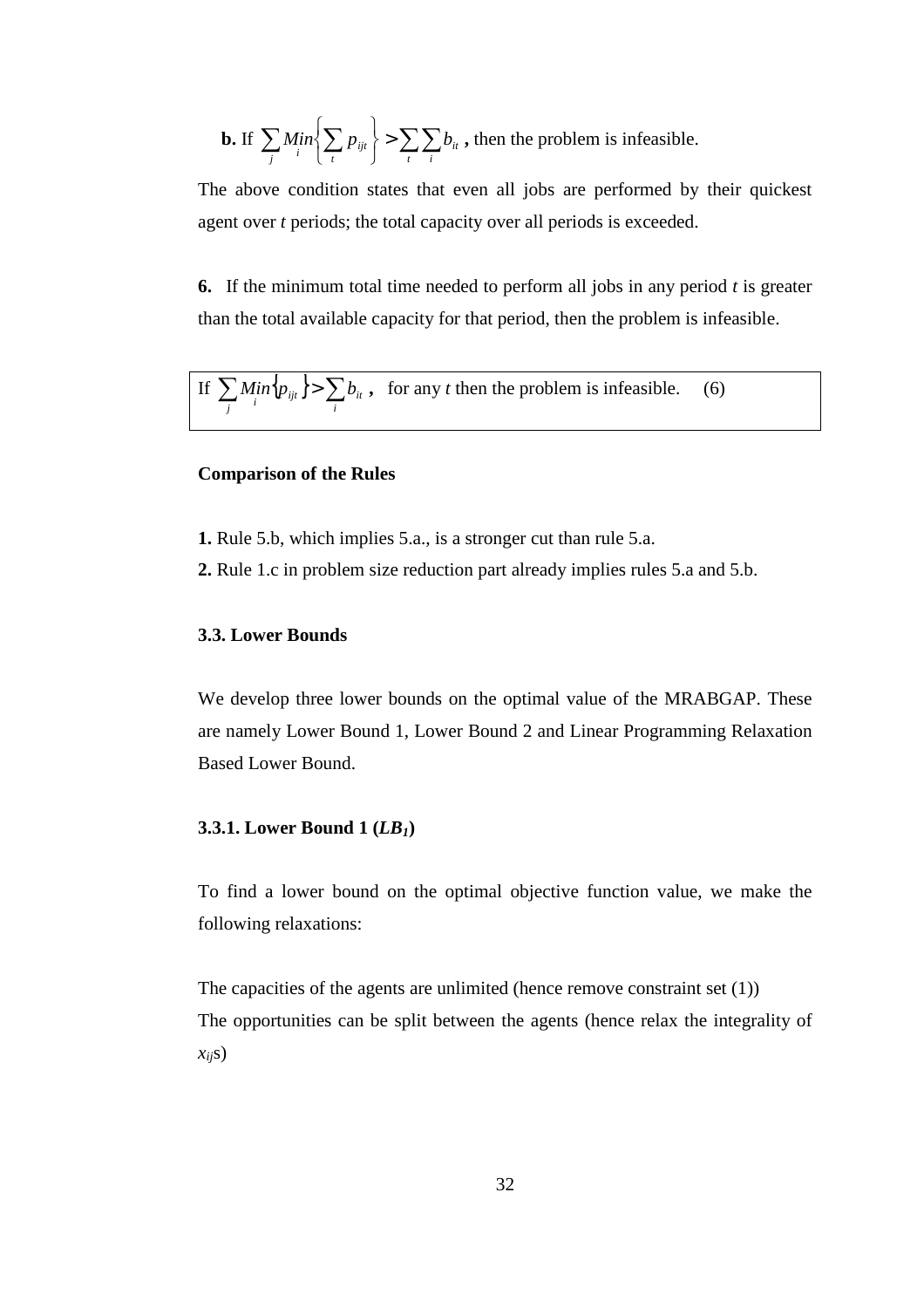**b.** If  $\sum_{i}$   $Min\left\{\sum_{i} p_{ijt}\right\} > \sum_{i} \sum_{i}$  $\mathcal{I}$  $\overline{\mathcal{L}}$ ∤  $\int$ *t i it t ijt*  $\sum_{i}^{n} M_{ii} \left\{ \sum_{t}^{n} p_{ijt} \right\}$  >  $\sum_{t}^{n} \sum_{i}^{n} b_{it}$ , then the problem is infeasible.

The above condition states that even all jobs are performed by their quickest agent over *t* periods; the total capacity over all periods is exceeded.

**6.** If the minimum total time needed to perform all jobs in any period *t* is greater than the total available capacity for that period, then the problem is infeasible.

If  $\sum Min\{p_{\scriptscriptstyle ijt}}\}$ > $\sum$ *i ijt*  $\int$   $\frac{1}{\sqrt{1}}$   $\int$   $\frac{1}{\sqrt{1}}$  $\sum_{i}$  *Min* $\{p_{ijt}\}\geq \sum_{i} b_{it}$ , for any *t* then the problem is infeasible. (6)

## **Comparison of the Rules**

- **1.** Rule 5.b, which implies 5.a., is a stronger cut than rule 5.a.
- **2.** Rule 1.c in problem size reduction part already implies rules 5.a and 5.b.

#### **3.3. Lower Bounds**

We develop three lower bounds on the optimal value of the MRABGAP. These are namely Lower Bound 1, Lower Bound 2 and Linear Programming Relaxation Based Lower Bound.

## **3.3.1. Lower Bound 1 (***LB1***)**

To find a lower bound on the optimal objective function value, we make the following relaxations:

The capacities of the agents are unlimited (hence remove constraint set (1)) The opportunities can be split between the agents (hence relax the integrality of *xij*s)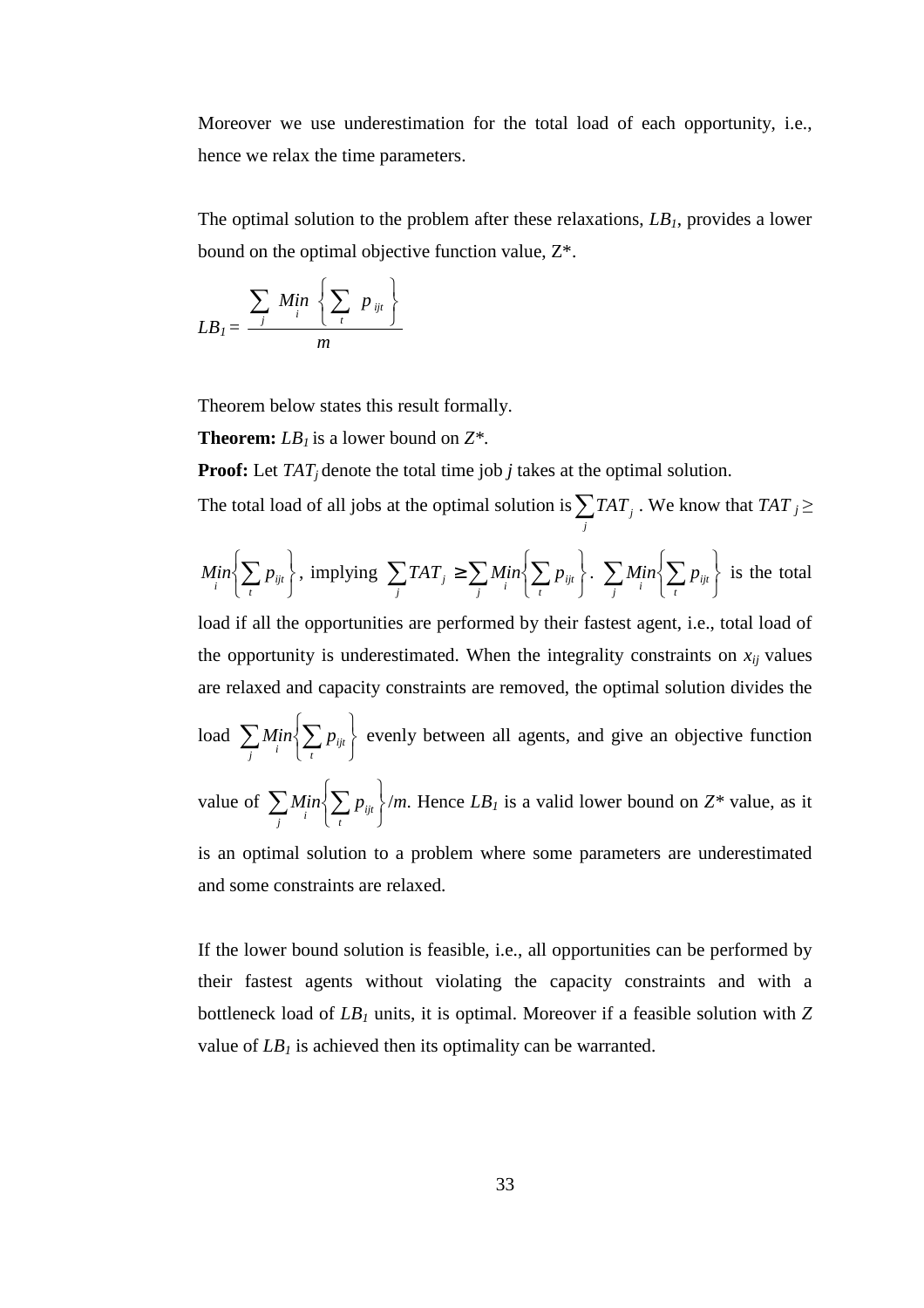Moreover we use underestimation for the total load of each opportunity, i.e., hence we relax the time parameters.

The optimal solution to the problem after these relaxations, *LB1*, provides a lower bound on the optimal objective function value, Z\*.

$$
LB_{1} = \frac{\sum_{j} Min \left\{ \sum_{t} p_{ijt} \right\}}{m}
$$

Theorem below states this result formally.

**Theorem:** *LB<sup>1</sup>* is a lower bound on *Z\**.

**Proof:** Let *TAT<sub>i</sub>* denote the total time job *j* takes at the optimal solution.

The total load of all jobs at the optimal solution is  $\sum$ *j TAT*<sub>*j*</sub>. We know that *TAT*  $j \geq$ 

$$
Min\left\{\sum_{i} p_{ijt}\right\}, \text{ implying } \sum_{j} TAT_j \ge \sum_{j} Min\left\{\sum_{i} p_{ijt}\right\}. \sum_{j} Min\left\{\sum_{i} p_{ijt}\right\} \text{ is the total}
$$

load if all the opportunities are performed by their fastest agent, i.e., total load of the opportunity is underestimated. When the integrality constraints on  $x_{ij}$  values are relaxed and capacity constraints are removed, the optimal solution divides the

load  $\sum_{i} Min \left\{ \sum_{t} p_{ijt} \right\}$  $\mathcal{L}$  $\overline{\mathcal{L}}$ ∤  $\int$  $\sum_{i}$  *Min* $\left\{\sum_{i} p_{ijt}\right\}$  evenly between all agents, and give an objective function

value of  $\sum_{i}$   $Min \left\{ \sum_{i} p_{ij} \right\}$ Ì  $\overline{\mathfrak{l}}$ ∤  $\sqrt{ }$  $\sum_{i}^{n} M_{i}^{i}$   $\sum_{i}^{n} P_{ij}$  /*m*. Hence *LB<sub>1</sub>* is a valid lower bound on *Z\** value, as it

is an optimal solution to a problem where some parameters are underestimated and some constraints are relaxed.

If the lower bound solution is feasible, i.e., all opportunities can be performed by their fastest agents without violating the capacity constraints and with a bottleneck load of *LB1* units, it is optimal. Moreover if a feasible solution with *Z* value of  $LB<sub>1</sub>$  is achieved then its optimality can be warranted.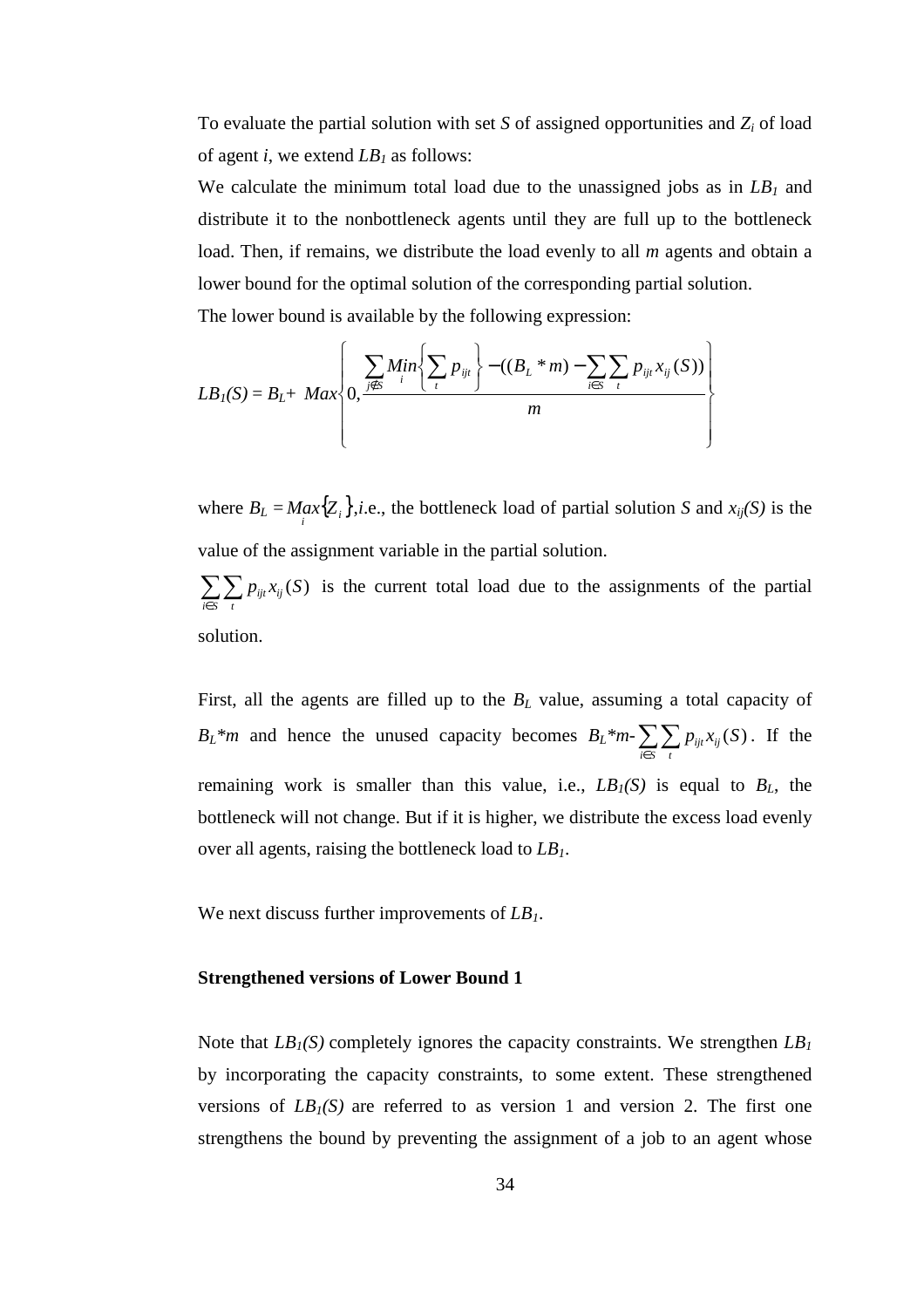To evaluate the partial solution with set  $S$  of assigned opportunities and  $Z_i$  of load of agent *i*, we extend *LB<sup>1</sup>* as follows:

We calculate the minimum total load due to the unassigned jobs as in *LB1* and distribute it to the nonbottleneck agents until they are full up to the bottleneck load. Then, if remains, we distribute the load evenly to all *m* agents and obtain a lower bound for the optimal solution of the corresponding partial solution. The lower bound is available by the following expression:

$$
LB_{I}(S) = B_{L} + Max \left\{ 0, \frac{\sum_{j \notin S} Min \left\{ \sum_{i} p_{ijt} \right\} - ((B_{L} * m) - \sum_{i \in S} \sum_{t} p_{ijt} x_{ij}(S))}{m} \right\}
$$

where  $B_L = \frac{Max\{Z_i\}}{i}$ , *i.e.*, the bottleneck load of partial solution *S* and  $x_{ij}(S)$  is the value of the assignment variable in the partial solution.

∑∑ *i*∈*S t*  $p_{ijt}$   $x_{ij}(S)$  is the current total load due to the assignments of the partial solution.

First, all the agents are filled up to the *BL* value, assuming a total capacity of  $B_L^*m$  and hence the unused capacity becomes  $B_L^*m \cdot \sum \sum$ *i*∈*S t*  $p_{ijt}$   $x_{ij}(S)$ . If the remaining work is smaller than this value, i.e.,  $LB<sub>I</sub>(S)$  is equal to  $B<sub>L</sub>$ , the bottleneck will not change. But if it is higher, we distribute the excess load evenly over all agents, raising the bottleneck load to *LB1*.

We next discuss further improvements of *LB1*.

#### **Strengthened versions of Lower Bound 1**

Note that *LB1(S)* completely ignores the capacity constraints. We strengthen *LB<sup>1</sup>* by incorporating the capacity constraints, to some extent. These strengthened versions of  $LB<sub>1</sub>(S)$  are referred to as version 1 and version 2. The first one strengthens the bound by preventing the assignment of a job to an agent whose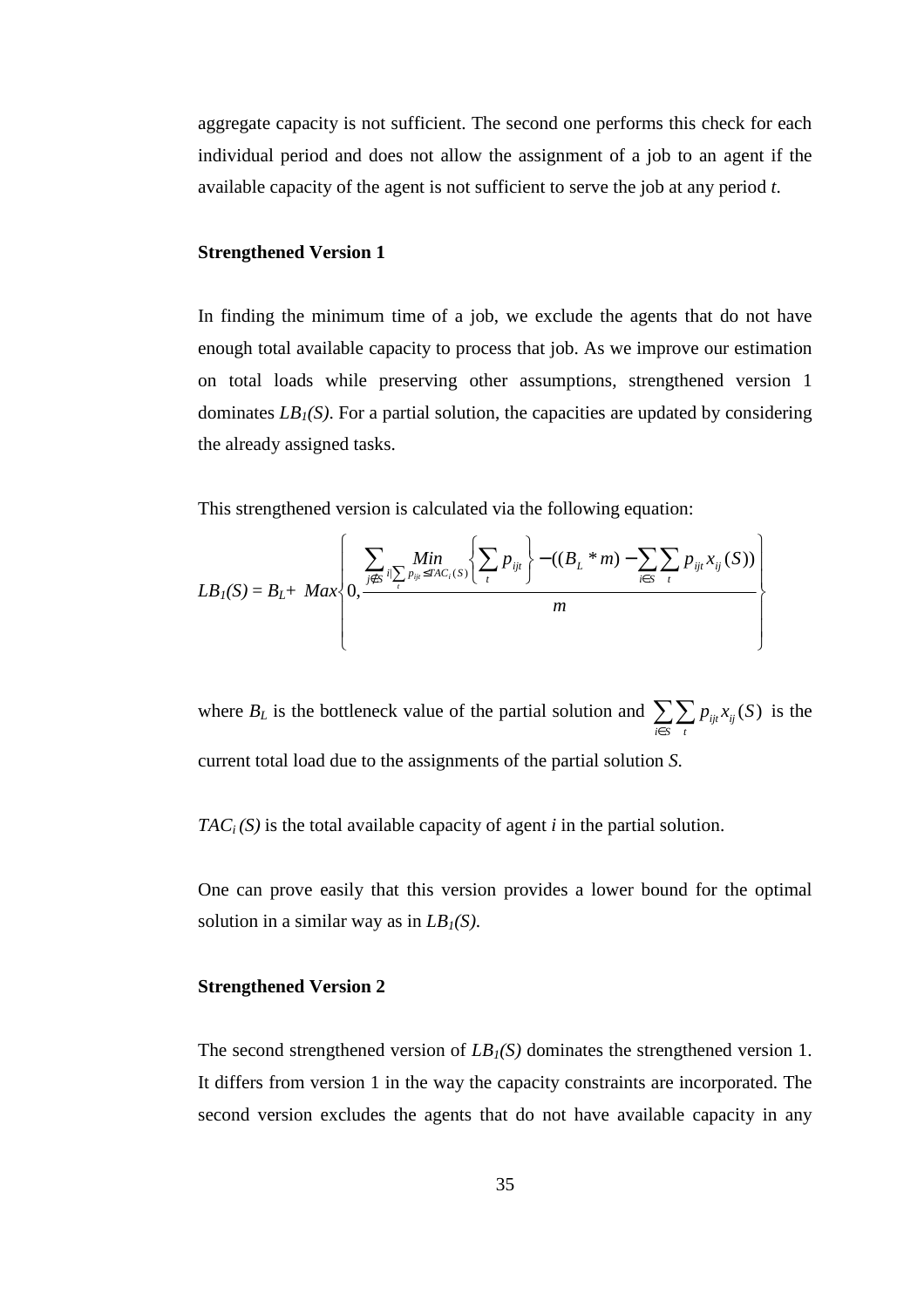aggregate capacity is not sufficient. The second one performs this check for each individual period and does not allow the assignment of a job to an agent if the available capacity of the agent is not sufficient to serve the job at any period *t*.

#### **Strengthened Version 1**

In finding the minimum time of a job, we exclude the agents that do not have enough total available capacity to process that job. As we improve our estimation on total loads while preserving other assumptions, strengthened version 1 dominates  $LB<sub>1</sub>(S)$ . For a partial solution, the capacities are updated by considering the already assigned tasks.

This strengthened version is calculated via the following equation:

$$
LB_{1}(S) = B_{L} + Max \left\{ 0, \frac{\sum_{j \notin S} i \sum_{i} Min_{i} f_{i}^{T} (S)}{\sum_{i} p_{ij} f_{i}^{T} (S)} \left\{ \sum_{i} p_{iji} \right\} - ((B_{L} * m) - \sum_{i \in S} \sum_{i} p_{iji} x_{ij} (S)) \right\}
$$

where  $B_L$  is the bottleneck value of the partial solution and  $\sum \sum$ *i*∈*S t*  $p_{ijt}$   $x_{ij}(S)$  is the current total load due to the assignments of the partial solution *S*.

*TAC<sub>i</sub>*(S) is the total available capacity of agent *i* in the partial solution.

One can prove easily that this version provides a lower bound for the optimal solution in a similar way as in *LB1(S)*.

#### **Strengthened Version 2**

The second strengthened version of  $LB<sub>I</sub>(S)$  dominates the strengthened version 1. It differs from version 1 in the way the capacity constraints are incorporated. The second version excludes the agents that do not have available capacity in any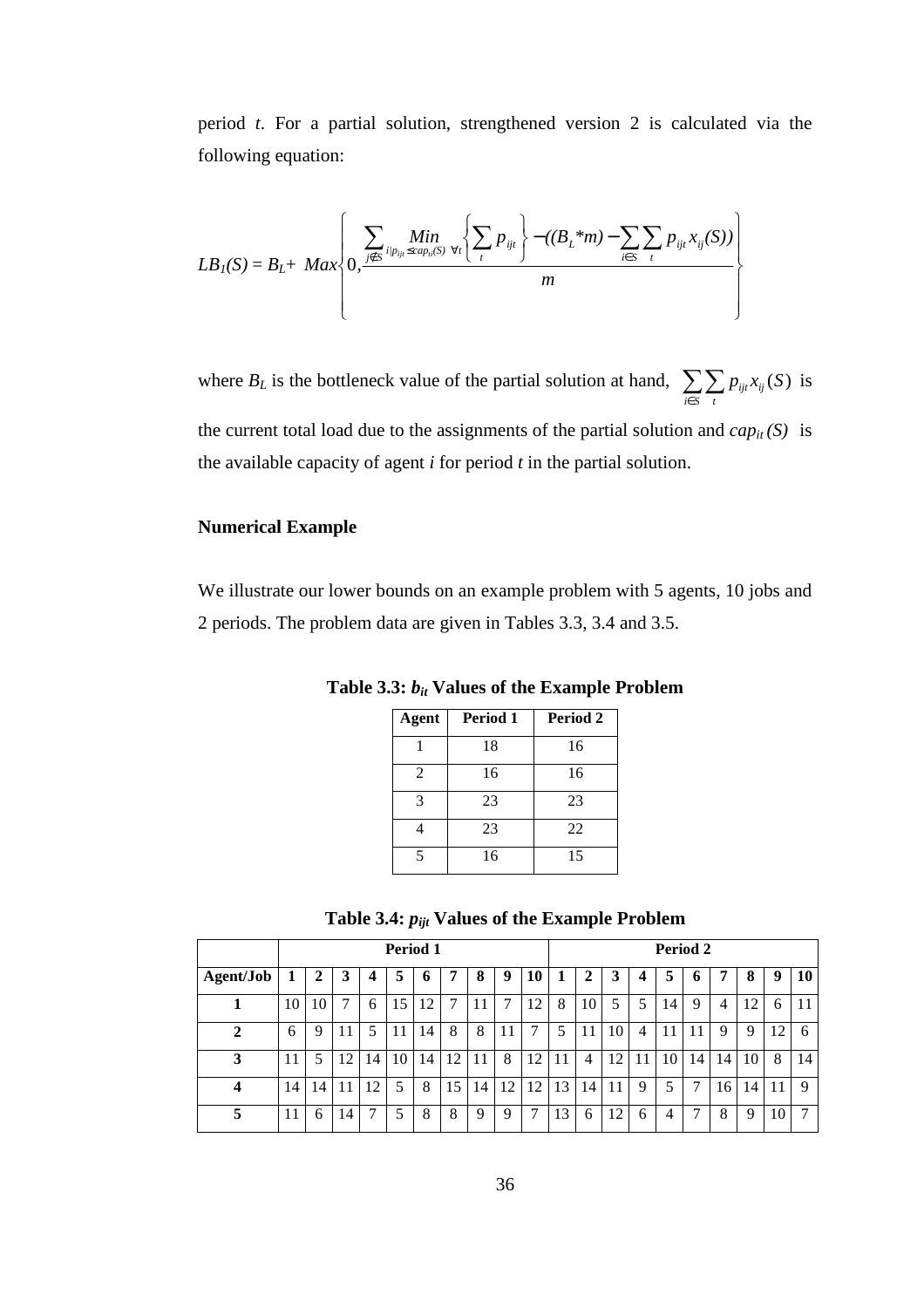period *t*. For a partial solution, strengthened version 2 is calculated via the following equation:

$$
LB_{I}(S) = B_{L} + \left. Max \left\{ 0, \frac{\sum_{j \notin S} \lim_{i/p_{iji} \leq cap_{ti}(S)} \sqrt{t} \left\{ \sum_{t} p_{ijt} \right\} - ((B_{L} * m) - \sum_{i \in S} \sum_{t} p_{ijt} x_{ij}(S)) \right\}}{m} \right\}
$$

where  $B_L$  is the bottleneck value of the partial solution at hand,  $\sum \sum$ *i*∈*S t*  $p_{ijt}$   $x_{ij}(S)$  is the current total load due to the assignments of the partial solution and  $cap_{it}(S)$  is the available capacity of agent *i* for period *t* in the partial solution.

#### **Numerical Example**

We illustrate our lower bounds on an example problem with 5 agents, 10 jobs and 2 periods. The problem data are given in Tables 3.3, 3.4 and 3.5.

| <b>Agent</b>             | Period 1 | Period 2 |
|--------------------------|----------|----------|
|                          | 18       | 16       |
| 2                        | 16       | 16       |
| 3                        | 23       | 23       |
|                          | 23       | 22       |
| $\overline{\mathcal{L}}$ | 16       | 15       |

**Table 3.3:** *bit* **Values of the Example Problem** 

**Table 3.4:** *pijt* **Values of the Example Problem**

|                         |    | Period 1 |    |    |    |    |    |    |    |    |    | Period 2 |     |    |    |    |    |    |    |               |
|-------------------------|----|----------|----|----|----|----|----|----|----|----|----|----------|-----|----|----|----|----|----|----|---------------|
| Agent/Job               | 1  | 2        | 3  | 4  | 5  | h  | 7  | 8  | 9  | 10 |    | ∍<br>∠   | 3   | 4  | 5  | h  | 7  | 8  | 9  | 10            |
| 1                       | 10 | 10       |    | 6  | 15 | 12 | 7  | 11 | 7  | 12 | 8  | 10       | 5   | 5  | 14 | 9  | 4  | 12 | 6  | 11            |
| $\mathbf{2}$            | 6  | 9        |    |    | 11 | 14 | 8  | 8  |    |    | 5  | 11       | 10  | 4  | 11 | 11 | 9  | 9  | 12 | 6             |
| 3                       |    | 5        | 12 | 14 | 10 | 14 | 12 | 11 | 8  | 12 |    |          | 12  | 11 | 10 | 14 | 14 | 10 | 8  | 14            |
| $\overline{\mathbf{4}}$ | 14 | 14       | 11 | 12 | 5  | 8  | 15 | 14 | 12 | 12 | 13 | 14       | -11 | 9  | 5  | ⇁  | 16 | 14 | 11 | 9             |
| 5                       | 11 | 6        | 14 |    | 5  | 8  | 8  | 9  | 9  |    | 13 | 6        | 12  | 6  | 4  |    | 8  | 9  | 10 | $\mathcal{L}$ |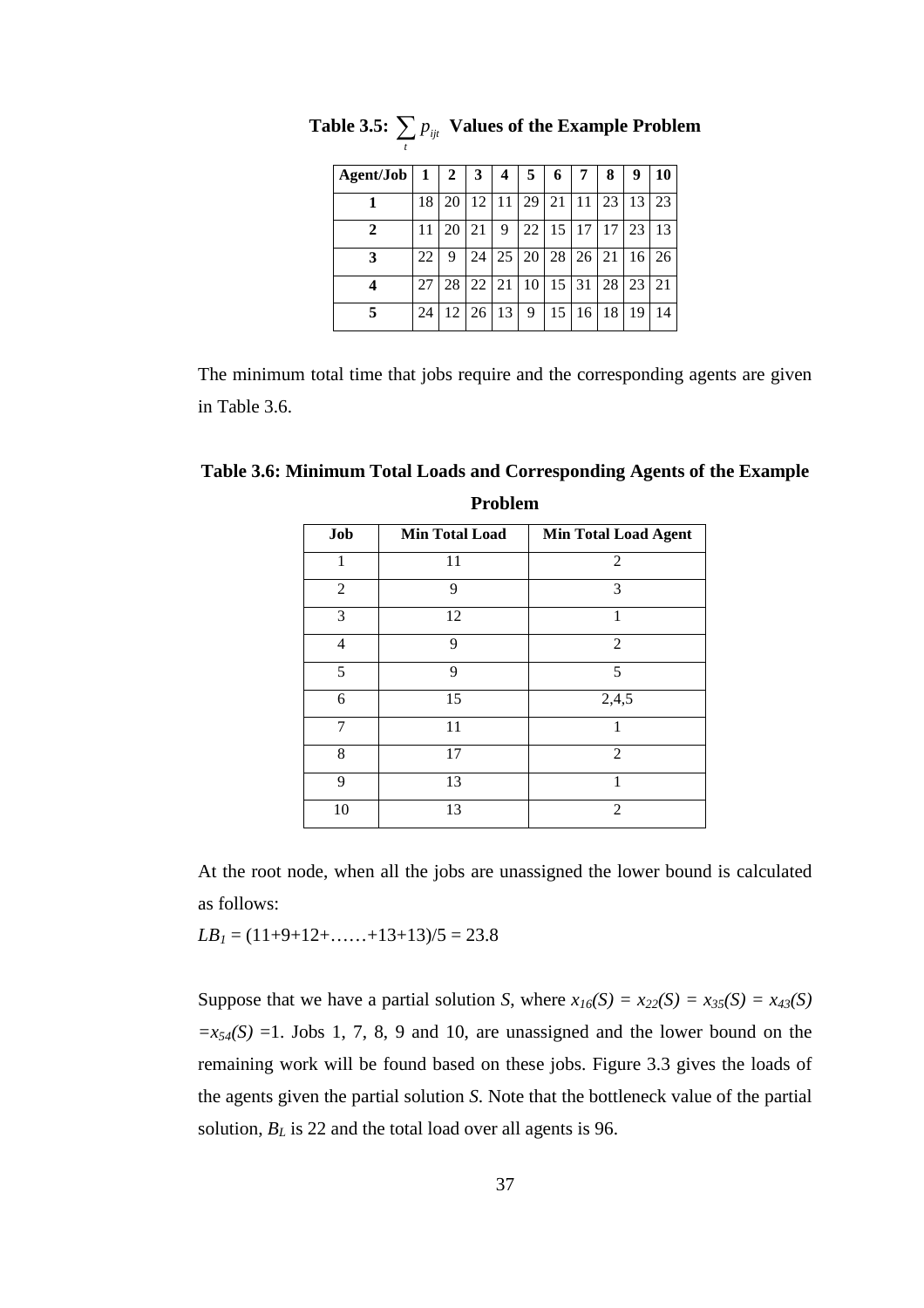| $Agent/Job \mid 1$ |    | $\overline{2}$ | 3     | 4     | 5  | 6             |                 | 8  | 9               | 10 |
|--------------------|----|----------------|-------|-------|----|---------------|-----------------|----|-----------------|----|
|                    | 18 | 20             | 12    | 11    | 29 | 21            | 11              | 23 | 13              | 23 |
|                    | 11 | 20             | 21    | 9     | 22 | 15            | 17              | 17 | 23              | 13 |
|                    | 22 | 9              | 24    | 25 20 |    | <sup>28</sup> | 26              | 21 | 16 <sup>1</sup> | 26 |
|                    | 27 | 28             | 22    | 21    | 10 | 15            | 31              | 28 | 23              | 21 |
|                    | 24 |                | 12 26 | 13    | 9  | 15            | 16 <sup>1</sup> | 18 | 19              | 14 |

**Table 3.5:** ∑*t ijt p* **Values of the Example Problem** 

The minimum total time that jobs require and the corresponding agents are given in Table 3.6.

| Job | <b>Min Total Load</b> | <b>Min Total Load Agent</b> |
|-----|-----------------------|-----------------------------|
| 1   | 11                    | 2                           |
| 2   | 9                     | 3                           |
| 3   | 12                    | 1                           |
| 4   | 9                     | 2                           |
| 5   | 9                     | 5                           |
| 6   | 15                    | 2,4,5                       |
| 7   | 11                    | 1                           |
| 8   | 17                    | $\overline{2}$              |
| 9   | 13                    |                             |
| 10  | 13                    | 2                           |

**Table 3.6: Minimum Total Loads and Corresponding Agents of the Example Problem** 

At the root node, when all the jobs are unassigned the lower bound is calculated as follows:

 $LB<sub>1</sub> = (11+9+12+\ldots+13+13)/5 = 23.8$ 

Suppose that we have a partial solution *S*, where  $x_{16}(S) = x_{22}(S) = x_{35}(S) = x_{43}(S)$  $=x_{54}(S) = 1$ . Jobs 1, 7, 8, 9 and 10, are unassigned and the lower bound on the remaining work will be found based on these jobs. Figure 3.3 gives the loads of the agents given the partial solution *S*. Note that the bottleneck value of the partial solution, *BL* is 22 and the total load over all agents is 96.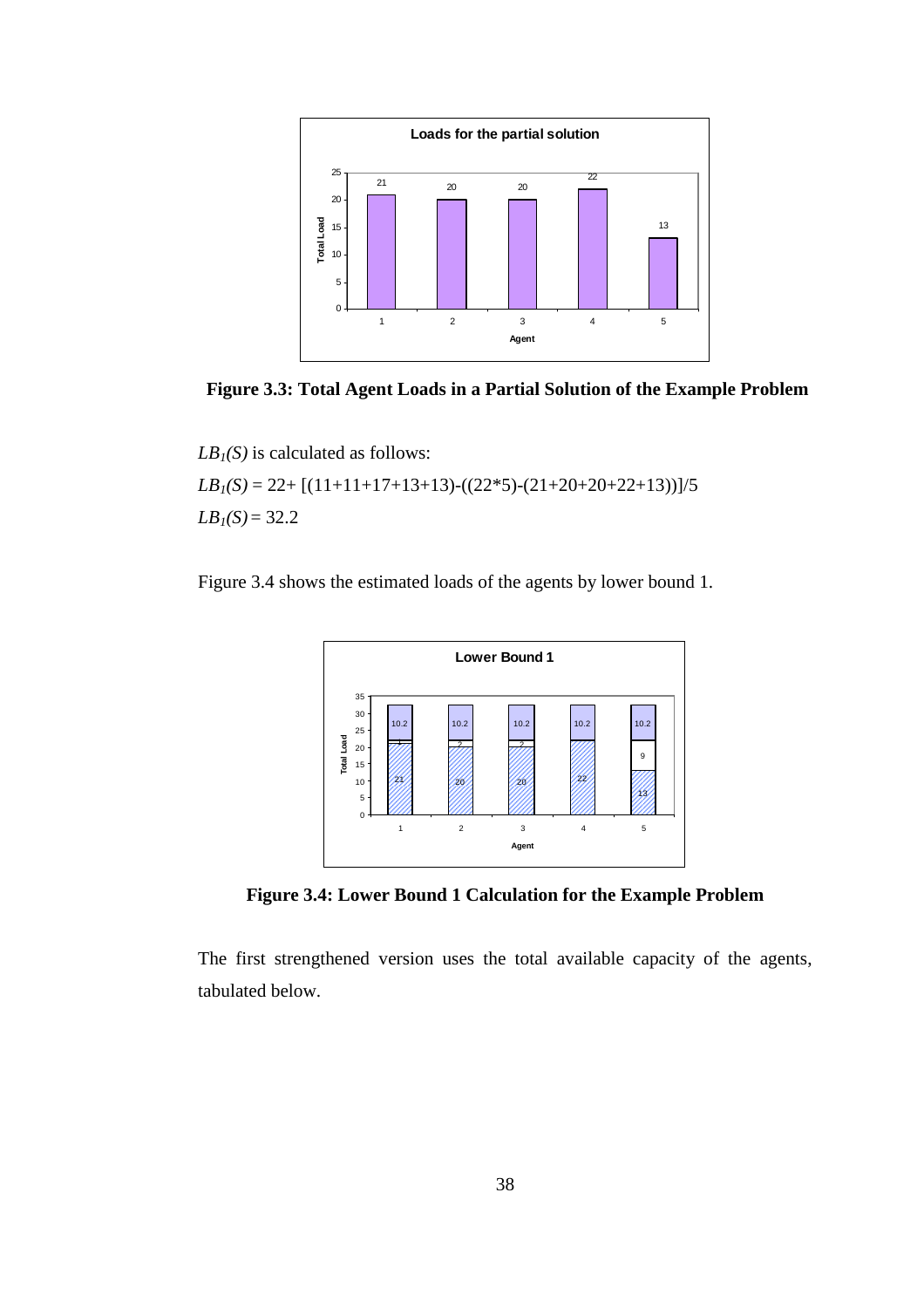

 **Figure 3.3: Total Agent Loads in a Partial Solution of the Example Problem** 

 $LB<sub>I</sub>(S)$  is calculated as follows: *LB1(S)* = 22+ [(11+11+17+13+13)-((22\*5)-(21+20+20+22+13))]/5  $LB<sub>1</sub>(S) = 32.2$ 

Figure 3.4 shows the estimated loads of the agents by lower bound 1.



**Figure 3.4: Lower Bound 1 Calculation for the Example Problem** 

The first strengthened version uses the total available capacity of the agents, tabulated below.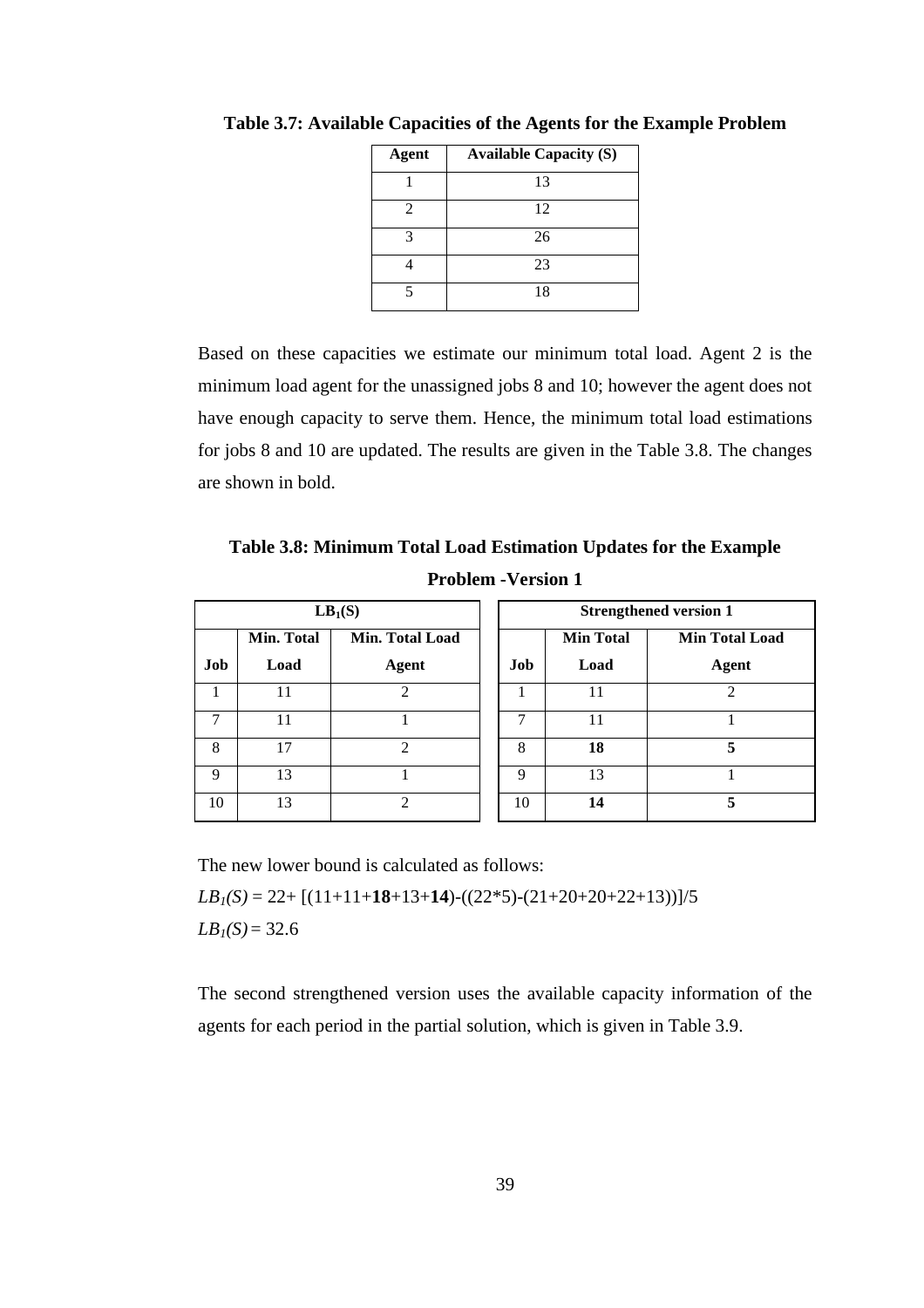| <b>Agent</b>   | <b>Available Capacity (S)</b> |
|----------------|-------------------------------|
|                | 13                            |
| $\mathfrak{D}$ | 12                            |
| 3              | 26                            |
|                | 23                            |
| 5              | 18                            |

**Table 3.7: Available Capacities of the Agents for the Example Problem** 

Based on these capacities we estimate our minimum total load. Agent 2 is the minimum load agent for the unassigned jobs 8 and 10; however the agent does not have enough capacity to serve them. Hence, the minimum total load estimations for jobs 8 and 10 are updated. The results are given in the Table 3.8. The changes are shown in bold.

**Table 3.8: Minimum Total Load Estimation Updates for the Example Problem -Version 1** 

|     |                               | LB <sub>1</sub> (S)         |  | <b>Strengthened version 1</b> |                  |                       |  |  |  |  |  |
|-----|-------------------------------|-----------------------------|--|-------------------------------|------------------|-----------------------|--|--|--|--|--|
|     | Min. Total<br>Min. Total Load |                             |  |                               | <b>Min Total</b> | <b>Min Total Load</b> |  |  |  |  |  |
| Job | Load                          | <b>Agent</b>                |  | Job                           | Load             | <b>Agent</b>          |  |  |  |  |  |
| 1   | 11                            | $\mathfrak{D}$              |  |                               | 11               | $\mathfrak{D}$        |  |  |  |  |  |
| 7   | 11                            |                             |  | 7                             | 11               |                       |  |  |  |  |  |
| 8   | 17                            | $\mathcal{D}_{\mathcal{L}}$ |  | 8                             | 18               | 5                     |  |  |  |  |  |
| 9   | 13                            |                             |  | $\mathbf Q$                   | 13               |                       |  |  |  |  |  |
| 10  | 13                            | ◠                           |  | 10                            | 14               |                       |  |  |  |  |  |

The new lower bound is calculated as follows:

 $LB<sub>1</sub>(S) = 22 + [(11+11+18+13+14) - ((22*5) - (21+20+20+22+13))]$ /5  $LB<sub>1</sub>(S) = 32.6$ 

The second strengthened version uses the available capacity information of the agents for each period in the partial solution, which is given in Table 3.9.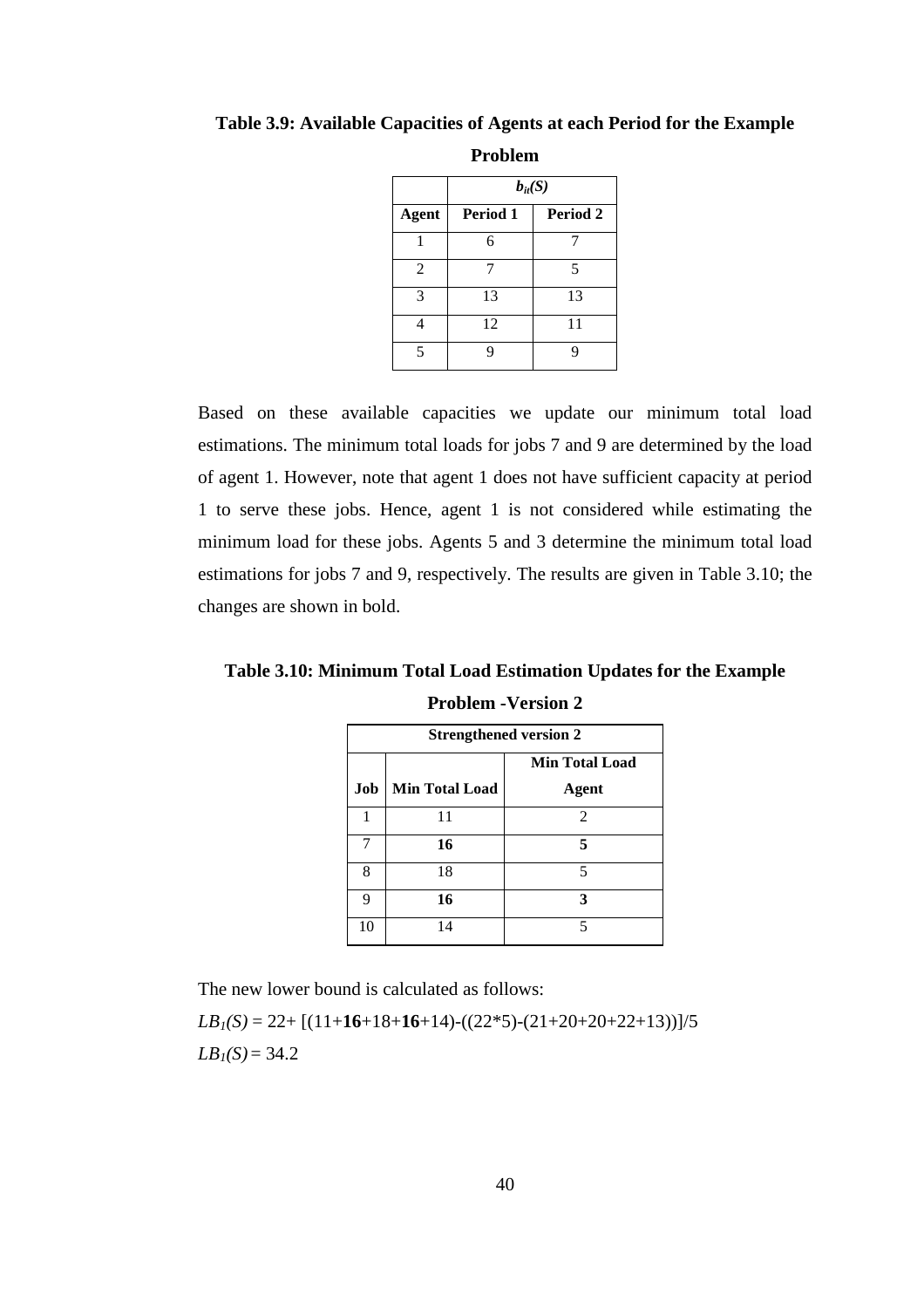**Table 3.9: Available Capacities of Agents at each Period for the Example** 

|                          | $b_{it}(S)$ |          |  |  |  |  |  |  |  |  |
|--------------------------|-------------|----------|--|--|--|--|--|--|--|--|
| <b>Agent</b>             | Period 1    | Period 2 |  |  |  |  |  |  |  |  |
|                          | 6           |          |  |  |  |  |  |  |  |  |
| $\overline{c}$           |             | 5        |  |  |  |  |  |  |  |  |
| 3                        | 13          | 13       |  |  |  |  |  |  |  |  |
|                          | 12          | 11       |  |  |  |  |  |  |  |  |
| $\overline{\phantom{0}}$ |             | q        |  |  |  |  |  |  |  |  |

**Problem** 

Based on these available capacities we update our minimum total load estimations. The minimum total loads for jobs 7 and 9 are determined by the load of agent 1. However, note that agent 1 does not have sufficient capacity at period 1 to serve these jobs. Hence, agent 1 is not considered while estimating the minimum load for these jobs. Agents 5 and 3 determine the minimum total load estimations for jobs 7 and 9, respectively. The results are given in Table 3.10; the changes are shown in bold.

**Table 3.10: Minimum Total Load Estimation Updates for the Example Problem -Version 2** 

|     | <b>Strengthened version 2</b> |                                       |  |  |  |  |  |  |  |  |
|-----|-------------------------------|---------------------------------------|--|--|--|--|--|--|--|--|
| Job | <b>Min Total Load</b>         | <b>Min Total Load</b><br><b>Agent</b> |  |  |  |  |  |  |  |  |
| 1   | 11                            | $\mathfrak{D}$                        |  |  |  |  |  |  |  |  |
|     | 16                            | 5                                     |  |  |  |  |  |  |  |  |
| 8   | 18                            | 5                                     |  |  |  |  |  |  |  |  |
| 9   | 16                            | ว                                     |  |  |  |  |  |  |  |  |
| 10  | 14                            | 5                                     |  |  |  |  |  |  |  |  |

The new lower bound is calculated as follows:

 $LB<sub>1</sub>(S) = 22 + [(11+16+18+16+14)-((22*5)-(21+20+20+22+13))]$ /5  $LB<sub>1</sub>(S) = 34.2$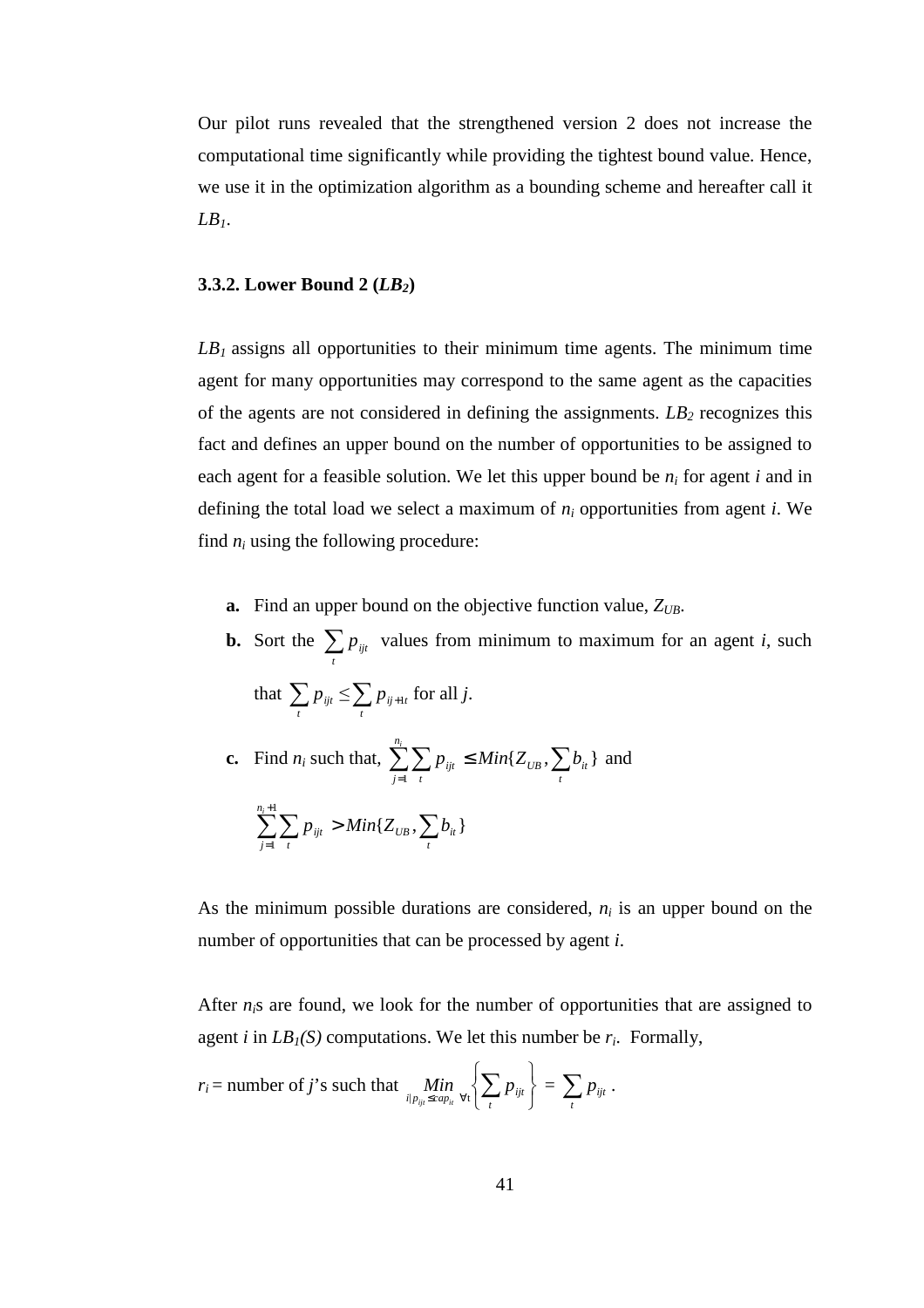Our pilot runs revealed that the strengthened version 2 does not increase the computational time significantly while providing the tightest bound value. Hence, we use it in the optimization algorithm as a bounding scheme and hereafter call it *LB1*.

#### **3.3.2. Lower Bound 2 (***LB2***)**

 $LB<sub>1</sub>$  assigns all opportunities to their minimum time agents. The minimum time agent for many opportunities may correspond to the same agent as the capacities of the agents are not considered in defining the assignments. *LB2* recognizes this fact and defines an upper bound on the number of opportunities to be assigned to each agent for a feasible solution. We let this upper bound be *n<sup>i</sup>* for agent *i* and in defining the total load we select a maximum of  $n_i$  opportunities from agent *i*. We find  $n_i$  using the following procedure:

- **a.** Find an upper bound on the objective function value, *ZUB*.
- **b.** Sort the  $\sum$ *t*  $p_{ijt}$  values from minimum to maximum for an agent *i*, such that  $\sum$ *t*  $p_{ijt} \le \sum p_{ij}$ *t*  $p_{ij+1}$  for all *j*. **c.** Find  $n_i$  such that,  $\sum \sum p_{ii} \leq Min\{Z_{UB}, \sum b_{ii}\}\$ 1  $\sum_{ij} \sum_{ij} p_{ijt} \leq Min\{Z_{UB},\sum_{ij}$ = ≤ *t it n*  $j=1$  t  $\sum_{ij}^{i} \sum_{ij} p_{ij} \leq Min\{Z_{UB}, \sum_{ii} b_{ii}\}$  and

$$
\sum_{j=1}^{n_i+1} \sum_{t} p_{ijt} > Min\{Z_{UB}, \sum_{t} b_{it}\}\
$$

As the minimum possible durations are considered,  $n_i$  is an upper bound on the number of opportunities that can be processed by agent *i*.

After  $n_i$ s are found, we look for the number of opportunities that are assigned to agent *i* in  $LB<sub>I</sub>(S)$  computations. We let this number be  $r<sub>i</sub>$ . Formally,

$$
r_i = \text{number of } j \text{'s such that } \lim_{i|p_{iji} \leq cap_{ii} \forall t} \left\{ \sum_i p_{ijt} \right\} = \sum_i p_{ijt}.
$$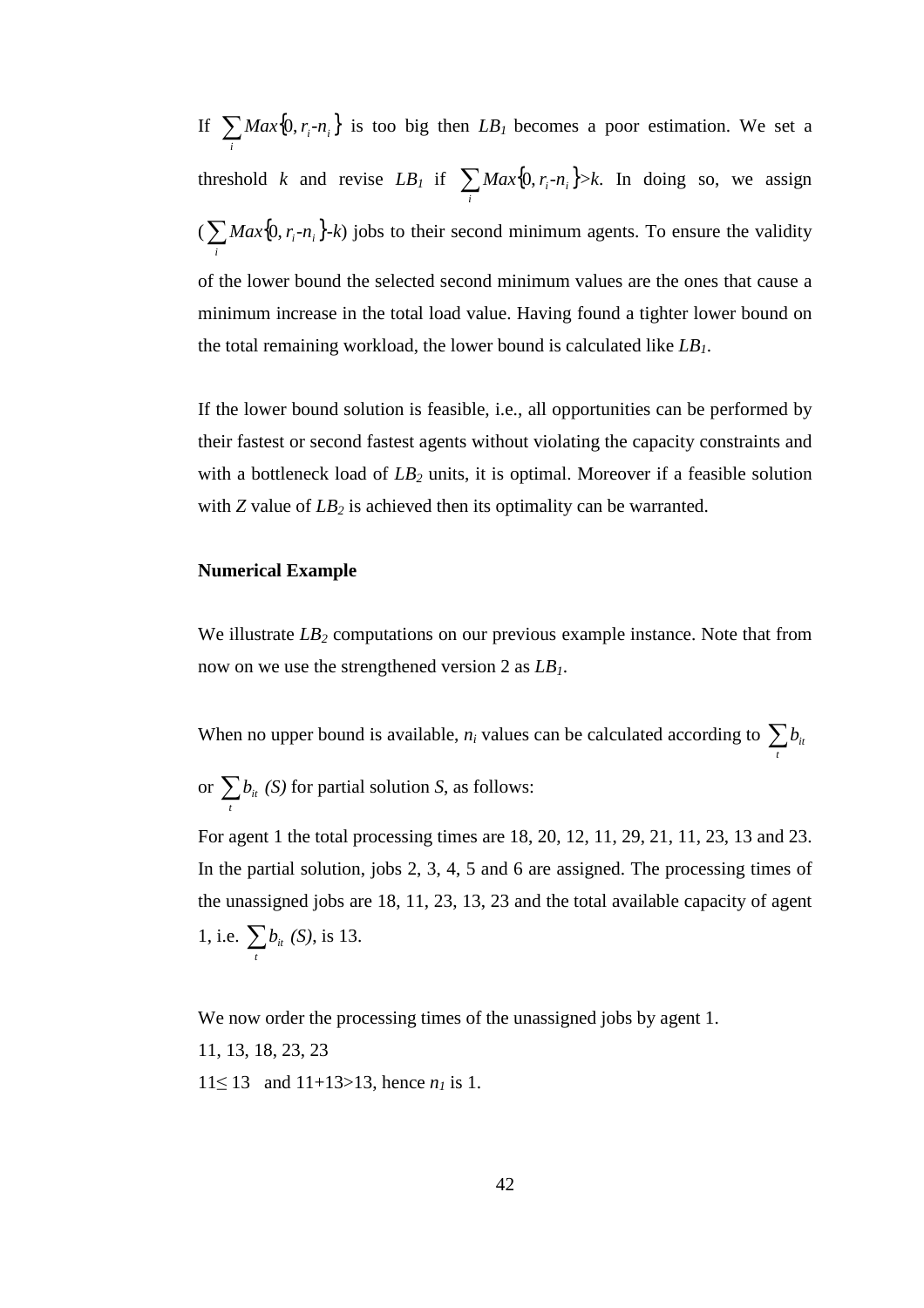If  $\sum Max\{0, r_i - n_i\}$ *i*  $Max\{0, r_i - n_i\}$  is too big then  $LB_i$  becomes a poor estimation. We set a threshold *k* and revise  $LB_1$  if  $\sum Max\{0, r_i - n_i\}$ *i*  $Max\{0, r_i - n_i\} > k$ . In doing so, we assign  $(\sum Max\{0, r_i - n_i\})$ *i*  $Max\{0, r_i - n_i\} - k$  jobs to their second minimum agents. To ensure the validity of the lower bound the selected second minimum values are the ones that cause a minimum increase in the total load value. Having found a tighter lower bound on the total remaining workload, the lower bound is calculated like *LB1*.

If the lower bound solution is feasible, i.e., all opportunities can be performed by their fastest or second fastest agents without violating the capacity constraints and with a bottleneck load of  $LB_2$  units, it is optimal. Moreover if a feasible solution with *Z* value of *LB2* is achieved then its optimality can be warranted.

### **Numerical Example**

We illustrate *LB<sup>2</sup>* computations on our previous example instance. Note that from now on we use the strengthened version 2 as *LB1*.

When no upper bound is available,  $n_i$  values can be calculated according to  $\sum$  $b_{it}$ 

*t*

or ∑*t*  $b_{it}$  (*S*) for partial solution *S*, as follows:

For agent 1 the total processing times are 18, 20, 12, 11, 29, 21, 11, 23, 13 and 23. In the partial solution, jobs 2, 3, 4, 5 and 6 are assigned. The processing times of the unassigned jobs are 18, 11, 23, 13, 23 and the total available capacity of agent 1, i.e.  $\sum$ *t*  $b_{it}$  (S), is 13.

We now order the processing times of the unassigned jobs by agent 1.

11, 13, 18, 23, 23

11≤ 13 and 11+13>13, hence *n1* is 1.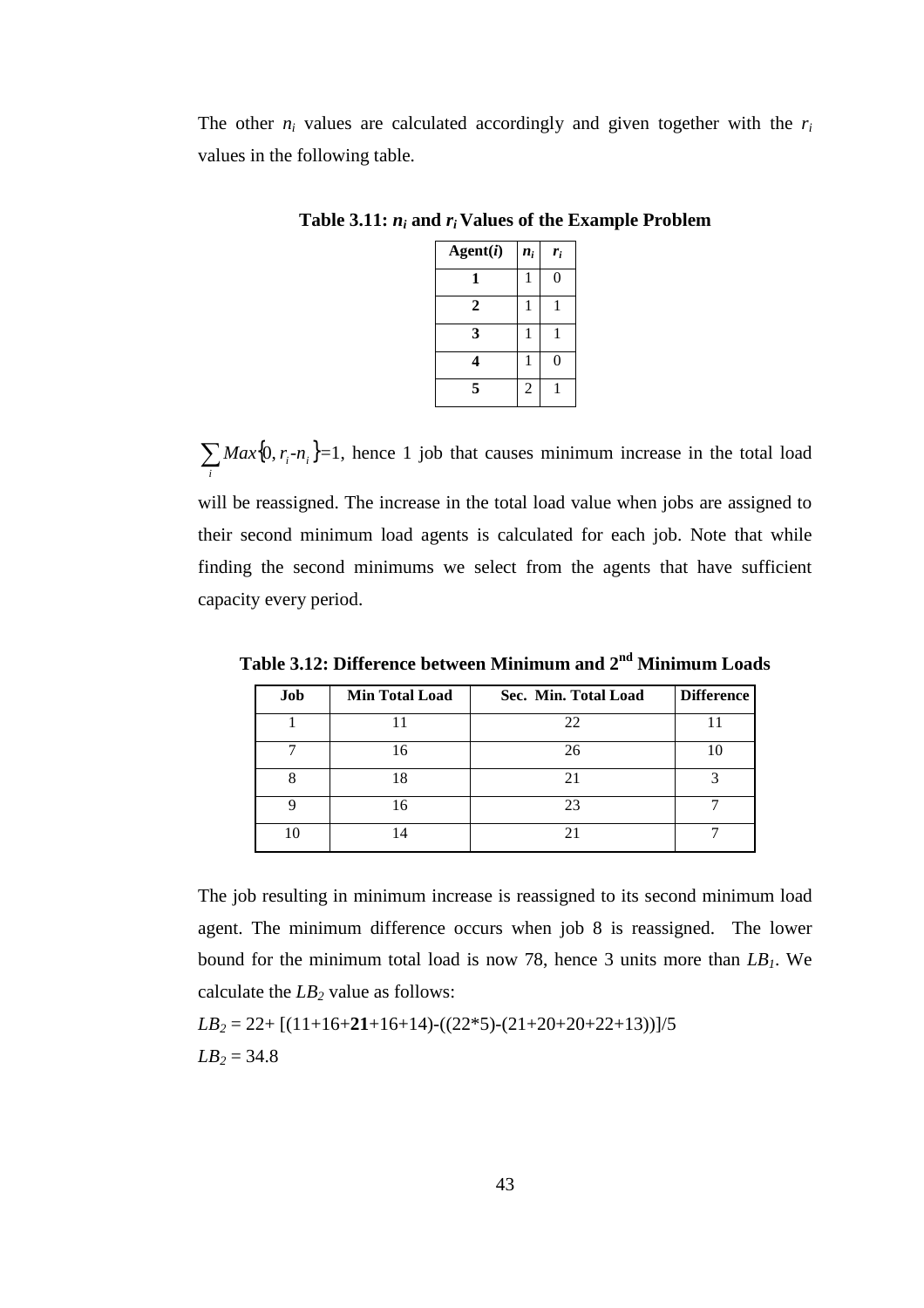The other  $n_i$  values are calculated accordingly and given together with the  $r_i$ values in the following table.

| Agent(i)     | $n_i$          | $r_i$ |
|--------------|----------------|-------|
| 1            |                | 0     |
| $\mathbf{2}$ |                |       |
| 3            |                |       |
| 4            |                | 0     |
| 5            | $\overline{c}$ |       |

**Table 3.11:** *n<sup>i</sup>*  **and** *ri* **Values of the Example Problem** 

 $\sum$  Max{0,  $r_i$ - $n_i$ }: *i*  $Max\{0, r_i - n_i\} = 1$ , hence 1 job that causes minimum increase in the total load will be reassigned. The increase in the total load value when jobs are assigned to their second minimum load agents is calculated for each job. Note that while finding the second minimums we select from the agents that have sufficient capacity every period.

| Job | Min Total Load | Sec. Min. Total Load | <b>Difference</b> |
|-----|----------------|----------------------|-------------------|
|     |                | 22                   |                   |
|     | 16             | 26                   |                   |
|     | 18             |                      |                   |
|     | 16             | 23                   |                   |
|     |                |                      |                   |

**Table 3.12: Difference between Minimum and 2nd Minimum Loads** 

The job resulting in minimum increase is reassigned to its second minimum load agent. The minimum difference occurs when job 8 is reassigned. The lower bound for the minimum total load is now 78, hence 3 units more than *LB1*. We calculate the *LB2* value as follows:

 $LB_2 = 22 + [(11+16+21+16+14) - ((22*5)-(21+20+20+22+13))]$ /5  $LB_2 = 34.8$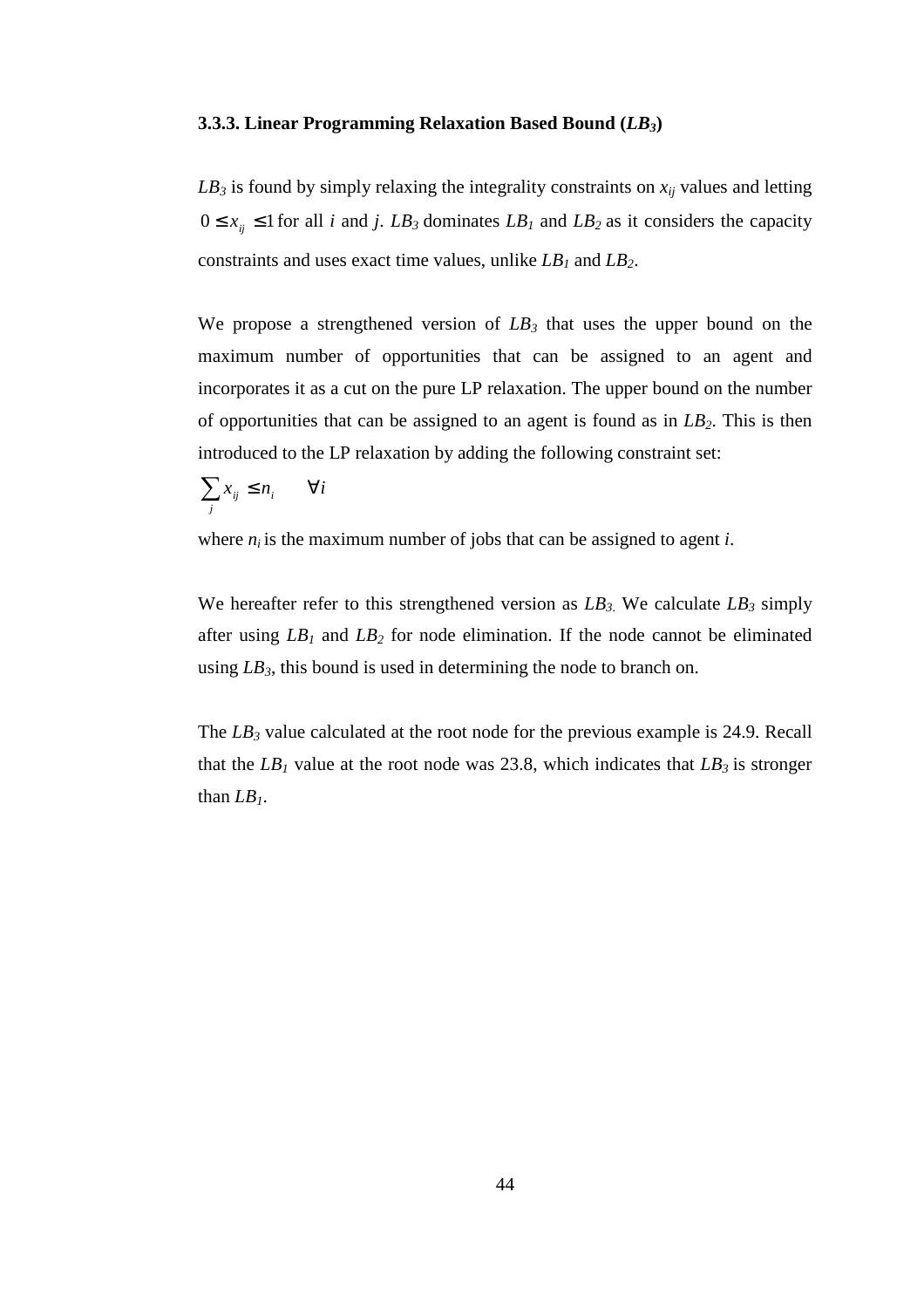#### **3.3.3. Linear Programming Relaxation Based Bound (***LB3***)**

 $LB_3$  is found by simply relaxing the integrality constraints on  $x_{ij}$  values and letting  $0 \le x_{ij} \le 1$  for all *i* and *j*. *LB*<sub>3</sub> dominates *LB*<sub>*I*</sub> and *LB*<sub>2</sub> as it considers the capacity constraints and uses exact time values, unlike *LB1* and *LB2*.

We propose a strengthened version of *LB3* that uses the upper bound on the maximum number of opportunities that can be assigned to an agent and incorporates it as a cut on the pure LP relaxation. The upper bound on the number of opportunities that can be assigned to an agent is found as in *LB2*. This is then introduced to the LP relaxation by adding the following constraint set:

$$
\sum_j x_{ij} \le n_i \qquad \forall i
$$

where  $n_i$  is the maximum number of jobs that can be assigned to agent *i*.

We hereafter refer to this strengthened version as *LB3*. We calculate *LB3* simply after using  $LB_1$  and  $LB_2$  for node elimination. If the node cannot be eliminated using *LB3*, this bound is used in determining the node to branch on.

The *LB3* value calculated at the root node for the previous example is 24.9. Recall that the  $LB<sub>1</sub>$  value at the root node was 23.8, which indicates that  $LB<sub>3</sub>$  is stronger than *LB1*.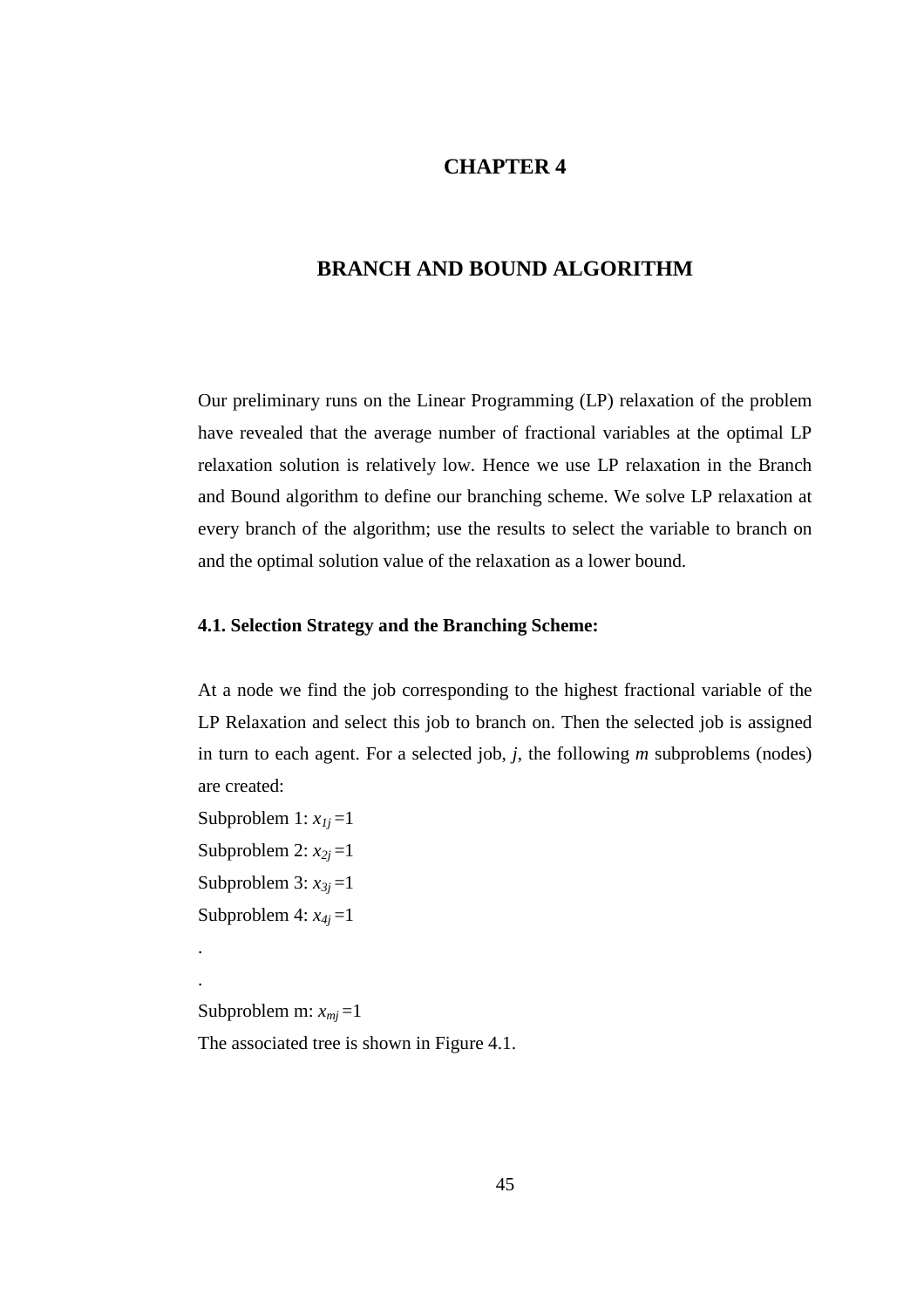# **CHAPTER 4**

## **BRANCH AND BOUND ALGORITHM**

Our preliminary runs on the Linear Programming (LP) relaxation of the problem have revealed that the average number of fractional variables at the optimal LP relaxation solution is relatively low. Hence we use LP relaxation in the Branch and Bound algorithm to define our branching scheme. We solve LP relaxation at every branch of the algorithm; use the results to select the variable to branch on and the optimal solution value of the relaxation as a lower bound.

#### **4.1. Selection Strategy and the Branching Scheme:**

At a node we find the job corresponding to the highest fractional variable of the LP Relaxation and select this job to branch on. Then the selected job is assigned in turn to each agent. For a selected job, *j*, the following *m* subproblems (nodes) are created:

Subproblem 1:  $x_{1i}$  =1 Subproblem 2:  $x_{2j}$ =1 Subproblem 3:  $x_{3j}$ =1

Subproblem 4:  $x_{4j}$  =1

.

.

Subproblem m:  $x_{mj} = 1$ The associated tree is shown in Figure 4.1.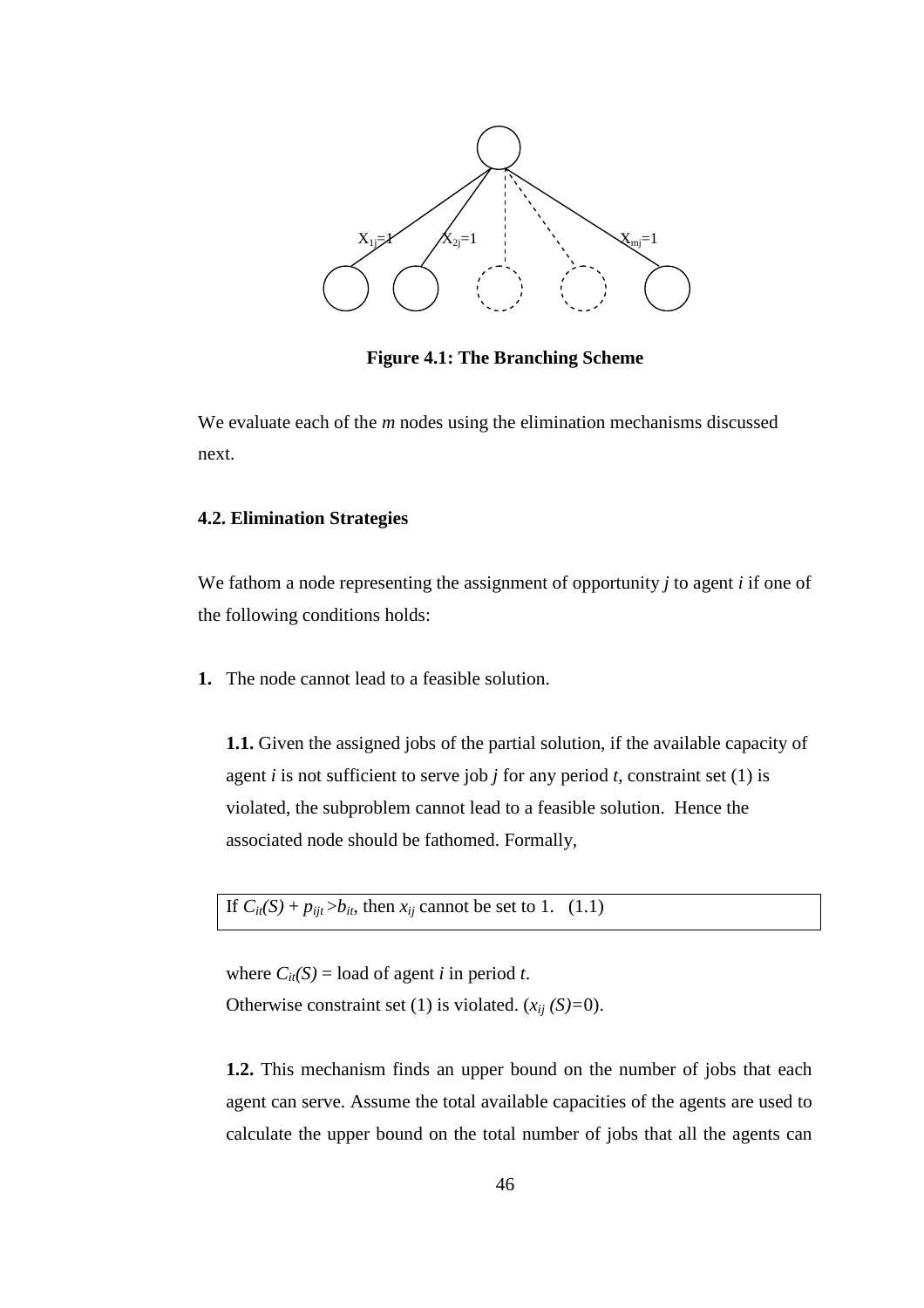

**Figure 4.1: The Branching Scheme** 

We evaluate each of the *m* nodes using the elimination mechanisms discussed next.

## **4.2. Elimination Strategies**

We fathom a node representing the assignment of opportunity *j* to agent *i* if one of the following conditions holds:

**1.** The node cannot lead to a feasible solution.

**1.1.** Given the assigned jobs of the partial solution, if the available capacity of agent *i* is not sufficient to serve job *j* for any period *t*, constraint set (1) is violated, the subproblem cannot lead to a feasible solution. Hence the associated node should be fathomed. Formally,

If  $C_{it}(S) + p_{iit} > b_{it}$ , then  $x_{ij}$  cannot be set to 1. (1.1)

where  $C_{it}(S) =$  load of agent *i* in period *t*. Otherwise constraint set (1) is violated.  $(x_{ii} (S)=0)$ .

**1.2.** This mechanism finds an upper bound on the number of jobs that each agent can serve. Assume the total available capacities of the agents are used to calculate the upper bound on the total number of jobs that all the agents can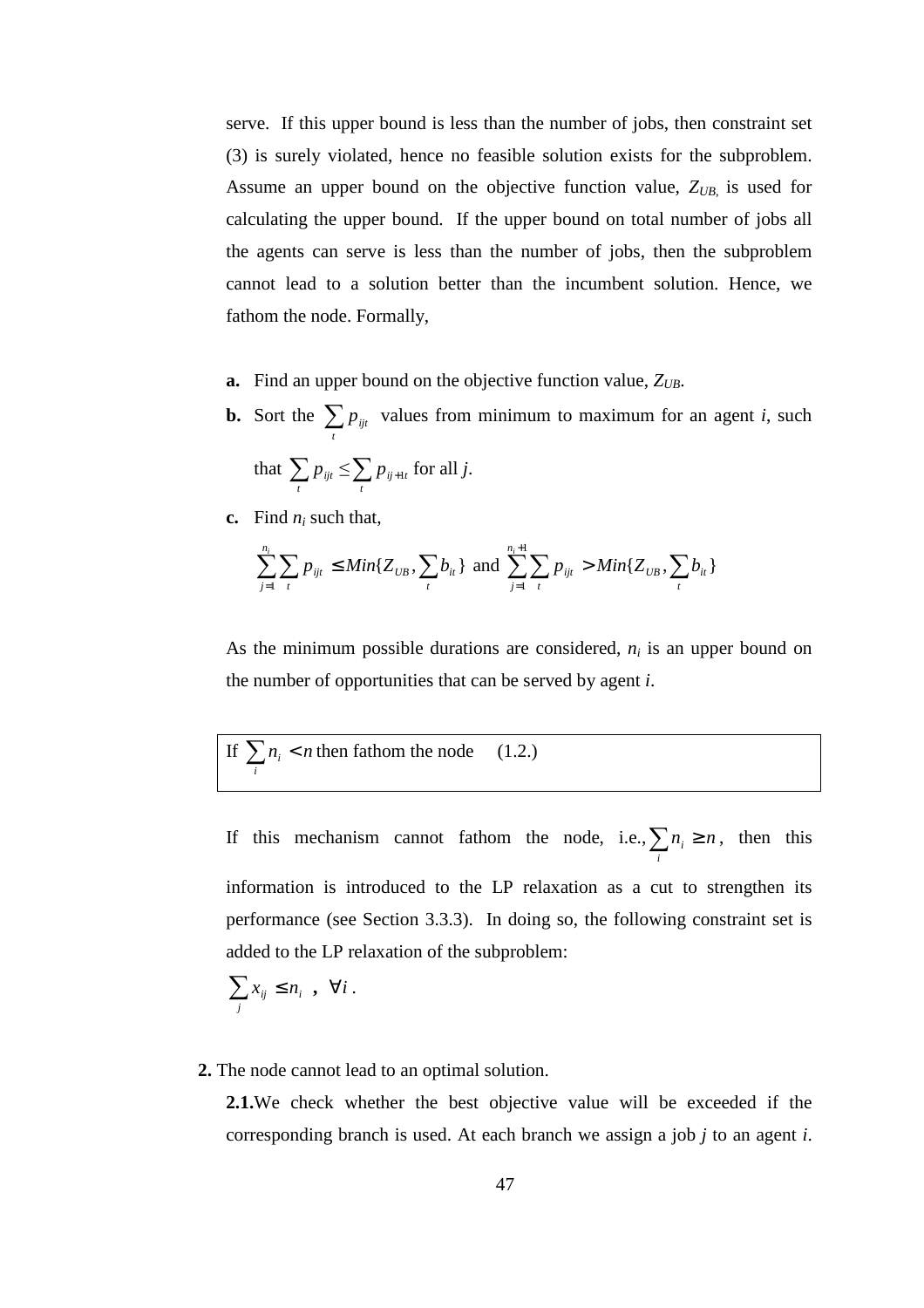serve. If this upper bound is less than the number of jobs, then constraint set (3) is surely violated, hence no feasible solution exists for the subproblem. Assume an upper bound on the objective function value,  $Z_{UB}$  is used for calculating the upper bound. If the upper bound on total number of jobs all the agents can serve is less than the number of jobs, then the subproblem cannot lead to a solution better than the incumbent solution. Hence, we fathom the node. Formally,

- **a.** Find an upper bound on the objective function value, *ZUB*.
- **b.** Sort the  $\sum$ *t*  $p_{ijt}$  values from minimum to maximum for an agent *i*, such that  $\sum$ *t*  $p_{ijt} \le \sum p_{ij}$ *t*  $p_{ij+1}$  for all *j*.
- **c.** Find  $n_i$  such that,

$$
\sum_{j=1}^{n_i} \sum_t p_{ijt} \le Min\{Z_{UB}, \sum_t b_{it}\} \text{ and } \sum_{j=1}^{n_i+1} \sum_t p_{ijt} > Min\{Z_{UB}, \sum_t b_{it}\}
$$

As the minimum possible durations are considered,  $n_i$  is an upper bound on the number of opportunities that can be served by agent *i*.

If  $\sum n_i <$ *i*  $n_i < n$  then fathom the node (1.2.)

If this mechanism cannot fathom the node, i.e.,  $\sum n_i \geq$ *i*  $n_i \geq n$ , then this information is introduced to the LP relaxation as a cut to strengthen its performance (see Section 3.3.3). In doing so, the following constraint set is added to the LP relaxation of the subproblem:

$$
\sum_j x_{ij} \leq n_i \ , \ \forall i \ .
$$

#### **2.** The node cannot lead to an optimal solution.

**2.1.**We check whether the best objective value will be exceeded if the corresponding branch is used. At each branch we assign a job *j* to an agent *i*.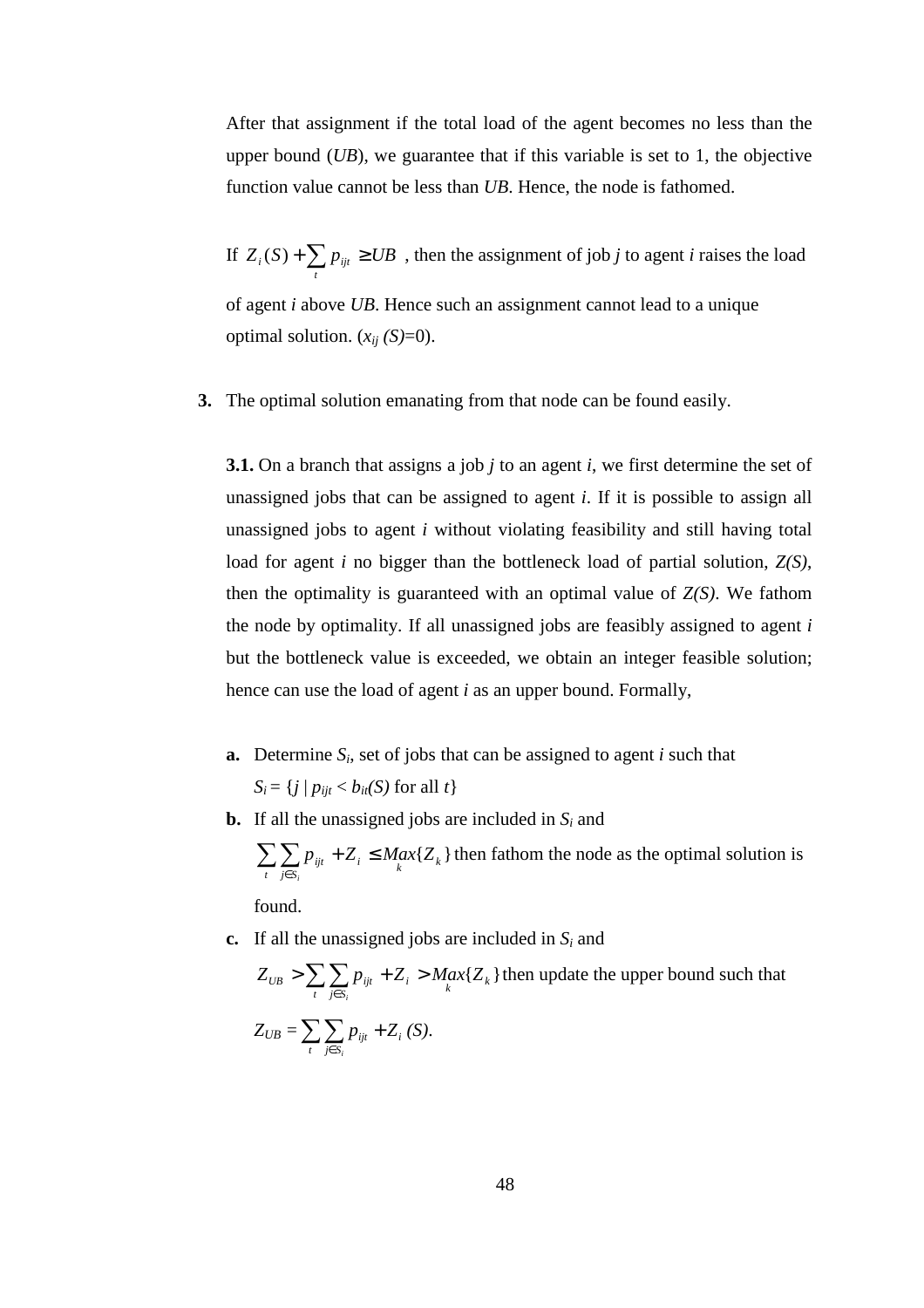After that assignment if the total load of the agent becomes no less than the upper bound (*UB*), we guarantee that if this variable is set to 1, the objective function value cannot be less than *UB*. Hence, the node is fathomed.

If  $Z_i(S) + \sum p_{ijt} \ge$ *t*  $Z_i(S) + \sum p_{ij} \geq UB$ , then the assignment of job *j* to agent *i* raises the load of agent *i* above *UB*. Hence such an assignment cannot lead to a unique optimal solution.  $(x_{ii} (S)=0)$ .

**3.** The optimal solution emanating from that node can be found easily.

**3.1.** On a branch that assigns a job *j* to an agent *i*, we first determine the set of unassigned jobs that can be assigned to agent *i*. If it is possible to assign all unassigned jobs to agent *i* without violating feasibility and still having total load for agent *i* no bigger than the bottleneck load of partial solution, *Z(S)*, then the optimality is guaranteed with an optimal value of *Z(S)*. We fathom the node by optimality. If all unassigned jobs are feasibly assigned to agent *i* but the bottleneck value is exceeded, we obtain an integer feasible solution; hence can use the load of agent *i* as an upper bound. Formally,

- **a.** Determine  $S_i$ , set of jobs that can be assigned to agent  $i$  such that  $S_i = \{ j \mid p_{ijt} < b_{it}(S) \text{ for all } t \}$
- **b.** If all the unassigned jobs are included in  $S_i$  and

 $\sum_{t} \sum_{j \in S_i} p_{ijt} + Z_i \leq Max\{Z_k\}$  $\sum \sum p_{ijt} + Z_i \leq Max\{Z\}$ *i* ∈ then fathom the node as the optimal solution is

found.

**c.** If all the unassigned jobs are included in  $S_i$  and

$$
Z_{UB} > \sum_{t} \sum_{j \in S_i} p_{ijt} + Z_i > Max\{Z_k\}
$$
 then update the upper bound such that  

$$
Z_{UB} = \sum_{t} \sum_{j \in S_i} p_{ijt} + Z_i(S).
$$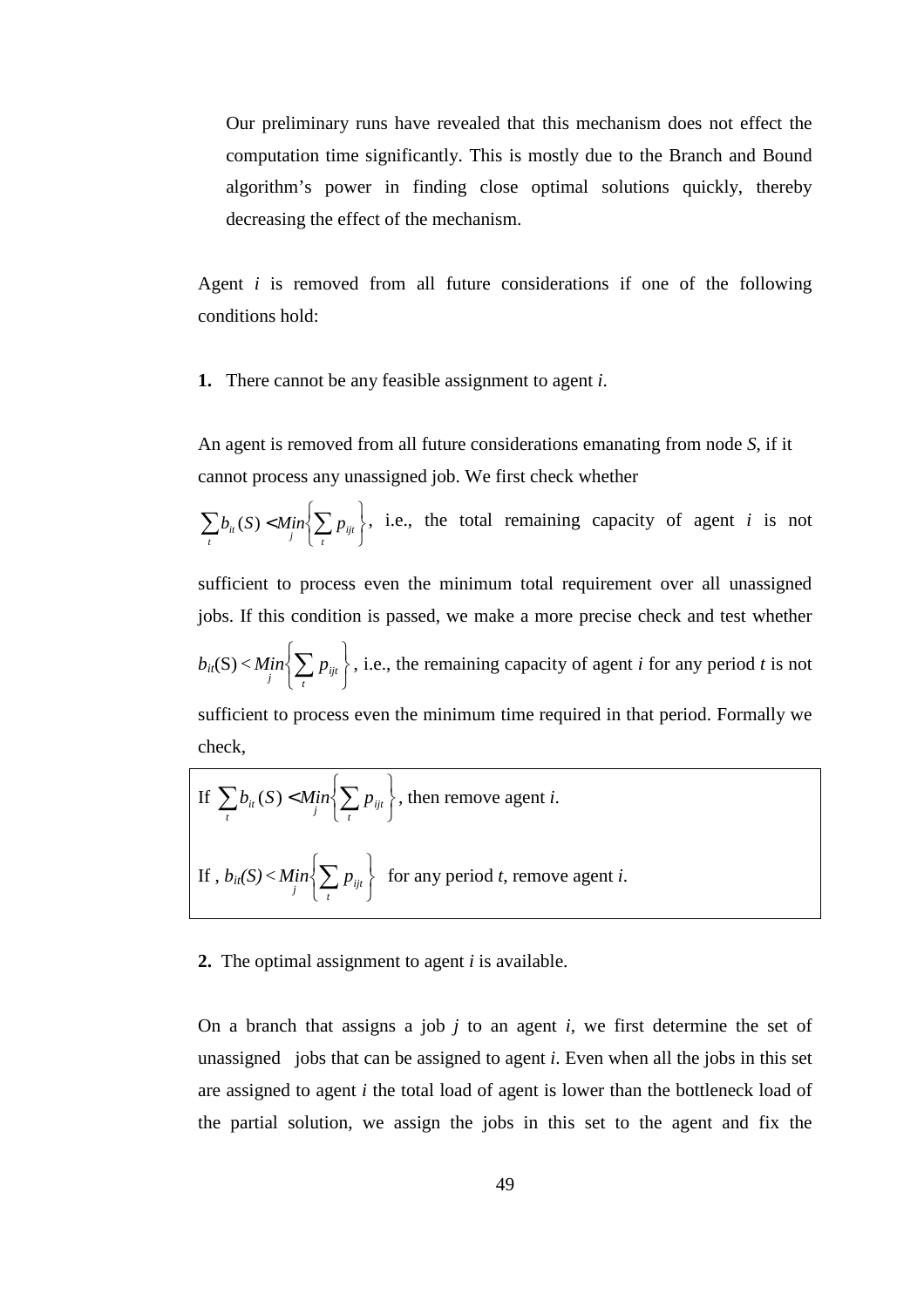Our preliminary runs have revealed that this mechanism does not effect the computation time significantly. This is mostly due to the Branch and Bound algorithm's power in finding close optimal solutions quickly, thereby decreasing the effect of the mechanism.

Agent *i* is removed from all future considerations if one of the following conditions hold:

**1.** There cannot be any feasible assignment to agent *i*.

An agent is removed from all future considerations emanating from node *S*, if it cannot process any unassigned job. We first check whether

J  $\left\{ \right\}$  $\mathcal{I}$  $\mathfrak{c}$ ∤  $\sum_{i} b_{ii}(S) < M_{ij}$   $\left\{ \sum_{i} p_{ij} \right\}$ , i.e., the total remaining capacity of agent *i* is not

sufficient to process even the minimum total requirement over all unassigned jobs. If this condition is passed, we make a more precise check and test whether

 $b_{it}(S)$  < J  $\left\{ \right\}$  $\mathcal{L}$  $\overline{\mathcal{L}}$ ∤  $\bigl\{ \sum$  $\binom{Min}{i}$ , *i.e.*, the remaining capacity of agent *i* for any period *t* is not

sufficient to process even the minimum time required in that period. Formally we check,

If 
$$
\sum_{t} b_{it}(S) < Min \left\{ \sum_{t} p_{ijt} \right\}
$$
, then remove agent *i*.  
If,  $b_{it}(S) < Min \left\{ \sum_{t} p_{ijt} \right\}$  for any period *t*, remove agent *i*.

### **2.** The optimal assignment to agent *i* is available.

On a branch that assigns a job *j* to an agent *i*, we first determine the set of unassigned jobs that can be assigned to agent *i*. Even when all the jobs in this set are assigned to agent *i* the total load of agent is lower than the bottleneck load of the partial solution, we assign the jobs in this set to the agent and fix the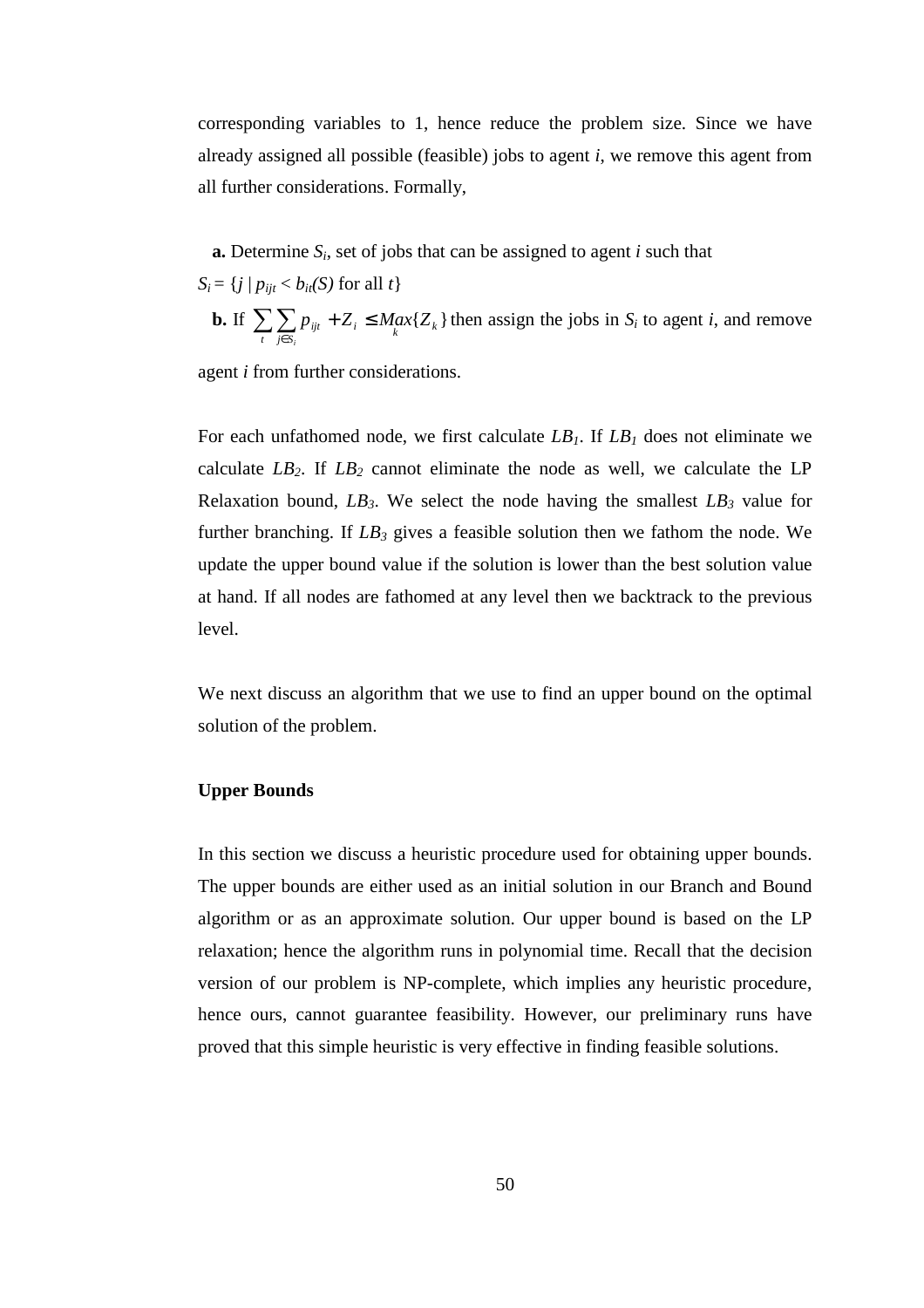corresponding variables to 1, hence reduce the problem size. Since we have already assigned all possible (feasible) jobs to agent *i*, we remove this agent from all further considerations. Formally,

 **a.** Determine *S<sup>i</sup>* , set of jobs that can be assigned to agent *i* such that

$$
S_i = \{j \mid p_{ijt} < b_{it}(S) \text{ for all } t\}
$$

**b.** If  $\sum_{t} \sum_{j \in S_i} p_{ijt} + Z_i \leq Max\{Z_k\}$  $p_{ijt} + Z_i \leq Max\{Z\}$ *i*  $\sum \sum p_{ijt} + Z_i \leq$ ∈ then assign the jobs in  $S_i$  to agent *i*, and remove

agent *i* from further considerations.

For each unfathomed node, we first calculate  $LB<sub>1</sub>$ . If  $LB<sub>1</sub>$  does not eliminate we calculate  $LB_2$ . If  $LB_2$  cannot eliminate the node as well, we calculate the LP Relaxation bound,  $LB_3$ . We select the node having the smallest  $LB_3$  value for further branching. If *LB3* gives a feasible solution then we fathom the node. We update the upper bound value if the solution is lower than the best solution value at hand. If all nodes are fathomed at any level then we backtrack to the previous level.

We next discuss an algorithm that we use to find an upper bound on the optimal solution of the problem.

## **Upper Bounds**

In this section we discuss a heuristic procedure used for obtaining upper bounds. The upper bounds are either used as an initial solution in our Branch and Bound algorithm or as an approximate solution. Our upper bound is based on the LP relaxation; hence the algorithm runs in polynomial time. Recall that the decision version of our problem is NP-complete, which implies any heuristic procedure, hence ours, cannot guarantee feasibility. However, our preliminary runs have proved that this simple heuristic is very effective in finding feasible solutions.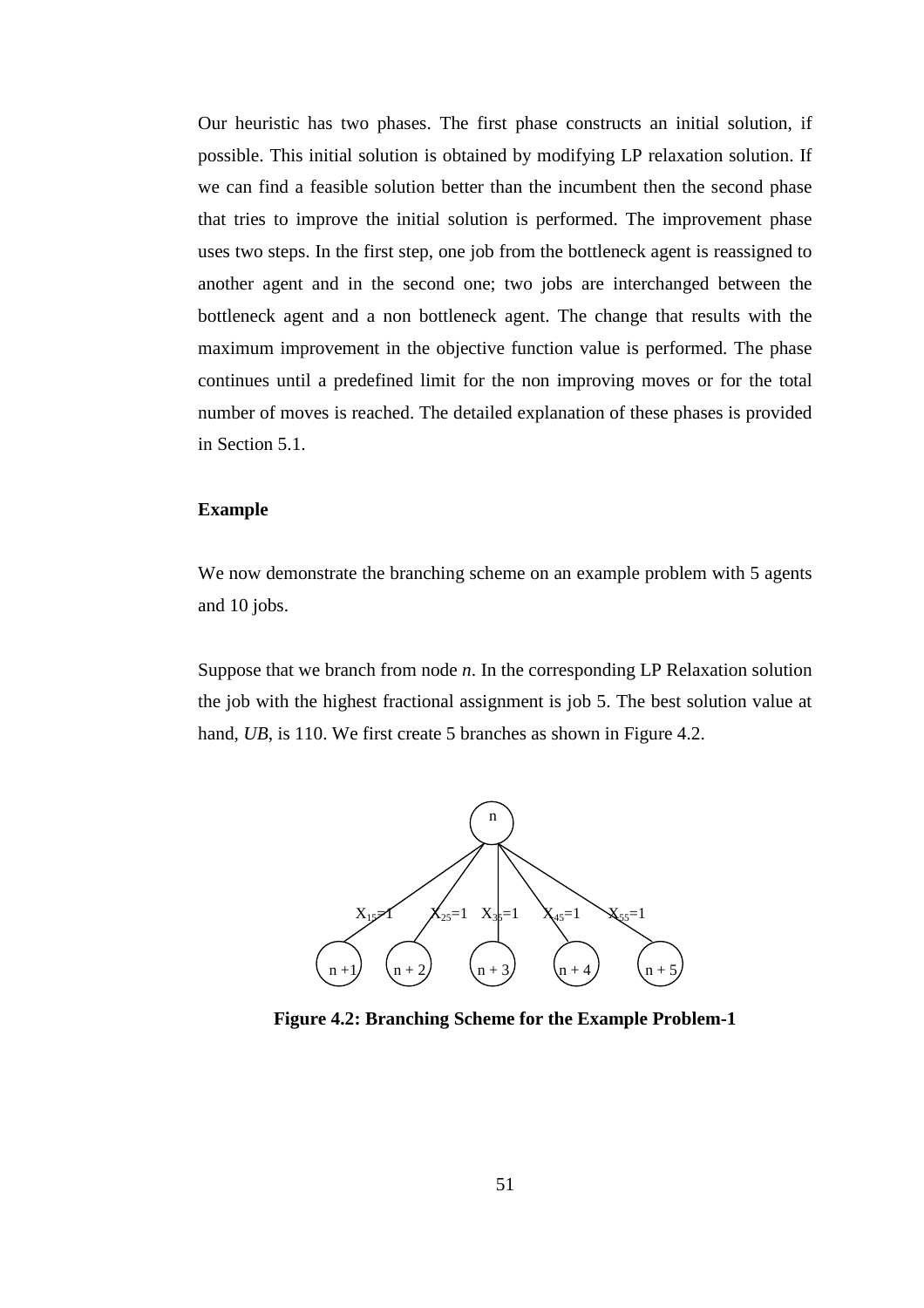Our heuristic has two phases. The first phase constructs an initial solution, if possible. This initial solution is obtained by modifying LP relaxation solution. If we can find a feasible solution better than the incumbent then the second phase that tries to improve the initial solution is performed. The improvement phase uses two steps. In the first step, one job from the bottleneck agent is reassigned to another agent and in the second one; two jobs are interchanged between the bottleneck agent and a non bottleneck agent. The change that results with the maximum improvement in the objective function value is performed. The phase continues until a predefined limit for the non improving moves or for the total number of moves is reached. The detailed explanation of these phases is provided in Section 5.1.

#### **Example**

We now demonstrate the branching scheme on an example problem with 5 agents and 10 jobs.

Suppose that we branch from node *n*. In the corresponding LP Relaxation solution the job with the highest fractional assignment is job 5. The best solution value at hand, *UB*, is 110. We first create 5 branches as shown in Figure 4.2.



**Figure 4.2: Branching Scheme for the Example Problem-1**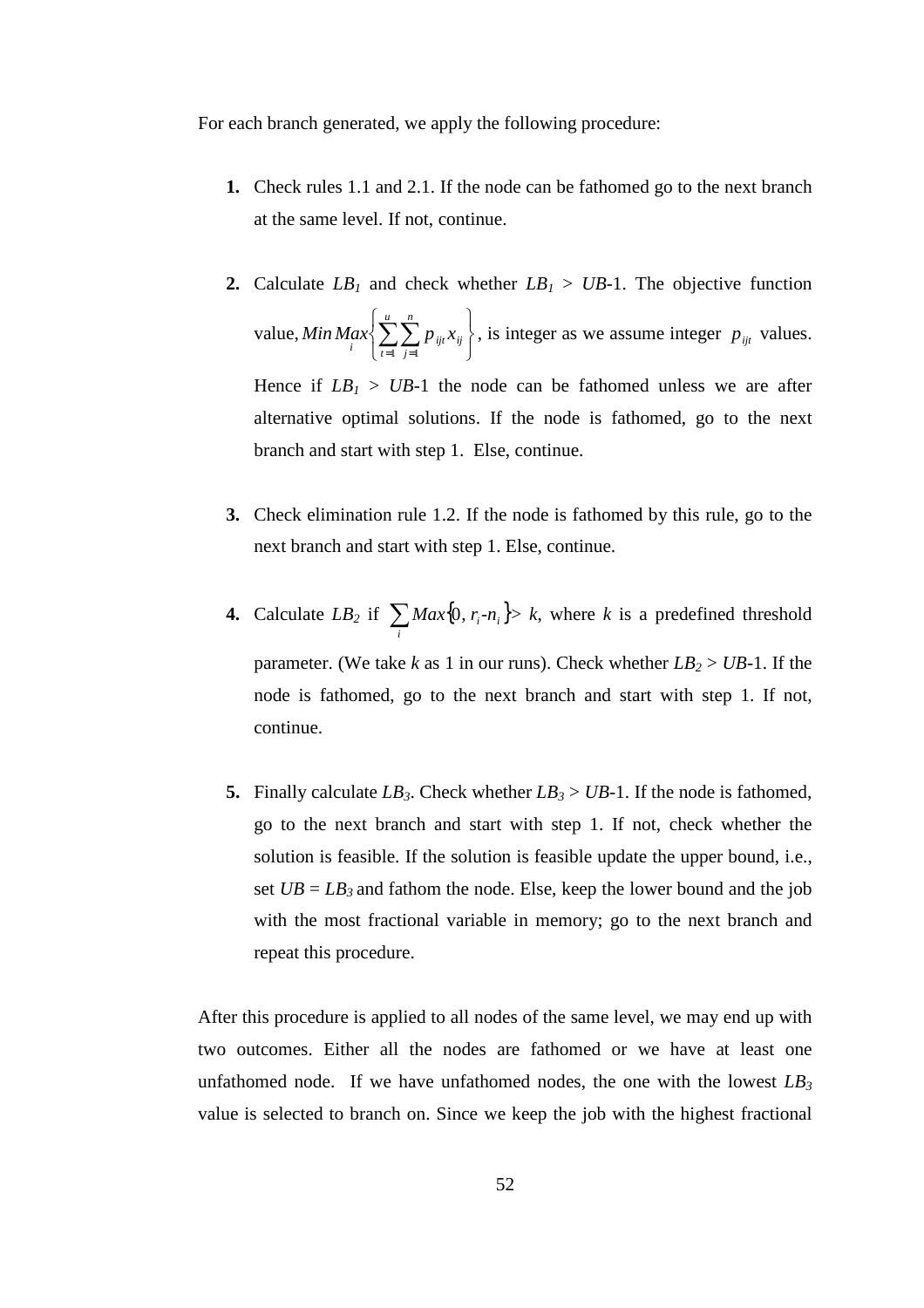For each branch generated, we apply the following procedure:

branch and start with step 1. Else, continue.

- **1.** Check rules 1.1 and 2.1. If the node can be fathomed go to the next branch at the same level. If not, continue.
- **2.** Calculate  $LB<sub>1</sub>$  and check whether  $LB<sub>1</sub> > UB-1$ . The objective function value, J  $\left\{ \right.$  $\mathcal{L}$  $\overline{\mathcal{L}}$ {  $\left\{\sum\limits_{n}^{n}\sum\limits_{n}^{n}\right\}$  $=1$  j= *u t n*  $\left\langle \frac{min}{i} \frac{Max}{i} \right\rangle \sum_{t=1}^{N} \sum_{j=1}^{N} p_{ijt} x_{ij}$  $-1$   $j=1$ , is integer as we assume integer  $p_{ijt}$  values. Hence if  $LB_1 > UB-1$  the node can be fathomed unless we are after alternative optimal solutions. If the node is fathomed, go to the next
- **3.** Check elimination rule 1.2. If the node is fathomed by this rule, go to the next branch and start with step 1. Else, continue.
- **4.** Calculate  $LB_2$  if  $\sum Max\{0, r_i n_i\}$ *i*  $Max\{0, r_i - n_i\} > k$ , where *k* is a predefined threshold parameter. (We take *k* as 1 in our runs). Check whether  $LB_2 > UB-1$ . If the node is fathomed, go to the next branch and start with step 1. If not, continue.
- **5.** Finally calculate  $LB_3$ . Check whether  $LB_3 > UB-1$ . If the node is fathomed, go to the next branch and start with step 1. If not, check whether the solution is feasible. If the solution is feasible update the upper bound, i.e., set  $UB = LB$ <sup>3</sup> and fathom the node. Else, keep the lower bound and the job with the most fractional variable in memory; go to the next branch and repeat this procedure.

After this procedure is applied to all nodes of the same level, we may end up with two outcomes. Either all the nodes are fathomed or we have at least one unfathomed node. If we have unfathomed nodes, the one with the lowest  $LB_3$ value is selected to branch on. Since we keep the job with the highest fractional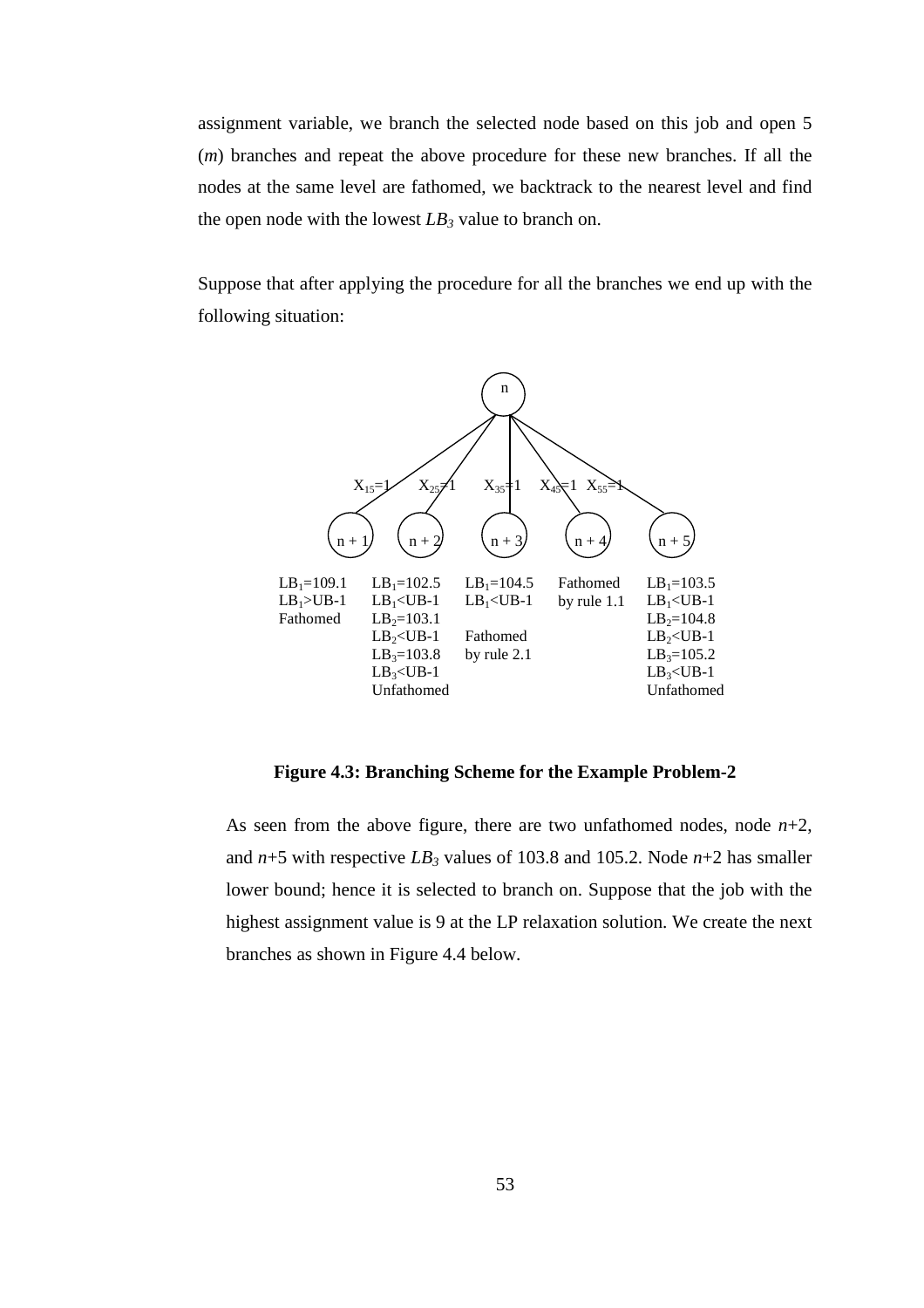assignment variable, we branch the selected node based on this job and open 5 (*m*) branches and repeat the above procedure for these new branches. If all the nodes at the same level are fathomed, we backtrack to the nearest level and find the open node with the lowest *LB3* value to branch on.

Suppose that after applying the procedure for all the branches we end up with the following situation:



**Figure 4.3: Branching Scheme for the Example Problem-2** 

As seen from the above figure, there are two unfathomed nodes, node  $n+2$ , and  $n+5$  with respective  $LB_3$  values of 103.8 and 105.2. Node  $n+2$  has smaller lower bound; hence it is selected to branch on. Suppose that the job with the highest assignment value is 9 at the LP relaxation solution. We create the next branches as shown in Figure 4.4 below.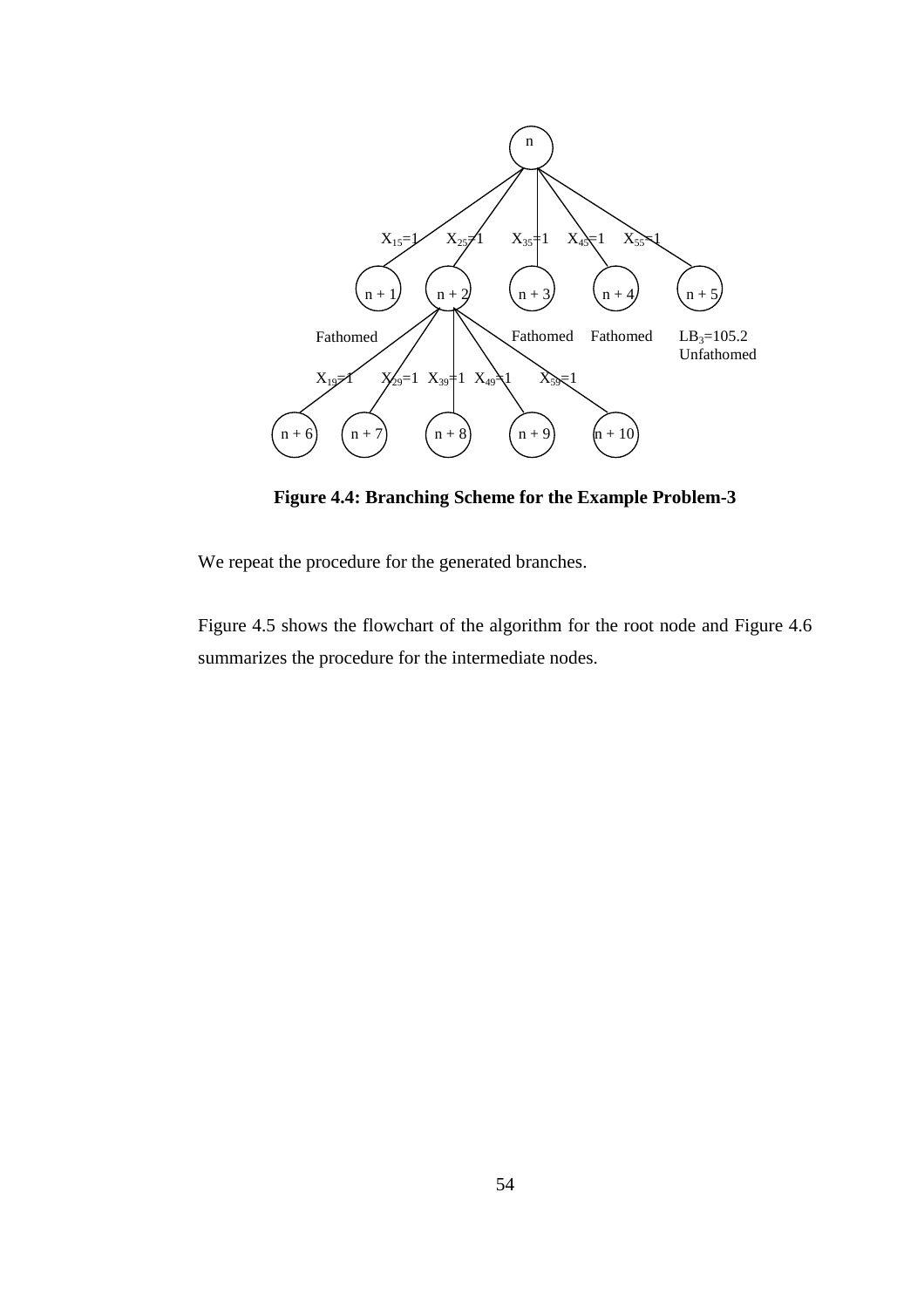

**Figure 4.4: Branching Scheme for the Example Problem-3** 

We repeat the procedure for the generated branches.

Figure 4.5 shows the flowchart of the algorithm for the root node and Figure 4.6 summarizes the procedure for the intermediate nodes.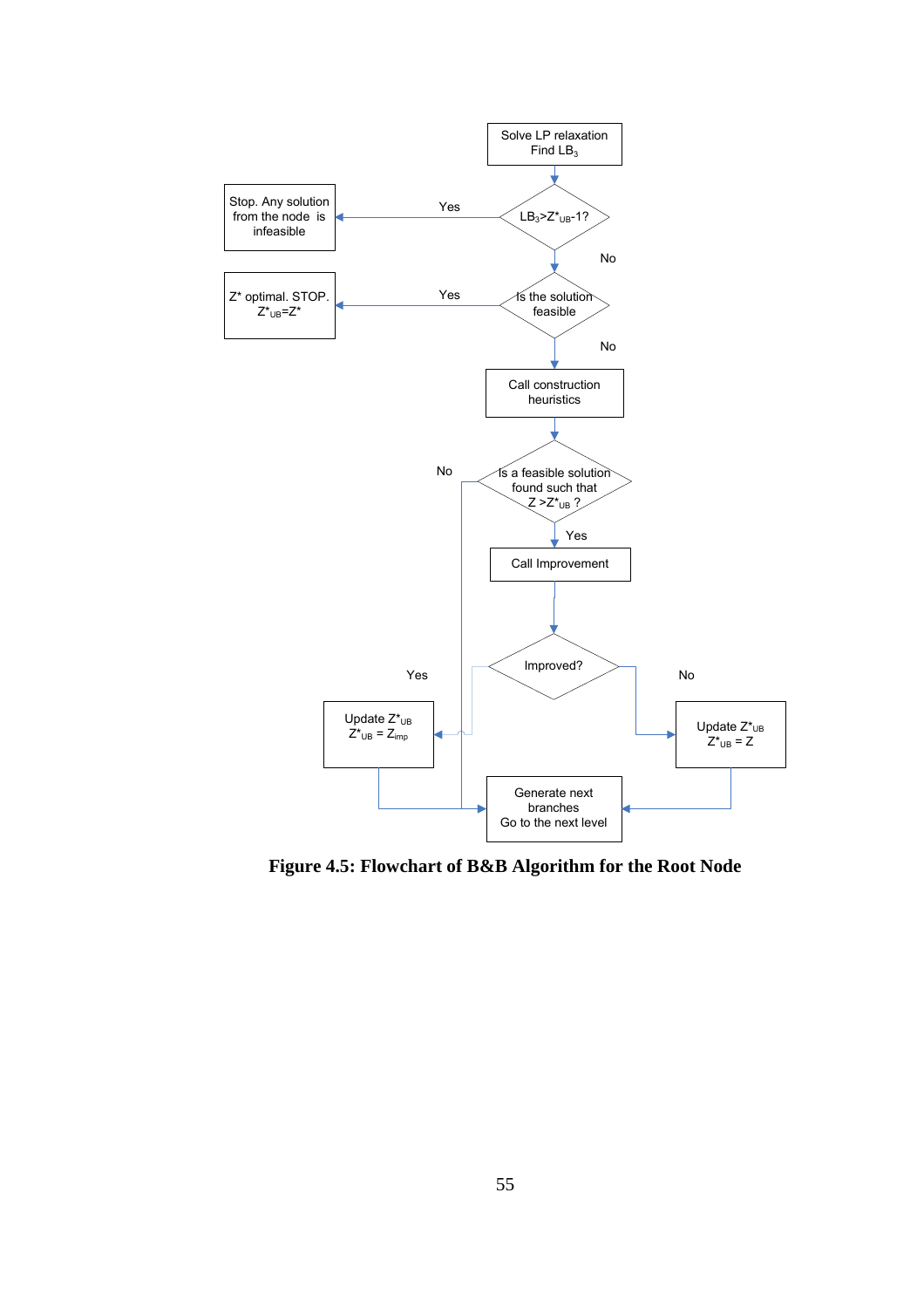

**Figure 4.5: Flowchart of B&B Algorithm for the Root Node**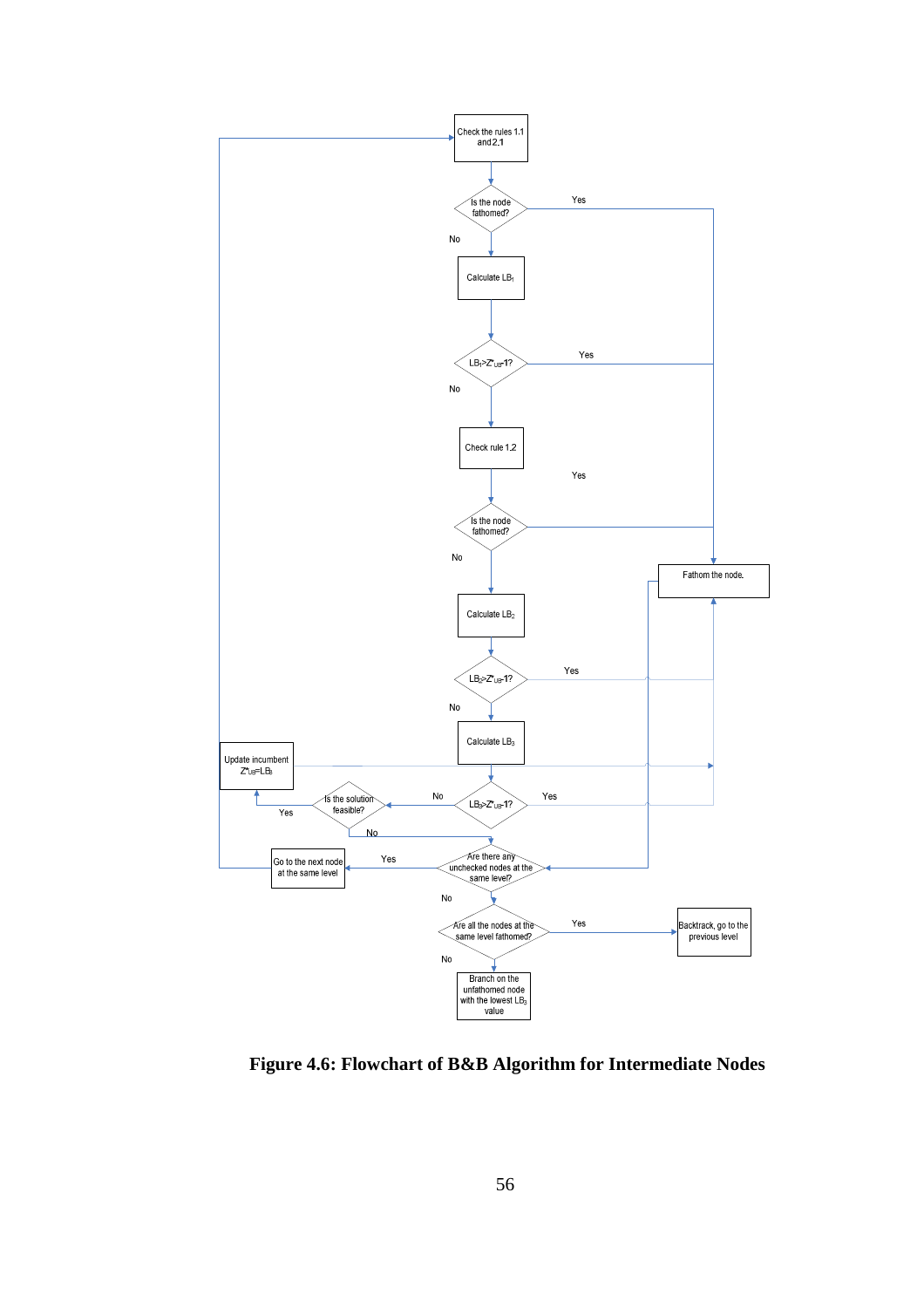

 **Figure 4.6: Flowchart of B&B Algorithm for Intermediate Nodes**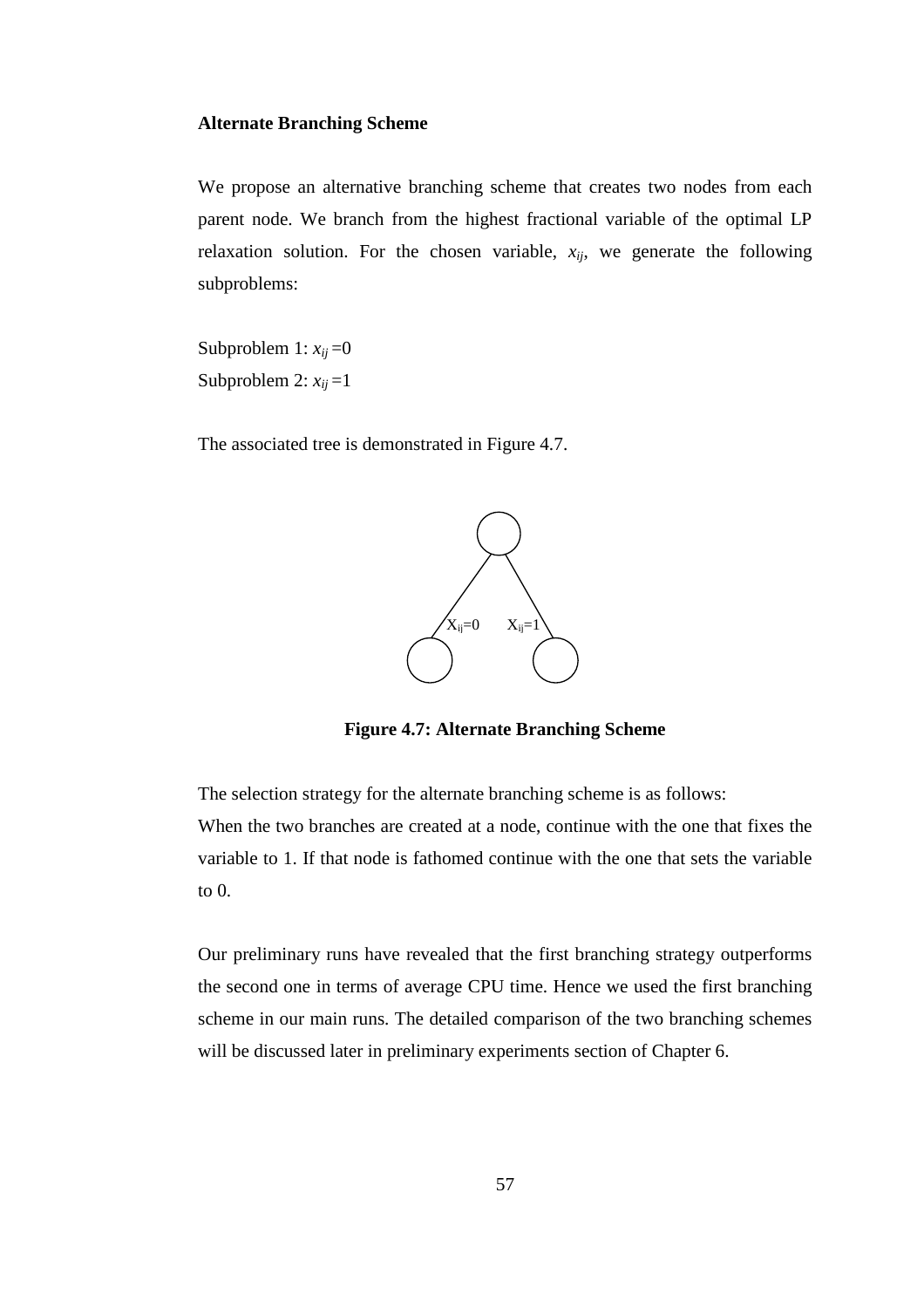#### **Alternate Branching Scheme**

We propose an alternative branching scheme that creates two nodes from each parent node. We branch from the highest fractional variable of the optimal LP relaxation solution. For the chosen variable, *xij*, we generate the following subproblems:

Subproblem 1:  $x_{ii} = 0$ Subproblem 2:  $x_{ij}$  =1

The associated tree is demonstrated in Figure 4.7.



**Figure 4.7: Alternate Branching Scheme** 

The selection strategy for the alternate branching scheme is as follows: When the two branches are created at a node, continue with the one that fixes the variable to 1. If that node is fathomed continue with the one that sets the variable to 0.

Our preliminary runs have revealed that the first branching strategy outperforms the second one in terms of average CPU time. Hence we used the first branching scheme in our main runs. The detailed comparison of the two branching schemes will be discussed later in preliminary experiments section of Chapter 6.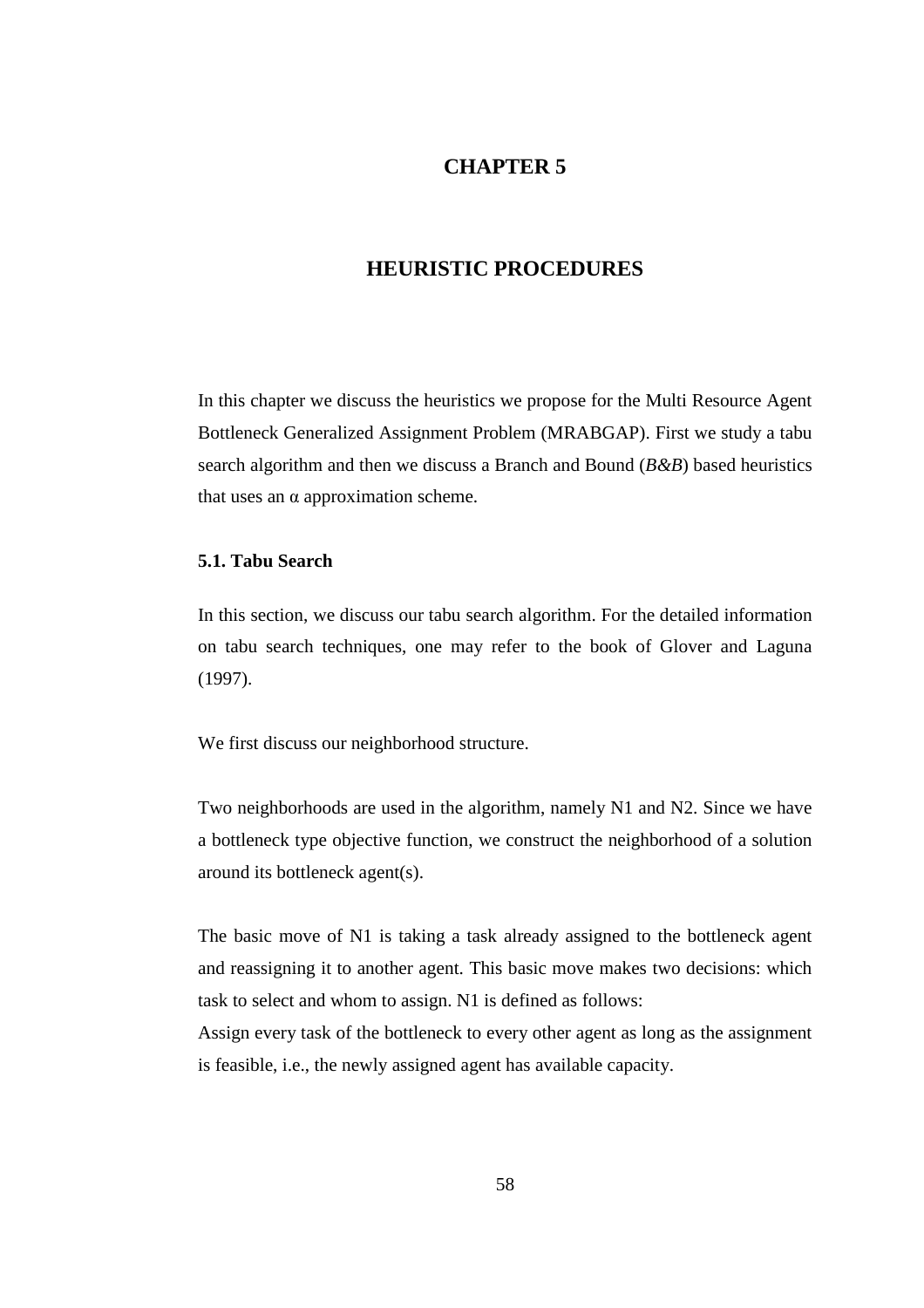# **CHAPTER 5**

# **HEURISTIC PROCEDURES**

In this chapter we discuss the heuristics we propose for the Multi Resource Agent Bottleneck Generalized Assignment Problem (MRABGAP). First we study a tabu search algorithm and then we discuss a Branch and Bound (*B&B*) based heuristics that uses an  $α$  approximation scheme.

## **5.1. Tabu Search**

In this section, we discuss our tabu search algorithm. For the detailed information on tabu search techniques, one may refer to the book of Glover and Laguna (1997).

We first discuss our neighborhood structure.

Two neighborhoods are used in the algorithm, namely N1 and N2. Since we have a bottleneck type objective function, we construct the neighborhood of a solution around its bottleneck agent(s).

The basic move of N1 is taking a task already assigned to the bottleneck agent and reassigning it to another agent. This basic move makes two decisions: which task to select and whom to assign. N1 is defined as follows:

Assign every task of the bottleneck to every other agent as long as the assignment is feasible, i.e., the newly assigned agent has available capacity.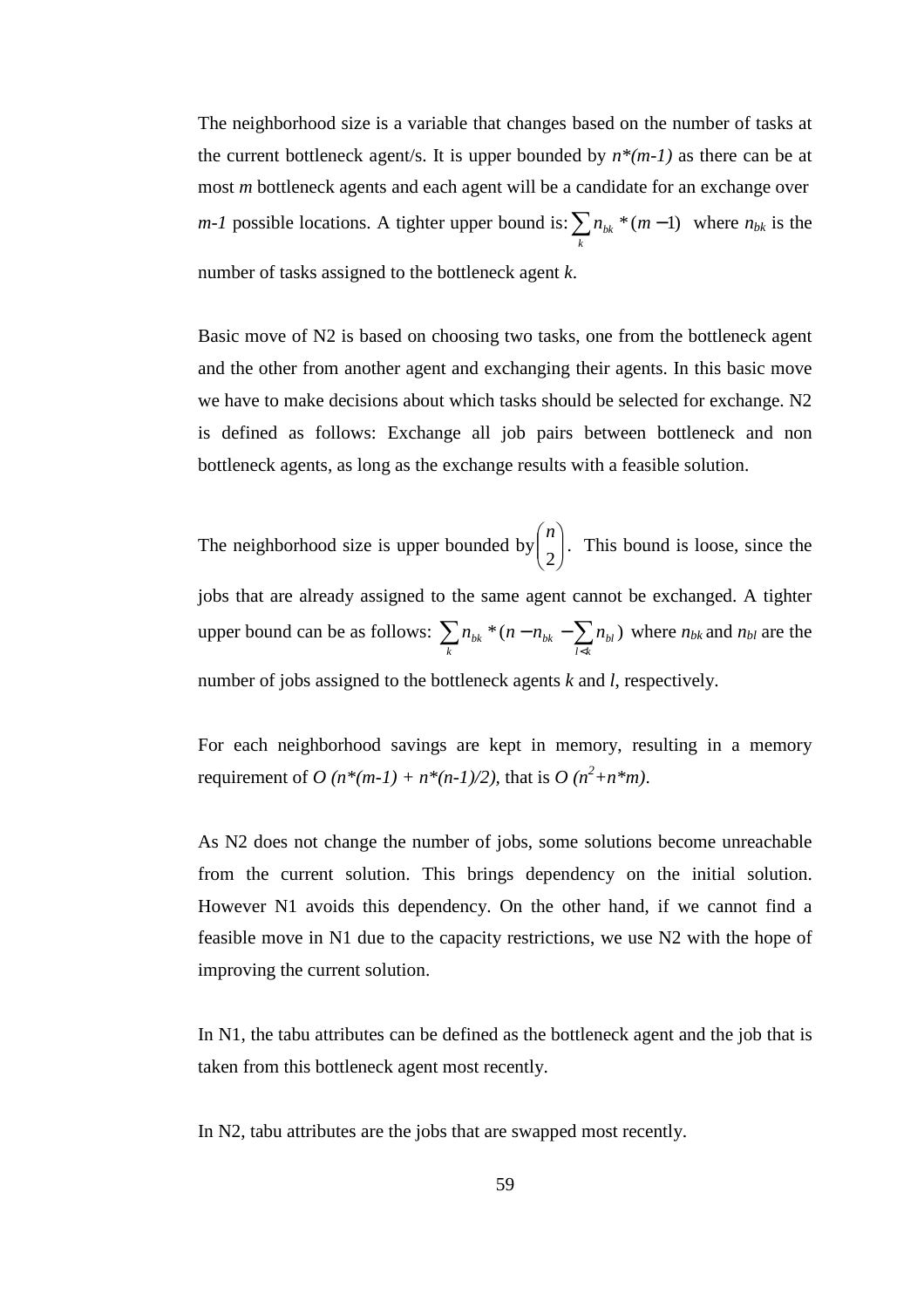The neighborhood size is a variable that changes based on the number of tasks at the current bottleneck agent/s. It is upper bounded by  $n*(m-1)$  as there can be at most *m* bottleneck agents and each agent will be a candidate for an exchange over *m*-*1* possible locations. A tighter upper bound is:  $\sum n_{bk} * (m-1)$ *k*  $n_{bk}$  \*  $(m-1)$  where  $n_{bk}$  is the number of tasks assigned to the bottleneck agent *k*.

Basic move of N2 is based on choosing two tasks, one from the bottleneck agent and the other from another agent and exchanging their agents. In this basic move we have to make decisions about which tasks should be selected for exchange. N2 is defined as follows: Exchange all job pairs between bottleneck and non bottleneck agents, as long as the exchange results with a feasible solution.

The neighborhood size is upper bounded by  $\begin{pmatrix} n \\ 2 \end{pmatrix}$ J  $\backslash$  $\overline{\phantom{a}}$ l ſ 2 *n* . This bound is loose, since the jobs that are already assigned to the same agent cannot be exchanged. A tighter upper bound can be as follows:  $\sum n_{bk} * (n - n_{bk} - \sum)$  $\prec$  $-n_{bk}$  – *k k l*  $n_{bk}$  \*  $(n - n_{bk} - \sum n_{bl})$  where  $n_{bk}$  and  $n_{bl}$  are the number of jobs assigned to the bottleneck agents *k* and *l*, respectively.

For each neighborhood savings are kept in memory, resulting in a memory requirement of *O* ( $n^*(m-1) + n^*(n-1)/2$ ), that is *O* ( $n^2+n^*m$ ).

As N2 does not change the number of jobs, some solutions become unreachable from the current solution. This brings dependency on the initial solution. However N1 avoids this dependency. On the other hand, if we cannot find a feasible move in N1 due to the capacity restrictions, we use N2 with the hope of improving the current solution.

In N1, the tabu attributes can be defined as the bottleneck agent and the job that is taken from this bottleneck agent most recently.

In N2, tabu attributes are the jobs that are swapped most recently.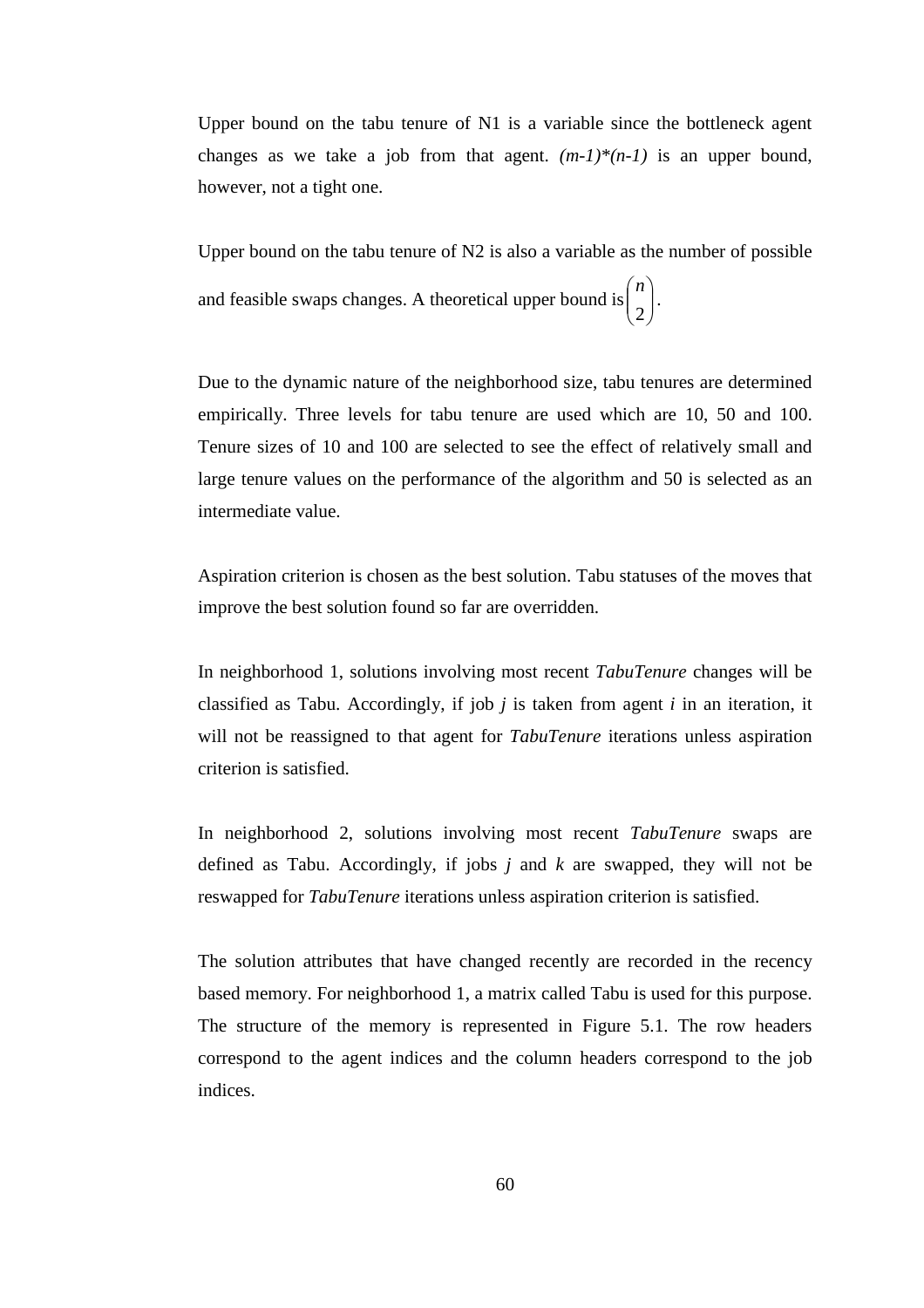Upper bound on the tabu tenure of N1 is a variable since the bottleneck agent changes as we take a job from that agent.  $(m-1)*(n-1)$  is an upper bound, however, not a tight one.

Upper bound on the tabu tenure of  $N2$  is also a variable as the number of possible and feasible swaps changes. A theoretical upper bound is  $\begin{bmatrix} n \\ 2 \end{bmatrix}$ J  $\backslash$  $\overline{\phantom{a}}$  $\setminus$ ſ 2 *n* .

Due to the dynamic nature of the neighborhood size, tabu tenures are determined empirically. Three levels for tabu tenure are used which are 10, 50 and 100. Tenure sizes of 10 and 100 are selected to see the effect of relatively small and large tenure values on the performance of the algorithm and 50 is selected as an intermediate value.

Aspiration criterion is chosen as the best solution. Tabu statuses of the moves that improve the best solution found so far are overridden.

In neighborhood 1, solutions involving most recent *TabuTenure* changes will be classified as Tabu. Accordingly, if job *j* is taken from agent *i* in an iteration, it will not be reassigned to that agent for *TabuTenure* iterations unless aspiration criterion is satisfied.

In neighborhood 2, solutions involving most recent *TabuTenure* swaps are defined as Tabu. Accordingly, if jobs *j* and *k* are swapped, they will not be reswapped for *TabuTenure* iterations unless aspiration criterion is satisfied.

The solution attributes that have changed recently are recorded in the recency based memory. For neighborhood 1, a matrix called Tabu is used for this purpose. The structure of the memory is represented in Figure 5.1. The row headers correspond to the agent indices and the column headers correspond to the job indices.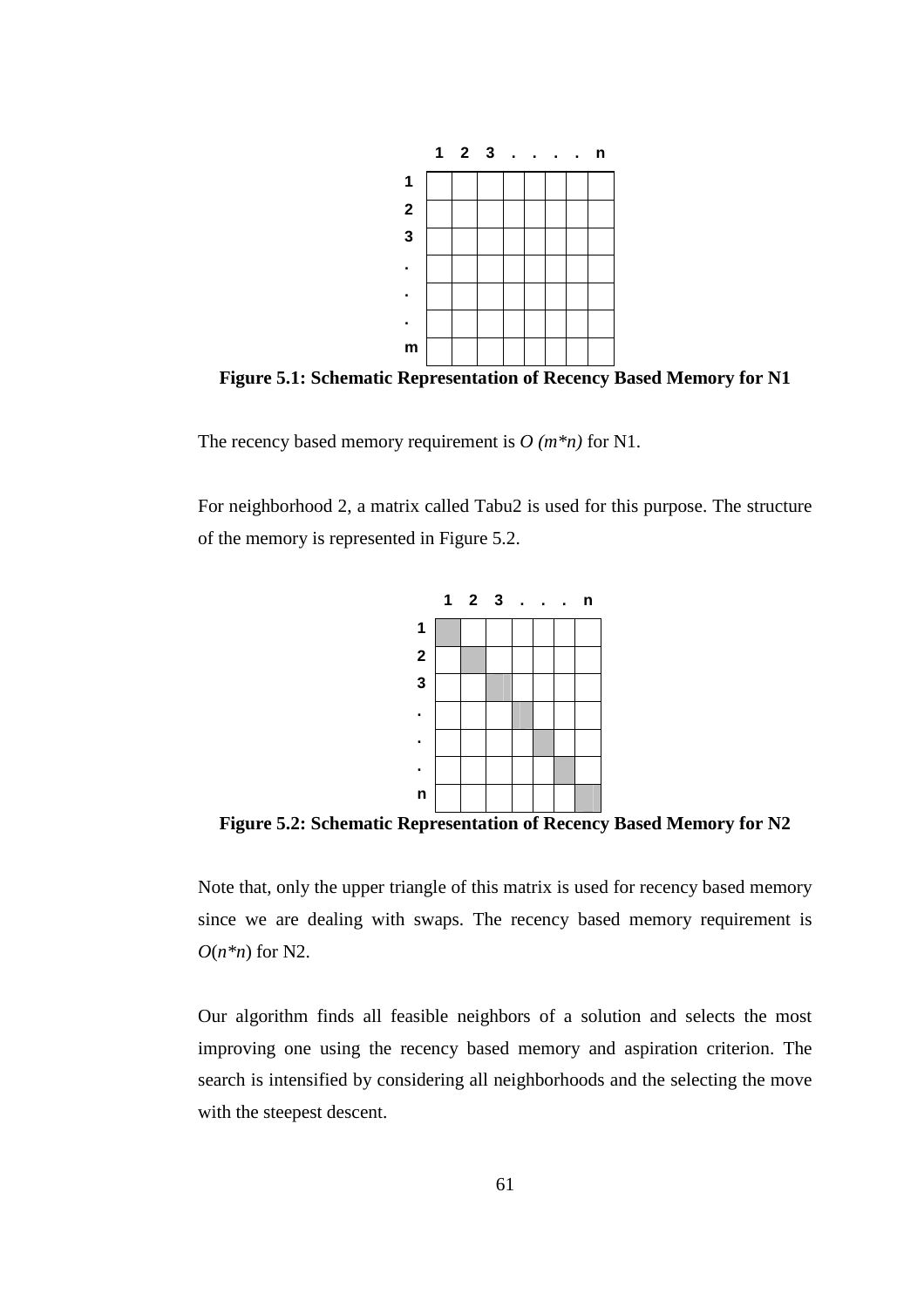

**Figure 5.1: Schematic Representation of Recency Based Memory for N1** 

The recency based memory requirement is *O (m\*n)* for N1.

For neighborhood 2, a matrix called Tabu2 is used for this purpose. The structure of the memory is represented in Figure 5.2.



**Figure 5.2: Schematic Representation of Recency Based Memory for N2** 

Note that, only the upper triangle of this matrix is used for recency based memory since we are dealing with swaps. The recency based memory requirement is *O*(*n\*n*) for N2.

Our algorithm finds all feasible neighbors of a solution and selects the most improving one using the recency based memory and aspiration criterion. The search is intensified by considering all neighborhoods and the selecting the move with the steepest descent.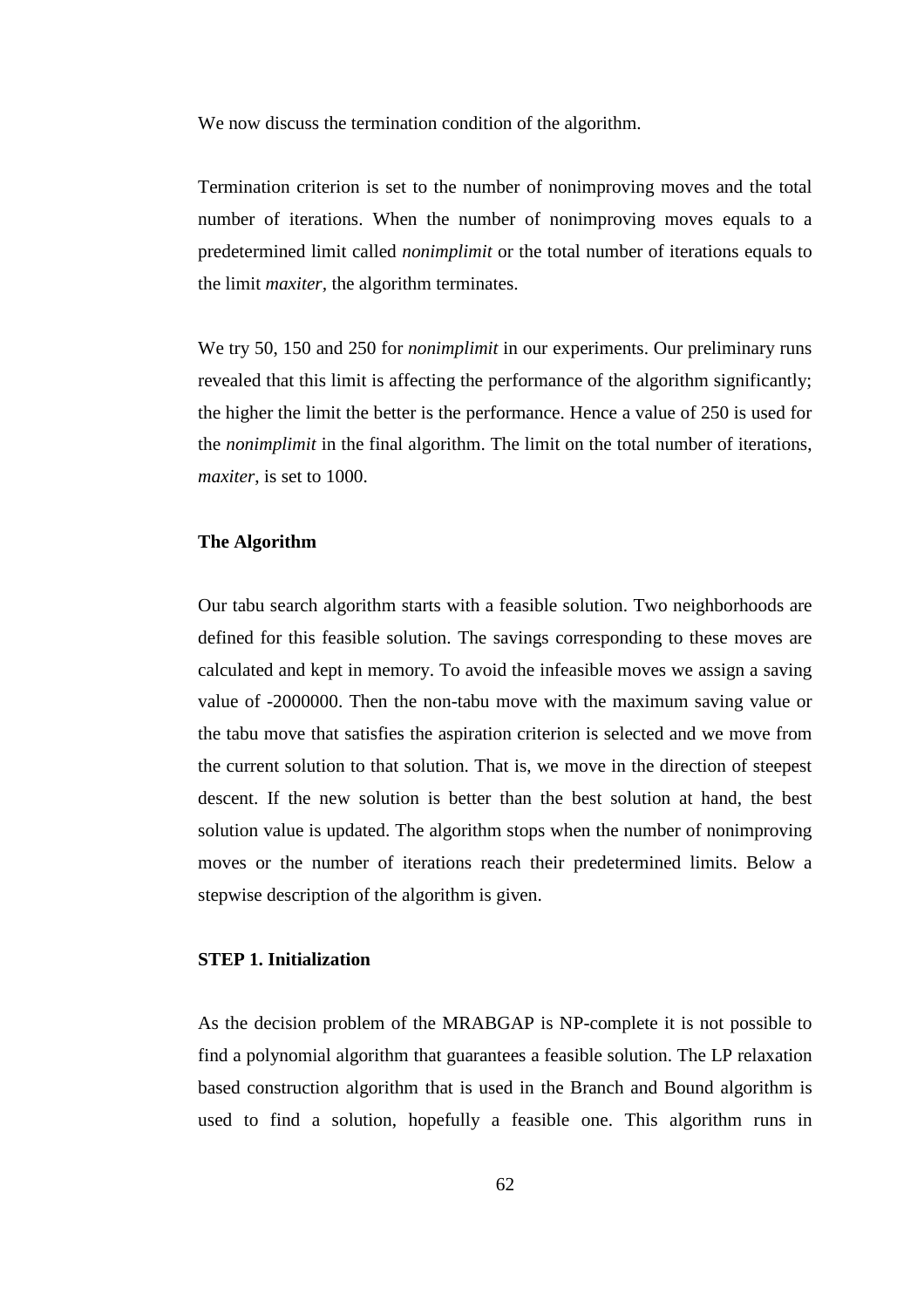We now discuss the termination condition of the algorithm.

Termination criterion is set to the number of nonimproving moves and the total number of iterations. When the number of nonimproving moves equals to a predetermined limit called *nonimplimit* or the total number of iterations equals to the limit *maxiter,* the algorithm terminates.

We try 50, 150 and 250 for *nonimplimit* in our experiments. Our preliminary runs revealed that this limit is affecting the performance of the algorithm significantly; the higher the limit the better is the performance. Hence a value of 250 is used for the *nonimplimit* in the final algorithm. The limit on the total number of iterations, *maxiter*, is set to 1000.

## **The Algorithm**

Our tabu search algorithm starts with a feasible solution. Two neighborhoods are defined for this feasible solution. The savings corresponding to these moves are calculated and kept in memory. To avoid the infeasible moves we assign a saving value of -2000000. Then the non-tabu move with the maximum saving value or the tabu move that satisfies the aspiration criterion is selected and we move from the current solution to that solution. That is, we move in the direction of steepest descent. If the new solution is better than the best solution at hand, the best solution value is updated. The algorithm stops when the number of nonimproving moves or the number of iterations reach their predetermined limits. Below a stepwise description of the algorithm is given.

# **STEP 1. Initialization**

As the decision problem of the MRABGAP is NP-complete it is not possible to find a polynomial algorithm that guarantees a feasible solution. The LP relaxation based construction algorithm that is used in the Branch and Bound algorithm is used to find a solution, hopefully a feasible one. This algorithm runs in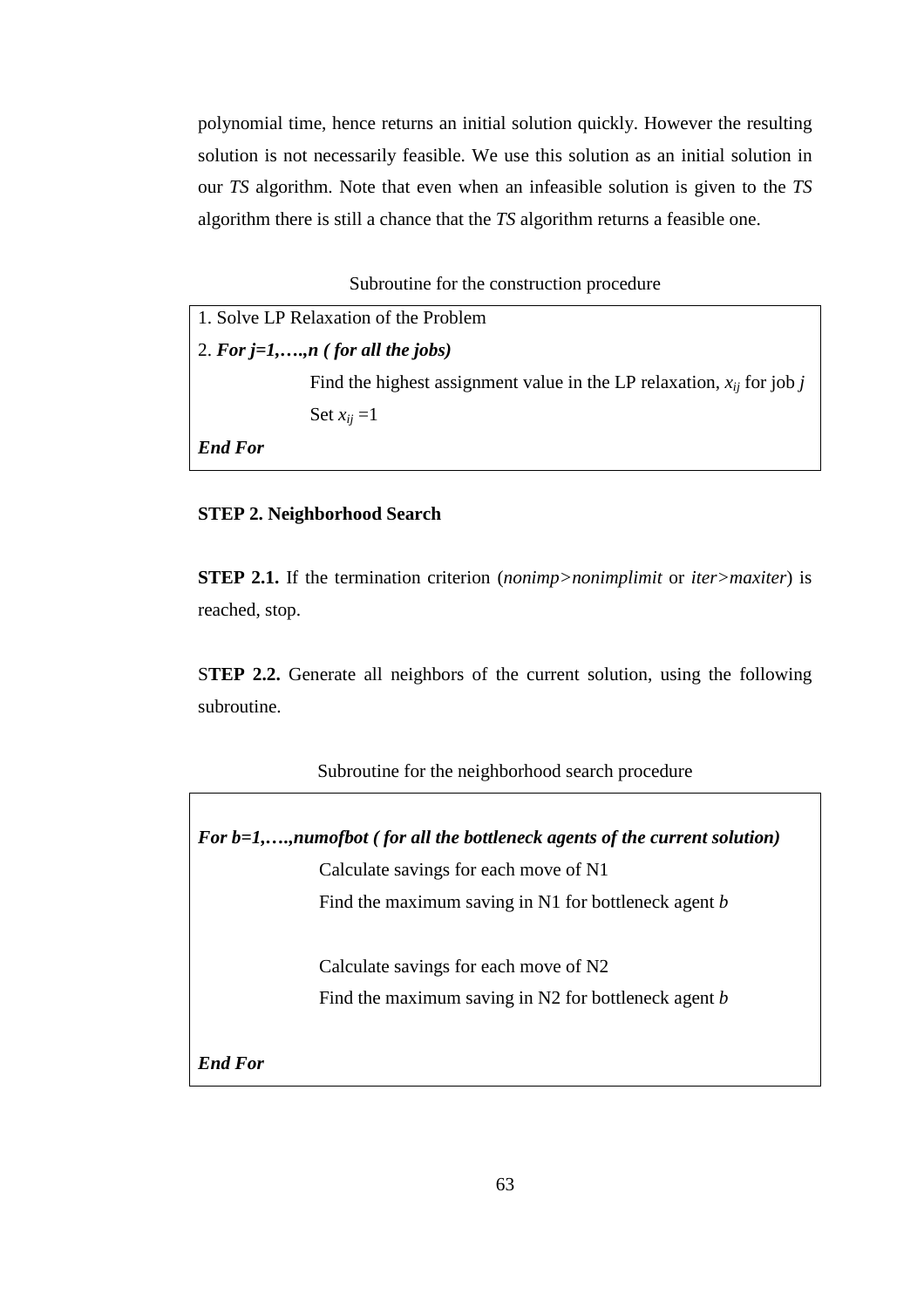polynomial time, hence returns an initial solution quickly. However the resulting solution is not necessarily feasible. We use this solution as an initial solution in our *TS* algorithm. Note that even when an infeasible solution is given to the *TS* algorithm there is still a chance that the *TS* algorithm returns a feasible one.

### Subroutine for the construction procedure

1. Solve LP Relaxation of the Problem 2. *For j=1,….,n ( for all the jobs)*  Find the highest assignment value in the LP relaxation,  $x_{ij}$  for job *j* Set  $x_{ii} = 1$ *End For* 

## **STEP 2. Neighborhood Search**

**STEP 2.1.** If the termination criterion (*nonimp>nonimplimit* or *iter>maxiter*) is reached, stop.

S**TEP 2.2.** Generate all neighbors of the current solution, using the following subroutine.

Subroutine for the neighborhood search procedure

| For b=1,,numofbot (for all the bottleneck agents of the current solution) |  |
|---------------------------------------------------------------------------|--|
| Calculate savings for each move of N1                                     |  |
| Find the maximum saving in N1 for bottleneck agent $b$                    |  |
| Calculate savings for each move of N2                                     |  |
| Find the maximum saving in N2 for bottleneck agent $b$<br><b>End For</b>  |  |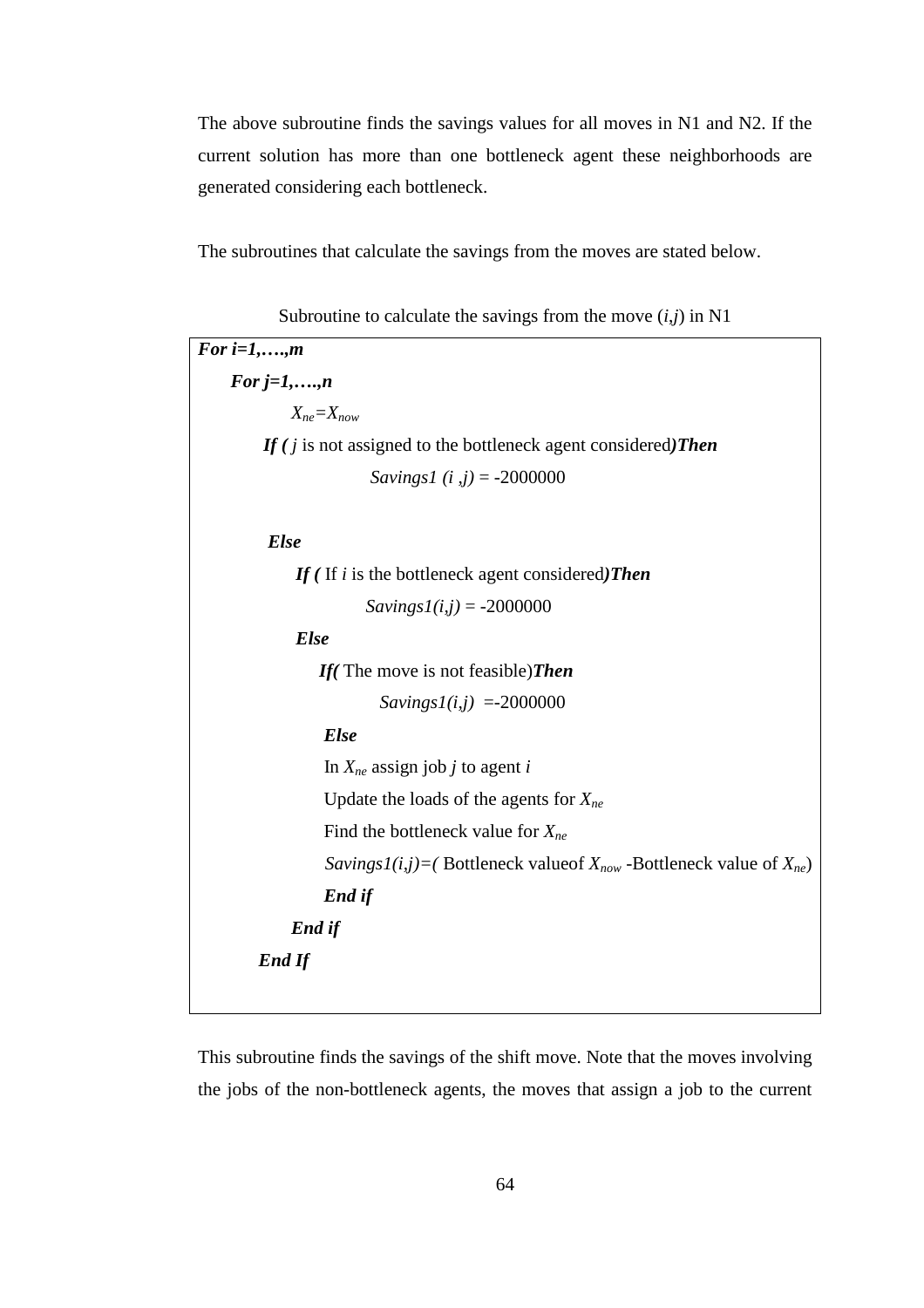The above subroutine finds the savings values for all moves in N1 and N2. If the current solution has more than one bottleneck agent these neighborhoods are generated considering each bottleneck.

The subroutines that calculate the savings from the moves are stated below.

| For $i=1,,m$       |                                                                                      |
|--------------------|--------------------------------------------------------------------------------------|
| For $j=1,,n$       |                                                                                      |
| $X_{ne} = X_{now}$ |                                                                                      |
|                    | $If (j \text{ is not assigned to the bottleneck agent considered)}$ Then             |
|                    | <i>Savings1</i> ( <i>i</i> , <i>j</i> ) = -2000000                                   |
| <b>Else</b>        |                                                                                      |
|                    | If (If $i$ is the bottleneck agent considered) Then                                  |
|                    | $Savings1(i,j) = -2000000$                                                           |
| <b>Else</b>        |                                                                                      |
|                    | <b>If</b> (The move is not feasible) <b>Then</b>                                     |
|                    | $Savings1(i,j) = -2000000$                                                           |
| <b>Else</b>        |                                                                                      |
|                    | In $X_{ne}$ assign job <i>j</i> to agent <i>i</i>                                    |
|                    | Update the loads of the agents for $X_{ne}$                                          |
|                    | Find the bottleneck value for $X_{ne}$                                               |
|                    | <i>Savings1(i,j)</i> =(Bottleneck value of $X_{now}$ -Bottleneck value of $X_{ne}$ ) |
| End if             |                                                                                      |
| End if             |                                                                                      |
| <b>End If</b>      |                                                                                      |
|                    |                                                                                      |

Subroutine to calculate the savings from the move  $(i,j)$  in N1

This subroutine finds the savings of the shift move. Note that the moves involving the jobs of the non-bottleneck agents, the moves that assign a job to the current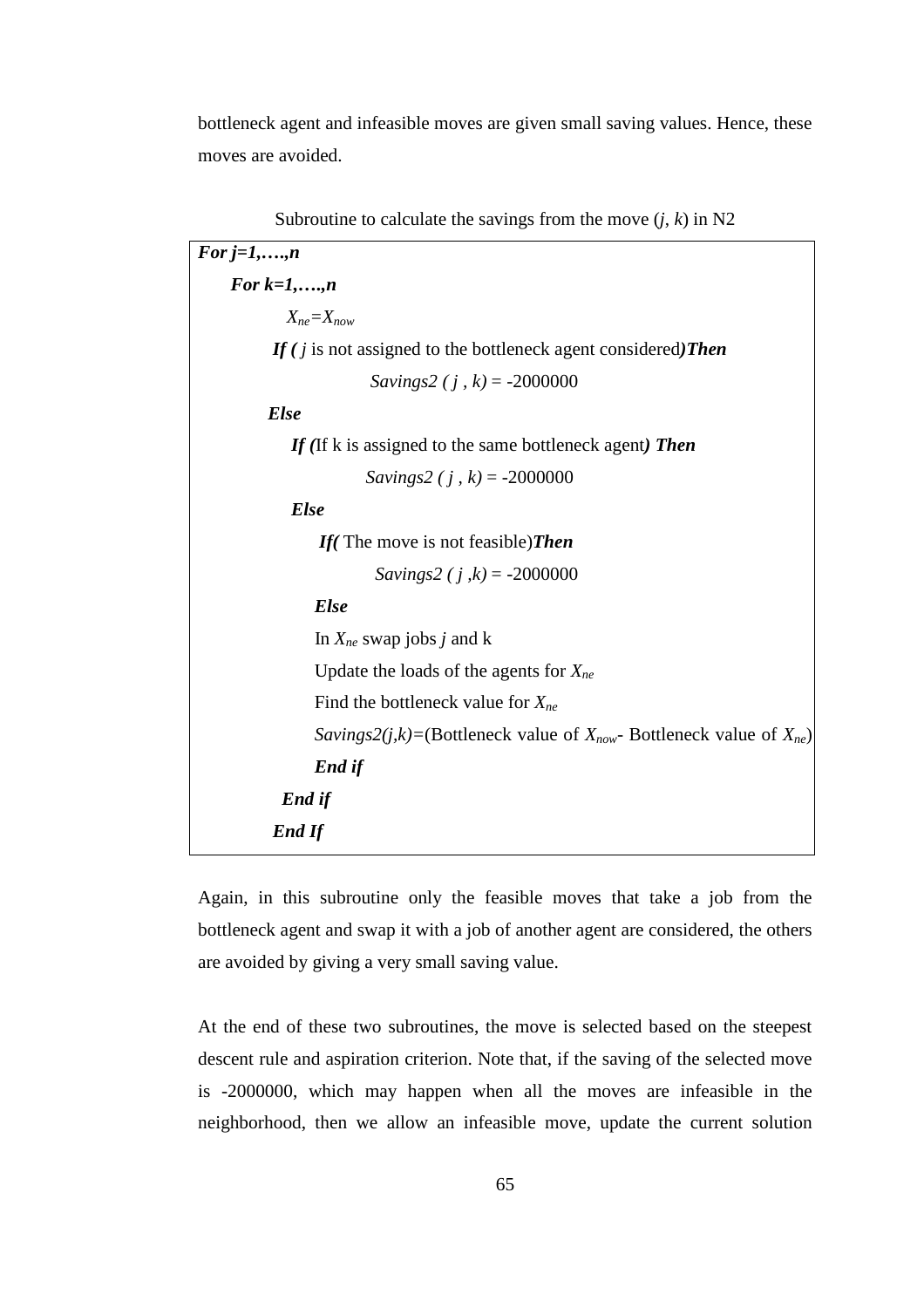bottleneck agent and infeasible moves are given small saving values. Hence, these moves are avoided.

| acroating to calculate the savings from the move $(y, w)$ in Fig.                     |
|---------------------------------------------------------------------------------------|
| For $j=1,,n$                                                                          |
| For $k=1,\ldots,n$                                                                    |
| $X_{ne} = X_{now}$                                                                    |
| $If (j \text{ is not assigned to the bottleneck agent considered)}$ Then              |
| Savings2 (j, k) = -2000000                                                            |
| <b>Else</b>                                                                           |
| If (If k is assigned to the same bottleneck agent) Then                               |
| Savings2 (j, k) = -2000000                                                            |
| <b>Else</b>                                                                           |
| <b>If</b> (The move is not feasible) <b>Then</b>                                      |
| Savings2 $(j, k) = -2000000$                                                          |
| <b>Else</b>                                                                           |
| In $X_{ne}$ swap jobs <i>j</i> and k                                                  |
| Update the loads of the agents for $X_{ne}$                                           |
| Find the bottleneck value for $X_{ne}$                                                |
| <i>Savings2(j,k)</i> =(Bottleneck value of $X_{now}$ - Bottleneck value of $X_{ne}$ ) |
| End if                                                                                |
| End if                                                                                |
| <b>End If</b>                                                                         |

Subroutine to calculate the savings from the move (*j*, *k*) in N2

Again, in this subroutine only the feasible moves that take a job from the bottleneck agent and swap it with a job of another agent are considered, the others are avoided by giving a very small saving value.

At the end of these two subroutines, the move is selected based on the steepest descent rule and aspiration criterion. Note that, if the saving of the selected move is -2000000, which may happen when all the moves are infeasible in the neighborhood, then we allow an infeasible move, update the current solution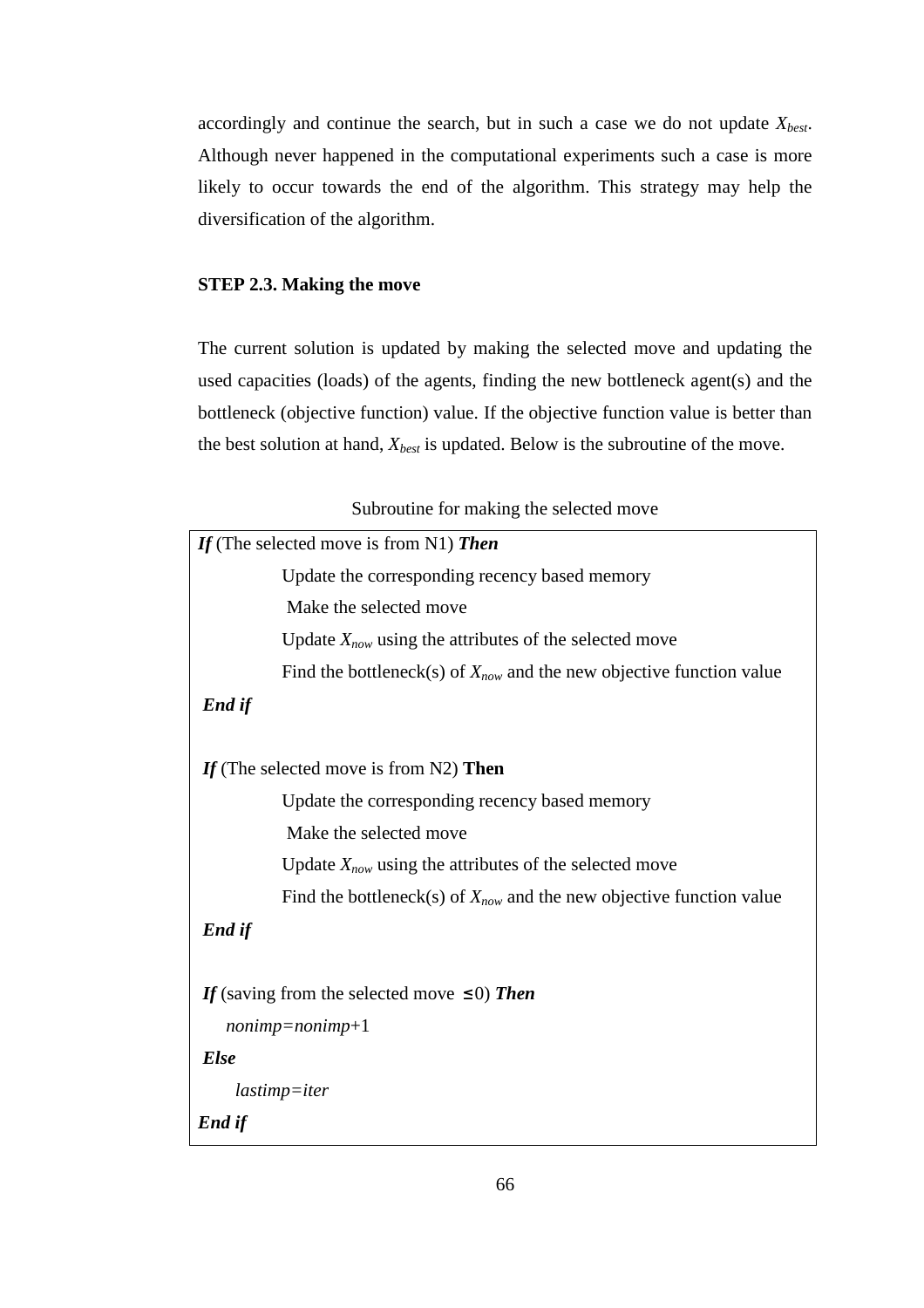accordingly and continue the search, but in such a case we do not update *Xbest*. Although never happened in the computational experiments such a case is more likely to occur towards the end of the algorithm. This strategy may help the diversification of the algorithm.

## **STEP 2.3. Making the move**

The current solution is updated by making the selected move and updating the used capacities (loads) of the agents, finding the new bottleneck agent(s) and the bottleneck (objective function) value. If the objective function value is better than the best solution at hand, *Xbest* is updated. Below is the subroutine of the move.

Subroutine for making the selected move

| <b>If</b> (The selected move is from N1) <b>Then</b>                     |
|--------------------------------------------------------------------------|
| Update the corresponding recency based memory                            |
| Make the selected move                                                   |
| Update $X_{now}$ using the attributes of the selected move               |
| Find the bottleneck(s) of $X_{now}$ and the new objective function value |
| End if                                                                   |
|                                                                          |
| If (The selected move is from N2) Then                                   |
| Update the corresponding recency based memory                            |
| Make the selected move                                                   |
| Update $X_{now}$ using the attributes of the selected move               |
| Find the bottleneck(s) of $X_{now}$ and the new objective function value |
| End if                                                                   |
|                                                                          |
| If (saving from the selected move $\leq 0$ ) Then                        |
| $nonimp = nonimp + 1$                                                    |
| <b>Else</b>                                                              |
| $lastimp=iter$                                                           |
| End if                                                                   |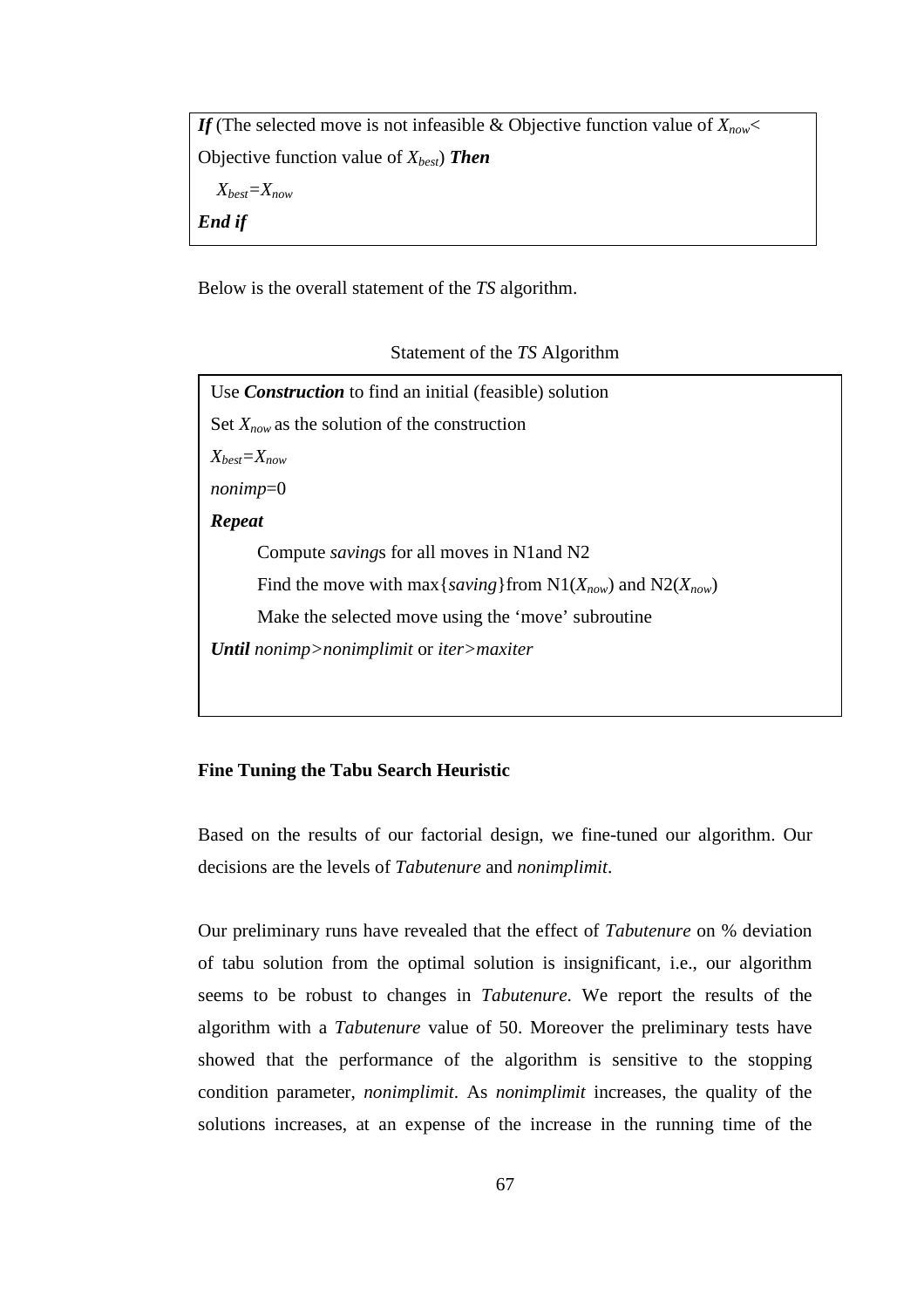*If* (The selected move is not infeasible & Objective function value of *Xnow*< Objective function value of *Xbest*) *Then Xbest=Xnow End if* 

Below is the overall statement of the *TS* algorithm.

Statement of the *TS* Algorithm

| Use <i>Construction</i> to find an initial (feasible) solution         |
|------------------------------------------------------------------------|
| Set $X_{now}$ as the solution of the construction                      |
| $X_{best} = X_{now}$                                                   |
| $nonimp=0$                                                             |
| <b>Repeat</b>                                                          |
| Compute <i>savings</i> for all moves in N1 and N2                      |
| Find the move with max { saving } from $N1(X_{now})$ and $N2(X_{now})$ |
| Make the selected move using the 'move' subroutine                     |
| <b>Until</b> nonimp>nonimplimit or iter>maxiter                        |

### **Fine Tuning the Tabu Search Heuristic**

Based on the results of our factorial design, we fine-tuned our algorithm. Our decisions are the levels of *Tabutenure* and *nonimplimit*.

Our preliminary runs have revealed that the effect of *Tabutenure* on % deviation of tabu solution from the optimal solution is insignificant, i.e., our algorithm seems to be robust to changes in *Tabutenure*. We report the results of the algorithm with a *Tabutenure* value of 50. Moreover the preliminary tests have showed that the performance of the algorithm is sensitive to the stopping condition parameter, *nonimplimit*. As *nonimplimit* increases, the quality of the solutions increases, at an expense of the increase in the running time of the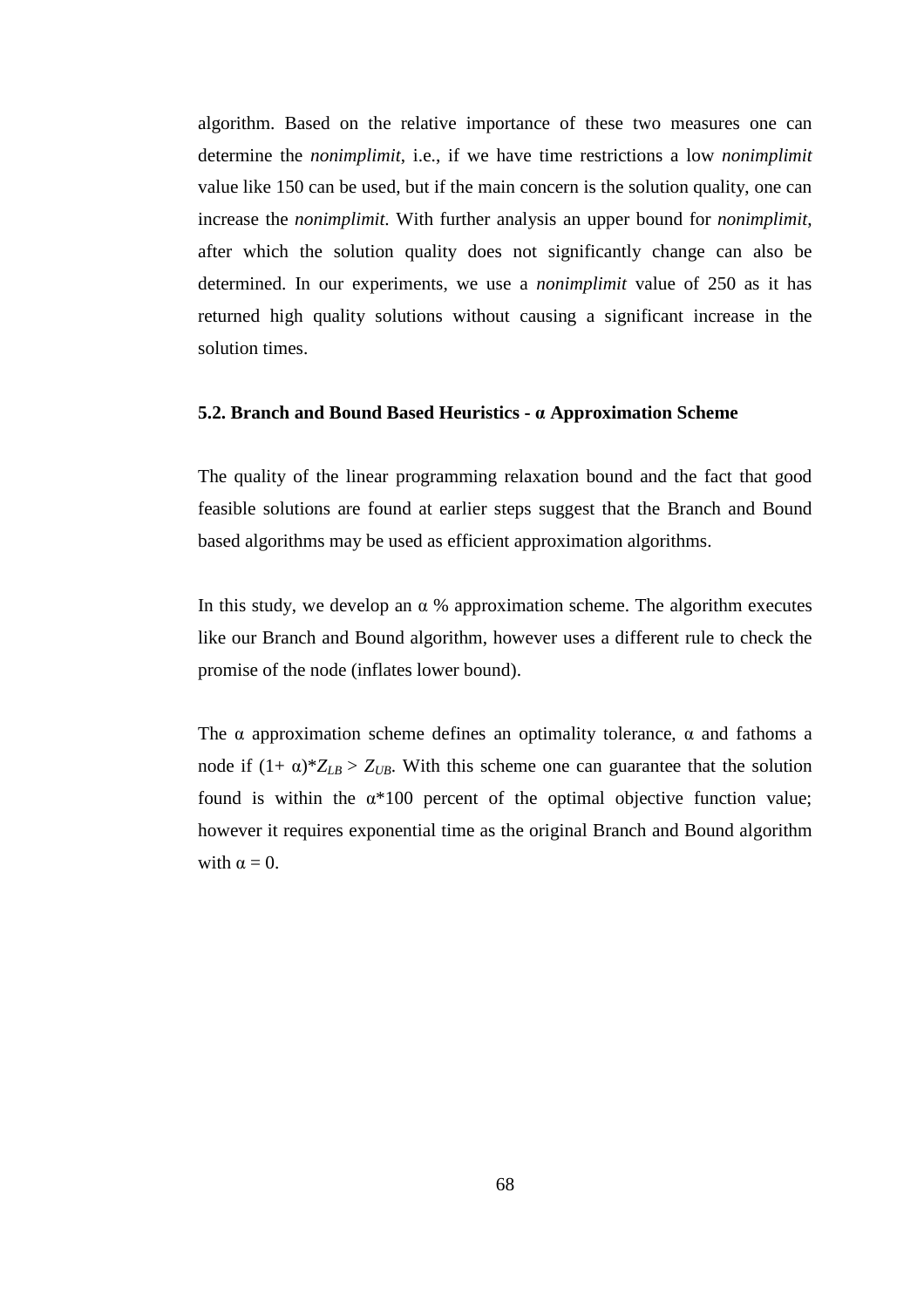algorithm. Based on the relative importance of these two measures one can determine the *nonimplimit*, i.e., if we have time restrictions a low *nonimplimit* value like 150 can be used, but if the main concern is the solution quality, one can increase the *nonimplimit*. With further analysis an upper bound for *nonimplimit*, after which the solution quality does not significantly change can also be determined. In our experiments, we use a *nonimplimit* value of 250 as it has returned high quality solutions without causing a significant increase in the solution times.

#### **5.2. Branch and Bound Based Heuristics - α Approximation Scheme**

The quality of the linear programming relaxation bound and the fact that good feasible solutions are found at earlier steps suggest that the Branch and Bound based algorithms may be used as efficient approximation algorithms.

In this study, we develop an  $\alpha$  % approximation scheme. The algorithm executes like our Branch and Bound algorithm, however uses a different rule to check the promise of the node (inflates lower bound).

The  $\alpha$  approximation scheme defines an optimality tolerance,  $\alpha$  and fathoms a node if  $(1+\alpha)^*Z_{LB} > Z_{UB}$ . With this scheme one can guarantee that the solution found is within the  $\alpha^*100$  percent of the optimal objective function value; however it requires exponential time as the original Branch and Bound algorithm with  $\alpha = 0$ .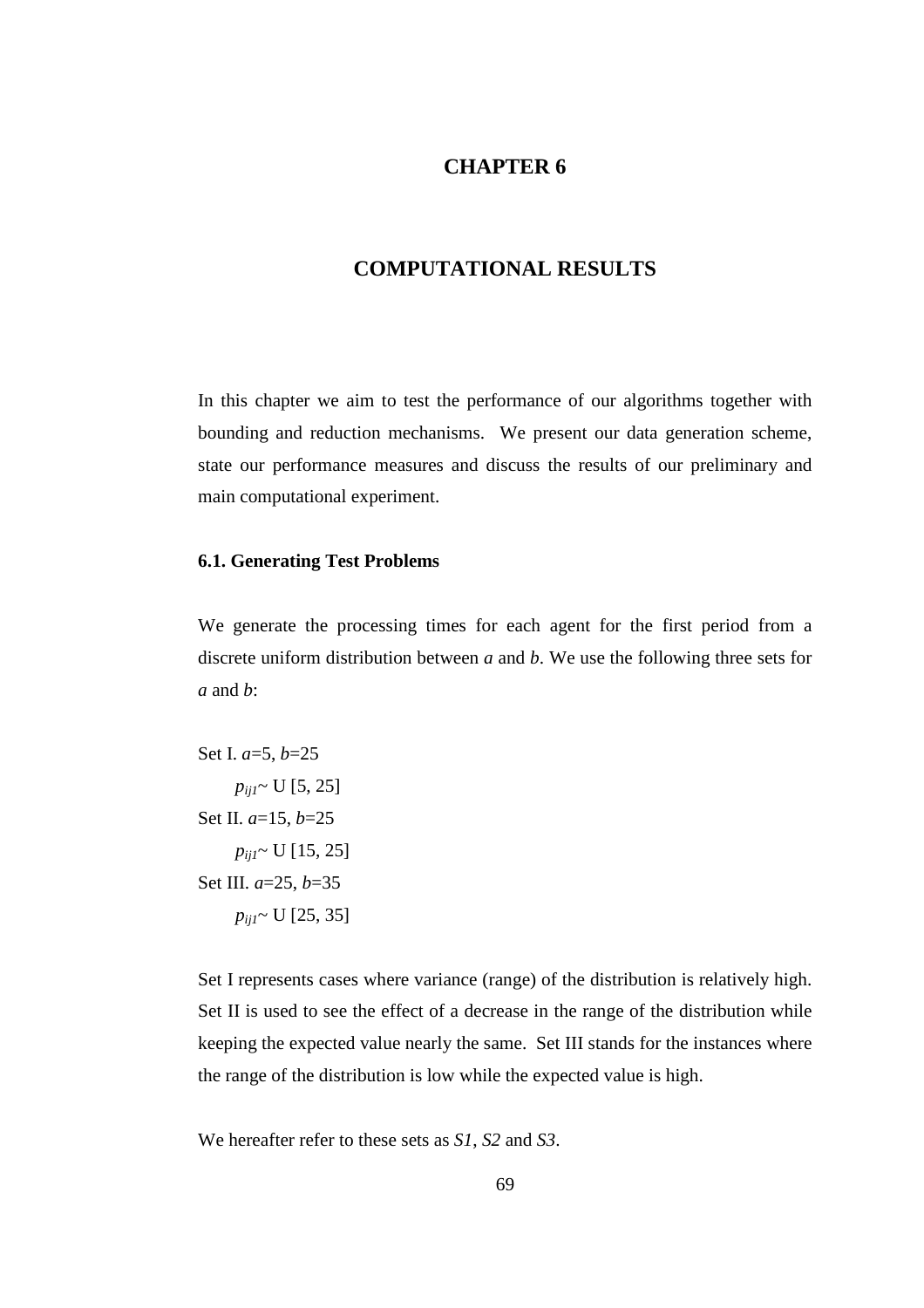# **CHAPTER 6**

# **COMPUTATIONAL RESULTS**

In this chapter we aim to test the performance of our algorithms together with bounding and reduction mechanisms. We present our data generation scheme, state our performance measures and discuss the results of our preliminary and main computational experiment.

### **6.1. Generating Test Problems**

We generate the processing times for each agent for the first period from a discrete uniform distribution between *a* and *b*. We use the following three sets for *a* and *b*:

Set I. *a*=5, *b*=25  $p_{ii1}$ ~ U [5, 25] Set II. *a*=15, *b*=25  $p_{ij1}$ ~ U [15, 25] Set III. *a*=25, *b*=35  $p_{ii}$ <sup>-</sup> U [25, 35]

Set I represents cases where variance (range) of the distribution is relatively high. Set II is used to see the effect of a decrease in the range of the distribution while keeping the expected value nearly the same. Set III stands for the instances where the range of the distribution is low while the expected value is high.

We hereafter refer to these sets as *S1*, *S2* and *S3*.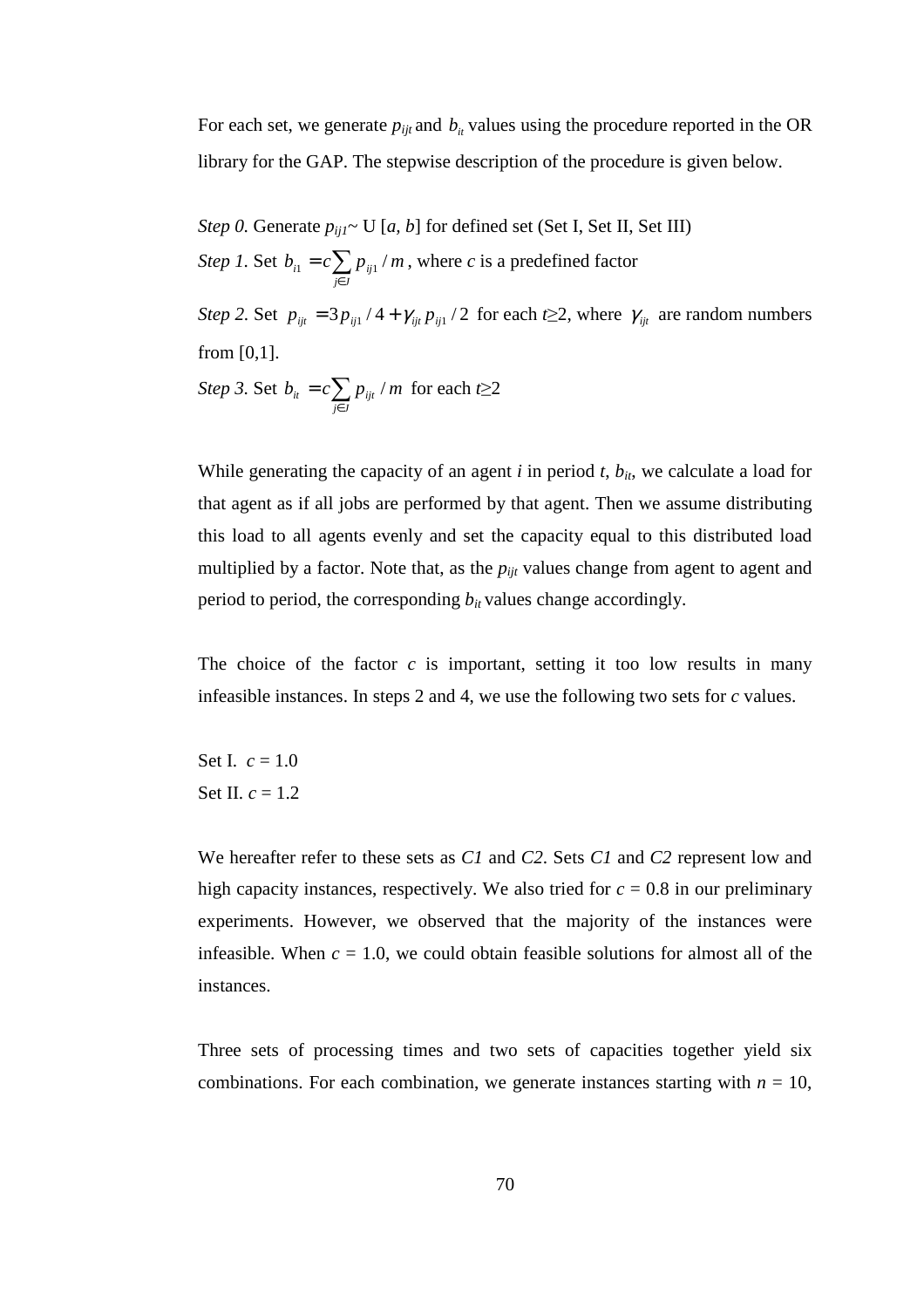For each set, we generate  $p_{ijt}$  and  $b_{it}$  values using the procedure reported in the OR library for the GAP. The stepwise description of the procedure is given below.

*Step 0.* Generate  $p_{ij1}$ ~ U [*a, b*] for defined set (Set I, Set II, Set III) *Step 1.* Set  $b_{i1} = c \sum$ ∈ = *j J*  $b_{i1} = c \sum p_{i1} / m$ , where *c* is a predefined factor

*Step 2.* Set  $p_{ijt} = 3 p_{ij1} / 4 + \gamma_{ijt} p_{ij1} / 2$  for each *t*≥2, where  $\gamma_{ijt}$  are random numbers from [0,1].

Step 3. Set 
$$
b_{ii} = c \sum_{j \in J} p_{ijt} / m
$$
 for each  $t \ge 2$ 

While generating the capacity of an agent  $i$  in period  $t$ ,  $b_{it}$ , we calculate a load for that agent as if all jobs are performed by that agent. Then we assume distributing this load to all agents evenly and set the capacity equal to this distributed load multiplied by a factor. Note that, as the  $p_{ijt}$  values change from agent to agent and period to period, the corresponding *bit* values change accordingly.

The choice of the factor  $c$  is important, setting it too low results in many infeasible instances. In steps 2 and 4, we use the following two sets for *c* values.

Set I.  $c = 1.0$ Set II. *c* = 1.2

We hereafter refer to these sets as *C1* and *C2*. Sets *C1* and *C2* represent low and high capacity instances, respectively. We also tried for  $c = 0.8$  in our preliminary experiments. However, we observed that the majority of the instances were infeasible. When  $c = 1.0$ , we could obtain feasible solutions for almost all of the instances.

Three sets of processing times and two sets of capacities together yield six combinations. For each combination, we generate instances starting with  $n = 10$ ,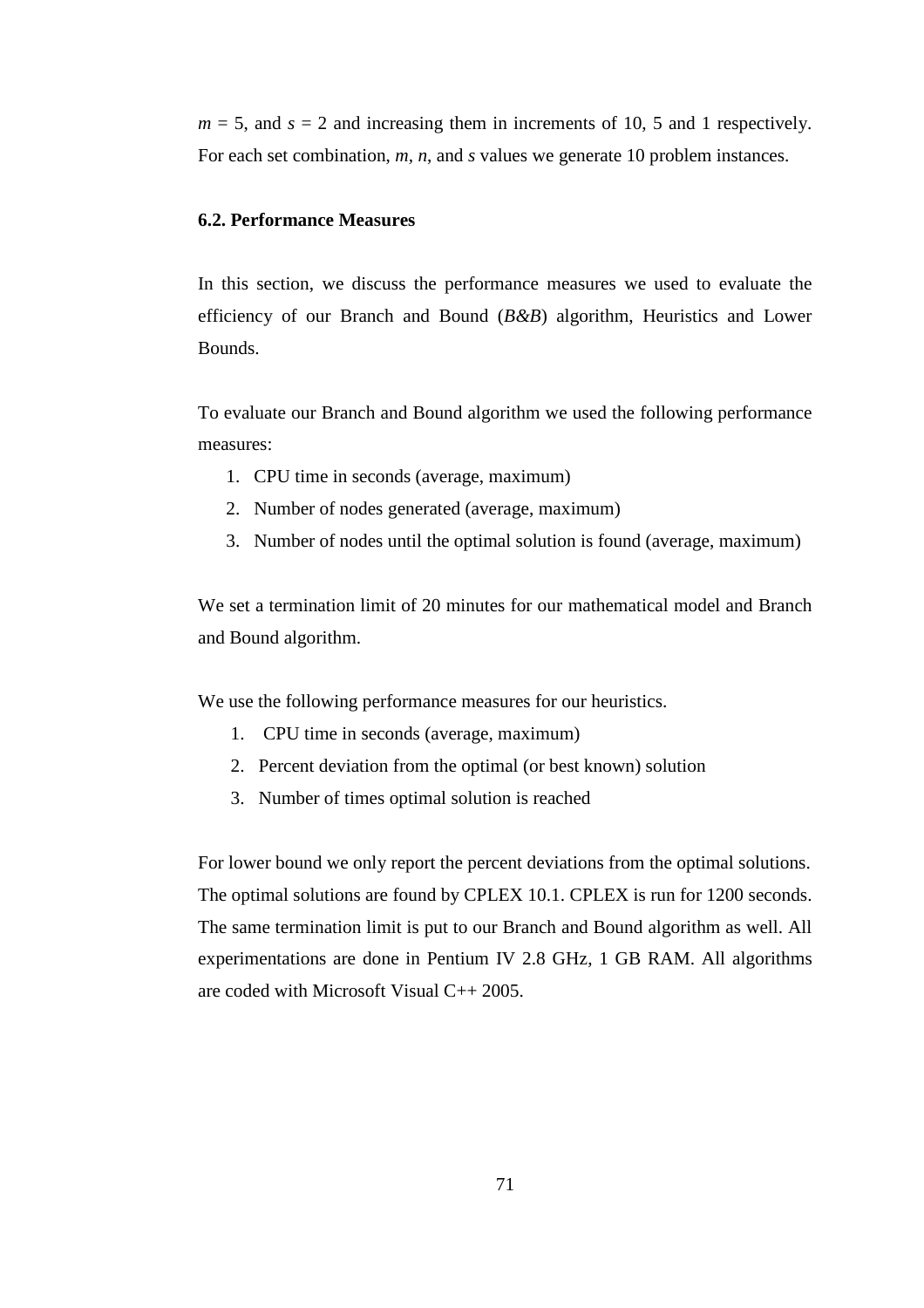$m = 5$ , and  $s = 2$  and increasing them in increments of 10, 5 and 1 respectively. For each set combination, *m*, *n*, and *s* values we generate 10 problem instances.

## **6.2. Performance Measures**

In this section, we discuss the performance measures we used to evaluate the efficiency of our Branch and Bound (*B&B*) algorithm, Heuristics and Lower Bounds.

To evaluate our Branch and Bound algorithm we used the following performance measures:

- 1. CPU time in seconds (average, maximum)
- 2. Number of nodes generated (average, maximum)
- 3. Number of nodes until the optimal solution is found (average, maximum)

We set a termination limit of 20 minutes for our mathematical model and Branch and Bound algorithm.

We use the following performance measures for our heuristics.

- 1. CPU time in seconds (average, maximum)
- 2. Percent deviation from the optimal (or best known) solution
- 3. Number of times optimal solution is reached

For lower bound we only report the percent deviations from the optimal solutions. The optimal solutions are found by CPLEX 10.1. CPLEX is run for 1200 seconds. The same termination limit is put to our Branch and Bound algorithm as well. All experimentations are done in Pentium IV 2.8 GHz, 1 GB RAM. All algorithms are coded with Microsoft Visual C++ 2005.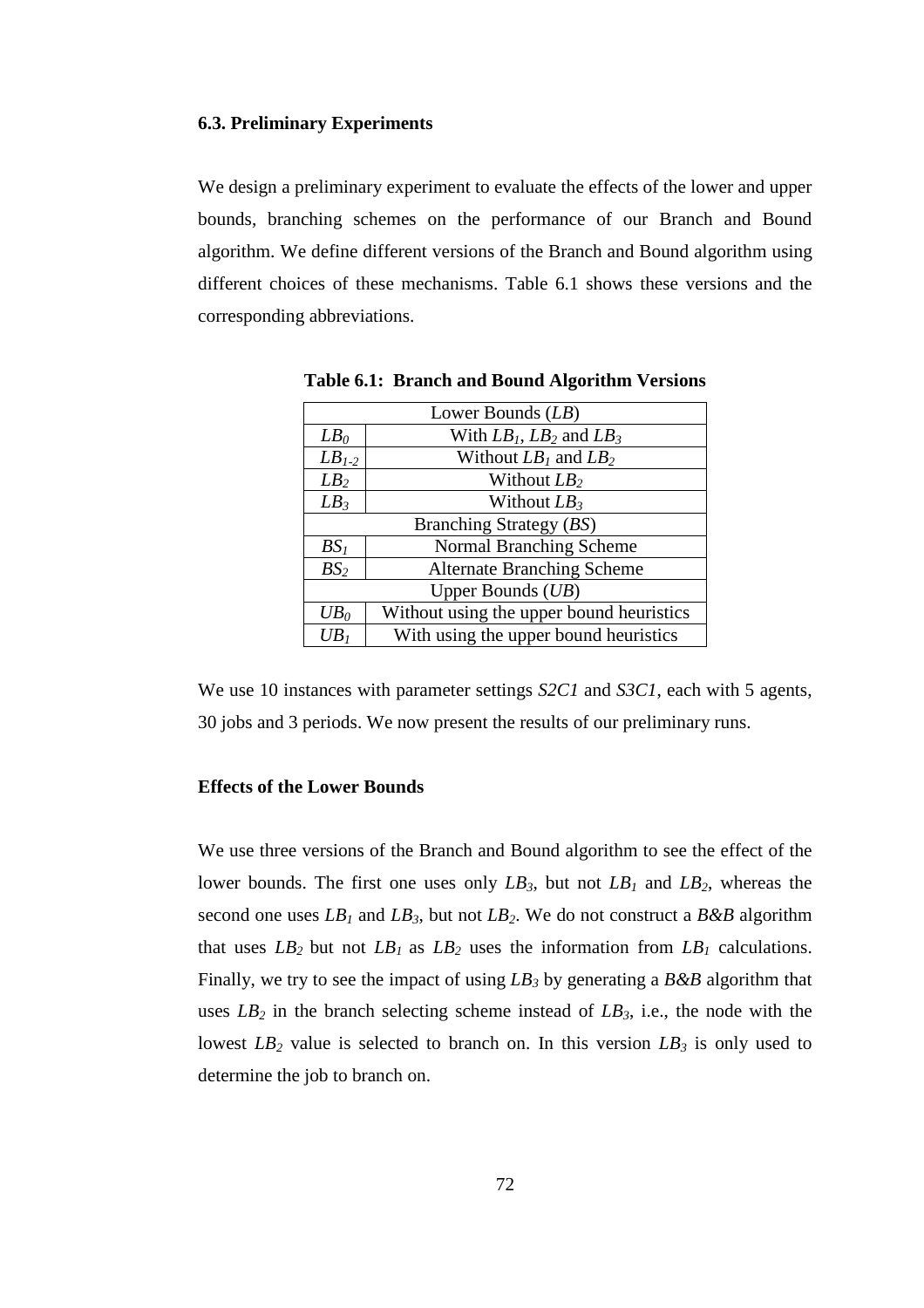### **6.3. Preliminary Experiments**

We design a preliminary experiment to evaluate the effects of the lower and upper bounds, branching schemes on the performance of our Branch and Bound algorithm. We define different versions of the Branch and Bound algorithm using different choices of these mechanisms. Table 6.1 shows these versions and the corresponding abbreviations.

| Lower Bounds $(LB)$ |                                          |  |  |  |  |  |
|---------------------|------------------------------------------|--|--|--|--|--|
| LB <sub>0</sub>     | With $LB_1$ , $LB_2$ and $LB_3$          |  |  |  |  |  |
| $LB1-2$             | Without $LB_1$ and $LB_2$                |  |  |  |  |  |
| LB <sub>2</sub>     | Without $LB2$                            |  |  |  |  |  |
| LB <sub>3</sub>     | Without $LB_3$                           |  |  |  |  |  |
|                     | Branching Strategy (BS)                  |  |  |  |  |  |
| $BS_I$              | <b>Normal Branching Scheme</b>           |  |  |  |  |  |
| BS <sub>2</sub>     | <b>Alternate Branching Scheme</b>        |  |  |  |  |  |
|                     | Upper Bounds $(UB)$                      |  |  |  |  |  |
| $UB_0$              | Without using the upper bound heuristics |  |  |  |  |  |
| $UB_I$              | With using the upper bound heuristics    |  |  |  |  |  |

**Table 6.1: Branch and Bound Algorithm Versions** 

We use 10 instances with parameter settings *S2C1* and *S3C1*, each with 5 agents, 30 jobs and 3 periods. We now present the results of our preliminary runs.

## **Effects of the Lower Bounds**

We use three versions of the Branch and Bound algorithm to see the effect of the lower bounds. The first one uses only *LB3*, but not *LB1* and *LB2*, whereas the second one uses *LB1* and *LB3*, but not *LB2*. We do not construct a *B&B* algorithm that uses  $LB_2$  but not  $LB_1$  as  $LB_2$  uses the information from  $LB_1$  calculations. Finally, we try to see the impact of using *LB3* by generating a *B&B* algorithm that uses  $LB_2$  in the branch selecting scheme instead of  $LB_3$ , i.e., the node with the lowest  $LB_2$  value is selected to branch on. In this version  $LB_3$  is only used to determine the job to branch on.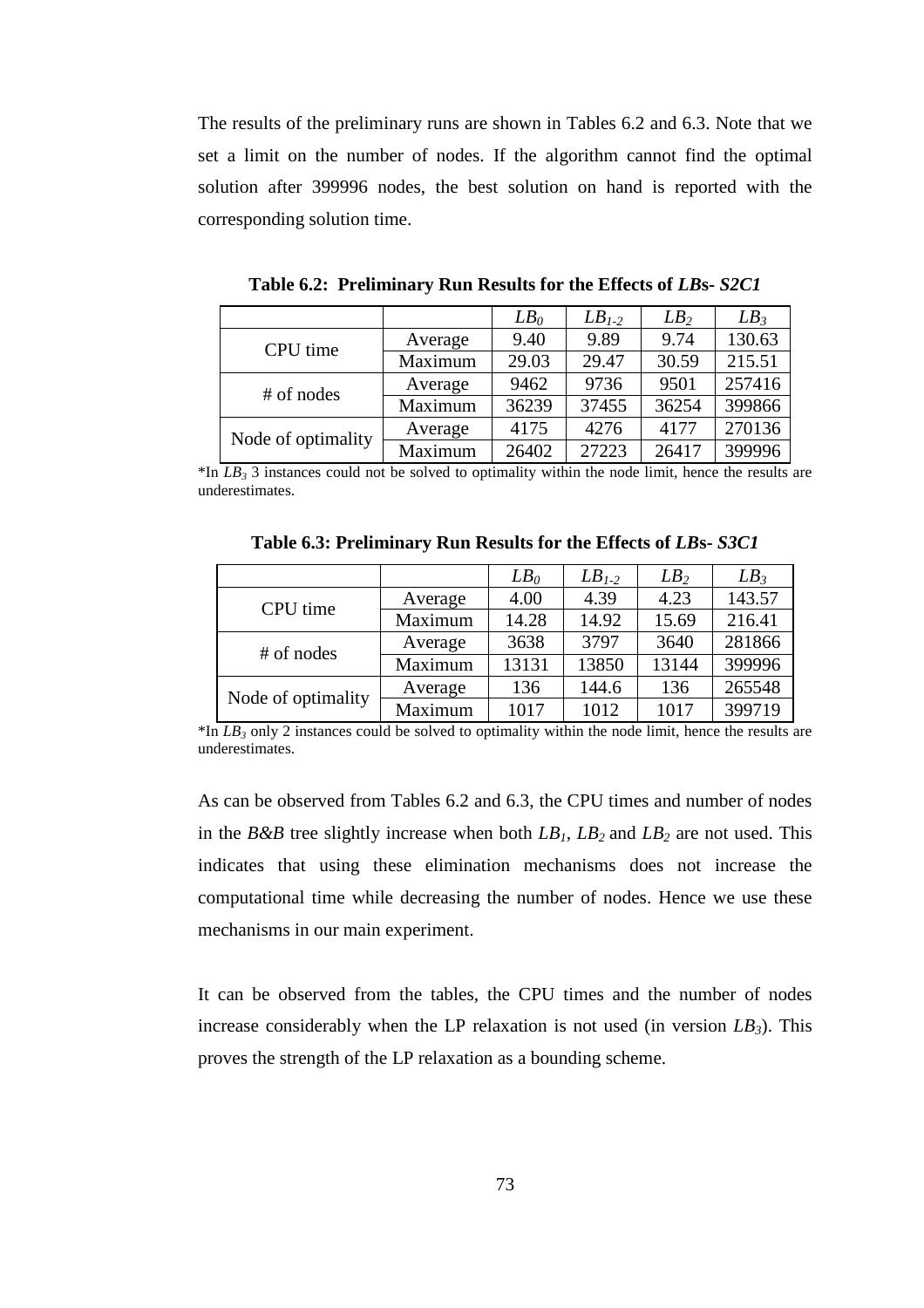The results of the preliminary runs are shown in Tables 6.2 and 6.3. Note that we set a limit on the number of nodes. If the algorithm cannot find the optimal solution after 399996 nodes, the best solution on hand is reported with the corresponding solution time.

|                    |         | LB <sub>0</sub> | $LB_{1-2}$ | LB <sub>2</sub> | LB <sub>3</sub> |
|--------------------|---------|-----------------|------------|-----------------|-----------------|
| CPU time           | Average | 9.40            | 9.89       | 9.74            | 130.63          |
|                    | Maximum | 29.03           | 29.47      | 30.59           | 215.51          |
| # of nodes         | Average | 9462            | 9736       | 9501            | 257416          |
|                    | Maximum | 36239           | 37455      | 36254           | 399866          |
| Node of optimality | Average | 4175            | 4276       | 4177            | 270136          |
|                    | Maximum | 26402           | 27223      | 26417           | 399996          |

**Table 6.2: Preliminary Run Results for the Effects of** *LB***s-** *S2C1*

 $*$ In  $LB$ <sup>3</sup> instances could not be solved to optimality within the node limit, hence the results are underestimates.

| Table 6.3: Preliminary Run Results for the Effects of LBs- S3C1 |  |  |  |  |  |  |  |
|-----------------------------------------------------------------|--|--|--|--|--|--|--|
|-----------------------------------------------------------------|--|--|--|--|--|--|--|

|                    |         | $LB_0$ | $LB_{1-2}$ | LB <sub>2</sub> | LB <sub>3</sub> |
|--------------------|---------|--------|------------|-----------------|-----------------|
| CPU time           | Average | 4.00   | 4.39       | 4.23            | 143.57          |
|                    | Maximum | 14.28  | 14.92      | 15.69           | 216.41          |
| # of nodes         | Average | 3638   | 3797       | 3640            | 281866          |
|                    | Maximum | 13131  | 13850      | 13144           | 399996          |
| Node of optimality | Average | 136    | 144.6      | 136             | 265548          |
|                    | Maximum | 1017   | 1012       | 1017            | 399719          |

 $*$ In  $LB_3$  only 2 instances could be solved to optimality within the node limit, hence the results are underestimates.

As can be observed from Tables 6.2 and 6.3, the CPU times and number of nodes in the *B&B* tree slightly increase when both  $LB_1$ ,  $LB_2$  and  $LB_2$  are not used. This indicates that using these elimination mechanisms does not increase the computational time while decreasing the number of nodes. Hence we use these mechanisms in our main experiment.

It can be observed from the tables, the CPU times and the number of nodes increase considerably when the LP relaxation is not used (in version *LB3*). This proves the strength of the LP relaxation as a bounding scheme.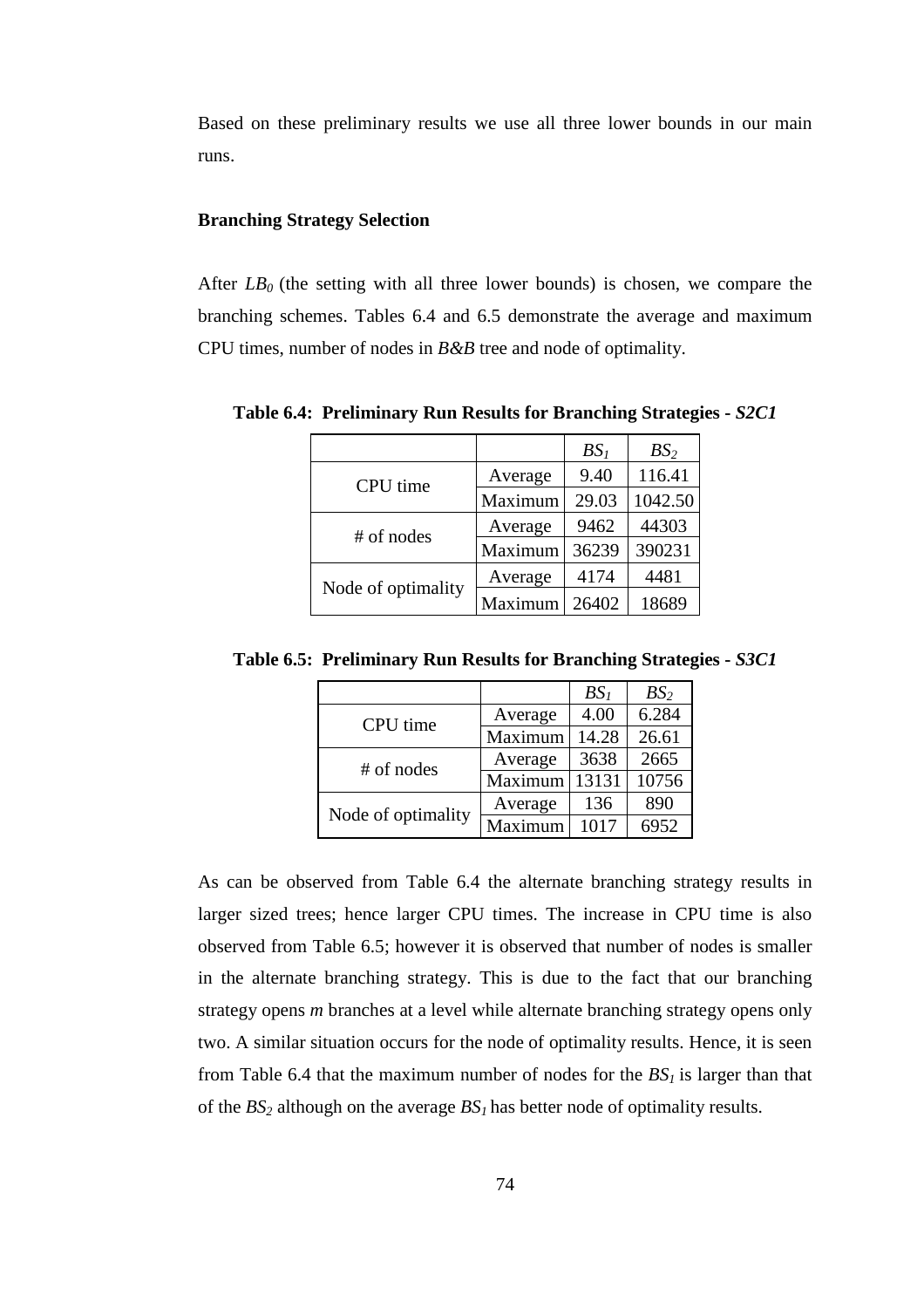Based on these preliminary results we use all three lower bounds in our main runs.

## **Branching Strategy Selection**

After  $LB_0$  (the setting with all three lower bounds) is chosen, we compare the branching schemes. Tables 6.4 and 6.5 demonstrate the average and maximum CPU times, number of nodes in *B&B* tree and node of optimality.

|                    |         | BS <sub>1</sub> | BS <sub>2</sub> |
|--------------------|---------|-----------------|-----------------|
| CPU time           | Average | 9.40            | 116.41          |
|                    | Maximum | 29.03           | 1042.50         |
| $#$ of nodes       | Average | 9462            | 44303           |
|                    | Maximum | 36239           | 390231          |
|                    | Average | 4174            | 4481            |
| Node of optimality | Maximum | 26402           | 18689           |

**Table 6.4: Preliminary Run Results for Branching Strategies -** *S2C1* 

**Table 6.5: Preliminary Run Results for Branching Strategies -** *S3C1* 

|                    |         | BS <sub>1</sub> | BS <sub>2</sub> |
|--------------------|---------|-----------------|-----------------|
| CPU time           | Average | 4.00            | 6.284           |
|                    | Maximum | 14.28           | 26.61           |
| # of nodes         | Average | 3638            | 2665            |
|                    | Maximum | 13131           | 10756           |
| Node of optimality | Average | 136             | 890             |
|                    | Maximum | 1017            | 6952            |

As can be observed from Table 6.4 the alternate branching strategy results in larger sized trees; hence larger CPU times. The increase in CPU time is also observed from Table 6.5; however it is observed that number of nodes is smaller in the alternate branching strategy. This is due to the fact that our branching strategy opens *m* branches at a level while alternate branching strategy opens only two. A similar situation occurs for the node of optimality results. Hence, it is seen from Table 6.4 that the maximum number of nodes for the *BS<sup>1</sup>* is larger than that of the *BS2* although on the average *BS<sup>1</sup>* has better node of optimality results.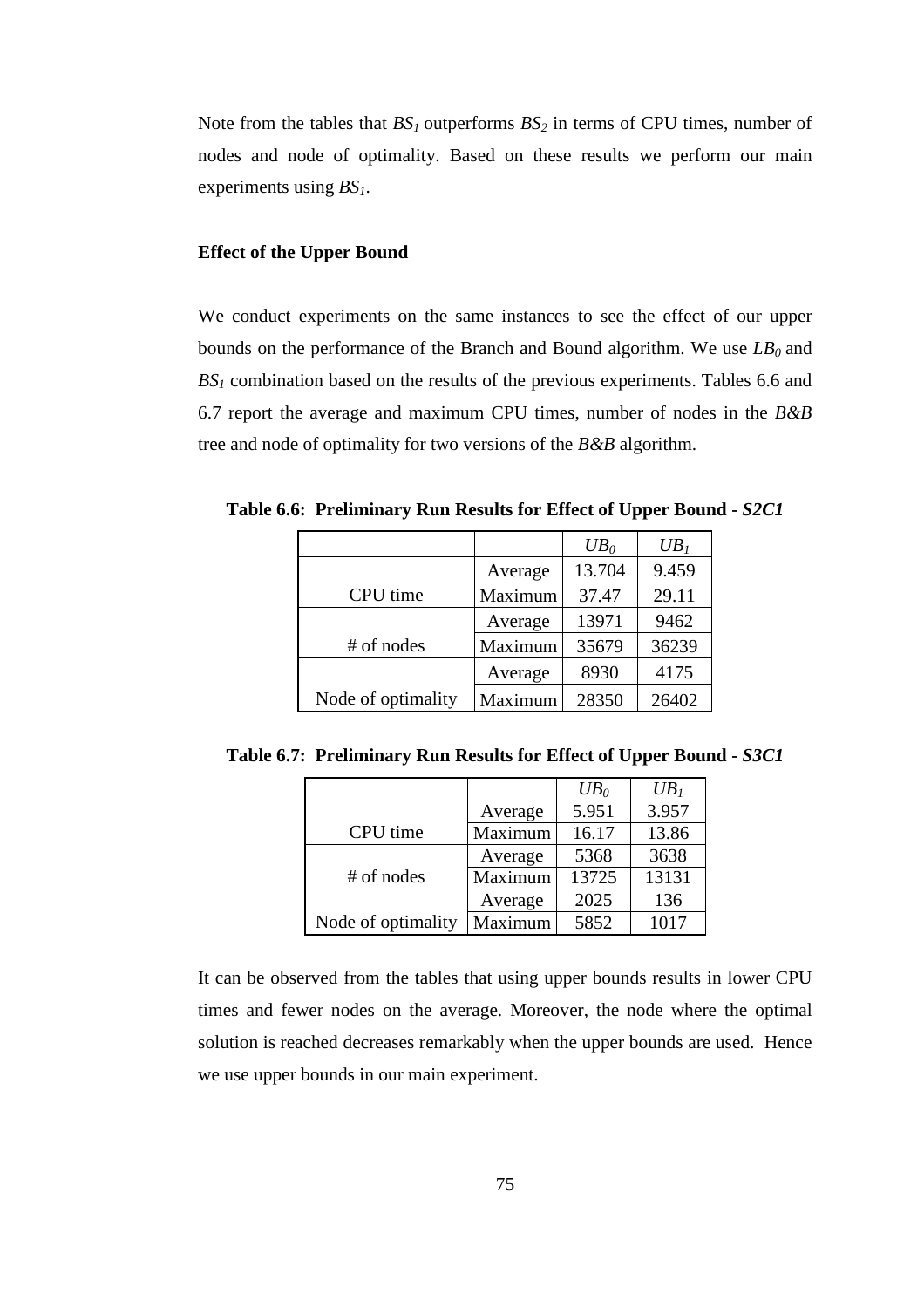Note from the tables that  $BS<sub>1</sub>$  outperforms  $BS<sub>2</sub>$  in terms of CPU times, number of nodes and node of optimality. Based on these results we perform our main experiments using *BS1*.

## **Effect of the Upper Bound**

We conduct experiments on the same instances to see the effect of our upper bounds on the performance of the Branch and Bound algorithm. We use *LB<sup>0</sup>* and *BS1* combination based on the results of the previous experiments. Tables 6.6 and 6.7 report the average and maximum CPU times, number of nodes in the *B&B* tree and node of optimality for two versions of the *B&B* algorithm.

**Table 6.6: Preliminary Run Results for Effect of Upper Bound -** *S2C1*

|                    |         | UB <sub>0</sub> | UB <sub>1</sub> |
|--------------------|---------|-----------------|-----------------|
|                    | Average | 13.704          | 9.459           |
| CPU time           | Maximum | 37.47           | 29.11           |
|                    | Average | 13971           | 9462            |
| # of nodes         | Maximum | 35679           | 36239           |
|                    | Average | 8930            | 4175            |
| Node of optimality | Maximum | 28350           | 26402           |

**Table 6.7: Preliminary Run Results for Effect of Upper Bound -** *S3C1* 

|                    |         | UB <sub>0</sub> | UB <sub>1</sub> |
|--------------------|---------|-----------------|-----------------|
|                    | Average | 5.951           | 3.957           |
| CPU time           | Maximum | 16.17           | 13.86           |
|                    | Average | 5368            | 3638            |
| # of nodes         | Maximum | 13725           | 13131           |
|                    | Average | 2025            | 136             |
| Node of optimality | Maximum | 5852            | 1017            |

It can be observed from the tables that using upper bounds results in lower CPU times and fewer nodes on the average. Moreover, the node where the optimal solution is reached decreases remarkably when the upper bounds are used. Hence we use upper bounds in our main experiment.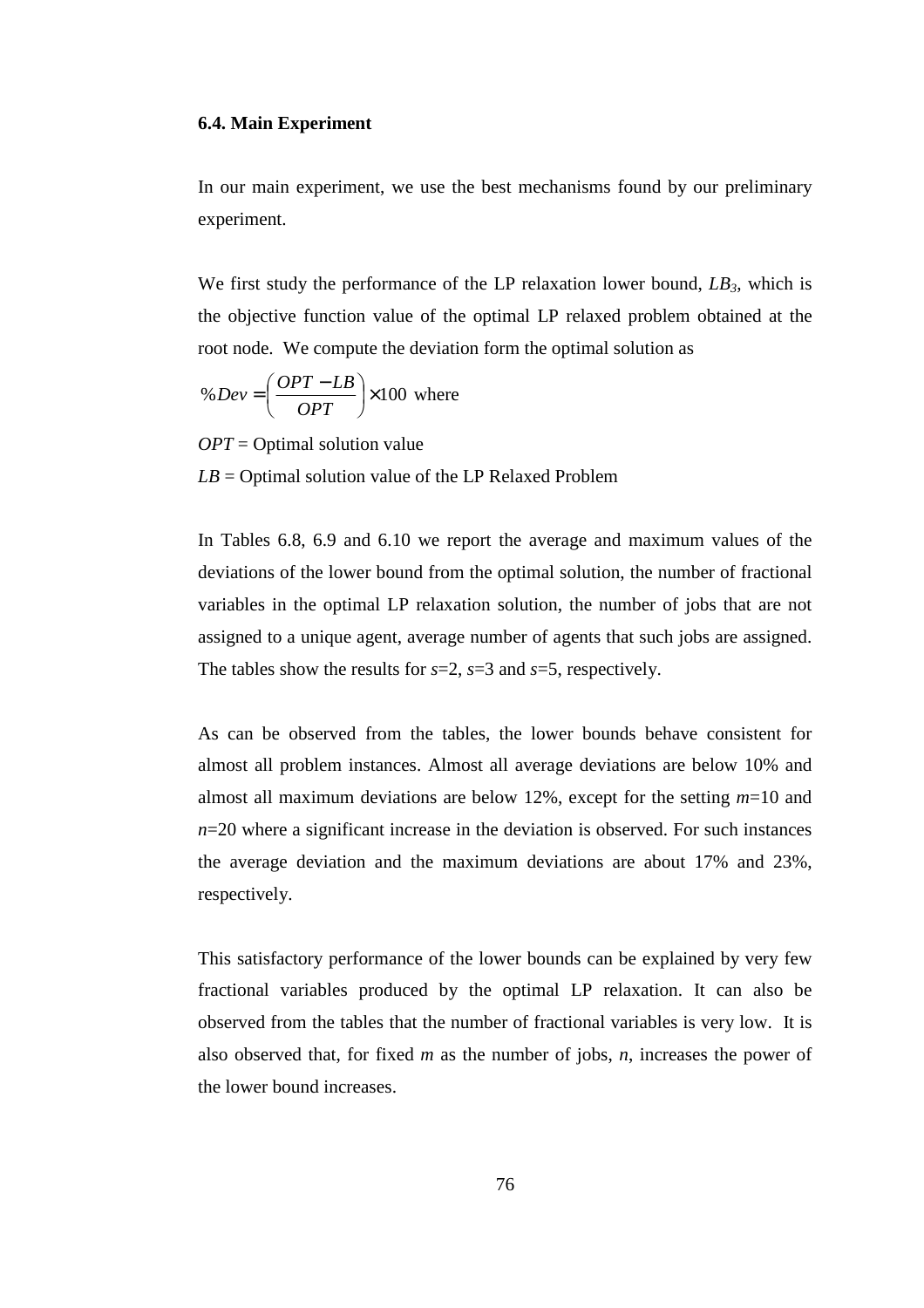## **6.4. Main Experiment**

In our main experiment, we use the best mechanisms found by our preliminary experiment.

We first study the performance of the LP relaxation lower bound, *LB3*, which is the objective function value of the optimal LP relaxed problem obtained at the root node. We compute the deviation form the optimal solution as

%
$$
Dev = \left(\frac{OPT - LB}{OPT}\right) \times 100
$$
 where

*OPT* = Optimal solution value  $LB = Optimal$  solution value of the LP Relaxed Problem

In Tables 6.8, 6.9 and 6.10 we report the average and maximum values of the deviations of the lower bound from the optimal solution, the number of fractional variables in the optimal LP relaxation solution, the number of jobs that are not assigned to a unique agent, average number of agents that such jobs are assigned. The tables show the results for *s*=2, *s*=3 and *s*=5, respectively.

As can be observed from the tables, the lower bounds behave consistent for almost all problem instances. Almost all average deviations are below 10% and almost all maximum deviations are below 12%, except for the setting *m*=10 and *n*=20 where a significant increase in the deviation is observed. For such instances the average deviation and the maximum deviations are about 17% and 23%, respectively.

This satisfactory performance of the lower bounds can be explained by very few fractional variables produced by the optimal LP relaxation. It can also be observed from the tables that the number of fractional variables is very low. It is also observed that, for fixed *m* as the number of jobs, *n*, increases the power of the lower bound increases.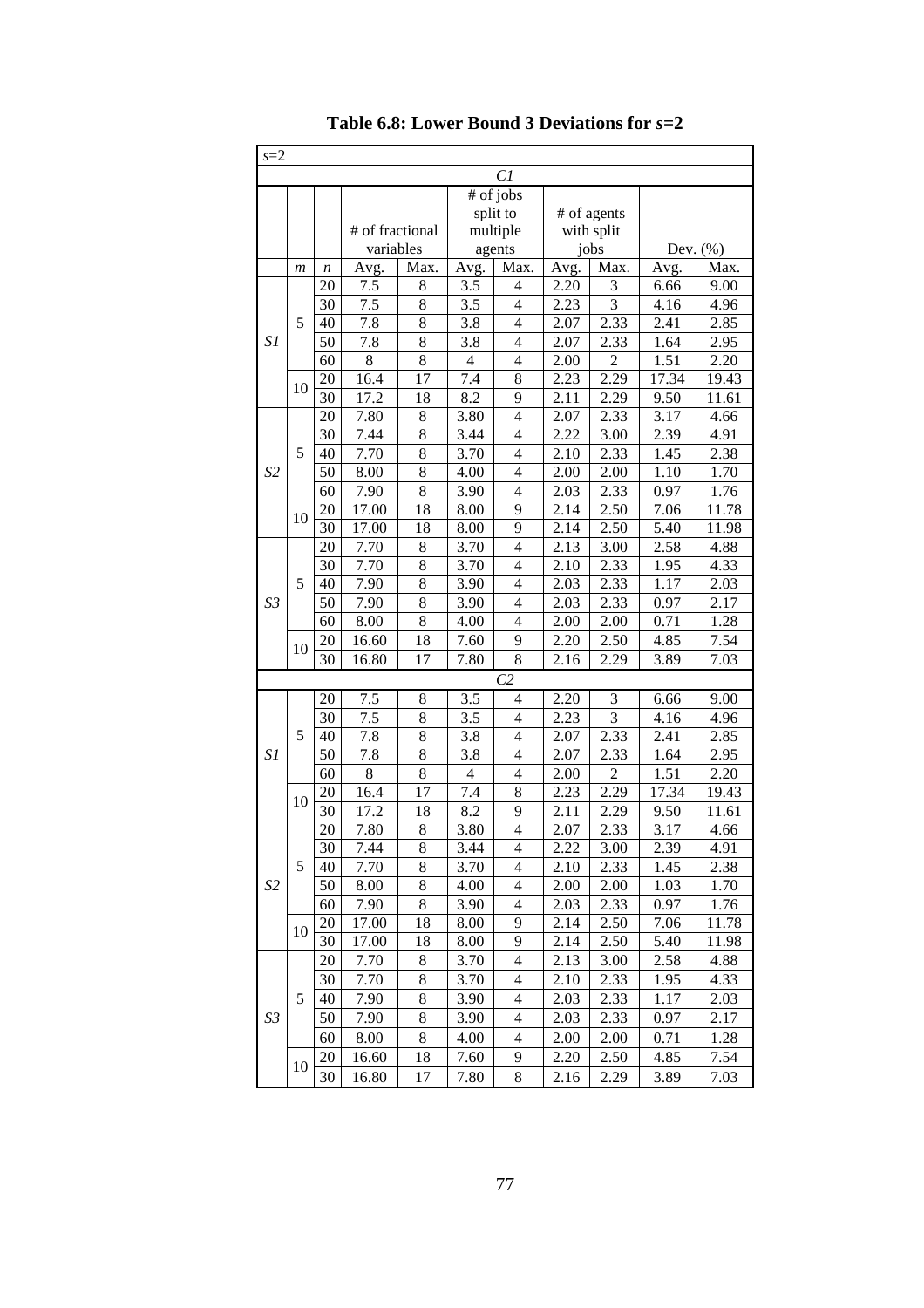| $s=2$          |                  |    |                 |      |      |                |      |                |             |       |
|----------------|------------------|----|-----------------|------|------|----------------|------|----------------|-------------|-------|
|                |                  |    |                 |      |      | Cl             |      |                |             |       |
|                |                  |    |                 |      |      | # of jobs      |      |                |             |       |
|                |                  |    |                 |      |      | split to       |      | # of agents    |             |       |
|                |                  |    | # of fractional |      |      | multiple       |      | with split     |             |       |
|                |                  |    | variables       |      |      | agents         |      | jobs           | Dev. $(\%)$ |       |
|                | $\boldsymbol{m}$ | n  | Avg.            | Max. | Avg. | Max.           | Avg. | Max.           | Avg.        | Max.  |
|                |                  | 20 | 7.5             | 8    | 3.5  | 4              | 2.20 | 3              | 6.66        | 9.00  |
|                |                  | 30 | 7.5             | 8    | 3.5  | $\overline{4}$ | 2.23 | $\overline{3}$ | 4.16        | 4.96  |
|                | 5                | 40 | 7.8             | 8    | 3.8  | $\overline{4}$ | 2.07 | 2.33           | 2.41        | 2.85  |
| S1             |                  | 50 | 7.8             | 8    | 3.8  | $\overline{4}$ | 2.07 | 2.33           | 1.64        | 2.95  |
|                |                  | 60 | 8               | 8    | 4    | $\overline{4}$ | 2.00 | $\overline{c}$ | 1.51        | 2.20  |
|                | 10               | 20 | 16.4            | 17   | 7.4  | 8              | 2.23 | 2.29           | 17.34       | 19.43 |
|                |                  | 30 | 17.2            | 18   | 8.2  | 9              | 2.11 | 2.29           | 9.50        | 11.61 |
|                |                  | 20 | 7.80            | 8    | 3.80 | $\overline{4}$ | 2.07 | 2.33           | 3.17        | 4.66  |
|                |                  | 30 | 7.44            | 8    | 3.44 | $\overline{4}$ | 2.22 | 3.00           | 2.39        | 4.91  |
|                | 5                | 40 | 7.70            | 8    | 3.70 | $\overline{4}$ | 2.10 | 2.33           | 1.45        | 2.38  |
| S <sub>2</sub> |                  | 50 | 8.00            | 8    | 4.00 | $\overline{4}$ | 2.00 | 2.00           | 1.10        | 1.70  |
|                |                  | 60 | 7.90            | 8    | 3.90 | $\overline{4}$ | 2.03 | 2.33           | 0.97        | 1.76  |
|                | 10               | 20 | 17.00           | 18   | 8.00 | 9              | 2.14 | 2.50           | 7.06        | 11.78 |
|                |                  | 30 | 17.00           | 18   | 8.00 | 9              | 2.14 | 2.50           | 5.40        | 11.98 |
|                |                  | 20 | 7.70            | 8    | 3.70 | $\overline{4}$ | 2.13 | 3.00           | 2.58        | 4.88  |
|                |                  | 30 | 7.70            | 8    | 3.70 | $\overline{4}$ | 2.10 | 2.33           | 1.95        | 4.33  |
|                | 5                | 40 | 7.90            | 8    | 3.90 | $\overline{4}$ | 2.03 | 2.33           | 1.17        | 2.03  |
| S3             |                  | 50 | 7.90            | 8    | 3.90 | 4              | 2.03 | 2.33           | 0.97        | 2.17  |
|                |                  | 60 | 8.00            | 8    | 4.00 | $\overline{4}$ | 2.00 | 2.00           | 0.71        | 1.28  |
|                | 10               | 20 | 16.60           | 18   | 7.60 | 9              | 2.20 | 2.50           | 4.85        | 7.54  |
|                |                  | 30 | 16.80           | 17   | 7.80 | 8              | 2.16 | 2.29           | 3.89        | 7.03  |
|                |                  |    |                 |      |      | C <sub>2</sub> |      |                |             |       |
|                |                  | 20 | 7.5             | 8    | 3.5  | 4              | 2.20 | 3              | 6.66        | 9.00  |
|                |                  | 30 | 7.5             | 8    | 3.5  | 4              | 2.23 | $\overline{3}$ | 4.16        | 4.96  |
|                | 5                | 40 | 7.8             | 8    | 3.8  | 4              | 2.07 | 2.33           | 2.41        | 2.85  |
| S1             |                  | 50 | 7.8             | 8    | 3.8  | 4              | 2.07 | 2.33           | 1.64        | 2.95  |
|                |                  | 60 | 8               | 8    | 4    | $\overline{4}$ | 2.00 | $\overline{c}$ | 1.51        | 2.20  |
|                | 10               | 20 | 16.4            | 17   | 7.4  | 8              | 2.23 | 2.29           | 17.34       | 19.43 |
|                |                  | 30 | 17.2            | 18   | 8.2  | 9              | 2.11 | 2.29           | 9.50        | 11.61 |
|                |                  | 20 | 7.80            | 8    | 3.80 | $\overline{4}$ | 2.07 | 2.33           | 3.17        | 4.66  |
|                |                  | 30 | 7.44            | 8    | 3.44 | 4              | 2.22 | 3.00           | 2.39        | 4.91  |
|                | 5                | 40 | 7.70            | 8    | 3.70 | $\overline{4}$ | 2.10 | 2.33           | 1.45        | 2.38  |
| S <sub>2</sub> |                  | 50 | 8.00            | 8    | 4.00 | $\overline{4}$ | 2.00 | 2.00           | 1.03        | 1.70  |
|                |                  | 60 | 7.90            | 8    | 3.90 | $\overline{4}$ | 2.03 | 2.33           | 0.97        | 1.76  |
|                | 10               | 20 | 17.00           | 18   | 8.00 | 9              | 2.14 | 2.50           | 7.06        | 11.78 |
|                |                  | 30 | 17.00           | 18   | 8.00 | 9              | 2.14 | 2.50           | 5.40        | 11.98 |
|                |                  | 20 | 7.70            | 8    | 3.70 | $\overline{4}$ | 2.13 | 3.00           | 2.58        | 4.88  |
|                |                  | 30 | 7.70            | 8    | 3.70 | $\overline{4}$ | 2.10 | 2.33           | 1.95        | 4.33  |
|                | 5                | 40 | 7.90            | 8    | 3.90 | 4              | 2.03 | 2.33           | 1.17        | 2.03  |
| S3             |                  | 50 | 7.90            | 8    | 3.90 | 4              | 2.03 | 2.33           | 0.97        | 2.17  |
|                |                  | 60 | 8.00            | 8    | 4.00 | $\overline{4}$ | 2.00 | 2.00           | 0.71        | 1.28  |
|                |                  | 20 | 16.60           | 18   | 7.60 | 9              | 2.20 | 2.50           | 4.85        | 7.54  |
|                | 10               | 30 | 16.80           | 17   | 7.80 | 8              | 2.16 | 2.29           | 3.89        | 7.03  |

**Table 6.8: Lower Bound 3 Deviations for** *s***=2**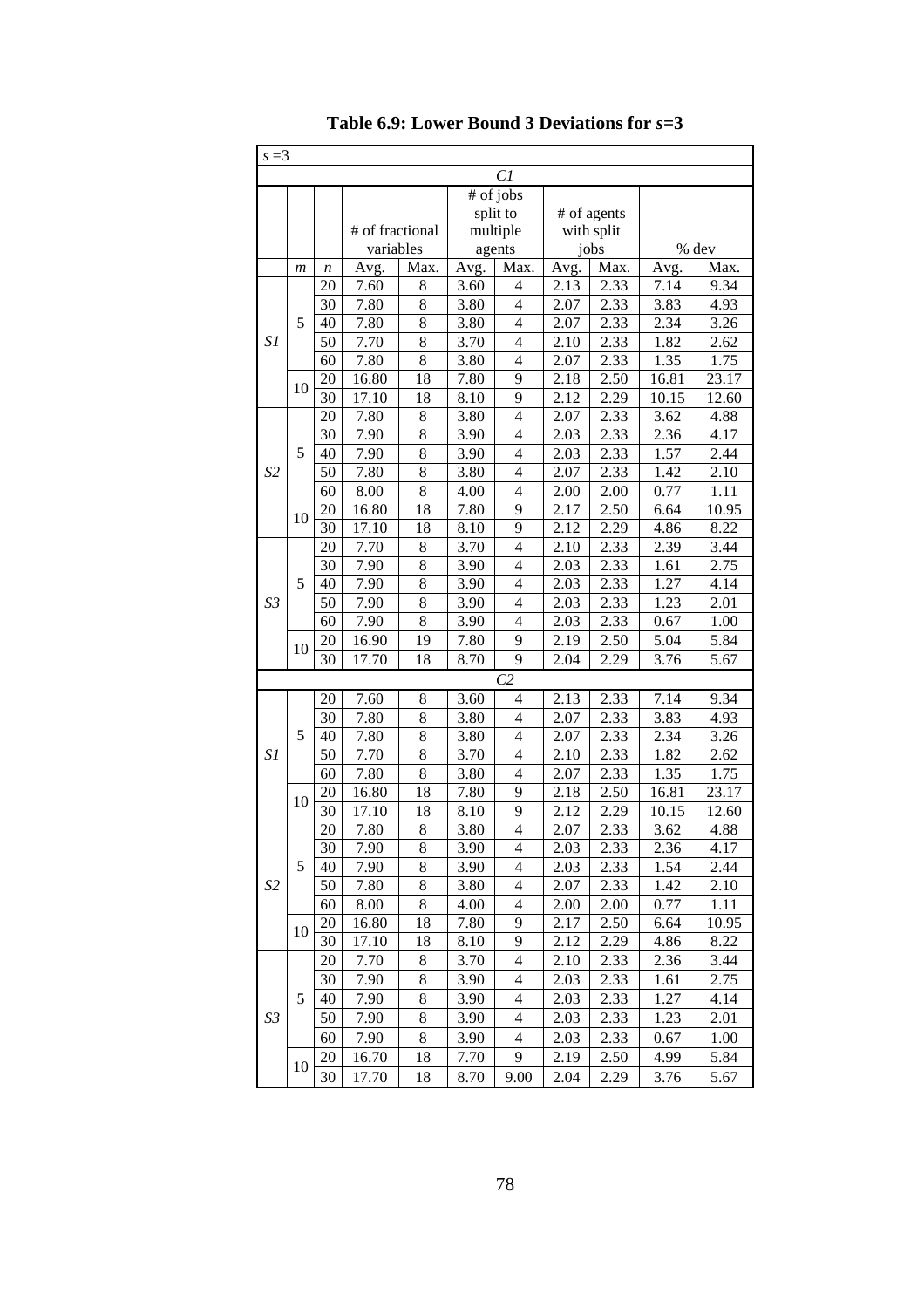| $s = 3$        |                  |    |                 |      |      |                          |      |             |       |       |
|----------------|------------------|----|-----------------|------|------|--------------------------|------|-------------|-------|-------|
|                |                  |    |                 |      |      | C1                       |      |             |       |       |
|                |                  |    |                 |      |      | # of jobs                |      |             |       |       |
|                |                  |    |                 |      |      | split to                 |      | # of agents |       |       |
|                |                  |    | # of fractional |      |      | multiple                 |      | with split  |       |       |
|                |                  |    | variables       |      |      | agents                   |      | jobs        | % dev |       |
|                | $\boldsymbol{m}$ | n  | Avg.            | Max. | Avg. | Max.                     | Avg. | Max.        | Avg.  | Max.  |
|                |                  | 20 | 7.60            | 8    | 3.60 | 4                        | 2.13 | 2.33        | 7.14  | 9.34  |
|                |                  | 30 | 7.80            | 8    | 3.80 | 4                        | 2.07 | 2.33        | 3.83  | 4.93  |
|                | 5                | 40 | 7.80            | 8    | 3.80 | $\overline{4}$           | 2.07 | 2.33        | 2.34  | 3.26  |
| S1             |                  | 50 | 7.70            | 8    | 3.70 | $\overline{4}$           | 2.10 | 2.33        | 1.82  | 2.62  |
|                |                  | 60 | 7.80            | 8    | 3.80 | $\overline{4}$           | 2.07 | 2.33        | 1.35  | 1.75  |
|                | 10               | 20 | 16.80           | 18   | 7.80 | 9                        | 2.18 | 2.50        | 16.81 | 23.17 |
|                |                  | 30 | 17.10           | 18   | 8.10 | 9                        | 2.12 | 2.29        | 10.15 | 12.60 |
|                |                  | 20 | 7.80            | 8    | 3.80 | $\overline{4}$           | 2.07 | 2.33        | 3.62  | 4.88  |
|                |                  | 30 | 7.90            | 8    | 3.90 | $\overline{4}$           | 2.03 | 2.33        | 2.36  | 4.17  |
|                | 5                | 40 | 7.90            | 8    | 3.90 | $\overline{4}$           | 2.03 | 2.33        | 1.57  | 2.44  |
| S <sub>2</sub> |                  | 50 | 7.80            | 8    | 3.80 | $\overline{4}$           | 2.07 | 2.33        | 1.42  | 2.10  |
|                |                  | 60 | 8.00            | 8    | 4.00 | $\overline{4}$           | 2.00 | 2.00        | 0.77  | 1.11  |
|                | 10               | 20 | 16.80           | 18   | 7.80 | 9                        | 2.17 | 2.50        | 6.64  | 10.95 |
|                |                  | 30 | 17.10           | 18   | 8.10 | 9                        | 2.12 | 2.29        | 4.86  | 8.22  |
|                |                  | 20 | 7.70            | 8    | 3.70 | $\overline{4}$           | 2.10 | 2.33        | 2.39  | 3.44  |
|                |                  | 30 | 7.90            | 8    | 3.90 | $\overline{4}$           | 2.03 | 2.33        | 1.61  | 2.75  |
|                | 5                | 40 | 7.90            | 8    | 3.90 | $\overline{4}$           | 2.03 | 2.33        | 1.27  | 4.14  |
| S3             |                  | 50 | 7.90            | 8    | 3.90 | 4                        | 2.03 | 2.33        | 1.23  | 2.01  |
|                |                  | 60 | 7.90            | 8    | 3.90 | 4                        | 2.03 | 2.33        | 0.67  | 1.00  |
|                | 10               | 20 | 16.90           | 19   | 7.80 | 9                        | 2.19 | 2.50        | 5.04  | 5.84  |
|                |                  | 30 | 17.70           | 18   | 8.70 | 9                        | 2.04 | 2.29        | 3.76  | 5.67  |
|                |                  |    |                 |      |      | C <sub>2</sub>           |      |             |       |       |
|                |                  | 20 | 7.60            | 8    | 3.60 | 4                        | 2.13 | 2.33        | 7.14  | 9.34  |
|                |                  | 30 | 7.80            | 8    | 3.80 | $\overline{4}$           | 2.07 | 2.33        | 3.83  | 4.93  |
|                | 5                | 40 | 7.80            | 8    | 3.80 | $\overline{4}$           | 2.07 | 2.33        | 2.34  | 3.26  |
| S1             |                  | 50 | 7.70            | 8    | 3.70 | $\overline{4}$           | 2.10 | 2.33        | 1.82  | 2.62  |
|                |                  | 60 | 7.80            | 8    | 3.80 | $\overline{4}$           | 2.07 | 2.33        | 1.35  | 1.75  |
|                | 10               | 20 | 16.80           | 18   | 7.80 | 9                        | 2.18 | 2.50        | 16.81 | 23.17 |
|                |                  | 30 | 17.10           | 18   | 8.10 | 9                        | 2.12 | 2.29        | 10.15 | 12.60 |
|                |                  | 20 | 7.80            | 8    | 3.80 | $\overline{4}$           | 2.07 | 2.33        | 3.62  | 4.88  |
|                |                  | 30 | 7.90            | 8    | 3.90 | 4                        | 2.03 | 2.33        | 2.36  | 4.17  |
|                | 5                | 40 | 7.90            | 8    | 3.90 | 4                        | 2.03 | 2.33        | 1.54  | 2.44  |
| S <sub>2</sub> |                  | 50 | 7.80            | 8    | 3.80 | $\overline{\mathcal{L}}$ | 2.07 | 2.33        | 1.42  | 2.10  |
|                |                  | 60 | 8.00            | 8    | 4.00 | $\overline{\mathcal{L}}$ | 2.00 | 2.00        | 0.77  | 1.11  |
|                | 10               | 20 | 16.80           | 18   | 7.80 | 9                        | 2.17 | 2.50        | 6.64  | 10.95 |
|                |                  | 30 | 17.10           | 18   | 8.10 | 9                        | 2.12 | 2.29        | 4.86  | 8.22  |
|                |                  | 20 | 7.70            | 8    | 3.70 | $\overline{\mathcal{L}}$ | 2.10 | 2.33        | 2.36  | 3.44  |
|                |                  | 30 | 7.90            | 8    | 3.90 | $\overline{\mathcal{L}}$ | 2.03 | 2.33        | 1.61  | 2.75  |
|                | 5                | 40 | 7.90            | 8    | 3.90 | 4                        | 2.03 | 2.33        | 1.27  | 4.14  |
| S3             |                  | 50 | 7.90            | 8    | 3.90 | 4                        | 2.03 | 2.33        | 1.23  | 2.01  |
|                |                  | 60 | 7.90            | 8    | 3.90 | $\overline{4}$           | 2.03 | 2.33        | 0.67  | 1.00  |
|                |                  | 20 | 16.70           | 18   | 7.70 | 9                        | 2.19 | 2.50        | 4.99  | 5.84  |
|                | 10               | 30 | 17.70           | 18   | 8.70 | 9.00                     | 2.04 | 2.29        | 3.76  | 5.67  |

**Table 6.9: Lower Bound 3 Deviations for** *s***=3**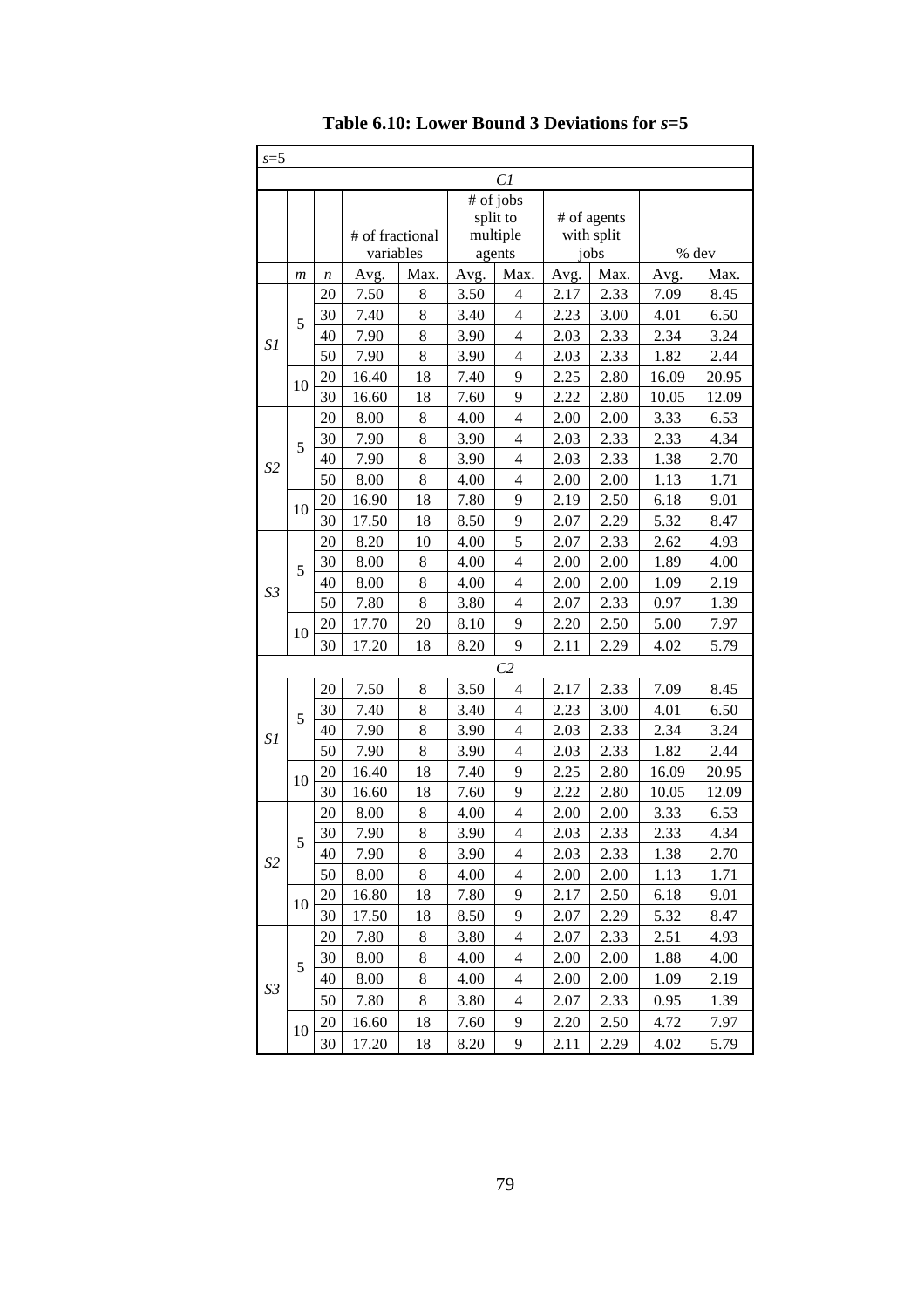| $s=5$          |                  |         |                              |      |              |                                                 |              |                                   |              |       |
|----------------|------------------|---------|------------------------------|------|--------------|-------------------------------------------------|--------------|-----------------------------------|--------------|-------|
|                |                  |         |                              |      |              | Cl                                              |              |                                   |              |       |
|                |                  |         | # of fractional<br>variables |      |              | $\overline{\#}$ of jobs<br>split to<br>multiple |              | # of agents<br>with split<br>jobs |              | % dev |
|                |                  |         |                              | Max. |              | agents<br>Max.                                  |              | Max.                              |              | Max.  |
|                | $\boldsymbol{m}$ | n<br>20 | Avg.<br>7.50                 | 8    | Avg.<br>3.50 | $\overline{4}$                                  | Avg.<br>2.17 | 2.33                              | Avg.<br>7.09 | 8.45  |
|                |                  | 30      | 7.40                         | 8    | 3.40         | $\overline{4}$                                  | 2.23         | 3.00                              | 4.01         | 6.50  |
|                | 5                | 40      | 7.90                         | 8    | 3.90         | $\overline{4}$                                  | 2.03         | 2.33                              | 2.34         | 3.24  |
| S1             |                  | 50      | 7.90                         | 8    | 3.90         | $\overline{4}$                                  | 2.03         | 2.33                              | 1.82         | 2.44  |
|                |                  | 20      | 16.40                        | 18   | 7.40         | 9                                               | 2.25         | 2.80                              | 16.09        | 20.95 |
|                | 10               | 30      | 16.60                        | 18   | 7.60         | 9                                               | 2.22         | 2.80                              | 10.05        | 12.09 |
|                |                  | 20      | 8.00                         | 8    | 4.00         | $\overline{4}$                                  | 2.00         | 2.00                              | 3.33         | 6.53  |
|                |                  | 30      | 7.90                         | 8    | 3.90         | $\overline{4}$                                  | 2.03         | 2.33                              | 2.33         | 4.34  |
|                | 5                | 40      | 7.90                         | 8    | 3.90         | $\overline{4}$                                  | 2.03         | 2.33                              | 1.38         | 2.70  |
| S <sub>2</sub> |                  | 50      | 8.00                         | 8    | 4.00         | $\overline{4}$                                  | 2.00         | 2.00                              | 1.13         | 1.71  |
|                |                  | 20      | 16.90                        | 18   | 7.80         | 9                                               | 2.19         | 2.50                              | 6.18         | 9.01  |
|                | 10               | 30      | 17.50                        | 18   | 8.50         | 9                                               | 2.07         | 2.29                              | 5.32         | 8.47  |
|                |                  | 20      | 8.20                         | 10   | 4.00         | 5                                               | 2.07         | 2.33                              | 2.62         | 4.93  |
|                |                  | 30      | 8.00                         | 8    | 4.00         | $\overline{4}$                                  | 2.00         | 2.00                              | 1.89         | 4.00  |
|                | 5                | 40      | 8.00                         | 8    | 4.00         | $\overline{4}$                                  | 2.00         | 2.00                              | 1.09         | 2.19  |
| S3             |                  | 50      | 7.80                         | 8    | 3.80         | $\overline{4}$                                  | 2.07         | 2.33                              | 0.97         | 1.39  |
|                |                  | 20      | 17.70                        | 20   | 8.10         | 9                                               | 2.20         | 2.50                              | 5.00         | 7.97  |
|                | 10               | 30      | 17.20                        | 18   | 8.20         | 9                                               | 2.11         | 2.29                              | 4.02         | 5.79  |
|                |                  |         |                              |      |              | C <sub>2</sub>                                  |              |                                   |              |       |
|                |                  | 20      | 7.50                         | 8    | 3.50         | $\overline{4}$                                  | 2.17         | 2.33                              | 7.09         | 8.45  |
|                | 5                | 30      | 7.40                         | 8    | 3.40         | $\overline{4}$                                  | 2.23         | 3.00                              | 4.01         | 6.50  |
| S1             |                  | 40      | 7.90                         | 8    | 3.90         | $\overline{4}$                                  | 2.03         | 2.33                              | 2.34         | 3.24  |
|                |                  | 50      | 7.90                         | 8    | 3.90         | $\overline{4}$                                  | 2.03         | 2.33                              | 1.82         | 2.44  |
|                | 10               | 20      | 16.40                        | 18   | 7.40         | 9                                               | 2.25         | 2.80                              | 16.09        | 20.95 |
|                |                  | 30      | 16.60                        | 18   | 7.60         | 9                                               | 2.22         | 2.80                              | 10.05        | 12.09 |
|                |                  | 20      | 8.00                         | 8    | 4.00         | $\overline{4}$                                  | 2.00         | 2.00                              | 3.33         | 6.53  |
|                | 5                | 30      | 7.90                         | 8    | 3.90         | 4                                               | 2.03         | 2.33                              | 2.33         | 4.34  |
| S2             |                  | 40      | 7.90                         | 8    | 3.90         | 4                                               | 2.03         | 2.33                              | 1.38         | 2.70  |
|                |                  | 50      | 8.00                         | 8    | 4.00         | 4                                               | 2.00         | 2.00                              | 1.13         | 1.71  |
|                | 10               | 20      | 16.80                        | 18   | 7.80         | 9                                               | 2.17         | 2.50                              | 6.18         | 9.01  |
|                |                  | 30      | 17.50                        | 18   | 8.50         | 9                                               | 2.07         | 2.29                              | 5.32         | 8.47  |
|                |                  | 20      | 7.80                         | 8    | 3.80         | 4                                               | 2.07         | 2.33                              | 2.51         | 4.93  |
|                | 5                | 30      | 8.00                         | 8    | 4.00         | 4                                               | 2.00         | 2.00                              | 1.88         | 4.00  |
| S3             |                  | 40      | 8.00                         | 8    | 4.00         | 4                                               | 2.00         | 2.00                              | 1.09         | 2.19  |
|                |                  | 50      | 7.80                         | 8    | 3.80         | 4                                               | 2.07         | 2.33                              | 0.95         | 1.39  |
|                | 10               | $20\,$  | 16.60                        | 18   | 7.60         | 9                                               | 2.20         | 2.50                              | 4.72         | 7.97  |
|                |                  | 30      | 17.20                        | 18   | 8.20         | 9                                               | 2.11         | 2.29                              | 4.02         | 5.79  |

**Table 6.10: Lower Bound 3 Deviations for** *s***=5**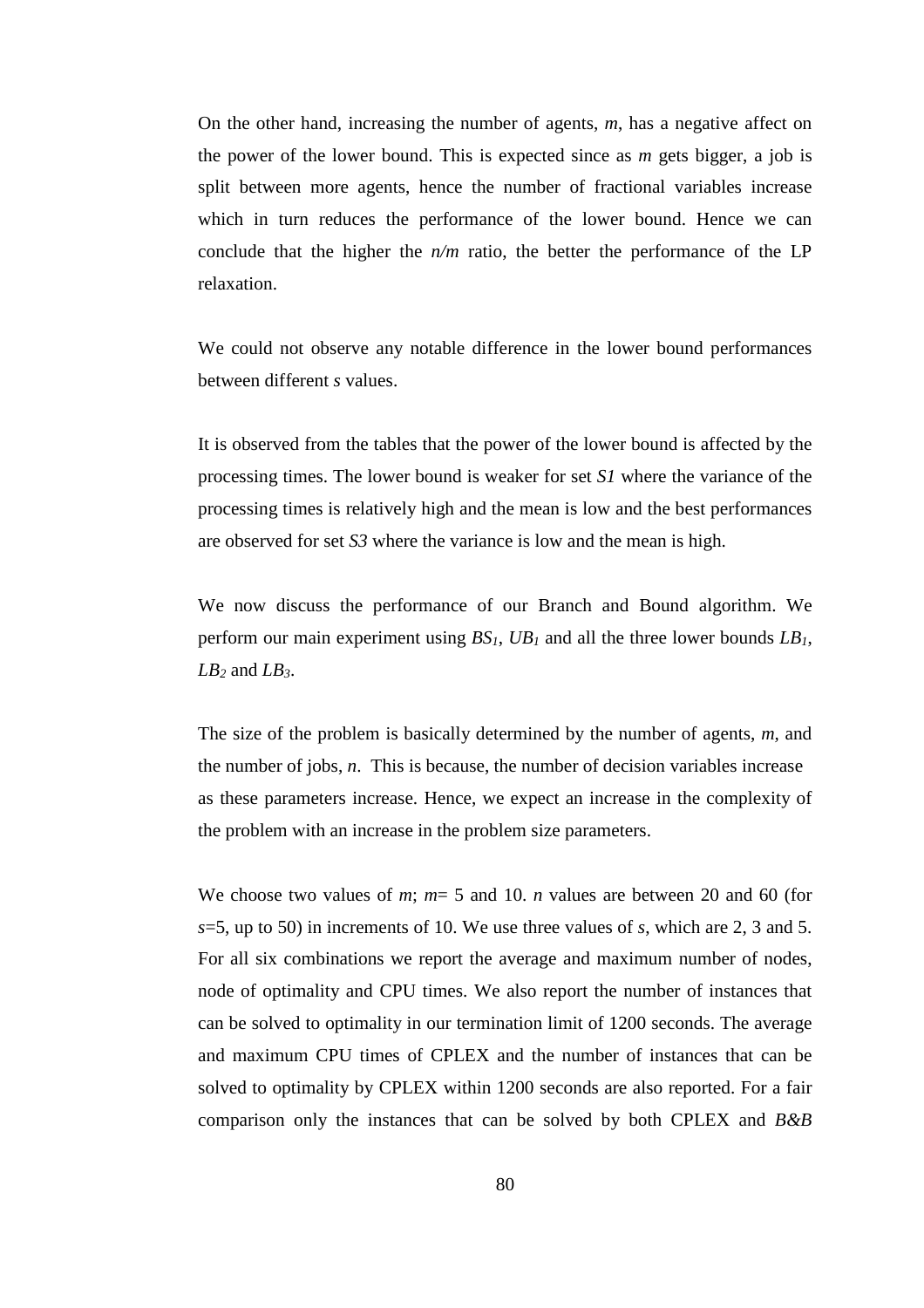On the other hand, increasing the number of agents, *m*, has a negative affect on the power of the lower bound. This is expected since as *m* gets bigger, a job is split between more agents, hence the number of fractional variables increase which in turn reduces the performance of the lower bound. Hence we can conclude that the higher the *n/m* ratio, the better the performance of the LP relaxation.

We could not observe any notable difference in the lower bound performances between different *s* values.

It is observed from the tables that the power of the lower bound is affected by the processing times. The lower bound is weaker for set *S1* where the variance of the processing times is relatively high and the mean is low and the best performances are observed for set *S3* where the variance is low and the mean is high.

We now discuss the performance of our Branch and Bound algorithm. We perform our main experiment using *BS1*, *UB1* and all the three lower bounds *LB1*, *LB2* and *LB3*.

The size of the problem is basically determined by the number of agents, *m,* and the number of jobs, *n*. This is because, the number of decision variables increase as these parameters increase. Hence, we expect an increase in the complexity of the problem with an increase in the problem size parameters.

We choose two values of *m*; *m*= 5 and 10. *n* values are between 20 and 60 (for *s*=5, up to 50) in increments of 10. We use three values of *s*, which are 2, 3 and 5. For all six combinations we report the average and maximum number of nodes, node of optimality and CPU times. We also report the number of instances that can be solved to optimality in our termination limit of 1200 seconds. The average and maximum CPU times of CPLEX and the number of instances that can be solved to optimality by CPLEX within 1200 seconds are also reported. For a fair comparison only the instances that can be solved by both CPLEX and *B&B*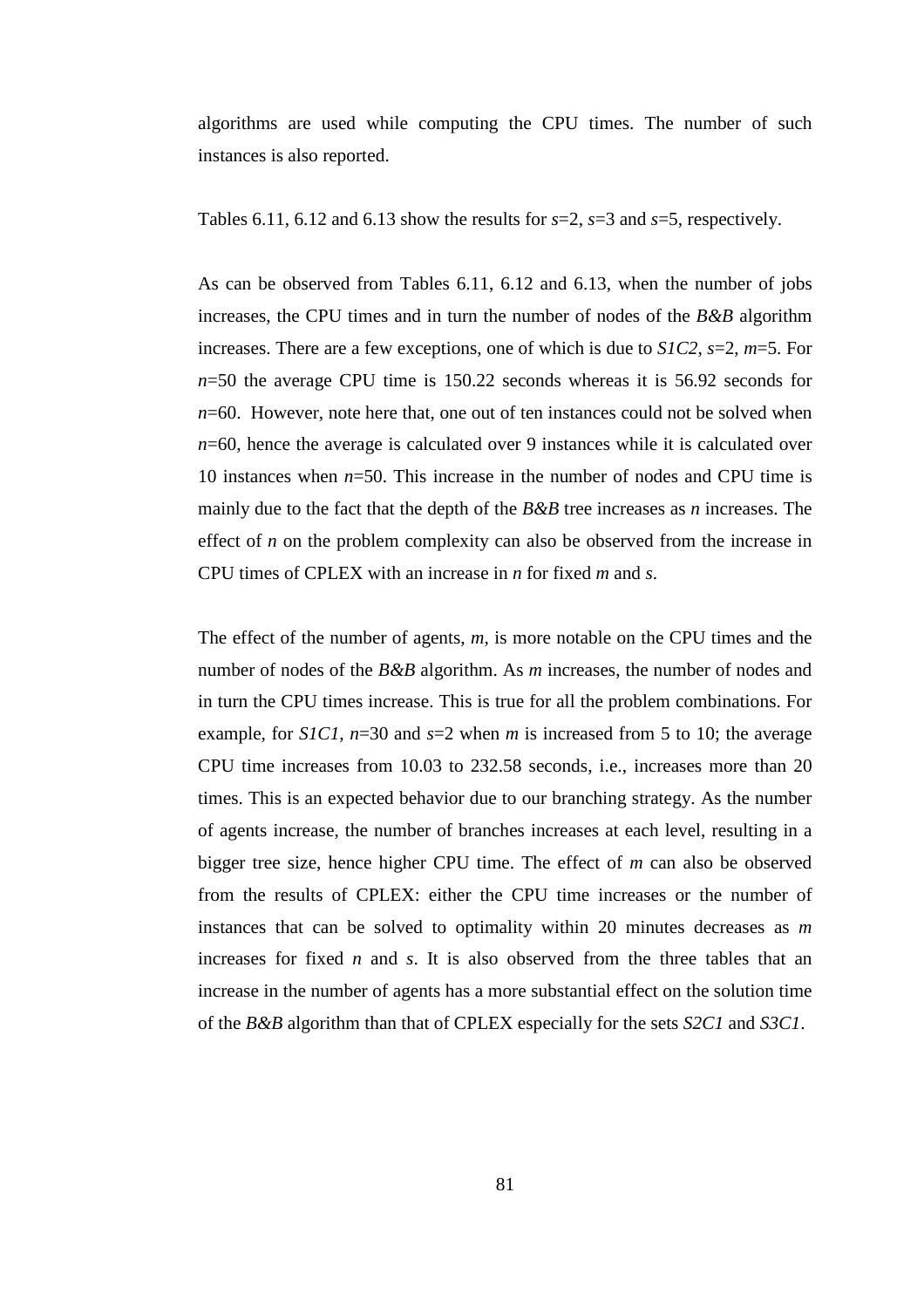algorithms are used while computing the CPU times. The number of such instances is also reported.

Tables 6.11, 6.12 and 6.13 show the results for *s*=2, *s*=3 and *s*=5, respectively.

As can be observed from Tables 6.11, 6.12 and 6.13, when the number of jobs increases, the CPU times and in turn the number of nodes of the *B&B* algorithm increases. There are a few exceptions, one of which is due to *S1C2*, *s*=2, *m*=5. For *n*=50 the average CPU time is 150.22 seconds whereas it is 56.92 seconds for *n*=60. However, note here that, one out of ten instances could not be solved when *n*=60, hence the average is calculated over 9 instances while it is calculated over 10 instances when *n*=50. This increase in the number of nodes and CPU time is mainly due to the fact that the depth of the *B&B* tree increases as *n* increases. The effect of *n* on the problem complexity can also be observed from the increase in CPU times of CPLEX with an increase in *n* for fixed *m* and *s*.

The effect of the number of agents, *m*, is more notable on the CPU times and the number of nodes of the *B&B* algorithm. As *m* increases, the number of nodes and in turn the CPU times increase. This is true for all the problem combinations. For example, for *S1C1*, *n*=30 and *s*=2 when *m* is increased from 5 to 10; the average CPU time increases from 10.03 to 232.58 seconds, i.e., increases more than 20 times. This is an expected behavior due to our branching strategy. As the number of agents increase, the number of branches increases at each level, resulting in a bigger tree size, hence higher CPU time. The effect of *m* can also be observed from the results of CPLEX: either the CPU time increases or the number of instances that can be solved to optimality within 20 minutes decreases as *m* increases for fixed *n* and *s*. It is also observed from the three tables that an increase in the number of agents has a more substantial effect on the solution time of the *B&B* algorithm than that of CPLEX especially for the sets *S2C1* and *S3C1*.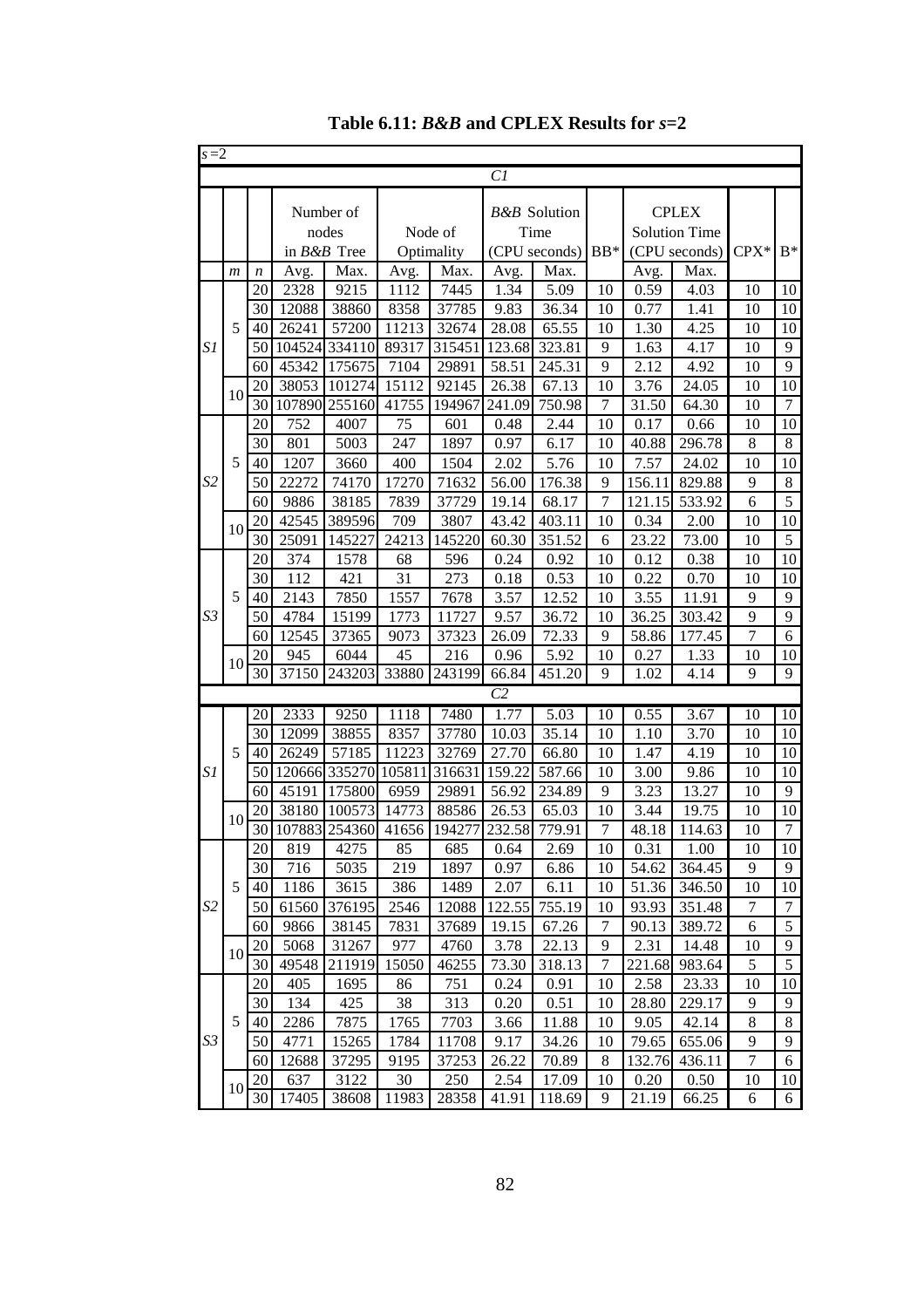| $s = 2$        |                  |                  |               |                                   |          |                       |                 |                                                  |                  |               |                                                       |         |                     |
|----------------|------------------|------------------|---------------|-----------------------------------|----------|-----------------------|-----------------|--------------------------------------------------|------------------|---------------|-------------------------------------------------------|---------|---------------------|
|                |                  |                  |               |                                   |          |                       | C1              |                                                  |                  |               |                                                       |         |                     |
|                |                  |                  |               | Number of<br>nodes<br>in B&B Tree |          | Node of<br>Optimality |                 | <b>B&amp;B</b> Solution<br>Time<br>(CPU seconds) | $BB*$            |               | <b>CPLEX</b><br><b>Solution Time</b><br>(CPU seconds) | $CPX*$  | $B^*$               |
|                | $\boldsymbol{m}$ | $\boldsymbol{n}$ | Avg.          | Max.                              | Avg.     | Max.                  | Avg.            | Max.                                             |                  | Avg.          | Max.                                                  |         |                     |
|                |                  | 20               | 2328          | $\overline{9215}$                 | 1112     | 7445                  | 1.34            | 5.09                                             | 10               | 0.59          | 4.03                                                  | 10      | 10                  |
|                |                  | 30               | 12088         | 38860                             | 8358     | 37785                 | 9.83            | 36.34                                            | 10               | 0.77          | 1.41                                                  | 10      | 10                  |
|                | 5                | 40               | 26241         | 57200                             | 11213    | 32674                 | 28.08           | 65.55                                            | 10               | 1.30          | 4.25                                                  | 10      | 10                  |
| SI             |                  | 50               | 104524        | 334110                            | 89317    | 315451                | 123.68          | 323.81                                           | 9                | 1.63          | 4.17                                                  | 10      | 9                   |
|                |                  | 60               | 45342         | 175675                            | 7104     | 29891                 | 58.51           | 245.31                                           | 9                | 2.12          | 4.92                                                  | 10      | 9                   |
|                |                  | 20               | 38053         | 101274                            | 15112    | 92145                 | 26.38           | 67.13                                            | 10               | 3.76          | 24.05                                                 | 10      | 10                  |
|                | 10               | 30               | 107890        | 255160                            | 41755    | 194967                | 241.09          | 750.98                                           | $\overline{7}$   | 31.50         | 64.30                                                 | 10      | 7                   |
|                |                  | 20               | 752           | 4007                              | 75       | 601                   | 0.48            | 2.44                                             | 10               | 0.17          | 0.66                                                  | 10      | 10                  |
|                |                  | 30               | 801           | 5003                              | 247      | 1897                  | 0.97            | 6.17                                             | 10               | 40.88         | 296.78                                                | 8       | 8                   |
|                | 5                | 40               | 1207          | 3660                              | 400      | 1504                  | 2.02            | 5.76                                             | 10               | 7.57          | 24.02                                                 | 10      | 10                  |
| S <sub>2</sub> |                  | 50               | 22272         | 74170                             | 17270    | 71632                 | 56.00           | 176.38                                           | 9                | 156.11        | 829.88                                                | 9       | $8\,$               |
|                |                  | 60               | 9886          | 38185                             | 7839     | 37729                 | 19.14           | 68.17                                            | $\overline{7}$   | 121.15        | 533.92                                                | 6       | 5                   |
|                |                  | 20               | 42545         | 389596                            | 709      | 3807                  | 43.42           | 403.11                                           | 10               | 0.34          | 2.00                                                  | 10      | 10                  |
|                | 10               | 30               | 25091         | 145227                            | 24213    | 145220                | 60.30           | 351.52                                           | 6                | 23.22         | 73.00                                                 | 10      | $\mathfrak s$       |
|                |                  | 20               | 374           | 1578                              | 68       | 596                   | 0.24            | 0.92                                             | 10               | 0.12          | 0.38                                                  | 10      | 10                  |
|                |                  | 30               | 112           | 421                               | 31       | 273                   | 0.18            | 0.53                                             | 10               | 0.22          | 0.70                                                  | 10      | 10                  |
|                | 5                | 40               | 2143          | 7850                              | 1557     | 7678                  | 3.57            | 12.52                                            | 10               | 3.55          | 11.91                                                 | 9       | 9                   |
| S3             |                  | 50               | 4784          | 15199                             | 1773     | 11727                 | 9.57            | 36.72                                            | 10               | 36.25         | 303.42                                                | 9       | 9                   |
|                |                  | 60               | 12545         | 37365                             | 9073     | 37323                 | 26.09           | 72.33                                            | 9                | 58.86         | 177.45                                                | $\tau$  | 6                   |
|                | 10               | 20               | 945           | 6044                              | 45       | 216                   | 0.96            | 5.92                                             | 10               | 0.27          | 1.33                                                  | 10      | 10                  |
|                |                  | 30               | 37150         | 243203                            | 33880    | 243199                | 66.84           | 451.20                                           | 9                | 1.02          | 4.14                                                  | 9       | 9                   |
|                |                  |                  |               |                                   |          |                       | $\overline{C2}$ |                                                  |                  |               |                                                       |         |                     |
|                |                  | 20               | 2333          | 9250                              | 1118     | 7480                  | 1.77            | 5.03                                             | 10               | 0.55          | 3.67                                                  | 10      | $10\,$              |
|                |                  | 30               | 12099         | 38855                             | 8357     | 37780                 | 10.03           | 35.14                                            | 10               | 1.10          | 3.70                                                  | 10      | 10                  |
|                | 5                | 40               | 26249         | 57185                             | 11223    | 32769                 | 27.70           | 66.80                                            | 10               | 1.47          | 4.19                                                  | 10      | 10                  |
| SI             |                  | 50               | 120666        | 335270                            | 105811   | 316631                | 159.22          | 587.66                                           | 10               | 3.00          | 9.86                                                  | 10      | 10                  |
|                |                  | 60               | 45191         | 175800                            | 6959     | 29891                 | 56.92           | 234.89                                           | 9                | 3.23          | 13.27                                                 | 10      | 9                   |
|                | 10               | 20               | 38180         | 100573                            | 14773    | 88586                 | 26.53           | 65.03                                            | 10               | 3.44          | 19.75                                                 | 10      | 10                  |
|                |                  | 30               | 107883 254360 |                                   | 41656    | 194277                | 232.58          | 779.91                                           | $\overline{7}$   | 48.18         | 114.63                                                | 10      | $\tau$              |
|                |                  | 20               | 819           | 4275                              | 85       | 685                   | 0.64            | 2.69                                             | 10               | 0.31          | 1.00                                                  | 10      | 10                  |
|                |                  | 30               | 716           | 5035                              | 219      | 1897                  | 0.97            | 6.86                                             | 10               | 54.62         | 364.45                                                | 9       | 9                   |
|                | 5                | 40               | 1186          | 3615                              | 386      | 1489                  | 2.07            | 6.11                                             | 10               | 51.36         | 346.50                                                | 10      | 10                  |
| S <sub>2</sub> |                  | 50               | 61560         | 376195                            | 2546     | 12088                 | 122.55          | 755.19                                           | 10               | 93.93         | 351.48                                                | $\tau$  | 7                   |
|                |                  | 60               | 9866          | 38145                             | 7831     | 37689                 | 19.15           | 67.26                                            | $\boldsymbol{7}$ | 90.13         | 389.72                                                | 6       | 5                   |
|                | 10               | 20               | 5068          | 31267                             | 977      | 4760                  | 3.78            | 22.13                                            | 9                | 2.31          | 14.48                                                 | 10      | 9<br>$\overline{5}$ |
|                |                  | 30               | 49548         | 211919                            | 15050    | 46255                 | 73.30           | 318.13                                           | $\overline{7}$   | 221.68        | 983.64                                                | 5       |                     |
|                |                  | 20<br>30         | 405<br>134    | 1695<br>425                       | 86<br>38 | 751<br>313            | 0.24<br>0.20    | 0.91<br>0.51                                     | 10               | 2.58<br>28.80 | 23.33<br>229.17                                       | 10<br>9 | 10<br>9             |
|                | 5                | 40               | 2286          | 7875                              | 1765     | 7703                  | 3.66            | 11.88                                            | 10<br>10         | 9.05          | 42.14                                                 | 8       | 8                   |
| S3             |                  | 50               | 4771          | 15265                             | 1784     | 11708                 | 9.17            | 34.26                                            | 10               | 79.65         | 655.06                                                | 9       | 9                   |
|                |                  | 60               | 12688         | 37295                             | 9195     | 37253                 | 26.22           | 70.89                                            | 8                | 132.76        | 436.11                                                | 7       | 6                   |
|                |                  | 20               | 637           | 3122                              | 30       | 250                   | 2.54            | 17.09                                            | 10               | 0.20          | 0.50                                                  | 10      | 10                  |
|                | 10               | 30               | 17405         | 38608                             | 11983    | 28358                 | 41.91           | 118.69                                           | 9                | 21.19         | 66.25                                                 | 6       | 6                   |

 **Table 6.11:** *B&B* **and CPLEX Results for** *s***=2**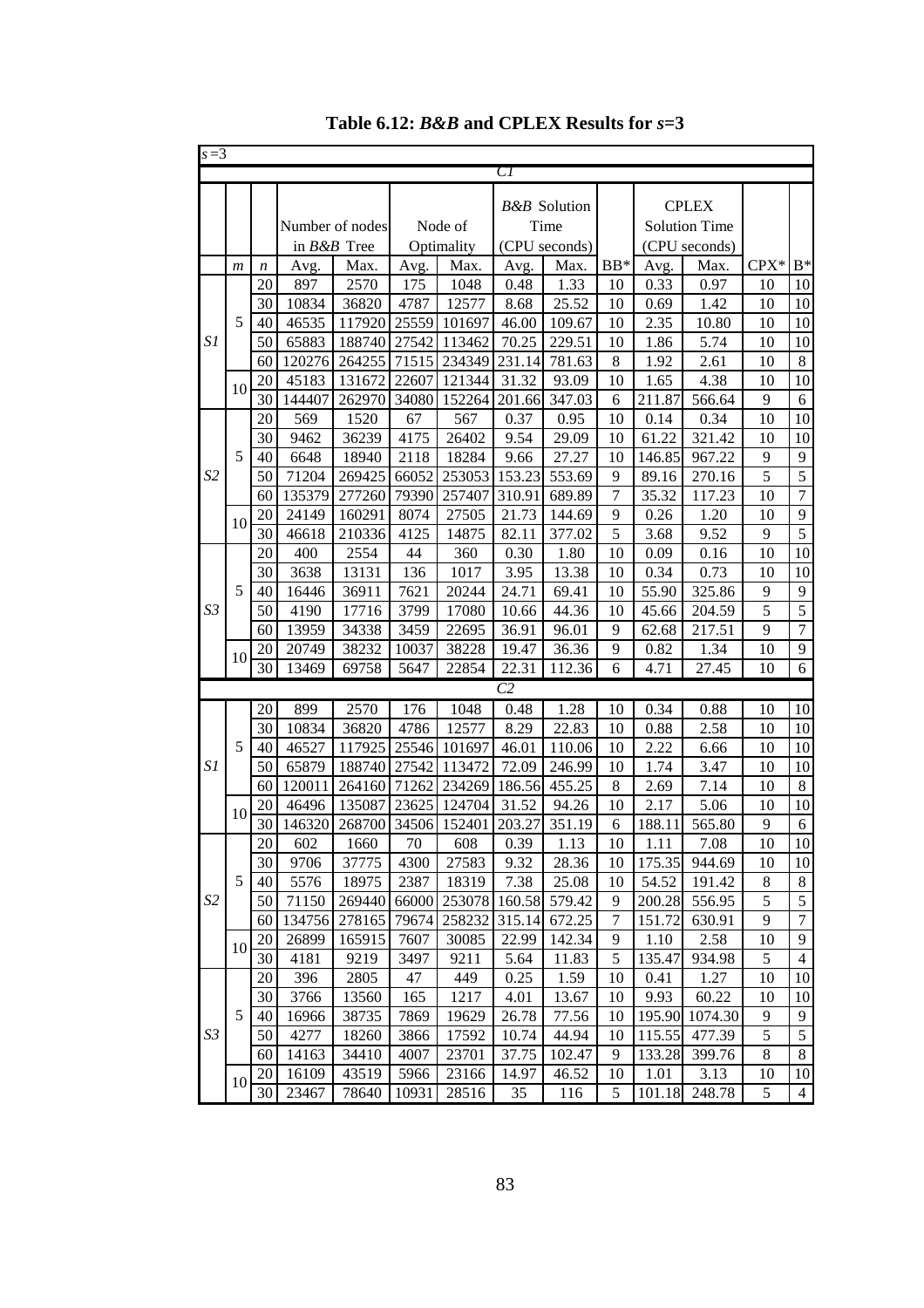| $s = 3$        |                  |                  |                 |                  |                 |                 |                 |                                 |                |                   |                                      |                 |                 |
|----------------|------------------|------------------|-----------------|------------------|-----------------|-----------------|-----------------|---------------------------------|----------------|-------------------|--------------------------------------|-----------------|-----------------|
|                |                  |                  |                 |                  |                 |                 | CТ              |                                 |                |                   |                                      |                 |                 |
|                |                  |                  |                 | Number of nodes  |                 | Node of         |                 | <b>B&amp;B</b> Solution<br>Time |                |                   | <b>CPLEX</b><br><b>Solution Time</b> |                 |                 |
|                |                  |                  |                 | in B&B Tree      |                 | Optimality      |                 | (CPU seconds)                   |                |                   | (CPU seconds)                        |                 |                 |
|                | $\boldsymbol{m}$ | $\boldsymbol{n}$ | Avg.            | Max.             | Avg.            | Max.            | Avg.            | Max.                            | $BB*$          | Avg.              | Max.                                 | $CPX*$          | $B^*$           |
|                |                  | 20               | 897             | 2570             | 175             | 1048            | 0.48            | 1.33                            | 10             | 0.33              | 0.97                                 | 10              | 10              |
|                |                  | 30               | 10834           | 36820            | 4787            | 12577           | 8.68            | $\overline{25.52}$              | 10             | 0.69              | 1.42                                 | 10              | 10              |
|                | 5                | 40               | 46535           | 117920           | 25559           | 101697          | 46.00           | 109.67                          | 10             | $2.\overline{35}$ | 10.80                                | 10              | 10              |
| S1             |                  | 50               | 65883           | 188740           | 27542           | 113462          | 70.25           | 229.51                          | 10             | 1.86              | 5.74                                 | 10              | 10              |
|                |                  | 60               | 120276          | 264255           | 71515           | 234349          | 231.14          | 781.63                          | 8              | 1.92              | 2.61                                 | 10              | $\,8\,$         |
|                |                  | 20               | 45183           | 131672           | 22607           | 121344          | 31.32           | 93.09                           | 10             | 1.65              | 4.38                                 | 10              | 10              |
|                | 10               | 30               | 144407          | 262970           | 34080           | 152264          | 201.66          | 347.03                          | 6              | 211.87            | 566.64                               | 9               | 6               |
|                |                  | 20               | 569             | 1520             | 67              | 567             | 0.37            | 0.95                            | 10             | 0.14              | 0.34                                 | 10              | 10              |
|                |                  | 30               | 9462            | 36239            | 4175            | 26402           | 9.54            | 29.09                           | 10             | 61.22             | 321.42                               | 10              | 10              |
|                | 5                | 40               | 6648            | 18940            | 2118            | 18284           | 9.66            | 27.27                           | 10             | 146.85            | 967.22                               | 9               | 9               |
| S <sub>2</sub> |                  | 50               | 71204           | 269425           | 66052           | 253053          | 153.23          | 553.69                          | 9              | 89.16             | 270.16                               | 5               | $\overline{5}$  |
|                |                  | 60               | 135379          | 277260           | 79390           | 257407          | 310.91          | 689.89                          | $\overline{7}$ | 35.32             | 117.23                               | 10              | $\overline{7}$  |
|                | 10               | 20               | 24149           | 160291           | 8074            | 27505           | 21.73           | 144.69                          | 9              | 0.26              | 1.20                                 | 10              | $\overline{9}$  |
|                |                  | 30               | 46618           | 210336           | 4125            | 14875           | 82.11           | 377.02                          | 5              | 3.68              | 9.52                                 | 9               | 5               |
|                |                  | 20               | 400             | 2554             | 44              | 360             | 0.30            | 1.80                            | 10             | 0.09              | 0.16                                 | 10              | 10              |
|                |                  | 30               | 3638            | 13131            | 136             | 1017            | 3.95            | 13.38                           | 10             | 0.34              | 0.73                                 | 10              | 10              |
|                | 5                | 40               | 16446           | 36911            | 7621            | 20244           | 24.71           | 69.41                           | 10             | 55.90             | 325.86                               | 9               | 9               |
| $S3 \,$        |                  | 50               | 4190            | 17716            | 3799            | 17080           | 10.66           | 44.36                           | 10             | 45.66             | 204.59                               | $\overline{5}$  | 5               |
|                |                  | 60               | 13959           | 34338            | 3459            | 22695           | 36.91           | 96.01                           | 9              | 62.68             | 217.51                               | 9               | $\overline{7}$  |
|                | 10               | 20               | 20749           | 38232            | 10037           | 38228           | 19.47           | 36.36                           | 9              | 0.82              | 1.34                                 | 10              | 9               |
|                |                  | 30               | 13469           | 69758            | 5647            | 22854           | 22.31           | 112.36                          | 6              | 4.71              | 27.45                                | 10              | 6               |
|                |                  |                  |                 |                  |                 |                 | $\overline{C2}$ |                                 |                |                   |                                      |                 |                 |
|                |                  | 20               | 899             | 2570             | 176             | 1048            | 0.48            | 1.28                            | 10             | 0.34              | 0.88                                 | 10              | 10              |
|                |                  | 30               | 10834           | 36820            | 4786            | 12577           | 8.29            | 22.83                           | 10             | 0.88              | 2.58                                 | 10              | $10\,$          |
|                | 5                | 40               | 46527           | 117925           | 25546           | 101697          | 46.01           | 110.06                          | 10             | 2.22              | 6.66                                 | 10              | 10              |
| SI             |                  | 50               | 65879           | 188740           | 27542           | 113472          | 72.09           | 246.99                          | 10             | 1.74              | 3.47                                 | 10              | 10              |
|                |                  | 60               | 120011          | 264160           | 71262           | 234269          | 186.56          | 455.25                          | 8              | 2.69              | 7.14                                 | 10              | $\,8\,$         |
|                | 10               | 20               | 46496           | 135087           | 23625           | 124704          | 31.52           | 94.26                           | 10             | $\overline{2.17}$ | 5.06                                 | 10              | 10              |
|                |                  | 30               | 146320          | 268700           | 34506           | 152401          | 203.27          | 351.19                          | 6              | 188.11            | 565.80                               | $\overline{9}$  | 6               |
|                |                  | 20               | 602             | 1660             | $\overline{70}$ | 608             | 0.39            | 1.13                            | 10             | 1.11              | 7.08                                 | $\overline{10}$ | $\overline{10}$ |
|                | 5                | 30               | 9706            | 37775            | 4300            | 27583           | 9.32            | 28.36                           | 10             | 175.35            | 944.69                               | 10              | 10              |
| S2             |                  | 40               | 5576            | 18975<br>269440  | 2387            | 18319           | 7.38            | 25.08                           | 10             | 54.52             | 191.42                               | 8<br>5          | 8<br>5          |
|                |                  | 50               | 71150           |                  | 66000           | 253078          | 160.58          | 579.42                          | 9<br>7         | 200.28            | 556.95                               | 9               | $\tau$          |
|                |                  | 60<br>20         | 134756<br>26899 | 278165<br>165915 | 79674<br>7607   | 258232<br>30085 | 315.14<br>22.99 | 672.25<br>142.34                | 9              | 151.72            | 630.91<br>2.58                       | 10              | 9               |
|                | 10               | 30               | 4181            | 9219             | 3497            | 9211            | 5.64            | 11.83                           | 5              | 1.10<br>135.47    | 934.98                               | 5               | $\overline{4}$  |
|                |                  | 20               | 396             | 2805             | 47              | 449             | 0.25            | 1.59                            | 10             | 0.41              | 1.27                                 | 10              | 10              |
|                |                  | 30               | 3766            | 13560            | 165             | 1217            | 4.01            | 13.67                           | 10             | 9.93              | 60.22                                | 10              | 10              |
|                | 5                | 40               | 16966           | 38735            | 7869            | 19629           | 26.78           | 77.56                           | 10             | 195.90            | 1074.30                              | 9               | 9               |
| S3             |                  | 50               | 4277            | 18260            | 3866            | 17592           | 10.74           | 44.94                           | 10             | 115.55            | 477.39                               | 5               | $\sqrt{5}$      |
|                |                  | 60               | 14163           | 34410            | 4007            | 23701           | 37.75           | 102.47                          | 9              | 133.28            | 399.76                               | 8               | $\,8\,$         |
|                |                  | $20\,$           | 16109           | 43519            | 5966            | 23166           | 14.97           | 46.52                           | 10             | 1.01              | 3.13                                 | 10              | 10              |
|                | 10               | 30               | 23467           | 78640            | 10931           | 28516           | 35              | 116                             | 5              | 101.18            | 248.78                               | 5               | $\overline{4}$  |
|                |                  |                  |                 |                  |                 |                 |                 |                                 |                |                   |                                      |                 |                 |

**Table 6.12:** *B&B* **and CPLEX Results for** *s***=3**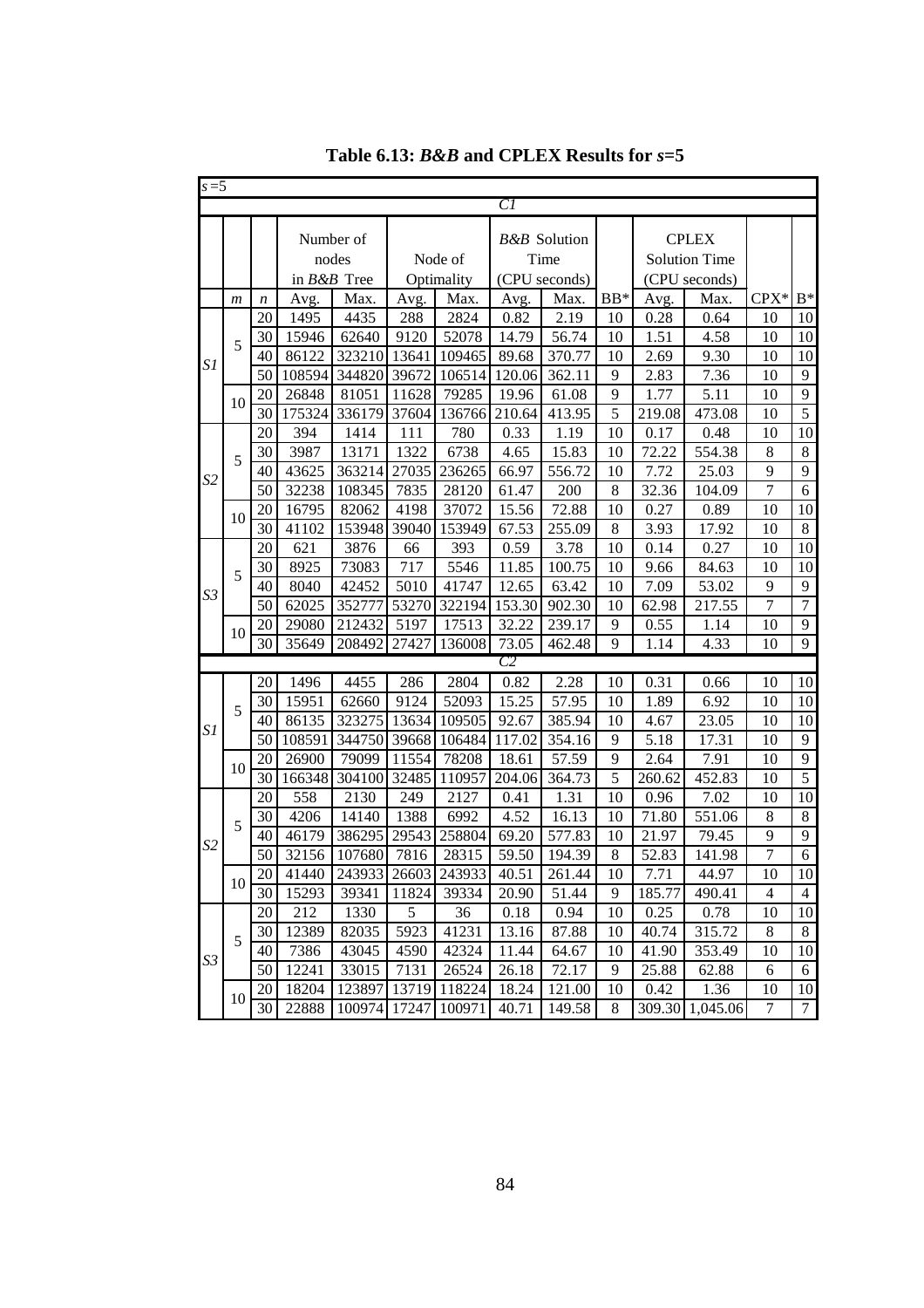| $s = 5$        |                  |                  |                     |              |       |                  |        |                         |                |        |                      |                  |                |
|----------------|------------------|------------------|---------------------|--------------|-------|------------------|--------|-------------------------|----------------|--------|----------------------|------------------|----------------|
|                |                  |                  |                     |              |       |                  | C1     |                         |                |        |                      |                  |                |
|                |                  |                  |                     | Number of    |       |                  |        | <b>B&amp;B</b> Solution |                |        | <b>CPLEX</b>         |                  |                |
|                |                  |                  |                     | nodes        |       | Node of          |        | Time                    |                |        | <b>Solution Time</b> |                  |                |
|                |                  |                  |                     | in B&B Tree  |       | Optimality       |        | (CPU seconds)           |                |        | (CPU seconds)        |                  |                |
|                | $\boldsymbol{m}$ | $\boldsymbol{n}$ | Avg.                | Max.         | Avg.  | Max.             | Avg.   | Max.                    | $BB*$          | Avg.   | Max.                 | $CPX^*$          | $B^*$          |
|                |                  | $2\overline{0}$  | 1495                | 4435         | 288   | 2824             | 0.82   | 2.19                    | 10             | 0.28   | 0.64                 | 10               | 10             |
|                | 5                | 30               | 15946               | 62640        | 9120  | 52078            | 14.79  | $\overline{56.74}$      | 10             | 1.51   | 4.58                 | 10               | 10             |
| S1             |                  | 40               | 86122               | 323210       | 13641 | 109465           | 89.68  | 370.77                  | 10             | 2.69   | 9.30                 | 10               | 10             |
|                |                  | 50               | 108594              | 344820       | 39672 | 106514           | 120.06 | 362.11                  | 9              | 2.83   | 7.36                 | 10               | 9              |
|                | 10               | 20               | 26848               | 81051        | 11628 | 79285            | 19.96  | 61.08                   | 9              | 1.77   | $\overline{5.11}$    | 10               | $\overline{9}$ |
|                |                  | 30               | $17532\overline{4}$ | 336179       | 37604 | 136766           | 210.64 | 413.95                  | $\overline{5}$ | 219.08 | 473.08               | 10               | $\overline{5}$ |
|                |                  | 20               | 394                 | 1414         | 111   | 780              | 0.33   | 1.19                    | 10             | 0.17   | 0.48                 | 10               | 10             |
|                | 5                | 30               | 3987                | 13171        | 1322  | 6738             | 4.65   | 15.83                   | 10             | 72.22  | 554.38               | $\,8\,$          | $\,8\,$        |
| S <sub>2</sub> |                  | 40               | 43625               | 363214       | 27035 | 236265           | 66.97  | 556.72                  | 10             | 7.72   | 25.03                | 9                | $\overline{9}$ |
|                |                  | 50               | 32238               | 108345       | 7835  | 28120            | 61.47  | 200                     | $\,$ 8 $\,$    | 32.36  | 104.09               | $\boldsymbol{7}$ | 6              |
|                | 10               | 20               | 16795               | 82062        | 4198  | 37072            | 15.56  | 72.88                   | 10             | 0.27   | 0.89                 | 10               | 10             |
|                |                  | 30               | 41102               | 153948       | 39040 | 153949           | 67.53  | 255.09                  | $8\,$          | 3.93   | 17.92                | 10               | 8              |
|                |                  | 20               | 621                 | 3876         | 66    | 393              | 0.59   | 3.78                    | 10             | 0.14   | 0.27                 | 10               | 10             |
|                | 5                | 30               | 8925                | 73083        | 717   | $\frac{1}{5546}$ | 11.85  | 100.75                  | 10             | 9.66   | 84.63                | 10               | 10             |
| S3             |                  | 40               | 8040                | 42452        | 5010  | 41747            | 12.65  | 63.42                   | 10             | 7.09   | 53.02                | 9                | $\mathbf{9}$   |
|                |                  | 50               | 62025               | 352777       | 53270 | 322194           | 153.30 | 902.30                  | 10             | 62.98  | 217.55               | $\overline{7}$   | $\overline{7}$ |
|                | 10               | 20               | 29080               | 212432       | 5197  | 17513            | 32.22  | 239.17                  | 9              | 0.55   | 1.14                 | 10               | $\overline{9}$ |
|                |                  | 30               | 35649               | 208492       | 27427 | 136008           | 73.05  | 462.48                  | $\overline{9}$ | 1.14   | 4.33                 | 10               | $\overline{9}$ |
|                |                  |                  |                     |              |       |                  | C2     |                         |                |        |                      |                  |                |
|                |                  | 20               | 1496                | 4455         | 286   | 2804             | 0.82   | 2.28                    | 10             | 0.31   | 0.66                 | 10               | 10             |
|                | 5                | 30               | 15951               | 62660        | 9124  | 52093            | 15.25  | 57.95                   | 10             | 1.89   | 6.92                 | 10               | 10             |
| S1             |                  | 40               | 86135               | 323275       | 13634 | 109505           | 92.67  | 385.94                  | 10             | 4.67   | 23.05                | 10               | 10             |
|                |                  | 50               | 108591              | 344750       | 39668 | 106484           | 117.02 | 354.16                  | 9              | 5.18   | 17.31                | 10               | 9              |
|                | 10               | 20               | 26900               | 79099        | 11554 | 78208            | 18.61  | 57.59                   | 9              | 2.64   | 7.91                 | 10               | 9              |
|                |                  | 30               | 166348              | 304100       | 32485 | 110957           | 204.06 | 364.73                  | 5              | 260.62 | 452.83               | 10               | 5              |
|                |                  | 20               | 558                 | 2130         | 249   | 2127             | 0.41   | 1.31                    | 10             | 0.96   | 7.02                 | 10               | 10             |
|                | 5                | 30               | 4206                | 14140        | 1388  | 6992             | 4.52   | 16.13                   | 10             | 71.80  | 551.06               | 8                | 8              |
| S <sub>2</sub> |                  | 40               | 46179               | 386295       | 29543 | 258804           | 69.20  | 577.83                  | 10             | 21.97  | 79.45                | 9                | 9              |
|                |                  | 50               | 32156               | 107680       | 7816  | 28315            | 59.50  | 194.39                  | $\,8\,$        | 52.83  | 141.98               | 7                | 6              |
|                | 10               | 20               | 41440               | 243933 26603 |       | 243933           | 40.51  | 261.44                  | 10             | 7.71   | 44.97                | 10               | 10             |
|                |                  | 30               | 15293               | 39341        | 11824 | 39334            | 20.90  | 51.44                   | 9              | 185.77 | 490.41               | $\overline{4}$   | $\overline{4}$ |
|                |                  | 20               | 212                 | 1330         | 5     | 36               | 0.18   | 0.94                    | 10             | 0.25   | 0.78                 | 10               | 10             |
|                | 5                | 30               | 12389               | 82035        | 5923  | 41231            | 13.16  | 87.88                   | 10             | 40.74  | 315.72               | 8                | $8\,$          |
|                |                  | 40               | 7386                | 43045        | 4590  | 42324            | 11.44  | 64.67                   | 10             | 41.90  | 353.49               | 10               | 10             |
| S3             |                  | 50               | 12241               | 33015        | 7131  | 26524            | 26.18  | 72.17                   | 9              | 25.88  | 62.88                | 6                | 6              |
|                |                  | 20               | 18204               | 123897       | 13719 | 118224           | 18.24  | 121.00                  | 10             | 0.42   | 1.36                 | 10               | 10             |
|                | 10               | 30               | 22888               | 100974 17247 |       | 100971           | 40.71  | 149.58                  | 8              | 309.30 | 1,045.06             | 7                | $\tau$         |

**Table 6.13:** *B&B* **and CPLEX Results for** *s***=5**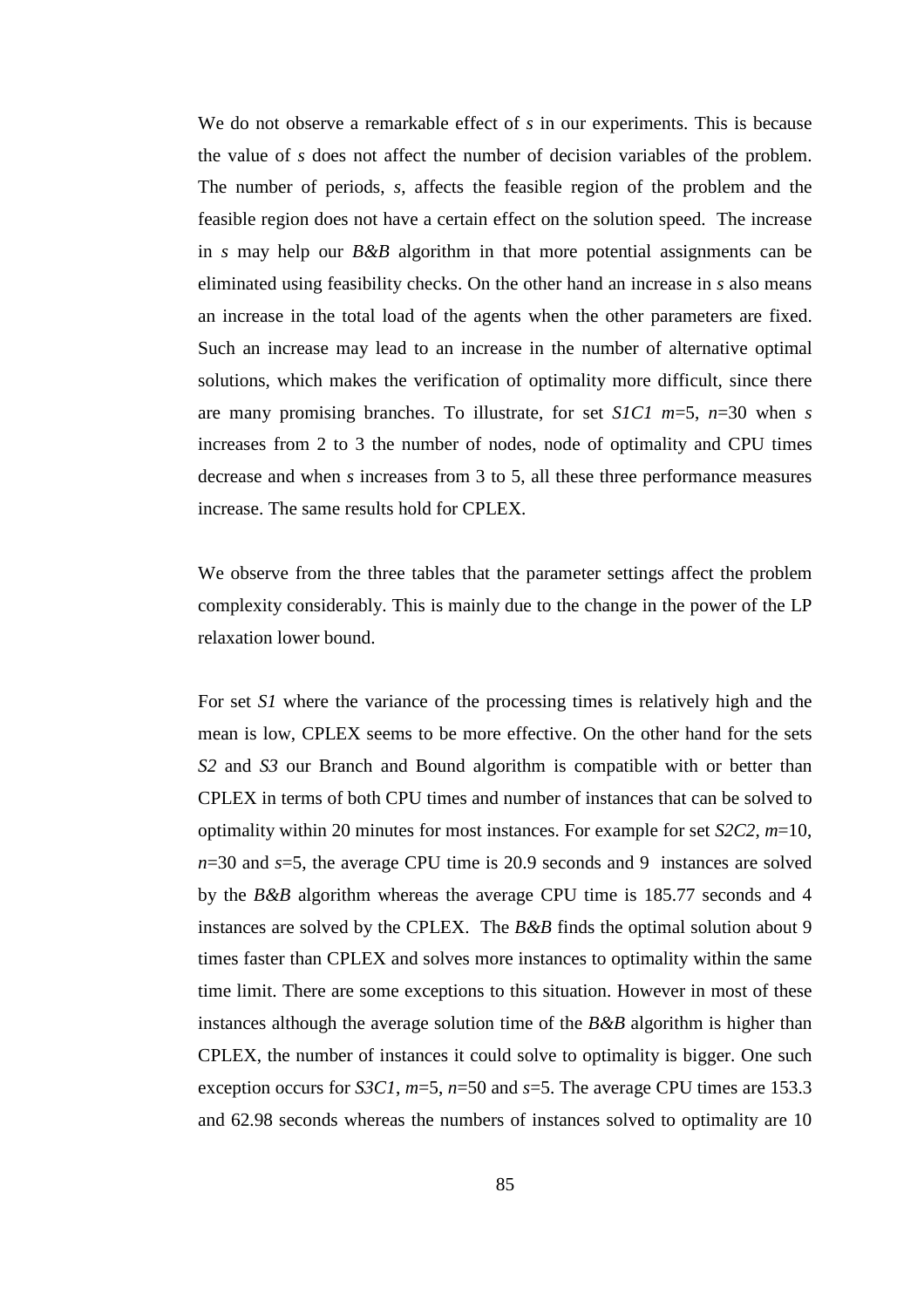We do not observe a remarkable effect of *s* in our experiments. This is because the value of *s* does not affect the number of decision variables of the problem. The number of periods, *s*, affects the feasible region of the problem and the feasible region does not have a certain effect on the solution speed. The increase in *s* may help our *B&B* algorithm in that more potential assignments can be eliminated using feasibility checks. On the other hand an increase in *s* also means an increase in the total load of the agents when the other parameters are fixed. Such an increase may lead to an increase in the number of alternative optimal solutions, which makes the verification of optimality more difficult, since there are many promising branches. To illustrate, for set *S1C1 m*=5, *n*=30 when *s* increases from 2 to 3 the number of nodes, node of optimality and CPU times decrease and when *s* increases from 3 to 5, all these three performance measures increase. The same results hold for CPLEX.

We observe from the three tables that the parameter settings affect the problem complexity considerably. This is mainly due to the change in the power of the LP relaxation lower bound.

For set *S1* where the variance of the processing times is relatively high and the mean is low, CPLEX seems to be more effective. On the other hand for the sets *S2* and *S3* our Branch and Bound algorithm is compatible with or better than CPLEX in terms of both CPU times and number of instances that can be solved to optimality within 20 minutes for most instances. For example for set *S2C2*, *m*=10, *n*=30 and *s*=5, the average CPU time is 20.9 seconds and 9 instances are solved by the *B&B* algorithm whereas the average CPU time is 185.77 seconds and 4 instances are solved by the CPLEX. The *B&B* finds the optimal solution about 9 times faster than CPLEX and solves more instances to optimality within the same time limit. There are some exceptions to this situation. However in most of these instances although the average solution time of the *B&B* algorithm is higher than CPLEX, the number of instances it could solve to optimality is bigger. One such exception occurs for *S3C1*, *m*=5, *n*=50 and *s*=5. The average CPU times are 153.3 and 62.98 seconds whereas the numbers of instances solved to optimality are 10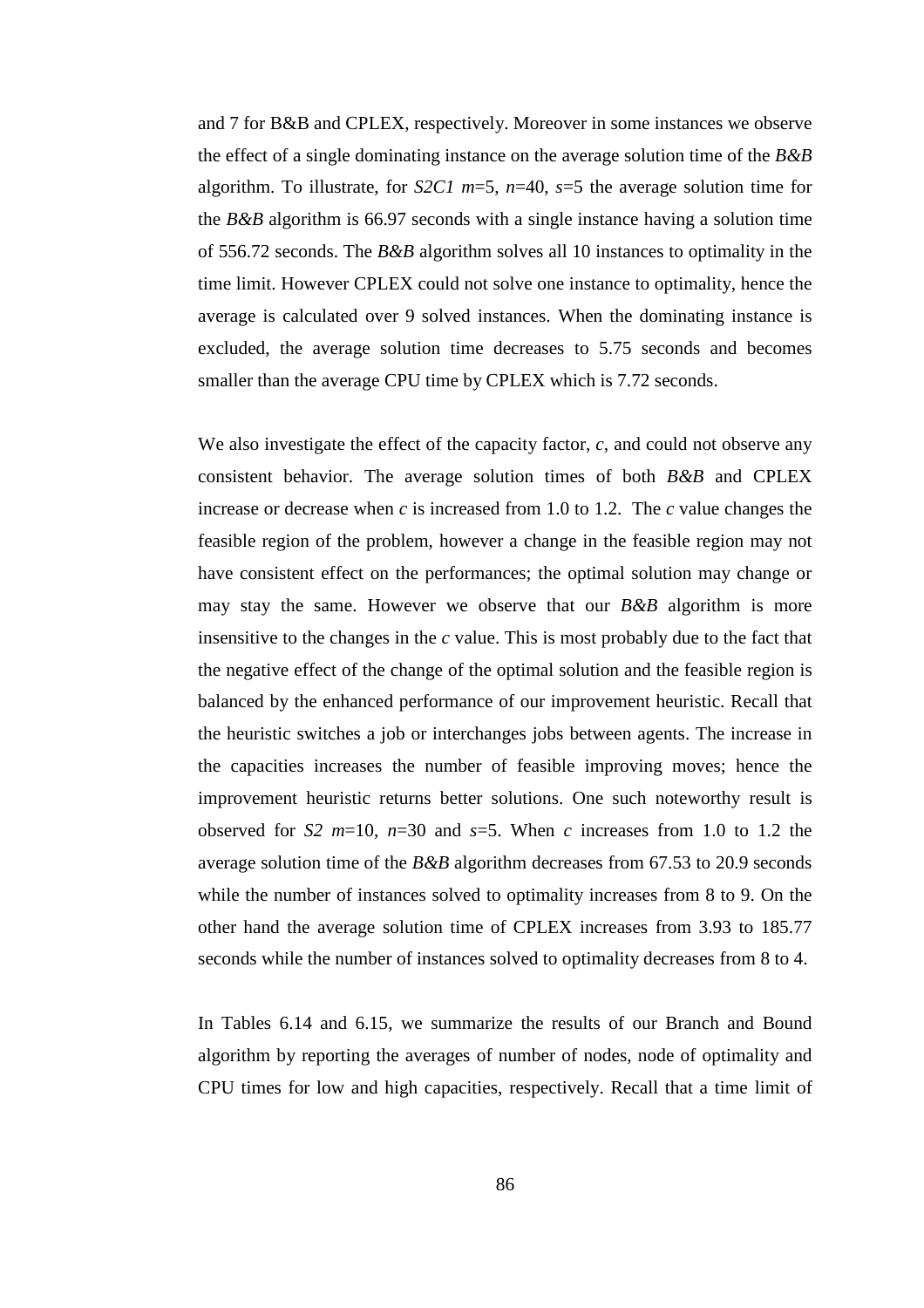and 7 for B&B and CPLEX, respectively. Moreover in some instances we observe the effect of a single dominating instance on the average solution time of the *B&B* algorithm. To illustrate, for *S2C1 m*=5, *n*=40, *s*=5 the average solution time for the *B&B* algorithm is 66.97 seconds with a single instance having a solution time of 556.72 seconds. The *B&B* algorithm solves all 10 instances to optimality in the time limit. However CPLEX could not solve one instance to optimality, hence the average is calculated over 9 solved instances. When the dominating instance is excluded, the average solution time decreases to 5.75 seconds and becomes smaller than the average CPU time by CPLEX which is 7.72 seconds.

We also investigate the effect of the capacity factor, *c*, and could not observe any consistent behavior. The average solution times of both *B&B* and CPLEX increase or decrease when *c* is increased from 1.0 to 1.2. The *c* value changes the feasible region of the problem, however a change in the feasible region may not have consistent effect on the performances; the optimal solution may change or may stay the same. However we observe that our *B&B* algorithm is more insensitive to the changes in the *c* value. This is most probably due to the fact that the negative effect of the change of the optimal solution and the feasible region is balanced by the enhanced performance of our improvement heuristic. Recall that the heuristic switches a job or interchanges jobs between agents. The increase in the capacities increases the number of feasible improving moves; hence the improvement heuristic returns better solutions. One such noteworthy result is observed for *S2 m*=10, *n*=30 and *s*=5. When *c* increases from 1.0 to 1.2 the average solution time of the *B&B* algorithm decreases from 67.53 to 20.9 seconds while the number of instances solved to optimality increases from 8 to 9. On the other hand the average solution time of CPLEX increases from 3.93 to 185.77 seconds while the number of instances solved to optimality decreases from 8 to 4.

In Tables 6.14 and 6.15, we summarize the results of our Branch and Bound algorithm by reporting the averages of number of nodes, node of optimality and CPU times for low and high capacities, respectively. Recall that a time limit of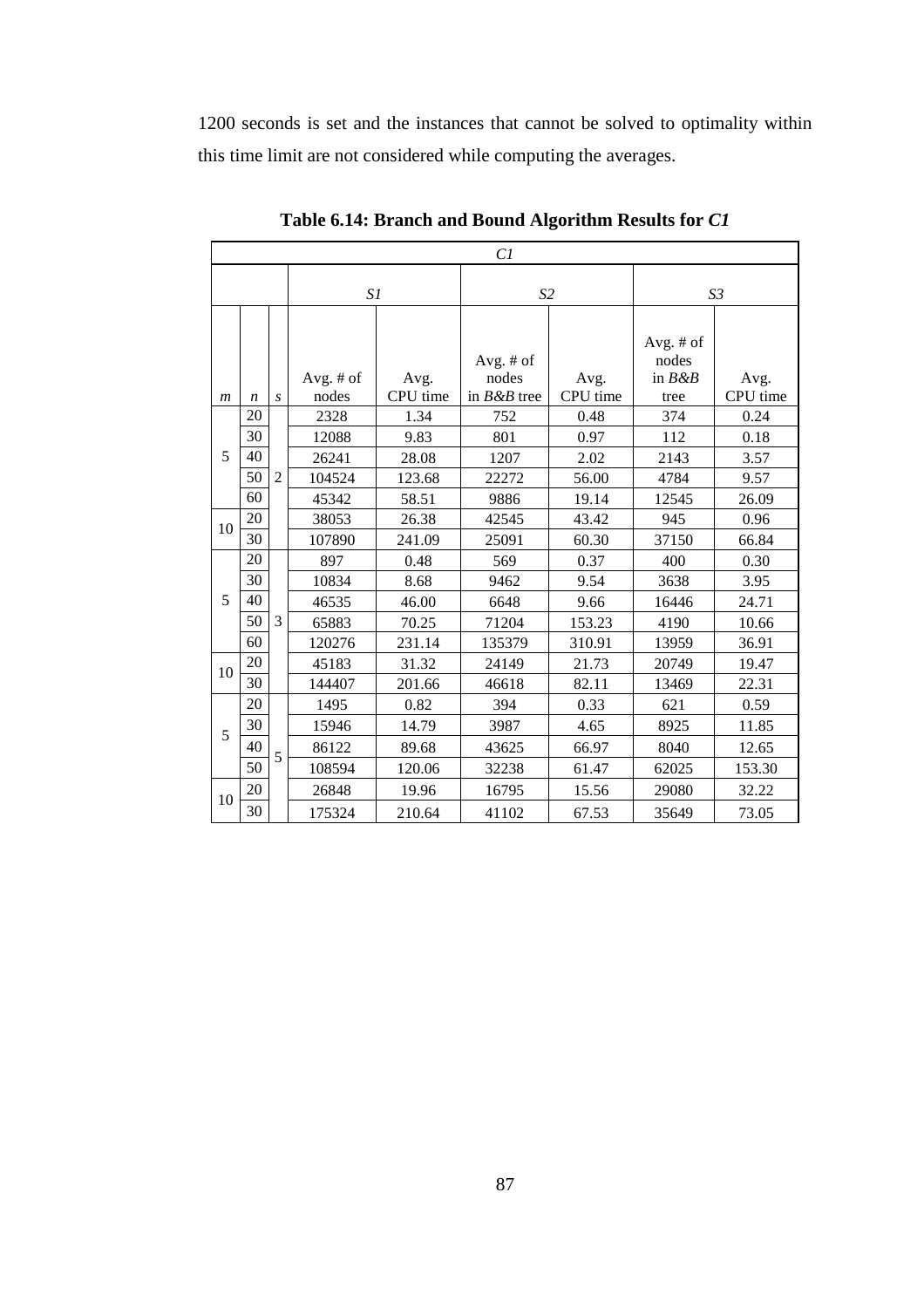1200 seconds is set and the instances that cannot be solved to optimality within this time limit are not considered while computing the averages.

|                | Cl               |                  |                      |                  |                                      |                  |                                           |                  |  |  |  |
|----------------|------------------|------------------|----------------------|------------------|--------------------------------------|------------------|-------------------------------------------|------------------|--|--|--|
|                |                  |                  | S1                   |                  | S <sub>2</sub>                       |                  |                                           | S <sub>3</sub>   |  |  |  |
| $\mathfrak{m}$ | $\boldsymbol{n}$ | $\boldsymbol{S}$ | Avg. $#$ of<br>nodes | Avg.<br>CPU time | Avg. # of<br>nodes<br>in $B\&B$ tree | Avg.<br>CPU time | Avg. $#$ of<br>nodes<br>in $B\&B$<br>tree | Avg.<br>CPU time |  |  |  |
|                | 20               |                  | 2328                 | 1.34             | 752                                  | 0.48             | 374                                       | 0.24             |  |  |  |
|                | 30               |                  | 12088                | 9.83             | 801                                  | 0.97             | 112                                       | 0.18             |  |  |  |
| 5              | 40               |                  | 26241                | 28.08            | 1207                                 | 2.02             | 2143                                      | 3.57             |  |  |  |
|                | 50               | $\overline{2}$   | 104524               | 123.68           | 22272                                | 56.00            | 4784                                      | 9.57             |  |  |  |
|                | 60               |                  | 45342                | 58.51            | 9886                                 | 19.14            | 12545                                     | 26.09            |  |  |  |
| 10             | 20               |                  | 38053                | 26.38            | 42545                                | 43.42            | 945                                       | 0.96             |  |  |  |
|                | 30               |                  | 107890               | 241.09           | 25091                                | 60.30            | 37150                                     | 66.84            |  |  |  |
|                | 20               |                  | 897                  | 0.48             | 569                                  | 0.37             | 400                                       | 0.30             |  |  |  |
|                | 30               |                  | 10834                | 8.68             | 9462                                 | 9.54             | 3638                                      | 3.95             |  |  |  |
| 5              | 40               |                  | 46535                | 46.00            | 6648                                 | 9.66             | 16446                                     | 24.71            |  |  |  |
|                | 50               | 3                | 65883                | 70.25            | 71204                                | 153.23           | 4190                                      | 10.66            |  |  |  |
|                | 60               |                  | 120276               | 231.14           | 135379                               | 310.91           | 13959                                     | 36.91            |  |  |  |
| 10             | 20               |                  | 45183                | 31.32            | 24149                                | 21.73            | 20749                                     | 19.47            |  |  |  |
|                | 30               |                  | 144407               | 201.66           | 46618                                | 82.11            | 13469                                     | 22.31            |  |  |  |
|                | 20               |                  | 1495                 | 0.82             | 394                                  | 0.33             | 621                                       | 0.59             |  |  |  |
| 5              | 30               |                  | 15946                | 14.79            | 3987                                 | 4.65             | 8925                                      | 11.85            |  |  |  |
|                | 40               | 5                | 86122                | 89.68            | 43625                                | 66.97            | 8040                                      | 12.65            |  |  |  |
|                | 50               |                  | 108594               | 120.06           | 32238                                | 61.47            | 62025                                     | 153.30           |  |  |  |
| 10             | 20               |                  | 26848                | 19.96            | 16795                                | 15.56            | 29080                                     | 32.22            |  |  |  |
|                | 30               |                  | 175324               | 210.64           | 41102                                | 67.53            | 35649                                     | 73.05            |  |  |  |

**Table 6.14: Branch and Bound Algorithm Results for** *C1*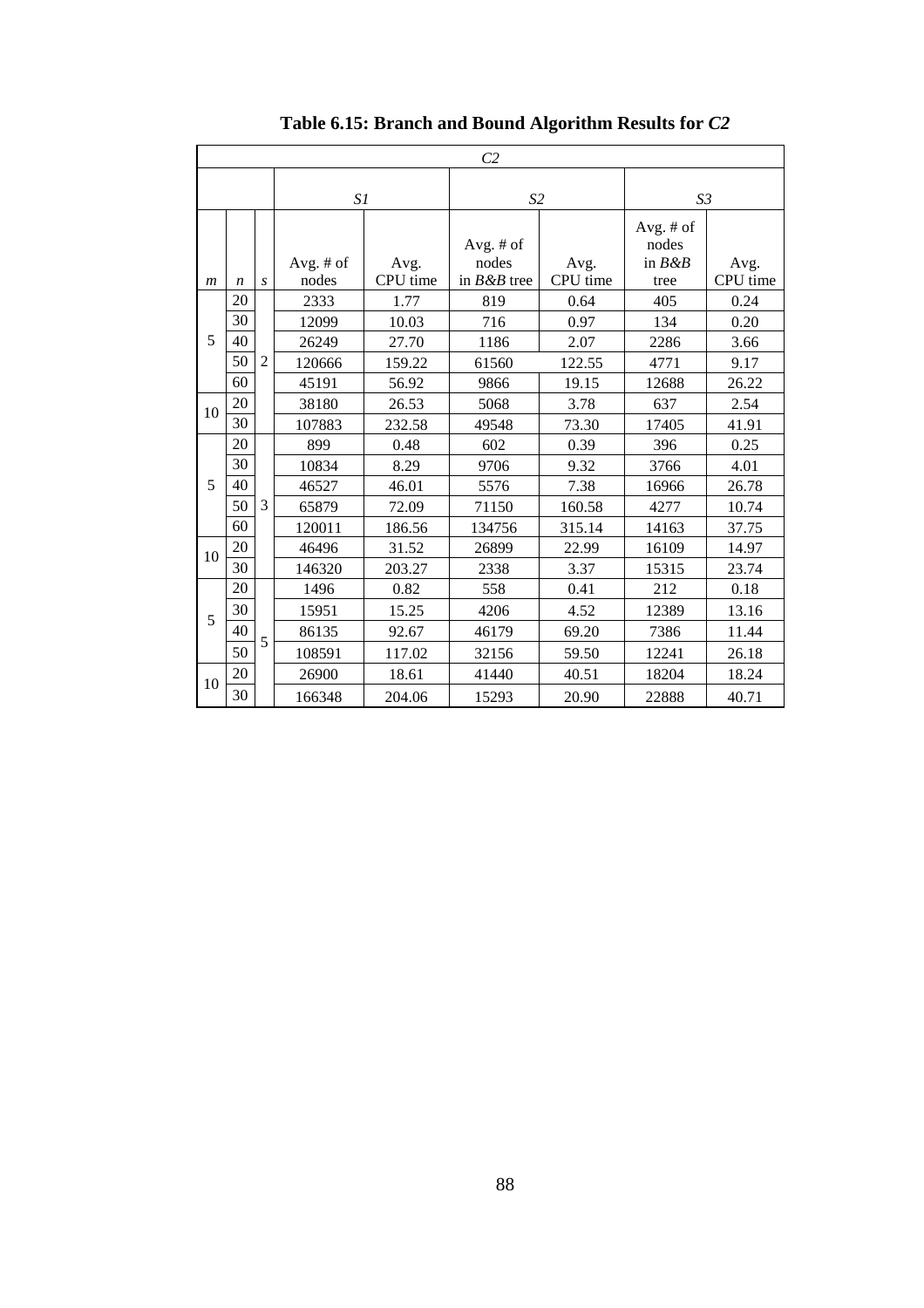|                |                  |                  |                      |                  | C2                                     |                  |                                         |                  |  |
|----------------|------------------|------------------|----------------------|------------------|----------------------------------------|------------------|-----------------------------------------|------------------|--|
|                |                  |                  | S1                   |                  | S <sub>2</sub>                         |                  | S3                                      |                  |  |
| $\mathfrak{m}$ | $\boldsymbol{n}$ | $\boldsymbol{S}$ | Avg. $#$ of<br>nodes | Avg.<br>CPU time | Avg. $#$ of<br>nodes<br>in $B\&B$ tree | Avg.<br>CPU time | Avg. # of<br>nodes<br>in $B\&B$<br>tree | Avg.<br>CPU time |  |
|                | 20               |                  | 2333                 | 1.77             | 819                                    | 0.64             | 405                                     | 0.24             |  |
|                | 30               |                  | 12099                | 10.03            | 716                                    | 0.97             | 134                                     | 0.20             |  |
| 5              | 40               |                  | 26249                | 27.70            | 1186                                   | 2.07             | 2286                                    | 3.66             |  |
|                | 50               | $\overline{2}$   | 120666               | 159.22           | 61560                                  | 122.55           | 4771                                    | 9.17             |  |
|                | 60               |                  | 45191                | 56.92            | 9866                                   | 19.15            | 12688                                   | 26.22            |  |
| 10             | 20               |                  | 38180                | 26.53            | 5068                                   | 3.78             | 637                                     | 2.54             |  |
|                | 30               |                  | 107883               | 232.58           | 49548                                  | 73.30            | 17405                                   | 41.91            |  |
|                | 20               |                  | 899                  | 0.48             | 602                                    | 0.39             | 396                                     | 0.25             |  |
|                | 30               |                  | 10834                | 8.29             | 9706                                   | 9.32             | 3766                                    | 4.01             |  |
| 5              | 40               |                  | 46527                | 46.01            | 5576                                   | 7.38             | 16966                                   | 26.78            |  |
|                | 50               | 3                | 65879                | 72.09            | 71150                                  | 160.58           | 4277                                    | 10.74            |  |
|                | 60               |                  | 120011               | 186.56           | 134756                                 | 315.14           | 14163                                   | 37.75            |  |
| 10             | 20               |                  | 46496                | 31.52            | 26899                                  | 22.99            | 16109                                   | 14.97            |  |
|                | 30               |                  | 146320               | 203.27           | 2338                                   | 3.37             | 15315                                   | 23.74            |  |
|                | 20               |                  | 1496                 | 0.82             | 558                                    | 0.41             | 212                                     | 0.18             |  |
| 5              | 30               |                  | 15951                | 15.25            | 4206                                   | 4.52             | 12389                                   | 13.16            |  |
|                | 40               | 5                | 86135                | 92.67            | 46179                                  | 69.20            | 7386                                    | 11.44            |  |
|                | 50               |                  | 108591               | 117.02           | 32156                                  | 59.50            | 12241                                   | 26.18            |  |
|                | 20               |                  | 26900                | 18.61            | 41440                                  | 40.51            | 18204                                   | 18.24            |  |
| 10             | 30               |                  | 166348               | 204.06           | 15293                                  | 20.90            | 22888                                   | 40.71            |  |

**Table 6.15: Branch and Bound Algorithm Results for** *C2*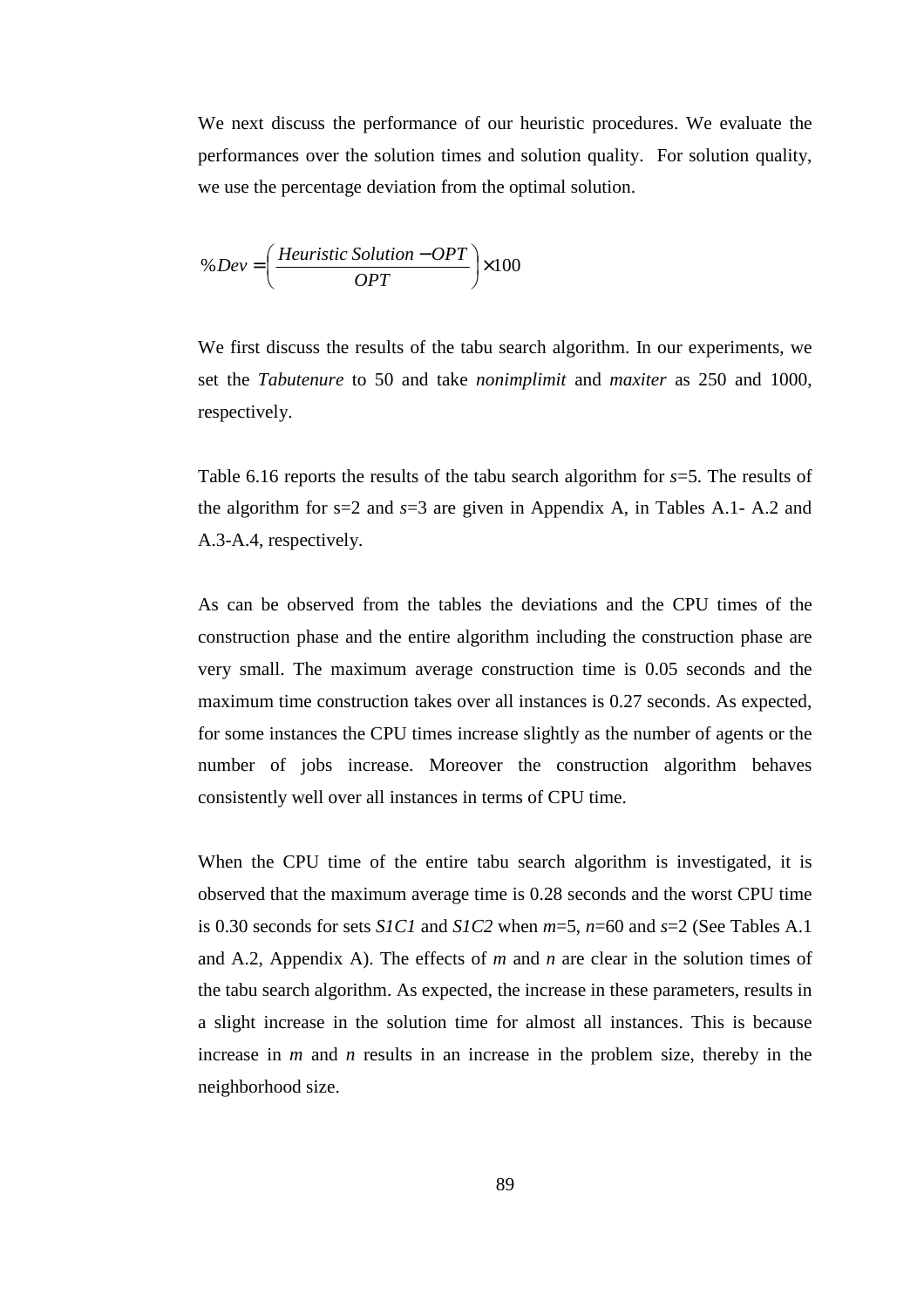We next discuss the performance of our heuristic procedures. We evaluate the performances over the solution times and solution quality. For solution quality, we use the percentage deviation from the optimal solution.

$$
\%Dev = \left(\frac{Heuristic\ Solution - OPT}{OPT}\right) \times 100
$$

We first discuss the results of the tabu search algorithm. In our experiments, we set the *Tabutenure* to 50 and take *nonimplimit* and *maxiter* as 250 and 1000, respectively.

Table 6.16 reports the results of the tabu search algorithm for *s*=5. The results of the algorithm for s=2 and *s*=3 are given in Appendix A, in Tables A.1- A.2 and A.3-A.4, respectively.

As can be observed from the tables the deviations and the CPU times of the construction phase and the entire algorithm including the construction phase are very small. The maximum average construction time is 0.05 seconds and the maximum time construction takes over all instances is 0.27 seconds. As expected, for some instances the CPU times increase slightly as the number of agents or the number of jobs increase. Moreover the construction algorithm behaves consistently well over all instances in terms of CPU time.

When the CPU time of the entire tabu search algorithm is investigated, it is observed that the maximum average time is 0.28 seconds and the worst CPU time is 0.30 seconds for sets *S1C1* and *S1C2* when *m*=5, *n*=60 and *s*=2 (See Tables A.1 and A.2, Appendix A). The effects of *m* and *n* are clear in the solution times of the tabu search algorithm. As expected, the increase in these parameters, results in a slight increase in the solution time for almost all instances. This is because increase in *m* and *n* results in an increase in the problem size, thereby in the neighborhood size.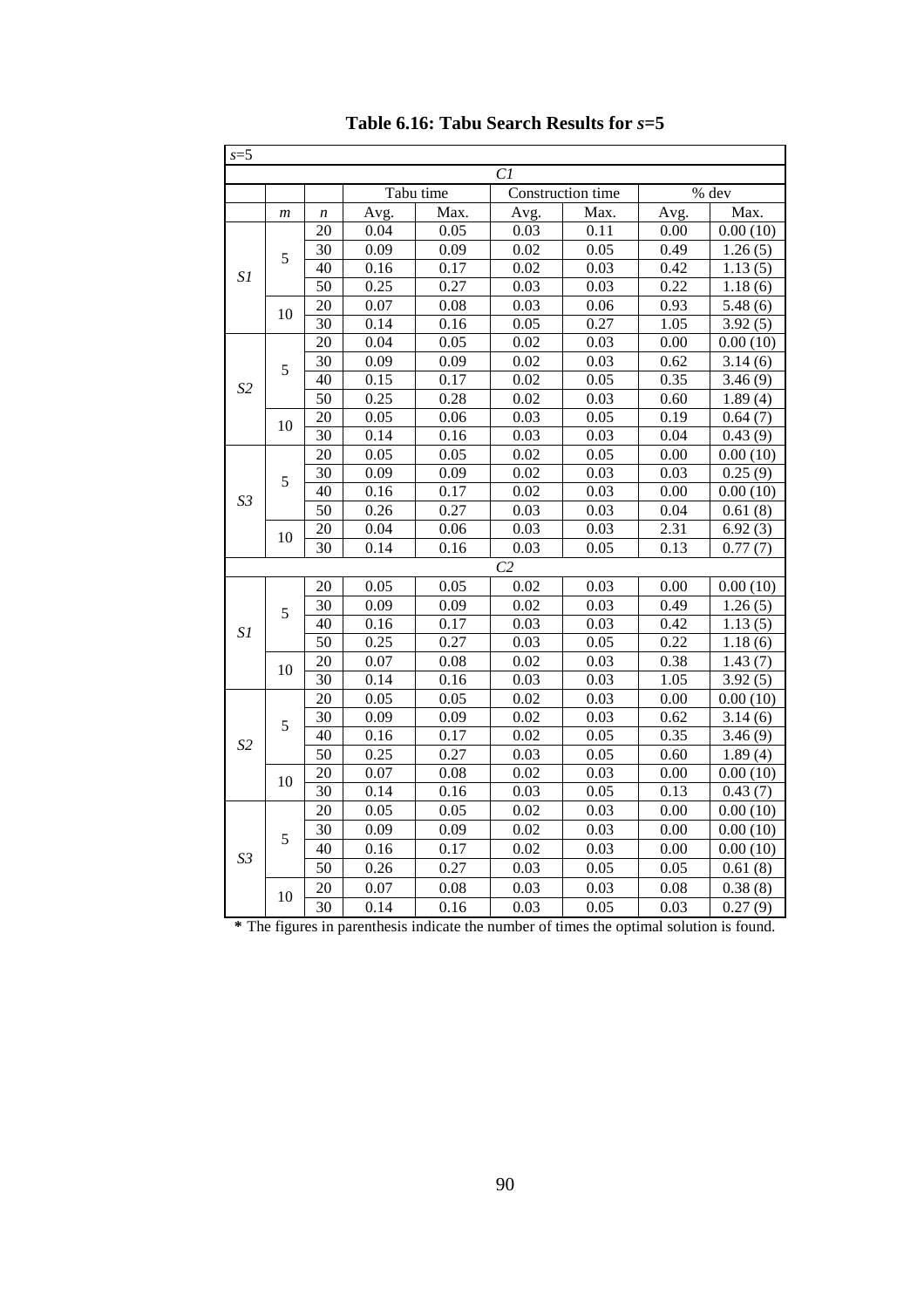| $s=5$          |                  |                  |      |           |                 |                   |      |                          |
|----------------|------------------|------------------|------|-----------|-----------------|-------------------|------|--------------------------|
|                |                  |                  |      |           | Cl              |                   |      |                          |
|                |                  |                  |      | Tabu time |                 | Construction time |      | $%$ dev                  |
|                | $\boldsymbol{m}$ | $\boldsymbol{n}$ | Avg. | Max.      | Avg.            | Max.              | Avg. | Max.                     |
|                |                  | 20               | 0.04 | 0.05      | 0.03            | 0.11              | 0.00 | 0.00(10)                 |
|                | 5                | $\overline{30}$  | 0.09 | 0.09      | 0.02            | 0.05              | 0.49 | 1.26(5)                  |
| S1             |                  | $\overline{40}$  | 0.16 | 0.17      | 0.02            | 0.03              | 0.42 | 1.13(5)                  |
|                |                  | 50               | 0.25 | 0.27      | 0.03            | 0.03              | 0.22 | 1.18(6)                  |
|                | 10               | 20               | 0.07 | 0.08      | 0.03            | 0.06              | 0.93 | $\overline{5.48}$ (6)    |
|                |                  | 30               | 0.14 | 0.16      | 0.05            | 0.27              | 1.05 | 3.92(5)                  |
|                |                  | 20               | 0.04 | 0.05      | 0.02            | 0.03              | 0.00 | 0.00(10)                 |
|                | 5                | 30               | 0.09 | 0.09      | 0.02            | 0.03              | 0.62 | 3.14(6)                  |
|                |                  | 40               | 0.15 | 0.17      | 0.02            | 0.05              | 0.35 | 3.46(9)                  |
| S <sub>2</sub> |                  | $\overline{50}$  | 0.25 | 0.28      | 0.02            | 0.03              | 0.60 | 1.89(4)                  |
|                | 10               | $\overline{20}$  | 0.05 | 0.06      | 0.03            | 0.05              | 0.19 | 0.64(7)                  |
|                |                  | 30               | 0.14 | 0.16      | 0.03            | 0.03              | 0.04 | 0.43(9)                  |
|                |                  | 20               | 0.05 | 0.05      | 0.02            | 0.05              | 0.00 | 0.00(10)                 |
|                | 5                | 30               | 0.09 | 0.09      | 0.02            | 0.03              | 0.03 | $\overline{0.25}$ (9)    |
| S <sub>3</sub> |                  | 40               | 0.16 | 0.17      | 0.02            | 0.03              | 0.00 | 0.00(10)                 |
|                |                  | $\overline{50}$  | 0.26 | 0.27      | 0.03            | 0.03              | 0.04 | 0.61(8)                  |
|                |                  | 20               | 0.04 | 0.06      | 0.03            | 0.03              | 2.31 | $\overline{6}$ .92 $(3)$ |
|                | 10               | $\overline{30}$  | 0.14 | 0.16      | 0.03            | 0.05              | 0.13 | 0.77(7)                  |
|                |                  |                  |      |           | $\overline{C2}$ |                   |      |                          |
|                |                  | 20               | 0.05 | 0.05      | 0.02            | 0.03              | 0.00 | 0.00(10)                 |
|                | 5                | 30               | 0.09 | 0.09      | 0.02            | 0.03              | 0.49 | 1.26(5)                  |
| S1             |                  | $\overline{40}$  | 0.16 | 0.17      | 0.03            | 0.03              | 0.42 | 1.13(5)                  |
|                |                  | $\overline{50}$  | 0.25 | 0.27      | 0.03            | 0.05              | 0.22 | 1.18(6)                  |
|                | 10               | $\overline{20}$  | 0.07 | 0.08      | 0.02            | 0.03              | 0.38 | 1.43(7)                  |
|                |                  | 30               | 0.14 | 0.16      | 0.03            | 0.03              | 1.05 | 3.92(5)                  |
|                |                  | $\overline{20}$  | 0.05 | 0.05      | 0.02            | 0.03              | 0.00 | 0.00(10)                 |
|                | 5                | $\overline{30}$  | 0.09 | 0.09      | 0.02            | 0.03              | 0.62 | $\overline{3.14(6)}$     |
| S2             |                  | 40               | 0.16 | 0.17      | 0.02            | 0.05              | 0.35 | 3.46(9)                  |
|                |                  | 50               | 0.25 | 0.27      | 0.03            | 0.05              | 0.60 | 1.89(4)                  |
|                |                  | 20               | 0.07 | 0.08      | 0.02            | 0.03              | 0.00 | 0.00(10)                 |
|                | 10               | 30               | 0.14 | 0.16      | 0.03            | 0.05              | 0.13 | 0.43(7)                  |
|                |                  | $\overline{20}$  | 0.05 | 0.05      | 0.02            | 0.03              | 0.00 | 0.00(10)                 |
|                | 5                | 30               | 0.09 | 0.09      | 0.02            | 0.03              | 0.00 | 0.00(10)                 |
|                |                  | 40               | 0.16 | 0.17      | 0.02            | 0.03              | 0.00 | 0.00(10)                 |
| S3             |                  | 50               | 0.26 | 0.27      | 0.03            | 0.05              | 0.05 | 0.61(8)                  |
|                |                  | 20               | 0.07 | 0.08      | 0.03            | 0.03              | 0.08 | 0.38(8)                  |
|                | 10               | 30               | 0.14 | 0.16      | 0.03            | 0.05              | 0.03 | 0.27(9)                  |

**Table 6.16: Tabu Search Results for** *s***=5** 

**\*** The figures in parenthesis indicate the number of times the optimal solution is found.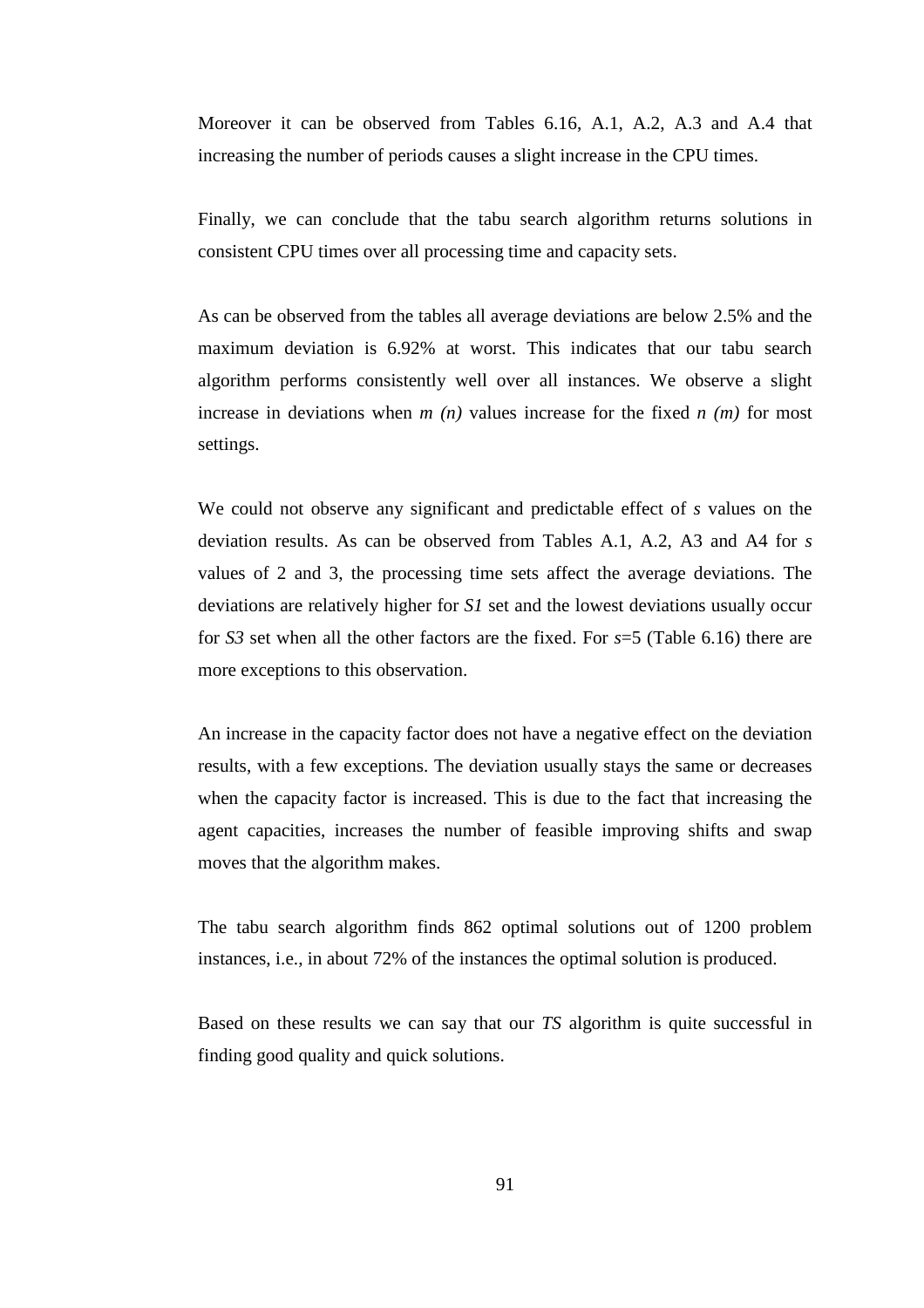Moreover it can be observed from Tables 6.16, A.1, A.2, A.3 and A.4 that increasing the number of periods causes a slight increase in the CPU times.

Finally, we can conclude that the tabu search algorithm returns solutions in consistent CPU times over all processing time and capacity sets.

As can be observed from the tables all average deviations are below 2.5% and the maximum deviation is 6.92% at worst. This indicates that our tabu search algorithm performs consistently well over all instances. We observe a slight increase in deviations when  $m(n)$  values increase for the fixed  $n(m)$  for most settings.

We could not observe any significant and predictable effect of *s* values on the deviation results. As can be observed from Tables A.1, A.2, A3 and A4 for *s*  values of 2 and 3, the processing time sets affect the average deviations. The deviations are relatively higher for *S1* set and the lowest deviations usually occur for *S3* set when all the other factors are the fixed. For *s*=5 (Table 6.16) there are more exceptions to this observation.

An increase in the capacity factor does not have a negative effect on the deviation results, with a few exceptions. The deviation usually stays the same or decreases when the capacity factor is increased. This is due to the fact that increasing the agent capacities, increases the number of feasible improving shifts and swap moves that the algorithm makes.

The tabu search algorithm finds 862 optimal solutions out of 1200 problem instances, i.e., in about 72% of the instances the optimal solution is produced.

Based on these results we can say that our *TS* algorithm is quite successful in finding good quality and quick solutions.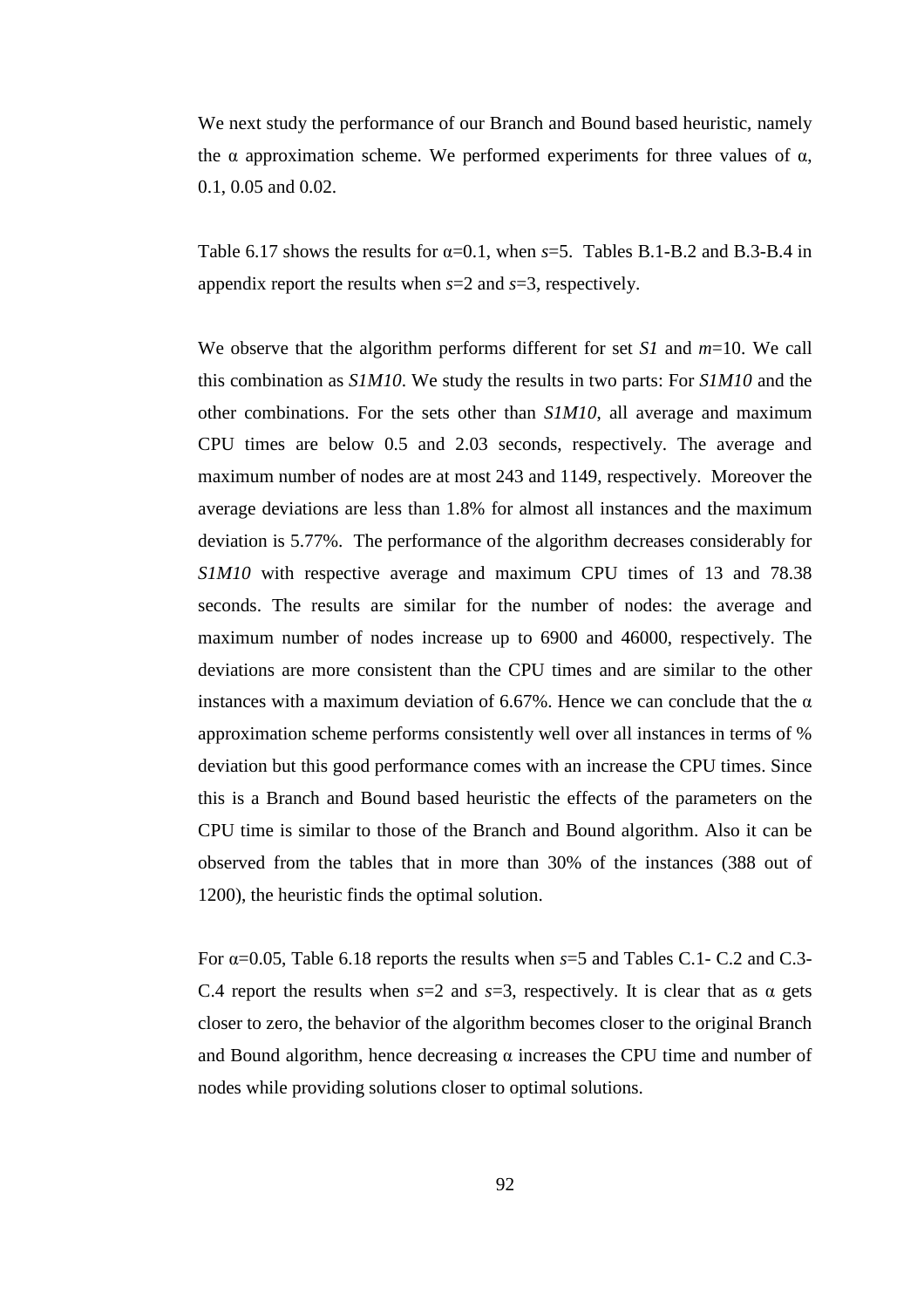We next study the performance of our Branch and Bound based heuristic, namely the  $\alpha$  approximation scheme. We performed experiments for three values of  $\alpha$ , 0.1, 0.05 and 0.02.

Table 6.17 shows the results for  $\alpha=0.1$ , when  $s=5$ . Tables B.1-B.2 and B.3-B.4 in appendix report the results when *s*=2 and *s*=3, respectively.

We observe that the algorithm performs different for set *S1* and *m*=10. We call this combination as *S1M10*. We study the results in two parts: For *S1M10* and the other combinations. For the sets other than *S1M10*, all average and maximum CPU times are below 0.5 and 2.03 seconds, respectively. The average and maximum number of nodes are at most 243 and 1149, respectively. Moreover the average deviations are less than 1.8% for almost all instances and the maximum deviation is 5.77%. The performance of the algorithm decreases considerably for *S1M10* with respective average and maximum CPU times of 13 and 78.38 seconds. The results are similar for the number of nodes: the average and maximum number of nodes increase up to 6900 and 46000, respectively. The deviations are more consistent than the CPU times and are similar to the other instances with a maximum deviation of 6.67%. Hence we can conclude that the  $\alpha$ approximation scheme performs consistently well over all instances in terms of % deviation but this good performance comes with an increase the CPU times. Since this is a Branch and Bound based heuristic the effects of the parameters on the CPU time is similar to those of the Branch and Bound algorithm. Also it can be observed from the tables that in more than 30% of the instances (388 out of 1200), the heuristic finds the optimal solution.

For α=0.05, Table 6.18 reports the results when *s*=5 and Tables C.1- C.2 and C.3- C.4 report the results when  $s=2$  and  $s=3$ , respectively. It is clear that as  $\alpha$  gets closer to zero, the behavior of the algorithm becomes closer to the original Branch and Bound algorithm, hence decreasing  $\alpha$  increases the CPU time and number of nodes while providing solutions closer to optimal solutions.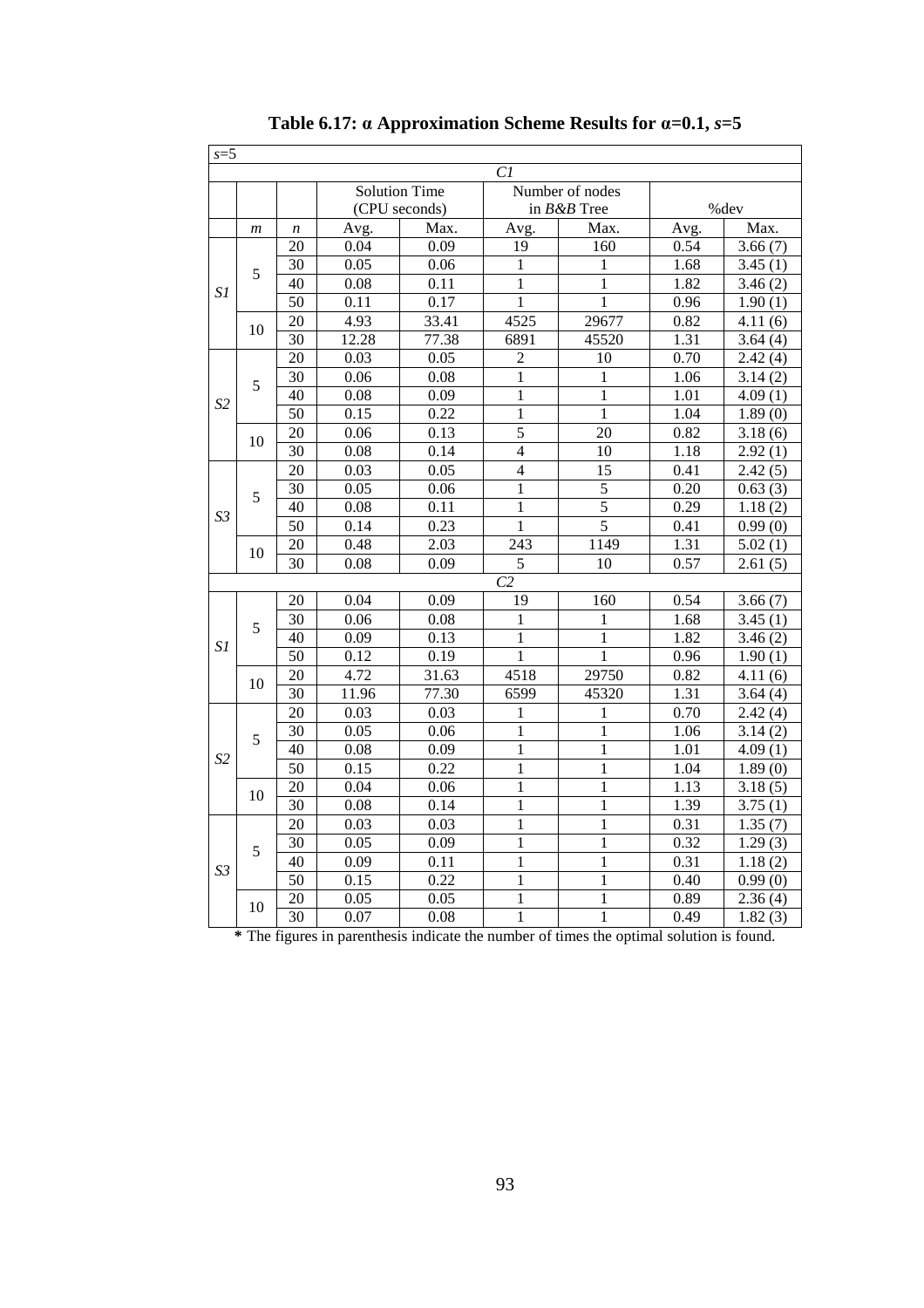| $s=5$          |                  |                  |                      |                   |                 |                 |      |                       |  |
|----------------|------------------|------------------|----------------------|-------------------|-----------------|-----------------|------|-----------------------|--|
|                |                  |                  |                      |                   | $\overline{CI}$ |                 |      |                       |  |
|                |                  |                  | <b>Solution Time</b> |                   |                 | Number of nodes |      |                       |  |
|                |                  |                  | (CPU seconds)        |                   |                 | in $B\&B$ Tree  |      | %dev                  |  |
|                | $\boldsymbol{m}$ | $\boldsymbol{n}$ | Avg.                 | Max.              | Avg.            | Max.            | Avg. | Max.                  |  |
|                |                  | 20               | 0.04                 | 0.09              | 19              | 160             | 0.54 | 3.66(7)               |  |
|                | 5                | 30               | 0.05                 | 0.06              | $\mathbf{1}$    | 1               | 1.68 | 3.45(1)               |  |
| S1             |                  | 40               | 0.08                 | 0.11              | $\mathbf{1}$    | 1               | 1.82 | 3.46(2)               |  |
|                |                  | 50               | $\overline{0.11}$    | 0.17              | $\overline{1}$  | $\mathbf{1}$    | 0.96 | 1.90(1)               |  |
|                | 10               | $\overline{20}$  | 4.93                 | 33.41             | 4525            | 29677           | 0.82 | 4.11(6)               |  |
|                |                  | 30               | 12.28                | 77.38             | 6891            | 45520           | 1.31 | 3.64(4)               |  |
|                |                  | 20               | 0.03                 | 0.05              | $\overline{c}$  | 10              | 0.70 | 2.42(4)               |  |
|                | 5                | $\overline{30}$  | 0.06                 | 0.08              | $\mathbf{1}$    | 1               | 1.06 | 3.14(2)               |  |
| S <sub>2</sub> |                  | $\overline{40}$  | 0.08                 | 0.09              | $\overline{1}$  | $\mathbf{1}$    | 1.01 | 4.09(1)               |  |
|                |                  | $\overline{50}$  | 0.15                 | 0.22              | $\mathbf{1}$    | $\mathbf{1}$    | 1.04 | 1.89(0)               |  |
|                | 10               | 20               | 0.06                 | 0.13              | $\overline{5}$  | $\overline{20}$ | 0.82 | 3.18(6)               |  |
|                |                  | $\overline{30}$  | 0.08                 | 0.14              | 4               | 10              | 1.18 | 2.92(1)               |  |
|                |                  | $\overline{20}$  | 0.03                 | 0.05              | $\overline{4}$  | 15              | 0.41 | 2.42(5)               |  |
| S <sub>3</sub> | 5                | 30               | 0.05                 | 0.06              | $\mathbf{1}$    | 5               | 0.20 | 0.63(3)               |  |
|                |                  | $\overline{40}$  | 0.08                 | $\overline{0.11}$ | $\mathbf{1}$    | 5               | 0.29 | 1.18(2)               |  |
|                |                  | 50               | 0.14                 | 0.23              | $\mathbf{1}$    | 5               | 0.41 | 0.99(0)               |  |
|                | 10               | 20               | 0.48                 | 2.03              | 243             | 1149            | 1.31 | 5.02(1)               |  |
|                |                  | 30               | 0.08                 | 0.09              | $\overline{5}$  | $\overline{10}$ | 0.57 | 2.61(5)               |  |
|                |                  |                  |                      |                   | $\overline{C2}$ |                 |      |                       |  |
|                |                  | 20               | 0.04                 | 0.09              | 19              | 160             | 0.54 | 3.66(7)               |  |
|                | 5                | 30               | 0.06                 | 0.08              | $\mathbf{1}$    | 1               | 1.68 | 3.45(1)               |  |
| S1             |                  | $\overline{40}$  | 0.09                 | 0.13              | $\mathbf{1}$    | $\mathbf{1}$    | 1.82 | 3.46(2)               |  |
|                |                  | $\overline{50}$  | 0.12                 | 0.19              | $\overline{1}$  | $\overline{1}$  | 0.96 | $\overline{1.90}$ (1) |  |
|                | 10               | 20               | 4.72                 | 31.63             | 4518            | 29750           | 0.82 | 4.11(6)               |  |
|                |                  | 30               | 11.96                | 77.30             | 6599            | 45320           | 1.31 | 3.64(4)               |  |
|                |                  | $\overline{20}$  | 0.03                 | 0.03              | 1               | 1               | 0.70 | 2.42(4)               |  |
|                | 5                | 30               | 0.05                 | 0.06              | $\mathbf{1}$    | 1               | 1.06 | 3.14(2)               |  |
| S <sub>2</sub> |                  | 40               | 0.08                 | 0.09              | $\mathbf{1}$    | $\mathbf{1}$    | 1.01 | 4.09(1)               |  |
|                |                  | 50               | 0.15                 | 0.22              | $\mathbf{1}$    | $\mathbf{1}$    | 1.04 | 1.89(0)               |  |
|                | 10               | 20               | $\overline{0.04}$    | 0.06              | $\mathbf{1}$    | 1               | 1.13 | 3.18(5)               |  |
|                |                  | 30               | 0.08                 | 0.14              | 1               | 1               | 1.39 | 3.75(1)               |  |
|                |                  | 20               | 0.03                 | 0.03              | $\mathbf{1}$    | $\mathbf{1}$    | 0.31 | 1.35(7)               |  |
|                | 5                | $\overline{30}$  | 0.05                 | 0.09              | $\mathbf{1}$    | $\mathbf{1}$    | 0.32 | 1.29(3)               |  |
| S <sub>3</sub> |                  | $\overline{40}$  | 0.09                 | 0.11              | 1               | $\mathbf{1}$    | 0.31 | 1.18(2)               |  |
|                |                  | 50               | 0.15                 | 0.22              | $\mathbf{1}$    | 1               | 0.40 | 0.99(0)               |  |
|                |                  | 20               | 0.05                 | 0.05              | $\mathbf{1}$    | 1               | 0.89 | 2.36(4)               |  |
|                | 10               | $\overline{30}$  | $\overline{0.07}$    | 0.08              | $\mathbf{1}$    | $\mathbf{1}$    | 0.49 | 1.82(3)               |  |

**Table 6.17: α Approximation Scheme Results for α=0.1,** *s***=5** 

**\*** The figures in parenthesis indicate the number of times the optimal solution is found.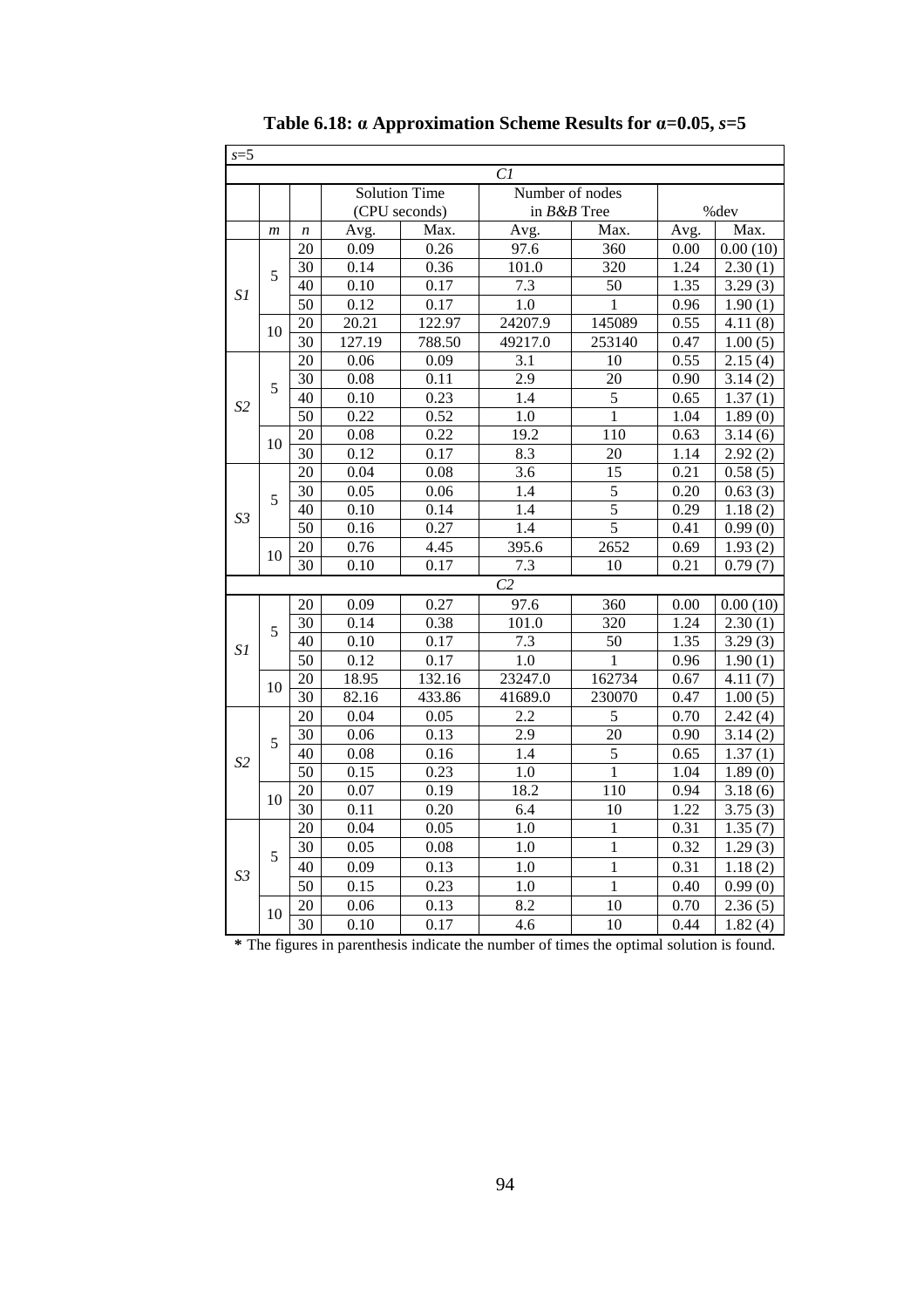| $s=5$          |                  |                  |                   |                      |                  |                |      |          |
|----------------|------------------|------------------|-------------------|----------------------|------------------|----------------|------|----------|
|                |                  |                  |                   |                      | Cl               |                |      |          |
|                |                  |                  |                   | <b>Solution Time</b> | Number of nodes  |                |      |          |
|                |                  |                  |                   | (CPU seconds)        | in $B\&B$ Tree   |                |      | %dev     |
|                | $\boldsymbol{m}$ | $\boldsymbol{n}$ | Avg.              | Max.                 | Avg.             | Max.           | Avg. | Max.     |
|                |                  | 20               | 0.09              | 0.26                 | 97.6             | 360            | 0.00 | 0.00(10) |
|                | 5                | 30               | 0.14              | 0.36                 | 101.0            | 320            | 1.24 | 2.30(1)  |
| S1             |                  | 40               | 0.10              | 0.17                 | 7.3              | 50             | 1.35 | 3.29(3)  |
|                |                  | 50               | 0.12              | 0.17                 | 1.0              | 1              | 0.96 | 1.90(1)  |
|                | 10               | 20               | 20.21             | 122.97               | 24207.9          | 145089         | 0.55 | 4.11(8)  |
|                |                  | 30               | 127.19            | 788.50               | 49217.0          | 253140         | 0.47 | 1.00(5)  |
|                |                  | 20               | 0.06              | 0.09                 | 3.1              | 10             | 0.55 | 2.15(4)  |
|                | 5                | 30               | 0.08              | 0.11                 | 2.9              | 20             | 0.90 | 3.14(2)  |
| S <sub>2</sub> |                  | 40               | 0.10              | 0.23                 | $1.\overline{4}$ | 5              | 0.65 | 1.37(1)  |
|                |                  | 50               | 0.22              | 0.52                 | 1.0              | $\mathbf{1}$   | 1.04 | 1.89(0)  |
|                | 10               | $\overline{20}$  | 0.08              | 0.22                 | 19.2             | 110            | 0.63 | 3.14(6)  |
|                |                  | 30               | 0.12              | 0.17                 | 8.3              | 20             | 1.14 | 2.92(2)  |
|                |                  | 20               | 0.04              | 0.08                 | 3.6              | 15             | 0.21 | 0.58(5)  |
|                | 5                | 30               | 0.05              | 0.06                 | 1.4              | 5              | 0.20 | 0.63(3)  |
| S <sub>3</sub> |                  | $\overline{40}$  | $\overline{0.10}$ | 0.14                 | 1.4              | $\overline{5}$ | 0.29 | 1.18(2)  |
|                |                  | 50               | 0.16              | 0.27                 | 1.4              | $\overline{5}$ | 0.41 | 0.99(0)  |
|                | 10               | 20               | 0.76              | 4.45                 | 395.6            | 2652           | 0.69 | 1.93(2)  |
|                |                  | 30               | 0.10              | 0.17                 | 7.3              | 10             | 0.21 | 0.79(7)  |
|                |                  |                  |                   |                      | $\overline{C2}$  |                |      |          |
|                |                  | 20               | 0.09              | 0.27                 | 97.6             | 360            | 0.00 | 0.00(10) |
|                | 5                | 30               | 0.14              | 0.38                 | 101.0            | 320            | 1.24 | 2.30(1)  |
| S1             |                  | 40               | 0.10              | 0.17                 | 7.3              | 50             | 1.35 | 3.29(3)  |
|                |                  | 50               | 0.12              | 0.17                 | 1.0              | $\mathbf{1}$   | 0.96 | 1.90(1)  |
|                | 10               | 20               | 18.95             | 132.16               | 23247.0          | 162734         | 0.67 | 4.11(7)  |
|                |                  | 30               | 82.16             | 433.86               | 41689.0          | 230070         | 0.47 | 1.00(5)  |
|                |                  | 20               | 0.04              | 0.05                 | 2.2              | 5              | 0.70 | 2.42(4)  |
|                | 5                | 30               | 0.06              | 0.13                 | 2.9              | 20             | 0.90 | 3.14(2)  |
| S <sub>2</sub> |                  | 40               | 0.08              | 0.16                 | 1.4              | $\overline{5}$ | 0.65 | 1.37(1)  |
|                |                  | 50               | 0.15              | 0.23                 | 1.0              | $\mathbf{1}$   | 1.04 | 1.89(0)  |
|                | 10               | 20               | 0.07              | 0.19                 | 18.2             | 110            | 0.94 | 3.18(6)  |
|                |                  | 30               | 0.11              | 0.20                 | 6.4              | 10             | 1.22 | 3.75(3)  |
|                |                  | 20               | 0.04              | 0.05                 | 1.0              | $\mathbf{1}$   | 0.31 | 1.35(7)  |
|                | 5                | 30               | 0.05              | 0.08                 | 1.0              | $\mathbf{1}$   | 0.32 | 1.29(3)  |
|                |                  | 40               | 0.09              | 0.13                 | 1.0              | $\mathbf{1}$   | 0.31 | 1.18(2)  |
| S <sub>3</sub> |                  | 50               | 0.15              | 0.23                 | 1.0              | $\mathbf{1}$   | 0.40 | 0.99(0)  |
|                |                  | 20               | 0.06              | 0.13                 | 8.2              | 10             | 0.70 | 2.36(5)  |
|                | 10               | 30               | 0.10              | 0.17                 | 4.6              | 10             | 0.44 | 1.82(4)  |

**Table 6.18: α Approximation Scheme Results for α=0.05,** *s***=5** 

**\*** The figures in parenthesis indicate the number of times the optimal solution is found.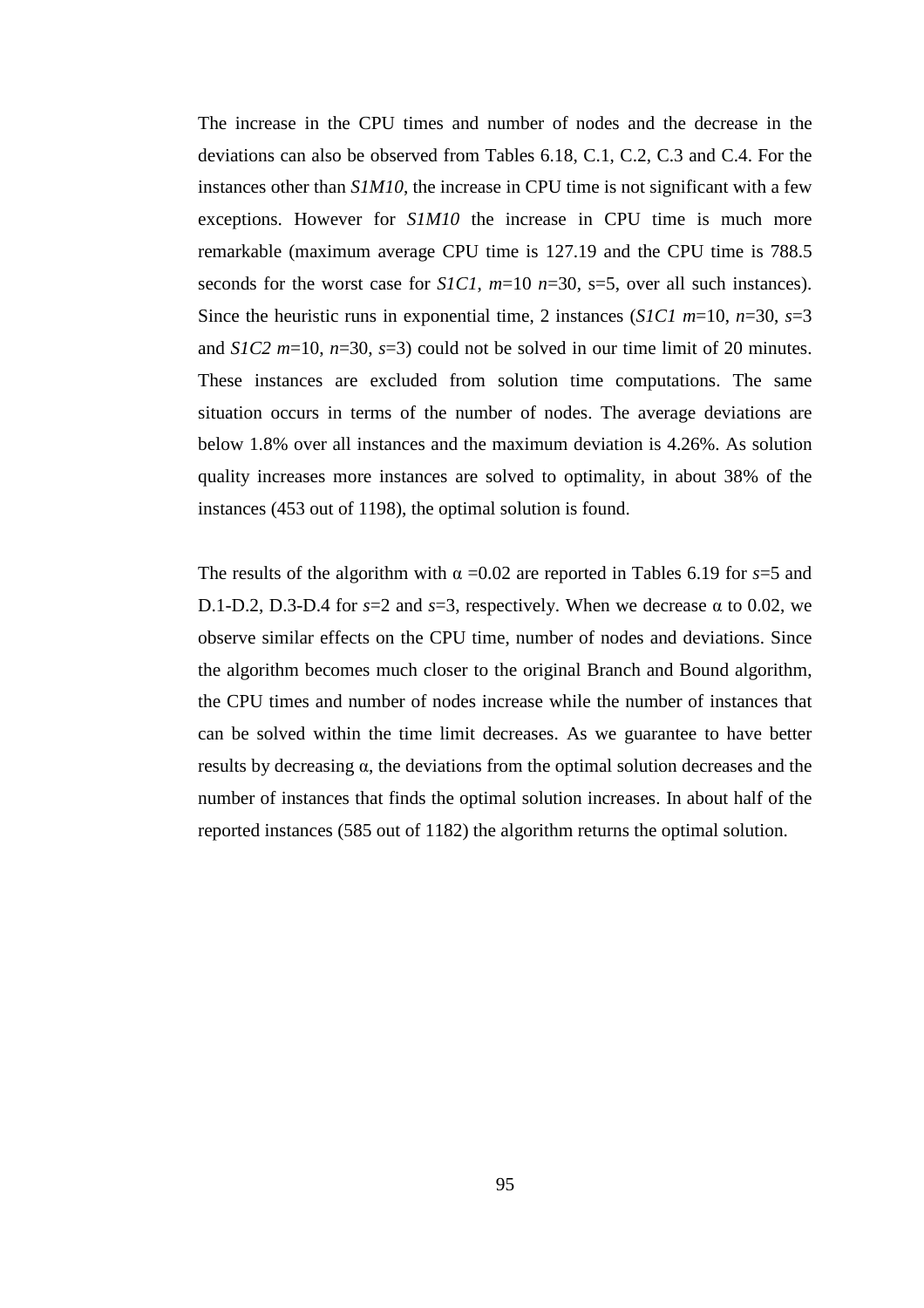The increase in the CPU times and number of nodes and the decrease in the deviations can also be observed from Tables 6.18, C.1, C.2, C.3 and C.4. For the instances other than *S1M10*, the increase in CPU time is not significant with a few exceptions. However for *S1M10* the increase in CPU time is much more remarkable (maximum average CPU time is 127.19 and the CPU time is 788.5 seconds for the worst case for *S1C1*, *m*=10 *n*=30, s=5, over all such instances). Since the heuristic runs in exponential time, 2 instances (*S1C1 m*=10, *n*=30, *s*=3 and *S1C2 m*=10, *n*=30, *s*=3) could not be solved in our time limit of 20 minutes. These instances are excluded from solution time computations. The same situation occurs in terms of the number of nodes. The average deviations are below 1.8% over all instances and the maximum deviation is 4.26%. As solution quality increases more instances are solved to optimality, in about 38% of the instances (453 out of 1198), the optimal solution is found.

The results of the algorithm with  $\alpha = 0.02$  are reported in Tables 6.19 for *s*=5 and D.1-D.2, D.3-D.4 for *s*=2 and *s*=3, respectively. When we decrease α to 0.02, we observe similar effects on the CPU time, number of nodes and deviations. Since the algorithm becomes much closer to the original Branch and Bound algorithm, the CPU times and number of nodes increase while the number of instances that can be solved within the time limit decreases. As we guarantee to have better results by decreasing α, the deviations from the optimal solution decreases and the number of instances that finds the optimal solution increases. In about half of the reported instances (585 out of 1182) the algorithm returns the optimal solution.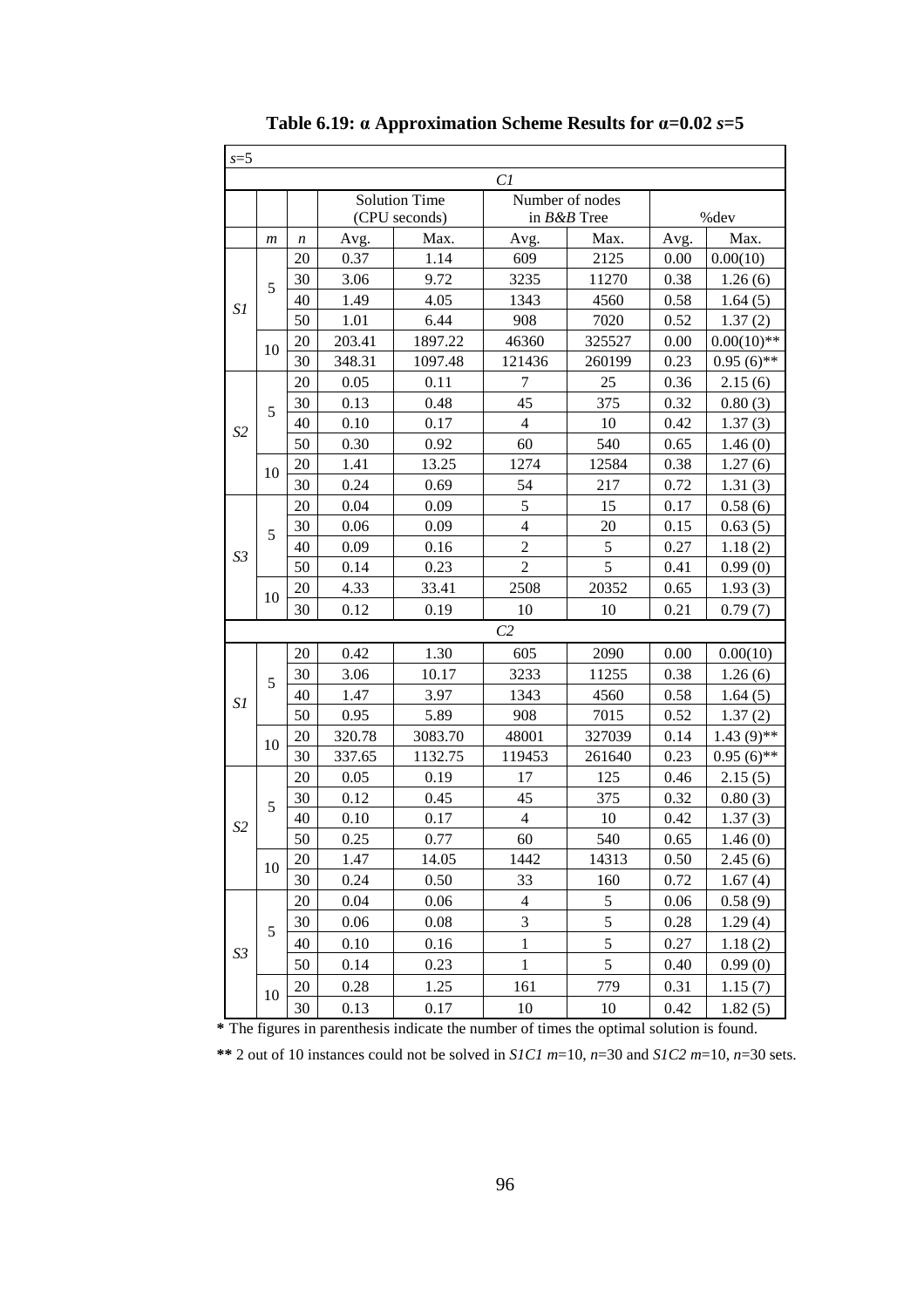| $s=5$          |                  |    |                      |         |                         |            |      |              |
|----------------|------------------|----|----------------------|---------|-------------------------|------------|------|--------------|
|                |                  |    |                      |         | Cl                      |            |      |              |
|                |                  |    | <b>Solution Time</b> |         | Number of nodes         |            | %dev |              |
|                |                  |    | (CPU seconds)        |         | in $B\&B$ Tree          |            |      |              |
|                | $\boldsymbol{m}$ | n  | Avg.                 | Max.    | Avg.                    | Max.       | Avg. | Max.         |
| S1             | 5                | 20 | 0.37                 | 1.14    | 609                     | 2125       | 0.00 | 0.00(10)     |
|                |                  | 30 | 3.06                 | 9.72    | 3235                    | 11270      | 0.38 | 1.26(6)      |
|                |                  | 40 | 1.49                 | 4.05    | 1343                    | 4560       | 0.58 | 1.64(5)      |
|                |                  | 50 | 1.01                 | 6.44    | 908                     | 7020       | 0.52 | 1.37(2)      |
|                | 10               | 20 | 203.41               | 1897.22 | 46360                   | 325527     | 0.00 | $0.00(10)**$ |
|                |                  | 30 | 348.31               | 1097.48 | 121436                  | 260199     | 0.23 | $0.95(6)$ ** |
| S2             | 5                | 20 | 0.05                 | 0.11    | 7                       | 25         | 0.36 | 2.15(6)      |
|                |                  | 30 | 0.13                 | 0.48    | 45                      | 375        | 0.32 | 0.80(3)      |
|                |                  | 40 | 0.10                 | 0.17    | $\overline{4}$          | 10         | 0.42 | 1.37(3)      |
|                |                  | 50 | 0.30                 | 0.92    | 60                      | 540        | 0.65 | 1.46(0)      |
|                | 10               | 20 | 1.41                 | 13.25   | 1274                    | 12584      | 0.38 | 1.27(6)      |
|                |                  | 30 | 0.24                 | 0.69    | 54                      | 217        | 0.72 | 1.31(3)      |
| S3             | 5                | 20 | 0.04                 | 0.09    | $\sqrt{5}$              | 15         | 0.17 | 0.58(6)      |
|                |                  | 30 | 0.06                 | 0.09    | $\overline{\mathbf{4}}$ | 20         | 0.15 | 0.63(5)      |
|                |                  | 40 | 0.09                 | 0.16    | $\overline{2}$          | 5          | 0.27 | 1.18(2)      |
|                |                  | 50 | 0.14                 | 0.23    | $\overline{2}$          | 5          | 0.41 | 0.99(0)      |
|                | 10               | 20 | 4.33                 | 33.41   | 2508                    | 20352      | 0.65 | 1.93(3)      |
|                |                  | 30 | 0.12                 | 0.19    | 10                      | 10         | 0.21 | 0.79(7)      |
|                |                  |    |                      |         | C <sub>2</sub>          |            |      |              |
| S1             | 5                | 20 | 0.42                 | 1.30    | 605                     | 2090       | 0.00 | 0.00(10)     |
|                |                  | 30 | 3.06                 | 10.17   | 3233                    | 11255      | 0.38 | 1.26(6)      |
|                |                  | 40 | 1.47                 | 3.97    | 1343                    | 4560       | 0.58 | 1.64(5)      |
|                |                  | 50 | 0.95                 | 5.89    | 908                     | 7015       | 0.52 | 1.37(2)      |
|                | 10               | 20 | 320.78               | 3083.70 | 48001                   | 327039     | 0.14 | $1.43(9)$ ** |
|                |                  | 30 | 337.65               | 1132.75 | 119453                  | 261640     | 0.23 | $0.95(6)$ ** |
| S <sub>2</sub> | 5                | 20 | 0.05                 | 0.19    | 17                      | 125        | 0.46 | 2.15(5)      |
|                |                  | 30 | 0.12                 | 0.45    | 45                      | 375        | 0.32 | 0.80(3)      |
|                |                  | 40 | 0.10                 | 0.17    | $\overline{4}$          | 10         | 0.42 | 1.37(3)      |
|                |                  | 50 | 0.25                 | 0.77    | 60                      | 540        | 0.65 | 1.46(0)      |
|                | 10               | 20 | 1.47                 | 14.05   | 1442                    | 14313      | 0.50 | 2.45(6)      |
|                |                  | 30 | 0.24                 | 0.50    | 33                      | 160        | 0.72 | 1.67(4)      |
| S3             | $\sqrt{5}$       | 20 | 0.04                 | 0.06    | 4                       | 5          | 0.06 | 0.58(9)      |
|                |                  | 30 | 0.06                 | 0.08    | 3                       | 5          | 0.28 | 1.29(4)      |
|                |                  | 40 | 0.10                 | 0.16    | $\mathbf 1$             | $\sqrt{5}$ | 0.27 | 1.18(2)      |
|                |                  | 50 | 0.14                 | 0.23    | $\mathbf{1}$            | 5          | 0.40 | 0.99(0)      |
|                | 10               | 20 | 0.28                 | 1.25    | 161                     | 779        | 0.31 | 1.15(7)      |
|                |                  | 30 | 0.13                 | 0.17    | 10                      | 10         | 0.42 | 1.82(5)      |

**Table 6.19: α Approximation Scheme Results for α=0.02** *s***=5** 

**\*** The figures in parenthesis indicate the number of times the optimal solution is found.

**\*\*** 2 out of 10 instances could not be solved in *S1C1 m*=10, *n*=30 and *S1C2 m*=10, *n*=30 sets.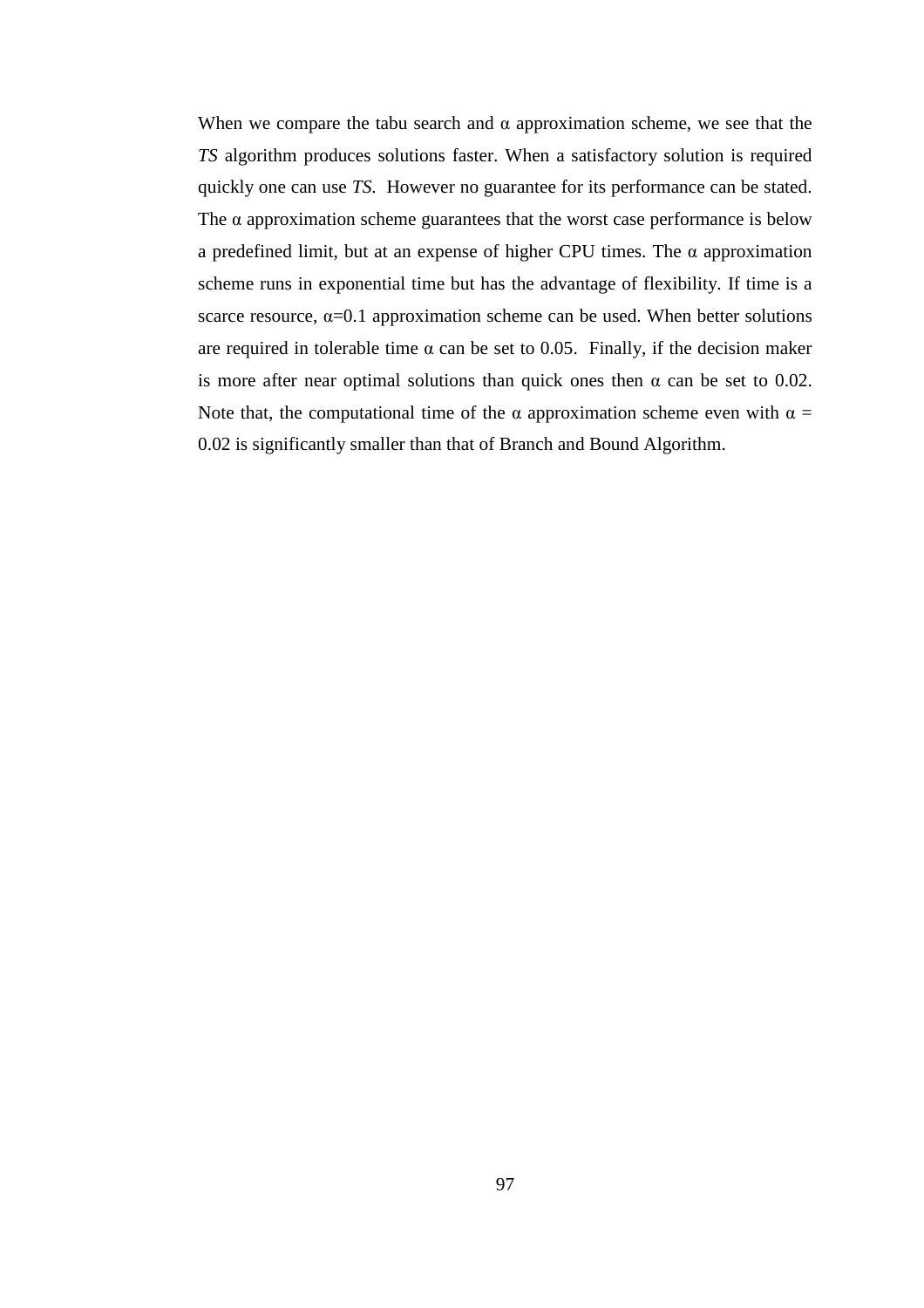When we compare the tabu search and  $\alpha$  approximation scheme, we see that the *TS* algorithm produces solutions faster. When a satisfactory solution is required quickly one can use *TS*. However no guarantee for its performance can be stated. The  $\alpha$  approximation scheme guarantees that the worst case performance is below a predefined limit, but at an expense of higher CPU times. The  $\alpha$  approximation scheme runs in exponential time but has the advantage of flexibility. If time is a scarce resource,  $\alpha$ =0.1 approximation scheme can be used. When better solutions are required in tolerable time  $\alpha$  can be set to 0.05. Finally, if the decision maker is more after near optimal solutions than quick ones then  $\alpha$  can be set to 0.02. Note that, the computational time of the  $\alpha$  approximation scheme even with  $\alpha =$ 0.02 is significantly smaller than that of Branch and Bound Algorithm.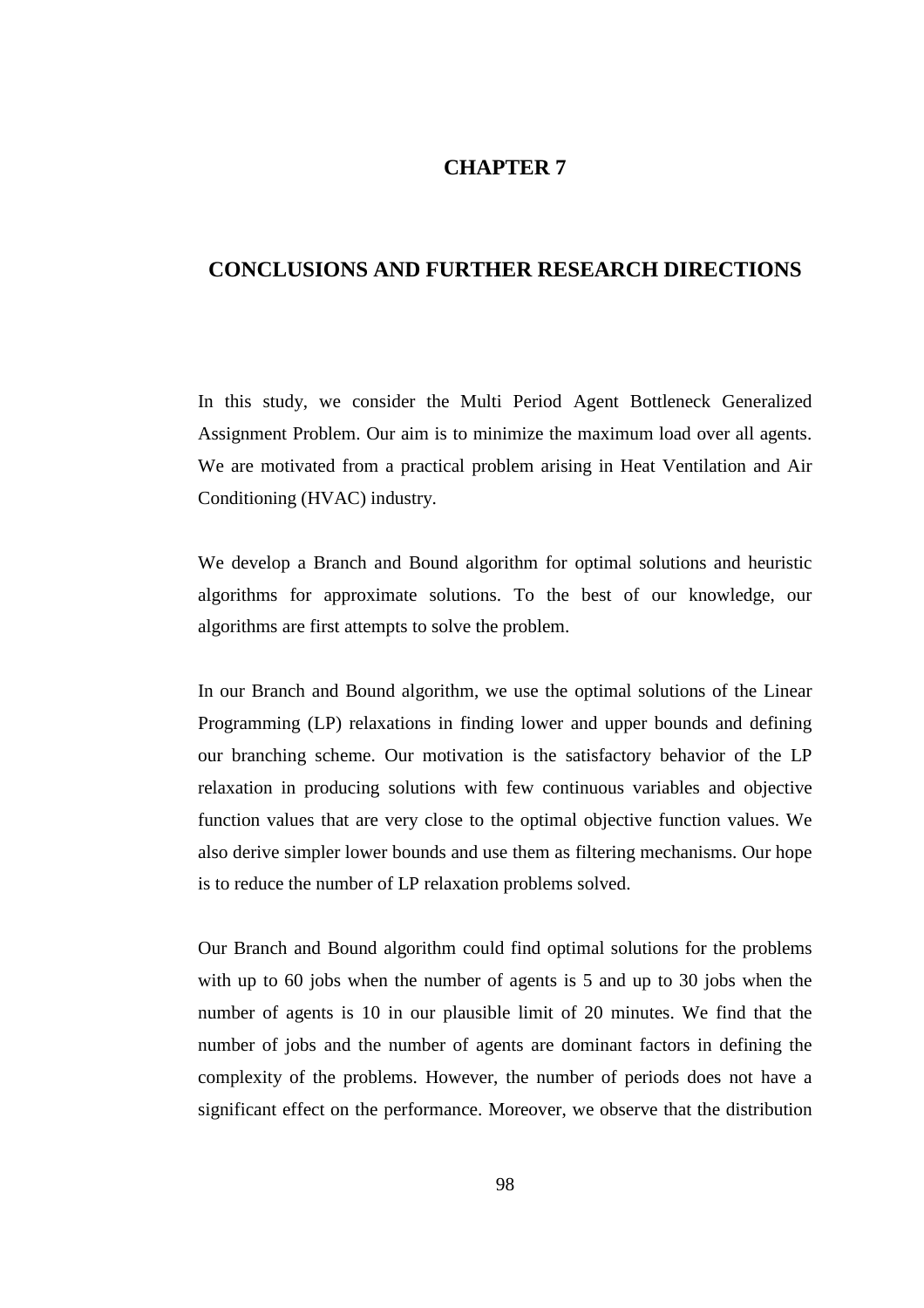#### **CHAPTER 7**

#### **CONCLUSIONS AND FURTHER RESEARCH DIRECTIONS**

In this study, we consider the Multi Period Agent Bottleneck Generalized Assignment Problem. Our aim is to minimize the maximum load over all agents. We are motivated from a practical problem arising in Heat Ventilation and Air Conditioning (HVAC) industry.

We develop a Branch and Bound algorithm for optimal solutions and heuristic algorithms for approximate solutions. To the best of our knowledge, our algorithms are first attempts to solve the problem.

In our Branch and Bound algorithm, we use the optimal solutions of the Linear Programming (LP) relaxations in finding lower and upper bounds and defining our branching scheme. Our motivation is the satisfactory behavior of the LP relaxation in producing solutions with few continuous variables and objective function values that are very close to the optimal objective function values. We also derive simpler lower bounds and use them as filtering mechanisms. Our hope is to reduce the number of LP relaxation problems solved.

Our Branch and Bound algorithm could find optimal solutions for the problems with up to 60 jobs when the number of agents is 5 and up to 30 jobs when the number of agents is 10 in our plausible limit of 20 minutes. We find that the number of jobs and the number of agents are dominant factors in defining the complexity of the problems. However, the number of periods does not have a significant effect on the performance. Moreover, we observe that the distribution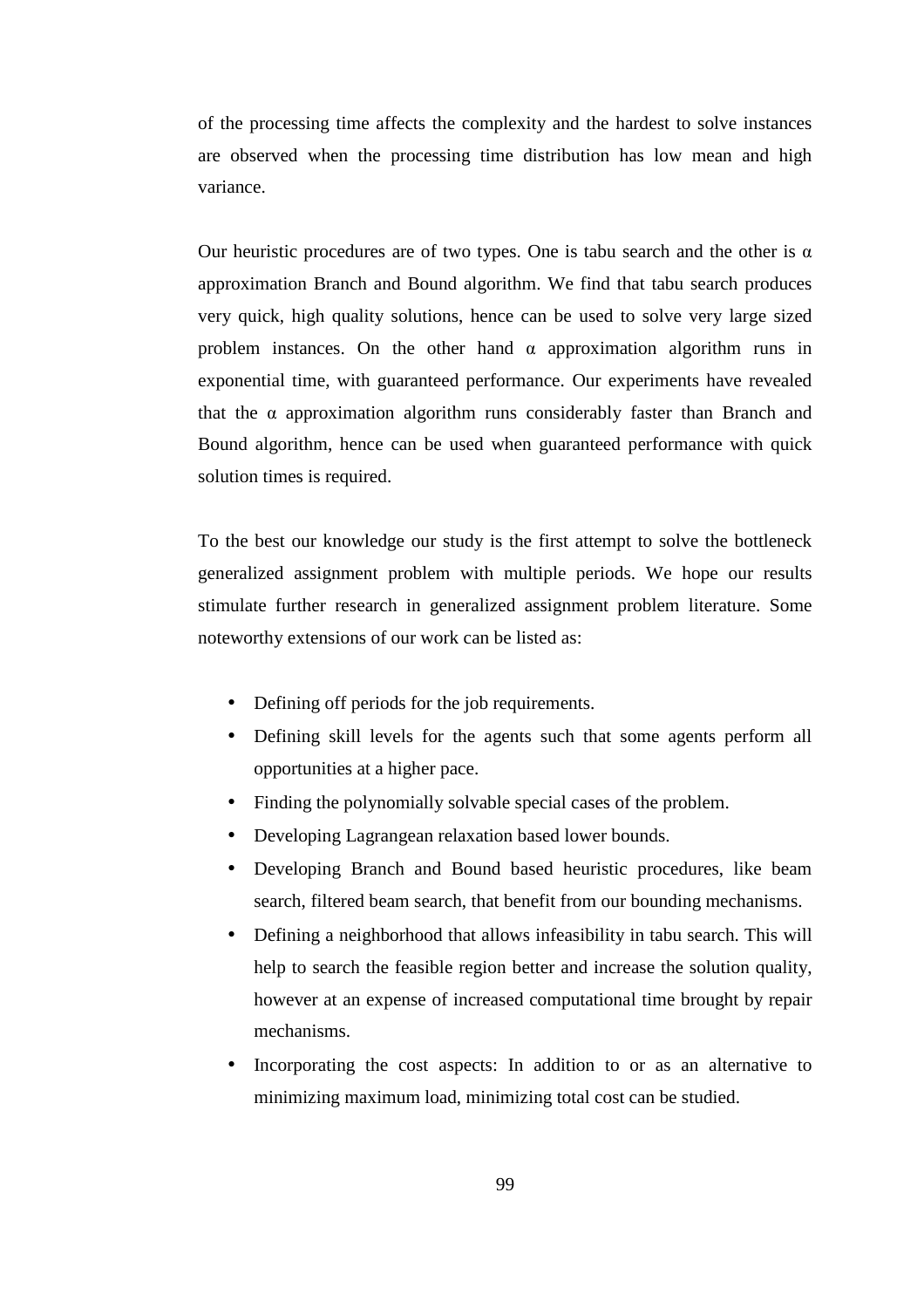of the processing time affects the complexity and the hardest to solve instances are observed when the processing time distribution has low mean and high variance.

Our heuristic procedures are of two types. One is tabu search and the other is  $\alpha$ approximation Branch and Bound algorithm. We find that tabu search produces very quick, high quality solutions, hence can be used to solve very large sized problem instances. On the other hand  $\alpha$  approximation algorithm runs in exponential time, with guaranteed performance. Our experiments have revealed that the  $\alpha$  approximation algorithm runs considerably faster than Branch and Bound algorithm, hence can be used when guaranteed performance with quick solution times is required.

To the best our knowledge our study is the first attempt to solve the bottleneck generalized assignment problem with multiple periods. We hope our results stimulate further research in generalized assignment problem literature. Some noteworthy extensions of our work can be listed as:

- Defining off periods for the job requirements.
- Defining skill levels for the agents such that some agents perform all opportunities at a higher pace.
- Finding the polynomially solvable special cases of the problem.
- Developing Lagrangean relaxation based lower bounds.
- Developing Branch and Bound based heuristic procedures, like beam search, filtered beam search, that benefit from our bounding mechanisms.
- Defining a neighborhood that allows infeasibility in tabu search. This will help to search the feasible region better and increase the solution quality, however at an expense of increased computational time brought by repair mechanisms.
- Incorporating the cost aspects: In addition to or as an alternative to minimizing maximum load, minimizing total cost can be studied.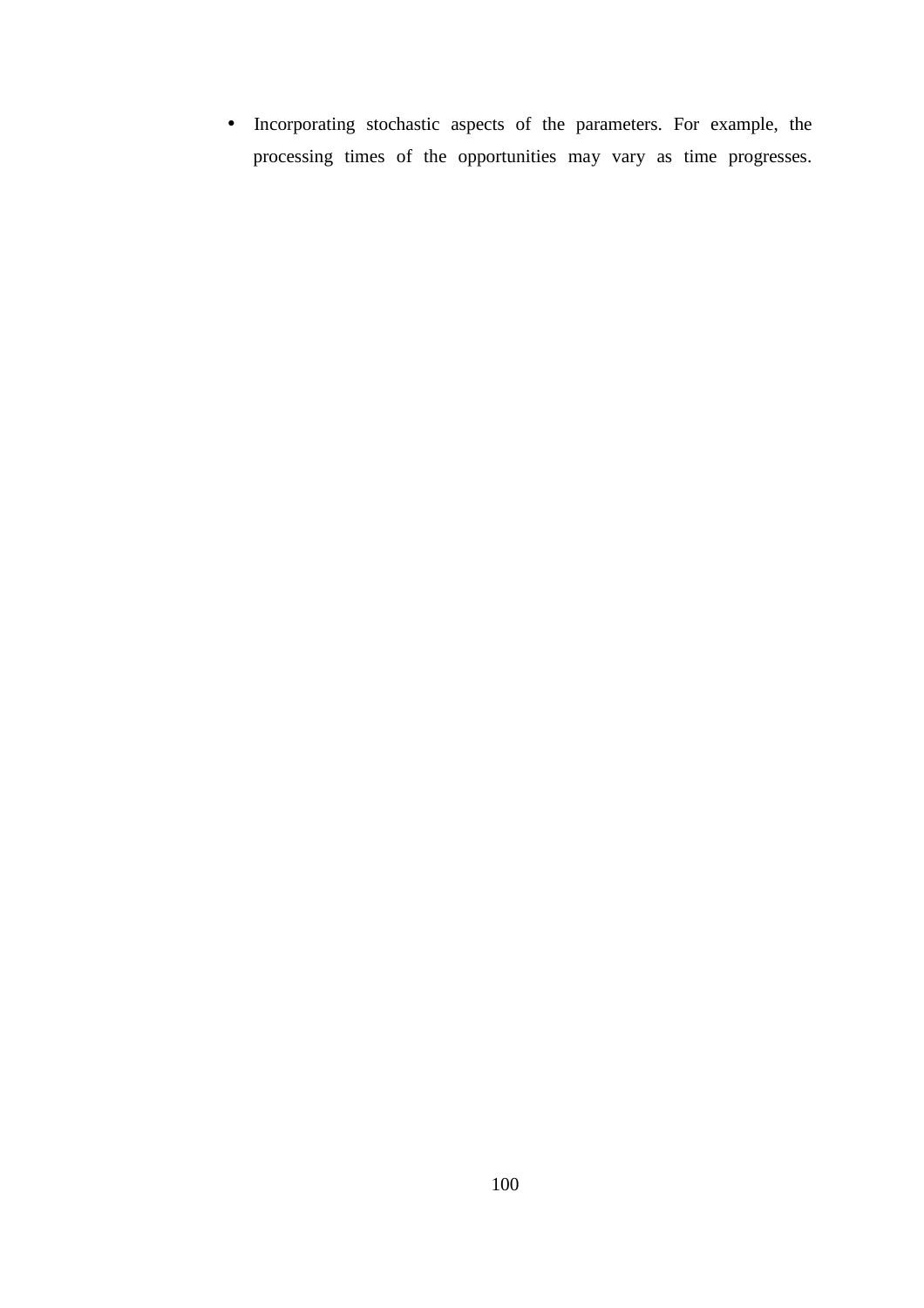• Incorporating stochastic aspects of the parameters. For example, the processing times of the opportunities may vary as time progresses.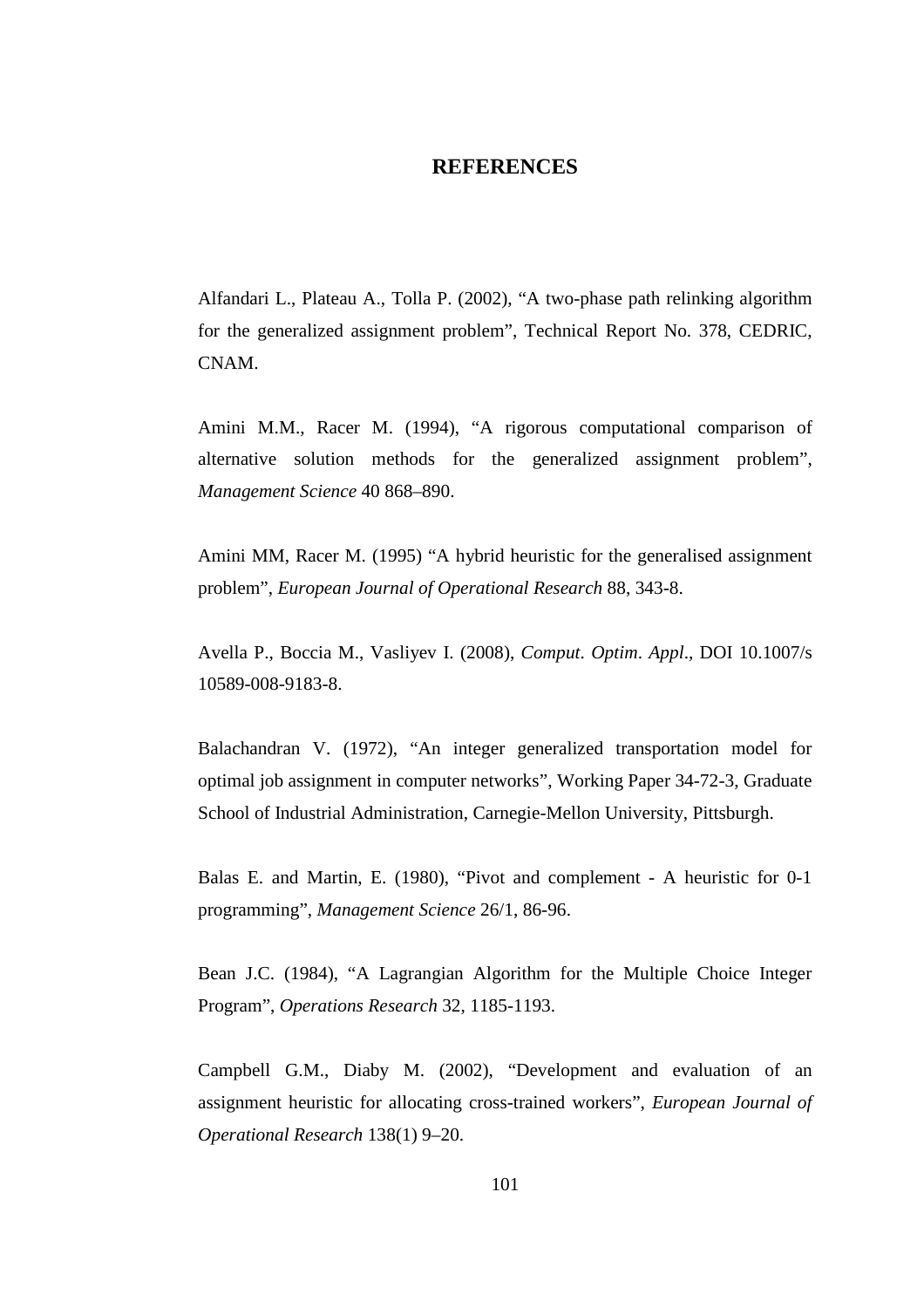#### **REFERENCES**

Alfandari L., Plateau A., Tolla P. (2002), "A two-phase path relinking algorithm for the generalized assignment problem", Technical Report No. 378, CEDRIC, CNAM.

Amini M.M., Racer M. (1994), "A rigorous computational comparison of alternative solution methods for the generalized assignment problem", *Management Science* 40 868–890.

Amini MM, Racer M. (1995) "A hybrid heuristic for the generalised assignment problem", *European Journal of Operational Research* 88, 343-8.

Avella P., Boccia M., Vasliyev I. (2008), *Comput*. *Optim*. *Appl*., DOI 10.1007/s 10589-008-9183-8.

Balachandran V. (1972), "An integer generalized transportation model for optimal job assignment in computer networks", Working Paper 34-72-3, Graduate School of Industrial Administration, Carnegie-Mellon University, Pittsburgh.

Balas E. and Martin, E. (1980), "Pivot and complement - A heuristic for 0-1 programming", *Management Science* 26/1, 86-96.

Bean J.C. (1984), "A Lagrangian Algorithm for the Multiple Choice Integer Program", *Operations Research* 32, 1185-1193.

Campbell G.M., Diaby M. (2002), "Development and evaluation of an assignment heuristic for allocating cross-trained workers", *European Journal of Operational Research* 138(1) 9–20.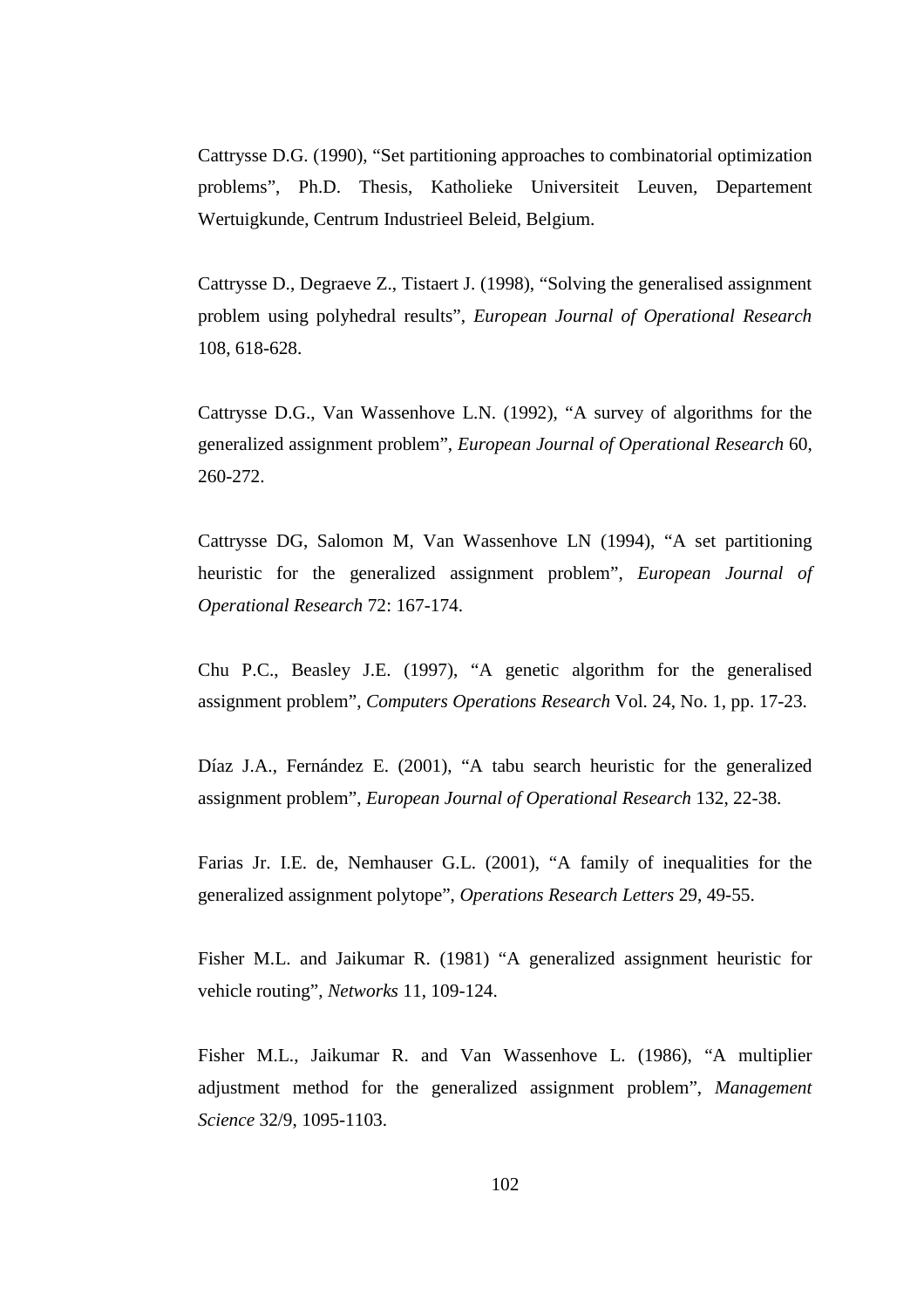Cattrysse D.G. (1990), "Set partitioning approaches to combinatorial optimization problems", Ph.D. Thesis, Katholieke Universiteit Leuven, Departement Wertuigkunde, Centrum Industrieel Beleid, Belgium.

Cattrysse D., Degraeve Z., Tistaert J. (1998), "Solving the generalised assignment problem using polyhedral results", *European Journal of Operational Research*  108, 618-628.

Cattrysse D.G., Van Wassenhove L.N. (1992), "A survey of algorithms for the generalized assignment problem", *European Journal of Operational Research* 60, 260-272.

Cattrysse DG, Salomon M, Van Wassenhove LN (1994), "A set partitioning heuristic for the generalized assignment problem", *European Journal of Operational Research* 72: 167-174.

Chu P.C., Beasley J.E. (1997), "A genetic algorithm for the generalised assignment problem", *Computers Operations Research* Vol. 24, No. 1, pp. 17-23.

Díaz J.A., Fernández E. (2001), "A tabu search heuristic for the generalized assignment problem", *European Journal of Operational Research* 132, 22-38.

Farias Jr. I.E. de, Nemhauser G.L. (2001), "A family of inequalities for the generalized assignment polytope", *Operations Research Letters* 29, 49-55.

Fisher M.L. and Jaikumar R. (1981) "A generalized assignment heuristic for vehicle routing", *Networks* 11, 109-124.

Fisher M.L., Jaikumar R. and Van Wassenhove L. (1986), "A multiplier adjustment method for the generalized assignment problem", *Management Science* 32/9, 1095-1103.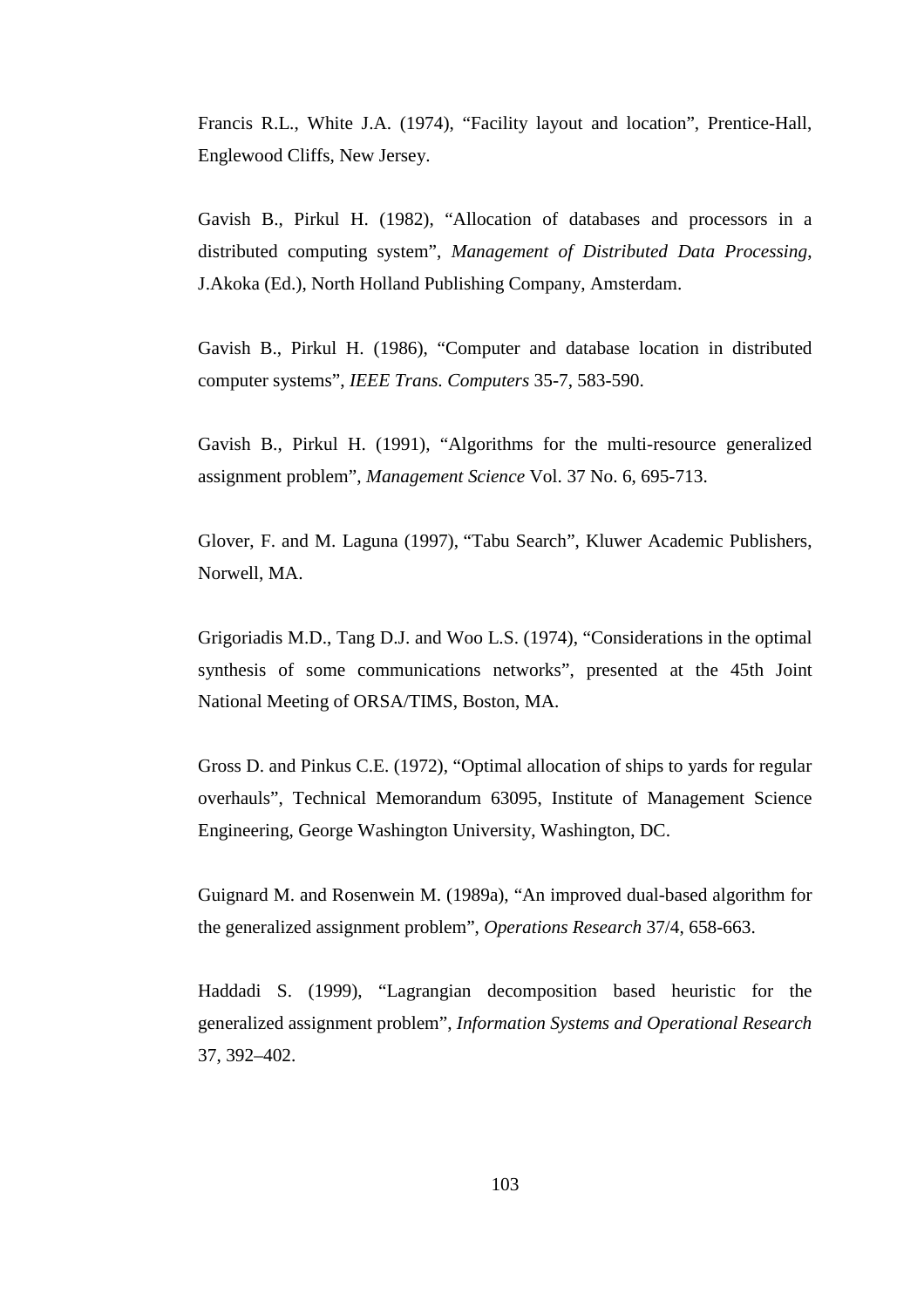Francis R.L., White J.A. (1974), "Facility layout and location", Prentice-Hall, Englewood Cliffs, New Jersey.

Gavish B., Pirkul H. (1982), "Allocation of databases and processors in a distributed computing system", *Management of Distributed Data Processing*, J.Akoka (Ed.), North Holland Publishing Company, Amsterdam.

Gavish B., Pirkul H. (1986), "Computer and database location in distributed computer systems", *IEEE Trans. Computers* 35-7, 583-590.

Gavish B., Pirkul H. (1991), "Algorithms for the multi-resource generalized assignment problem", *Management Science* Vol. 37 No. 6, 695-713.

Glover, F. and M. Laguna (1997), "Tabu Search", Kluwer Academic Publishers, Norwell, MA.

Grigoriadis M.D., Tang D.J. and Woo L.S. (1974), "Considerations in the optimal synthesis of some communications networks", presented at the 45th Joint National Meeting of ORSA/TIMS, Boston, MA.

Gross D. and Pinkus C.E. (1972), "Optimal allocation of ships to yards for regular overhauls", Technical Memorandum 63095, Institute of Management Science Engineering, George Washington University, Washington, DC.

Guignard M. and Rosenwein M. (1989a), "An improved dual-based algorithm for the generalized assignment problem", *Operations Research* 37/4, 658-663.

Haddadi S. (1999), "Lagrangian decomposition based heuristic for the generalized assignment problem", *Information Systems and Operational Research* 37, 392–402.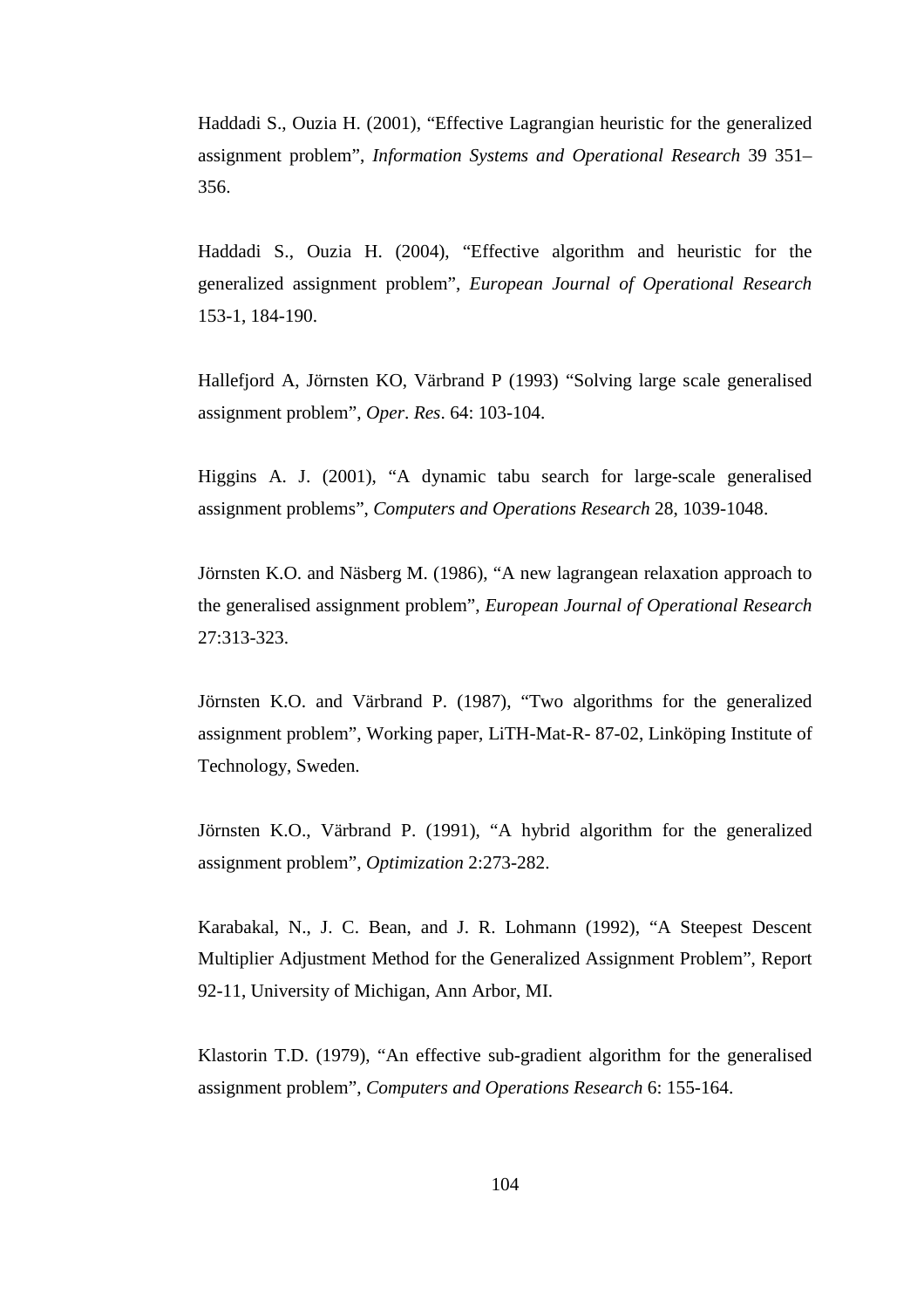Haddadi S., Ouzia H. (2001), "Effective Lagrangian heuristic for the generalized assignment problem", *Information Systems and Operational Research* 39 351– 356.

Haddadi S., Ouzia H. (2004), "Effective algorithm and heuristic for the generalized assignment problem", *European Journal of Operational Research*  153-1, 184-190.

Hallefjord A, Jörnsten KO, Värbrand P (1993) "Solving large scale generalised assignment problem", *Oper*. *Res*. 64: 103-104.

Higgins A. J. (2001), "A dynamic tabu search for large-scale generalised assignment problems", *Computers and Operations Research* 28, 1039-1048.

Jörnsten K.O. and Näsberg M. (1986), "A new lagrangean relaxation approach to the generalised assignment problem", *European Journal of Operational Research*  27:313-323.

Jörnsten K.O. and Värbrand P. (1987), "Two algorithms for the generalized assignment problem", Working paper, LiTH-Mat-R- 87-02, Linköping Institute of Technology, Sweden.

Jörnsten K.O., Värbrand P. (1991), "A hybrid algorithm for the generalized assignment problem", *Optimization* 2:273-282.

Karabakal, N., J. C. Bean, and J. R. Lohmann (1992), "A Steepest Descent Multiplier Adjustment Method for the Generalized Assignment Problem", Report 92-11, University of Michigan, Ann Arbor, MI.

Klastorin T.D. (1979), "An effective sub-gradient algorithm for the generalised assignment problem", *Computers and Operations Research* 6: 155-164.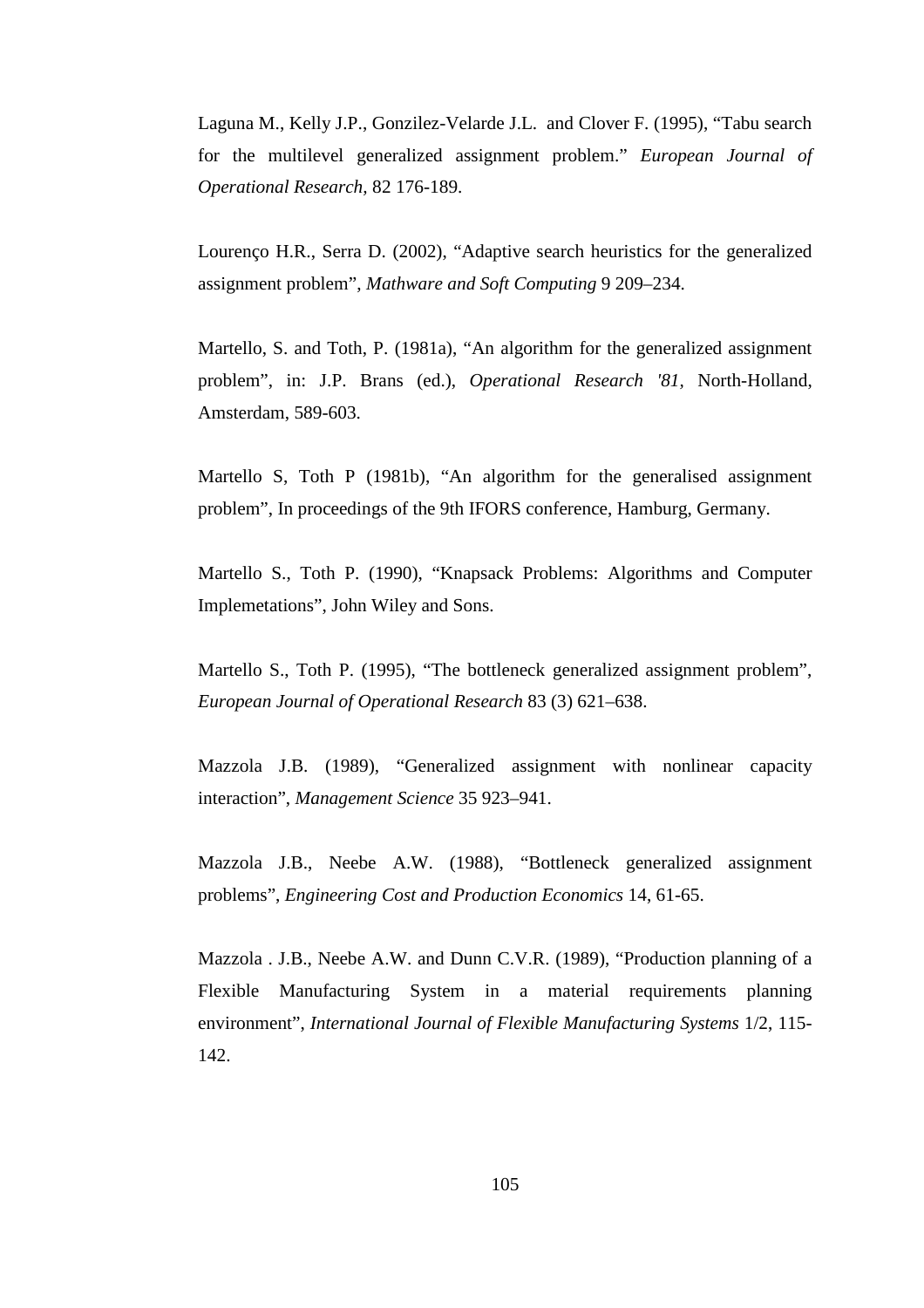Laguna M., Kelly J.P., Gonzilez-Velarde J.L. and Clover F. (1995), "Tabu search for the multilevel generalized assignment problem." *European Journal of Operational Research,* 82 176-189.

Lourenço H.R., Serra D. (2002), "Adaptive search heuristics for the generalized assignment problem", *Mathware and Soft Computing* 9 209–234.

Martello, S. and Toth, P. (1981a), "An algorithm for the generalized assignment problem", in: J.P. Brans (ed.), *Operational Research '81,* North-Holland, Amsterdam, 589-603.

Martello S, Toth P (1981b), "An algorithm for the generalised assignment problem", In proceedings of the 9th IFORS conference, Hamburg, Germany.

Martello S., Toth P. (1990), "Knapsack Problems: Algorithms and Computer Implemetations", John Wiley and Sons.

Martello S., Toth P. (1995), "The bottleneck generalized assignment problem", *European Journal of Operational Research* 83 (3) 621–638.

Mazzola J.B. (1989), "Generalized assignment with nonlinear capacity interaction", *Management Science* 35 923–941.

Mazzola J.B., Neebe A.W. (1988), "Bottleneck generalized assignment problems", *Engineering Cost and Production Economics* 14, 61-65.

Mazzola . J.B., Neebe A.W. and Dunn C.V.R. (1989), "Production planning of a Flexible Manufacturing System in a material requirements planning environment", *International Journal of Flexible Manufacturing Systems* 1/2, 115- 142.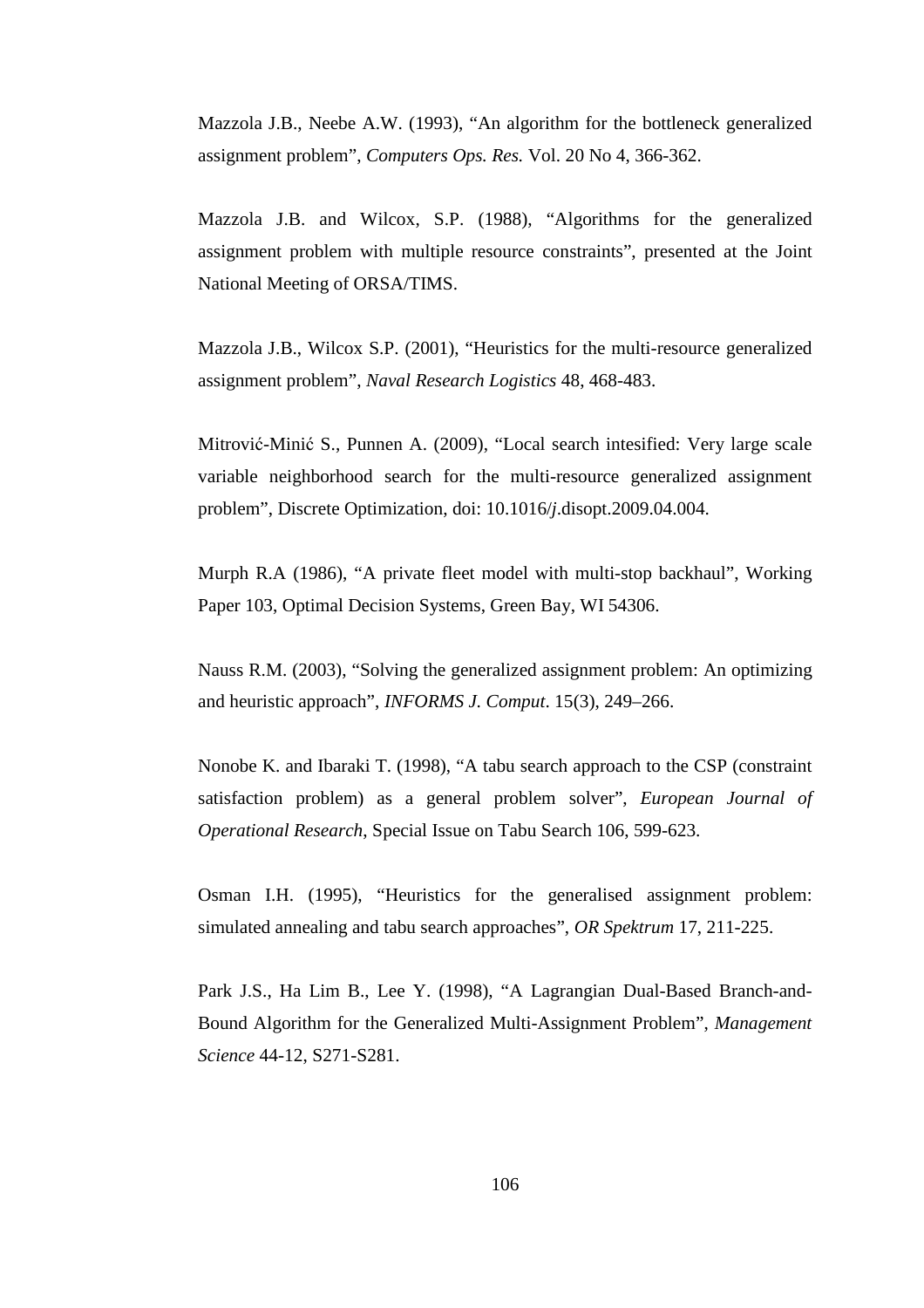Mazzola J.B., Neebe A.W. (1993), "An algorithm for the bottleneck generalized assignment problem", *Computers Ops. Res.* Vol. 20 No 4, 366-362.

Mazzola J.B. and Wilcox, S.P. (1988), "Algorithms for the generalized assignment problem with multiple resource constraints", presented at the Joint National Meeting of ORSA/TIMS.

Mazzola J.B., Wilcox S.P. (2001), "Heuristics for the multi-resource generalized assignment problem", *Naval Research Logistics* 48, 468-483.

Mitrović-Minić S., Punnen A. (2009), "Local search intesified: Very large scale variable neighborhood search for the multi-resource generalized assignment problem", Discrete Optimization, doi: 10.1016/*j*.disopt.2009.04.004.

Murph R.A (1986), "A private fleet model with multi-stop backhaul", Working Paper 103, Optimal Decision Systems, Green Bay, WI 54306.

Nauss R.M. (2003), "Solving the generalized assignment problem: An optimizing and heuristic approach", *INFORMS J. Comput*. 15(3), 249–266.

Nonobe K. and Ibaraki T. (1998), "A tabu search approach to the CSP (constraint satisfaction problem) as a general problem solver", *European Journal of Operational Research*, Special Issue on Tabu Search 106, 599-623.

Osman I.H. (1995), "Heuristics for the generalised assignment problem: simulated annealing and tabu search approaches", *OR Spektrum* 17, 211-225.

Park J.S., Ha Lim B., Lee Y. (1998), "A Lagrangian Dual-Based Branch-and-Bound Algorithm for the Generalized Multi-Assignment Problem", *Management Science* 44-12, S271-S281.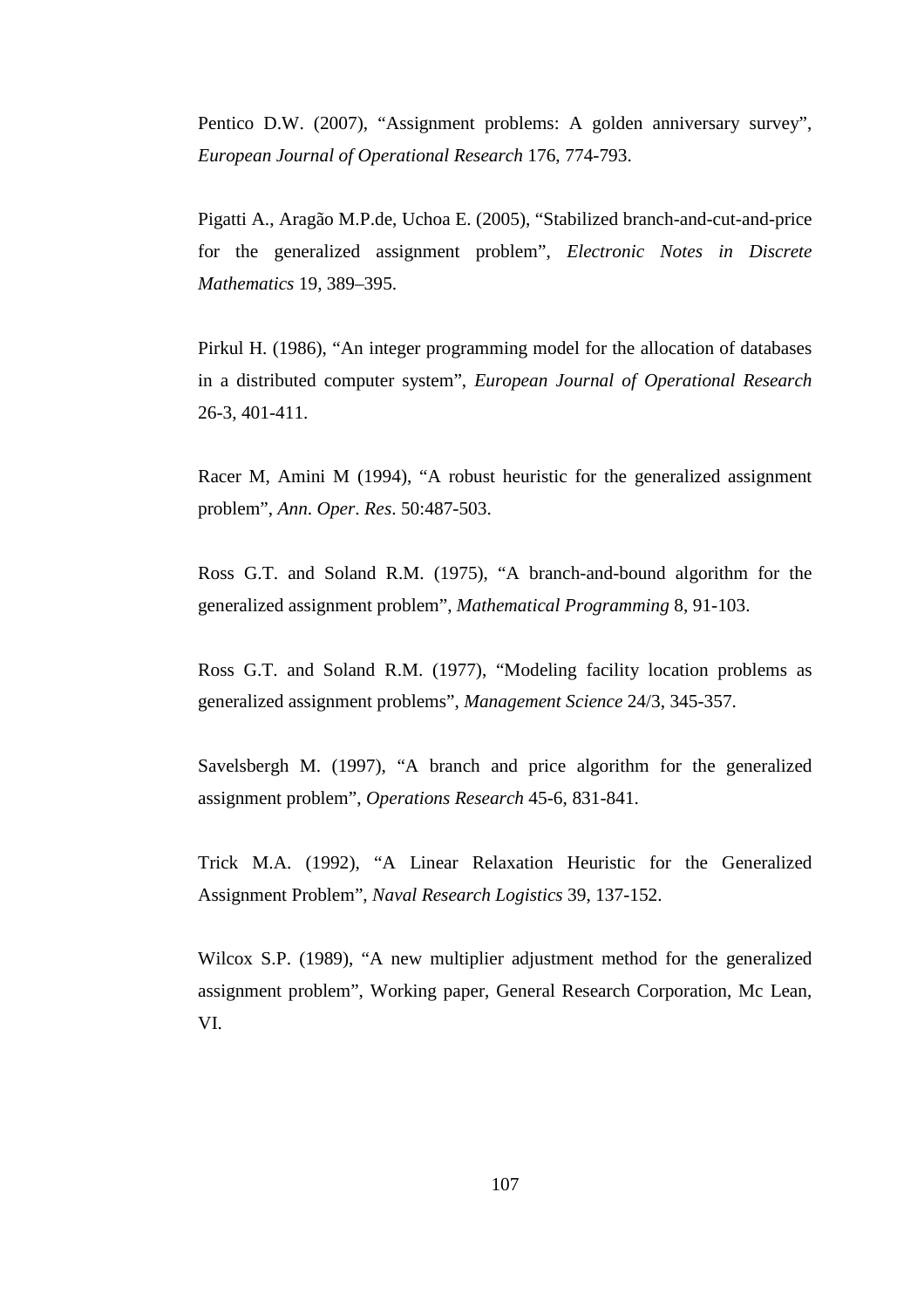Pentico D.W. (2007), "Assignment problems: A golden anniversary survey", *European Journal of Operational Research* 176, 774-793.

Pigatti A., Aragão M.P.de, Uchoa E. (2005), "Stabilized branch-and-cut-and-price for the generalized assignment problem", *Electronic Notes in Discrete Mathematics* 19, 389–395.

Pirkul H. (1986), "An integer programming model for the allocation of databases in a distributed computer system", *European Journal of Operational Research*  26-3, 401-411.

Racer M, Amini M (1994), "A robust heuristic for the generalized assignment problem", *Ann*. *Oper*. *Res*. 50:487-503.

Ross G.T. and Soland R.M. (1975), "A branch-and-bound algorithm for the generalized assignment problem", *Mathematical Programming* 8, 91-103.

Ross G.T. and Soland R.M. (1977), "Modeling facility location problems as generalized assignment problems", *Management Science* 24/3, 345-357.

Savelsbergh M. (1997), "A branch and price algorithm for the generalized assignment problem", *Operations Research* 45-6, 831-841.

Trick M.A. (1992), "A Linear Relaxation Heuristic for the Generalized Assignment Problem", *Naval Research Logistics* 39, 137-152.

Wilcox S.P. (1989), "A new multiplier adjustment method for the generalized assignment problem", Working paper, General Research Corporation, Mc Lean, VI.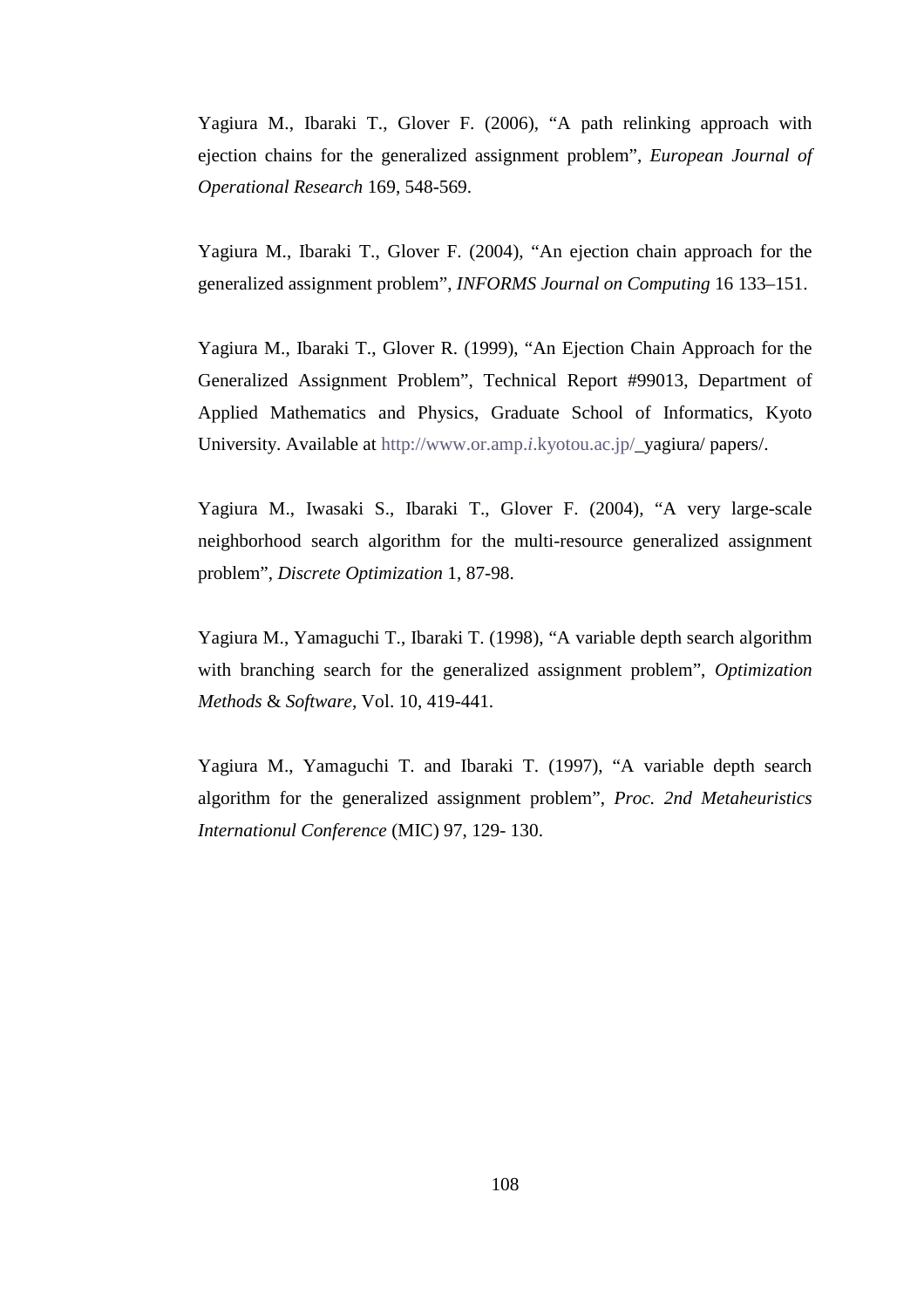Yagiura M., Ibaraki T., Glover F. (2006), "A path relinking approach with ejection chains for the generalized assignment problem", *European Journal of Operational Research* 169, 548-569.

Yagiura M., Ibaraki T., Glover F. (2004), "An ejection chain approach for the generalized assignment problem", *INFORMS Journal on Computing* 16 133–151.

Yagiura M., Ibaraki T., Glover R. (1999), "An Ejection Chain Approach for the Generalized Assignment Problem", Technical Report #99013, Department of Applied Mathematics and Physics, Graduate School of Informatics, Kyoto University. Available at http://www.or.amp.*i*.kyotou.ac.jp/\_yagiura/ papers/.

Yagiura M., Iwasaki S., Ibaraki T., Glover F. (2004), "A very large-scale neighborhood search algorithm for the multi-resource generalized assignment problem", *Discrete Optimization* 1, 87-98.

Yagiura M., Yamaguchi T., Ibaraki T. (1998), "A variable depth search algorithm with branching search for the generalized assignment problem", *Optimization Methods* & *Software,* Vol. 10, 419-441.

Yagiura M., Yamaguchi T. and Ibaraki T. (1997), "A variable depth search algorithm for the generalized assignment problem", *Proc. 2nd Metaheuristics Internationul Conference* (MIC) 97, 129- 130.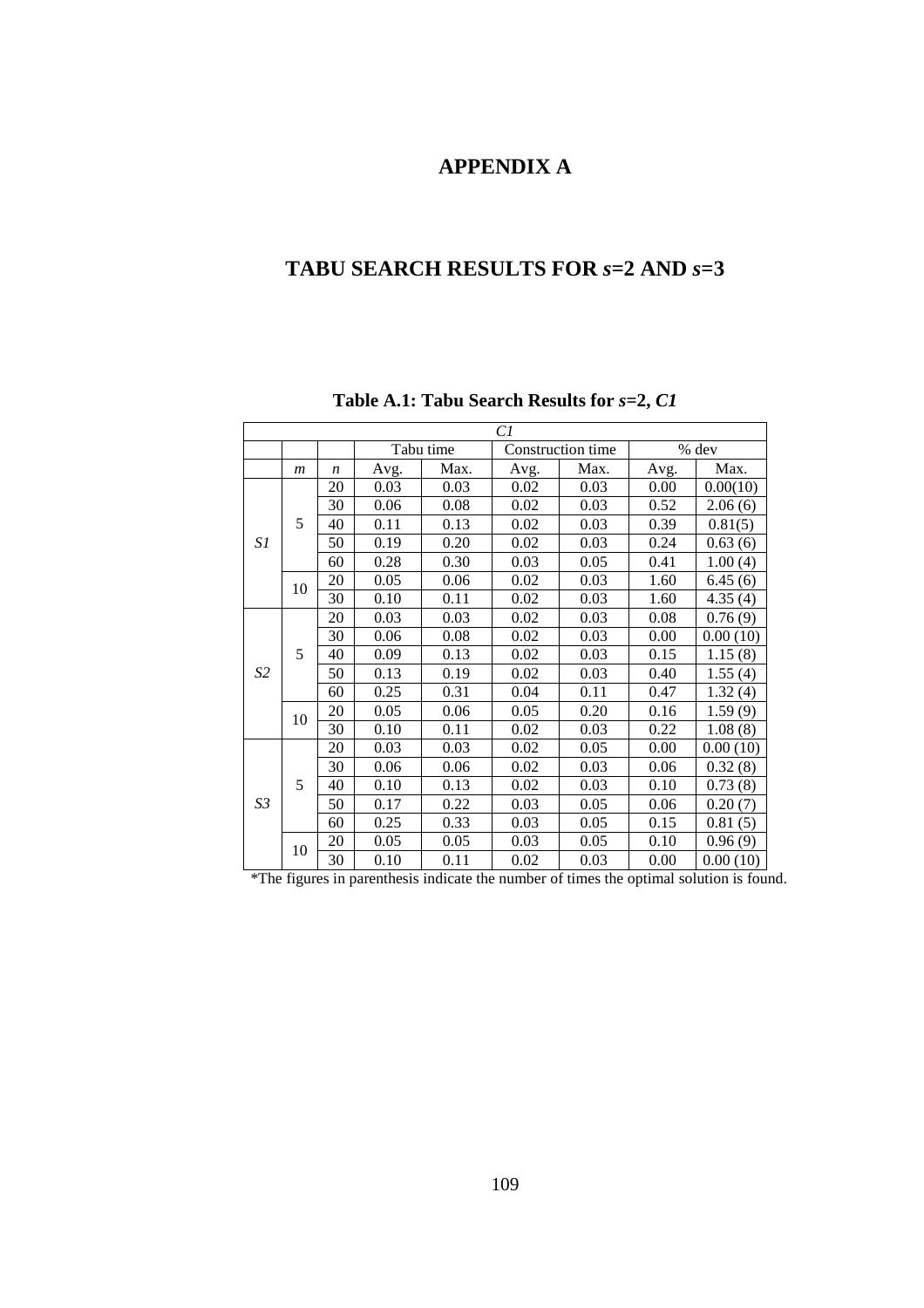## **APPENDIX A**

### **TABU SEARCH RESULTS FOR** *s***=2 AND** *s***=3**

|                | C1               |                  |      |           |      |                   |      |          |  |  |  |
|----------------|------------------|------------------|------|-----------|------|-------------------|------|----------|--|--|--|
|                |                  |                  |      | Tabu time |      | Construction time |      | $%$ dev  |  |  |  |
|                | $\boldsymbol{m}$ | $\boldsymbol{n}$ | Avg. | Max.      | Avg. | Max.              | Avg. | Max.     |  |  |  |
|                |                  | 20               | 0.03 | 0.03      | 0.02 | 0.03              | 0.00 | 0.00(10) |  |  |  |
|                |                  | 30               | 0.06 | 0.08      | 0.02 | 0.03              | 0.52 | 2.06(6)  |  |  |  |
|                | 5                | 40               | 0.11 | 0.13      | 0.02 | 0.03              | 0.39 | 0.81(5)  |  |  |  |
| S1             |                  | 50               | 0.19 | 0.20      | 0.02 | 0.03              | 0.24 | 0.63(6)  |  |  |  |
|                |                  | 60               | 0.28 | 0.30      | 0.03 | 0.05              | 0.41 | 1.00(4)  |  |  |  |
|                | 10               | 20               | 0.05 | 0.06      | 0.02 | 0.03              | 1.60 | 6.45(6)  |  |  |  |
|                |                  | 30               | 0.10 | 0.11      | 0.02 | 0.03              | 1.60 | 4.35(4)  |  |  |  |
|                |                  | 20               | 0.03 | 0.03      | 0.02 | 0.03              | 0.08 | 0.76(9)  |  |  |  |
|                |                  | 30               | 0.06 | 0.08      | 0.02 | 0.03              | 0.00 | 0.00(10) |  |  |  |
|                | 5                | 40               | 0.09 | 0.13      | 0.02 | 0.03              | 0.15 | 1.15(8)  |  |  |  |
| S <sub>2</sub> |                  | 50               | 0.13 | 0.19      | 0.02 | 0.03              | 0.40 | 1.55(4)  |  |  |  |
|                |                  | 60               | 0.25 | 0.31      | 0.04 | 0.11              | 0.47 | 1.32(4)  |  |  |  |
|                | 10               | 20               | 0.05 | 0.06      | 0.05 | 0.20              | 0.16 | 1.59(9)  |  |  |  |
|                |                  | 30               | 0.10 | 0.11      | 0.02 | 0.03              | 0.22 | 1.08(8)  |  |  |  |
|                |                  | 20               | 0.03 | 0.03      | 0.02 | 0.05              | 0.00 | 0.00(10) |  |  |  |
|                |                  | 30               | 0.06 | 0.06      | 0.02 | 0.03              | 0.06 | 0.32(8)  |  |  |  |
|                | 5                | 40               | 0.10 | 0.13      | 0.02 | 0.03              | 0.10 | 0.73(8)  |  |  |  |
| S3             |                  | 50               | 0.17 | 0.22      | 0.03 | 0.05              | 0.06 | 0.20(7)  |  |  |  |
|                |                  | 60               | 0.25 | 0.33      | 0.03 | 0.05              | 0.15 | 0.81(5)  |  |  |  |
|                | 10               | 20               | 0.05 | 0.05      | 0.03 | 0.05              | 0.10 | 0.96(9)  |  |  |  |
|                |                  | 30               | 0.10 | 0.11      | 0.02 | 0.03              | 0.00 | 0.00(10) |  |  |  |

#### **Table A.1: Tabu Search Results for** *s***=2,** *C1*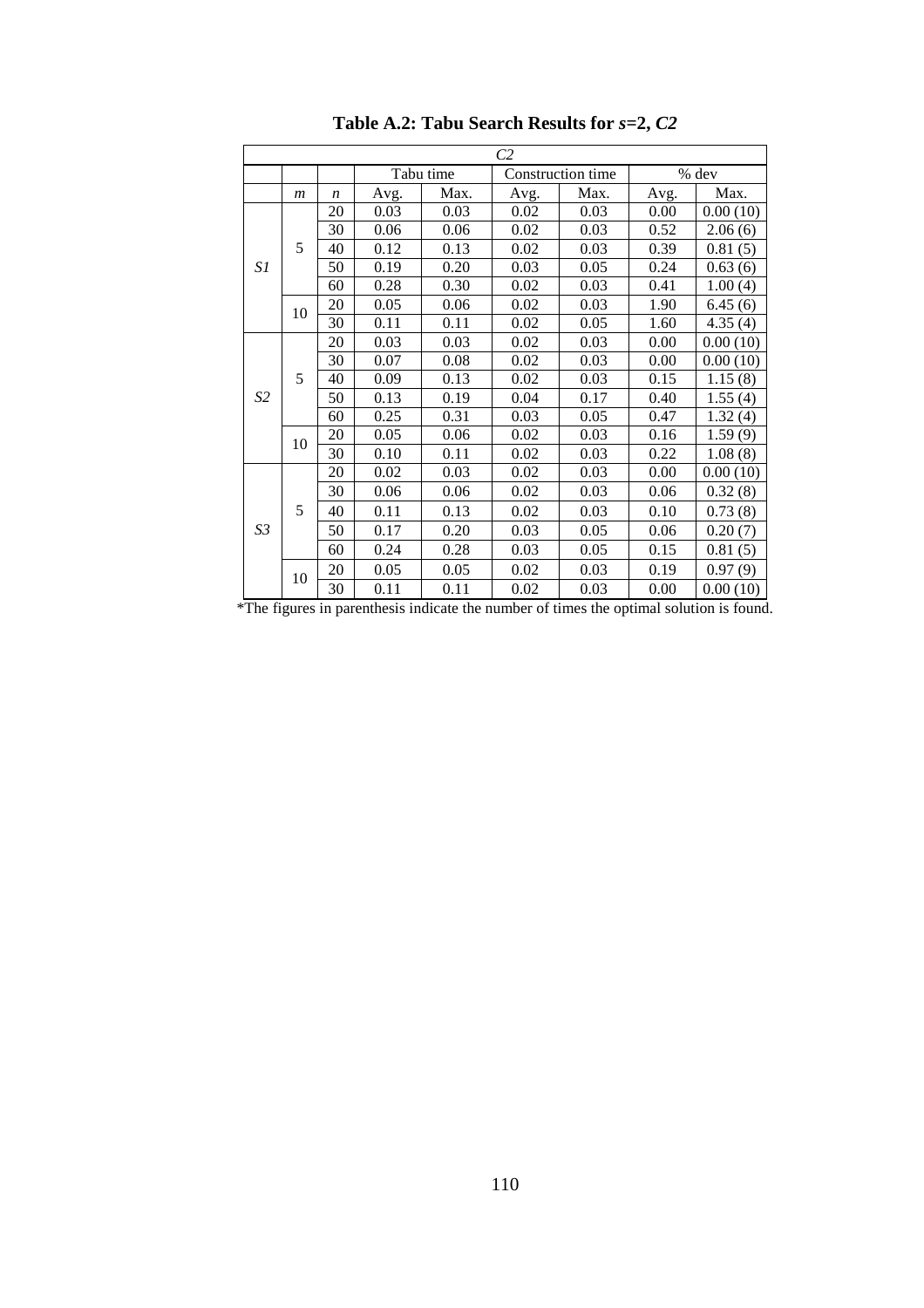|                | C <sub>2</sub>   |                  |      |           |      |                   |                              |                                                                                                                                                                                            |  |  |  |
|----------------|------------------|------------------|------|-----------|------|-------------------|------------------------------|--------------------------------------------------------------------------------------------------------------------------------------------------------------------------------------------|--|--|--|
|                |                  |                  |      | Tabu time |      | Construction time |                              |                                                                                                                                                                                            |  |  |  |
|                | $\boldsymbol{m}$ | $\boldsymbol{n}$ | Avg. | Max.      | Avg. | Max.              | Avg.                         | Max.                                                                                                                                                                                       |  |  |  |
|                |                  | 20               | 0.03 | 0.03      | 0.02 | 0.03              | 0.00                         | 0.00(10)                                                                                                                                                                                   |  |  |  |
|                |                  | 30               | 0.06 | 0.06      | 0.02 | 0.03              | 0.52                         | 2.06(6)                                                                                                                                                                                    |  |  |  |
|                | 5                | 40               | 0.12 | 0.13      | 0.02 | 0.03              | 0.39                         | 0.81(5)                                                                                                                                                                                    |  |  |  |
| S1             |                  | 50               | 0.19 | 0.20      | 0.03 | 0.05              | 0.24                         | $%$ dev<br>0.63(6)<br>1.00(4)<br>6.45(6)<br>4.35(4)<br>0.00(10)<br>0.00(10)<br>1.15(8)<br>1.55(4)<br>1.32(4)<br>1.59(9)<br>1.08(8)<br>0.00(10)<br>0.32(8)<br>0.73(8)<br>0.20(7)<br>0.81(5) |  |  |  |
|                |                  | 60               | 0.28 | 0.30      | 0.02 | 0.03              | 0.41                         |                                                                                                                                                                                            |  |  |  |
|                |                  | 20               | 0.05 | 0.06      | 0.02 | 0.03              | 1.90                         |                                                                                                                                                                                            |  |  |  |
|                | 10<br>5          | 30               | 0.11 | 0.11      | 0.02 | 0.05              | 1.60                         |                                                                                                                                                                                            |  |  |  |
|                |                  | 20               | 0.03 | 0.03      | 0.02 | 0.03              | 0.00                         |                                                                                                                                                                                            |  |  |  |
|                |                  | 30               | 0.07 | 0.08      | 0.02 | 0.03              | 0.00                         |                                                                                                                                                                                            |  |  |  |
|                |                  | 40               | 0.09 | 0.13      | 0.02 | 0.03              | 0.15                         |                                                                                                                                                                                            |  |  |  |
| S <sub>2</sub> |                  | 50               | 0.13 | 0.19      | 0.04 | 0.17              | 0.40<br>0.47<br>0.16<br>0.22 |                                                                                                                                                                                            |  |  |  |
|                |                  | 60               | 0.25 | 0.31      | 0.03 | 0.05              |                              |                                                                                                                                                                                            |  |  |  |
|                | 10               | 20               | 0.05 | 0.06      | 0.02 | 0.03              |                              |                                                                                                                                                                                            |  |  |  |
|                |                  | 30               | 0.10 | 0.11      | 0.02 | 0.03              |                              |                                                                                                                                                                                            |  |  |  |
|                |                  | 20               | 0.02 | 0.03      | 0.02 | 0.03              | 0.00                         |                                                                                                                                                                                            |  |  |  |
|                |                  | 30               | 0.06 | 0.06      | 0.02 | 0.03              | 0.06                         |                                                                                                                                                                                            |  |  |  |
|                | 5                | 40               | 0.11 | 0.13      | 0.02 | 0.03              | 0.10                         |                                                                                                                                                                                            |  |  |  |
| S3             |                  | 50               | 0.17 | 0.20      | 0.03 | 0.05              | 0.06                         |                                                                                                                                                                                            |  |  |  |
|                |                  | 60               | 0.24 | 0.28      | 0.03 | 0.05              | 0.15                         |                                                                                                                                                                                            |  |  |  |
|                |                  | 20               | 0.05 | 0.05      | 0.02 | 0.03              | 0.19                         | 0.97(9)                                                                                                                                                                                    |  |  |  |
|                | 10               | 30               | 0.11 | 0.11      | 0.02 | 0.03              | 0.00                         | 0.00(10)                                                                                                                                                                                   |  |  |  |

**Table A.2: Tabu Search Results for** *s***=2,** *C2*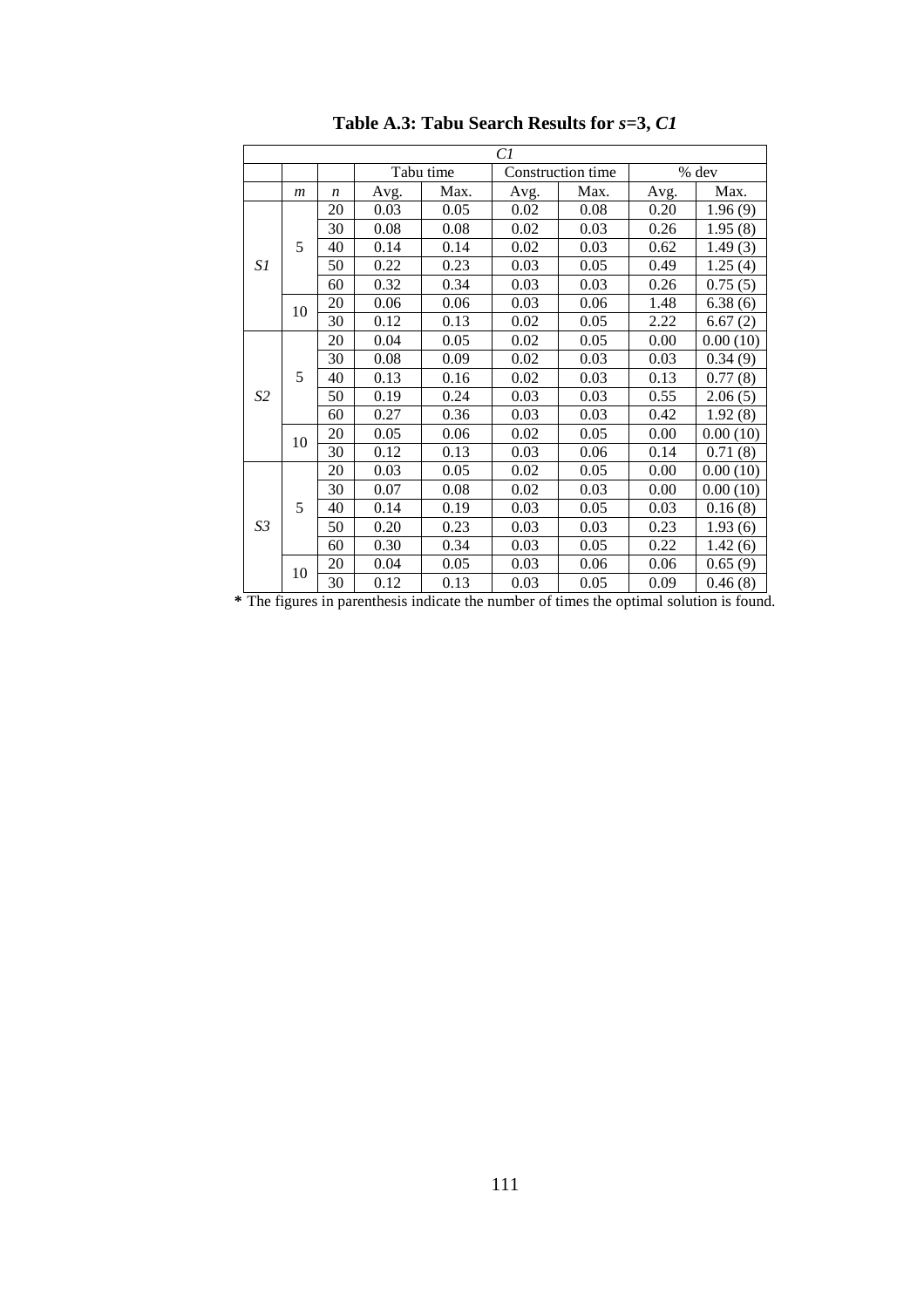|                | C1             |                  |      |           |      |                   |      |                                                                                                                                                                                |  |  |  |
|----------------|----------------|------------------|------|-----------|------|-------------------|------|--------------------------------------------------------------------------------------------------------------------------------------------------------------------------------|--|--|--|
|                |                |                  |      | Tabu time |      | Construction time |      |                                                                                                                                                                                |  |  |  |
|                | $\mathfrak{m}$ | $\boldsymbol{n}$ | Avg. | Max.      | Avg. | Max.              | Avg. | Max.                                                                                                                                                                           |  |  |  |
|                |                | 20               | 0.03 | 0.05      | 0.02 | 0.08              | 0.20 | 1.96(9)                                                                                                                                                                        |  |  |  |
|                |                | 30               | 0.08 | 0.08      | 0.02 | 0.03              | 0.26 | 1.95(8)                                                                                                                                                                        |  |  |  |
|                | 5              | 40               | 0.14 | 0.14      | 0.02 | 0.03              | 0.62 | 1.49(3)                                                                                                                                                                        |  |  |  |
| S1             |                | 50               | 0.22 | 0.23      | 0.03 | 0.05              | 0.49 | 1.25(4)                                                                                                                                                                        |  |  |  |
|                |                | 60               | 0.32 | 0.34      | 0.03 | 0.03              | 0.26 | $\overline{0.75(5)}$                                                                                                                                                           |  |  |  |
|                | 10             | 20               | 0.06 | 0.06      | 0.03 | 0.06              | 1.48 | 6.38(6)                                                                                                                                                                        |  |  |  |
|                |                | 30               | 0.12 | 0.13      | 0.02 | 0.05              | 2.22 | % dev<br>6.67(2)<br>0.00(10)<br>0.34(9)<br>0.77(8)<br>2.06(5)<br>1.92(8)<br>0.00(10)<br>0.71(8)<br>0.00(10)<br>0.00(10)<br>0.16(8)<br>1.93(6)<br>1.42(6)<br>0.65(9)<br>0.46(8) |  |  |  |
|                |                | 20               | 0.04 | 0.05      | 0.02 | 0.05              | 0.00 |                                                                                                                                                                                |  |  |  |
|                |                | 30               | 0.08 | 0.09      | 0.02 | 0.03              | 0.03 |                                                                                                                                                                                |  |  |  |
|                | 5              | 40               | 0.13 | 0.16      | 0.02 | 0.03              | 0.13 |                                                                                                                                                                                |  |  |  |
| S <sub>2</sub> |                | 50               | 0.19 | 0.24      | 0.03 | 0.03              | 0.55 |                                                                                                                                                                                |  |  |  |
|                |                | 60               | 0.27 | 0.36      | 0.03 | 0.03              | 0.42 |                                                                                                                                                                                |  |  |  |
|                | 10             | 20               | 0.05 | 0.06      | 0.02 | 0.05              | 0.00 |                                                                                                                                                                                |  |  |  |
|                |                | 30               | 0.12 | 0.13      | 0.03 | 0.06              | 0.14 |                                                                                                                                                                                |  |  |  |
|                |                | 20               | 0.03 | 0.05      | 0.02 | 0.05              | 0.00 |                                                                                                                                                                                |  |  |  |
|                |                | 30               | 0.07 | 0.08      | 0.02 | 0.03              | 0.00 |                                                                                                                                                                                |  |  |  |
|                | 5              | 40               | 0.14 | 0.19      | 0.03 | 0.05              | 0.03 |                                                                                                                                                                                |  |  |  |
| S3             |                | 50               | 0.20 | 0.23      | 0.03 | 0.03              | 0.23 |                                                                                                                                                                                |  |  |  |
|                |                | 60               | 0.30 | 0.34      | 0.03 | 0.05              | 0.22 |                                                                                                                                                                                |  |  |  |
|                | 10             | 20               | 0.04 | 0.05      | 0.03 | 0.06              | 0.06 |                                                                                                                                                                                |  |  |  |
|                |                | 30               | 0.12 | 0.13      | 0.03 | 0.05              | 0.09 |                                                                                                                                                                                |  |  |  |

**Table A.3: Tabu Search Results for** *s***=3,** *C1*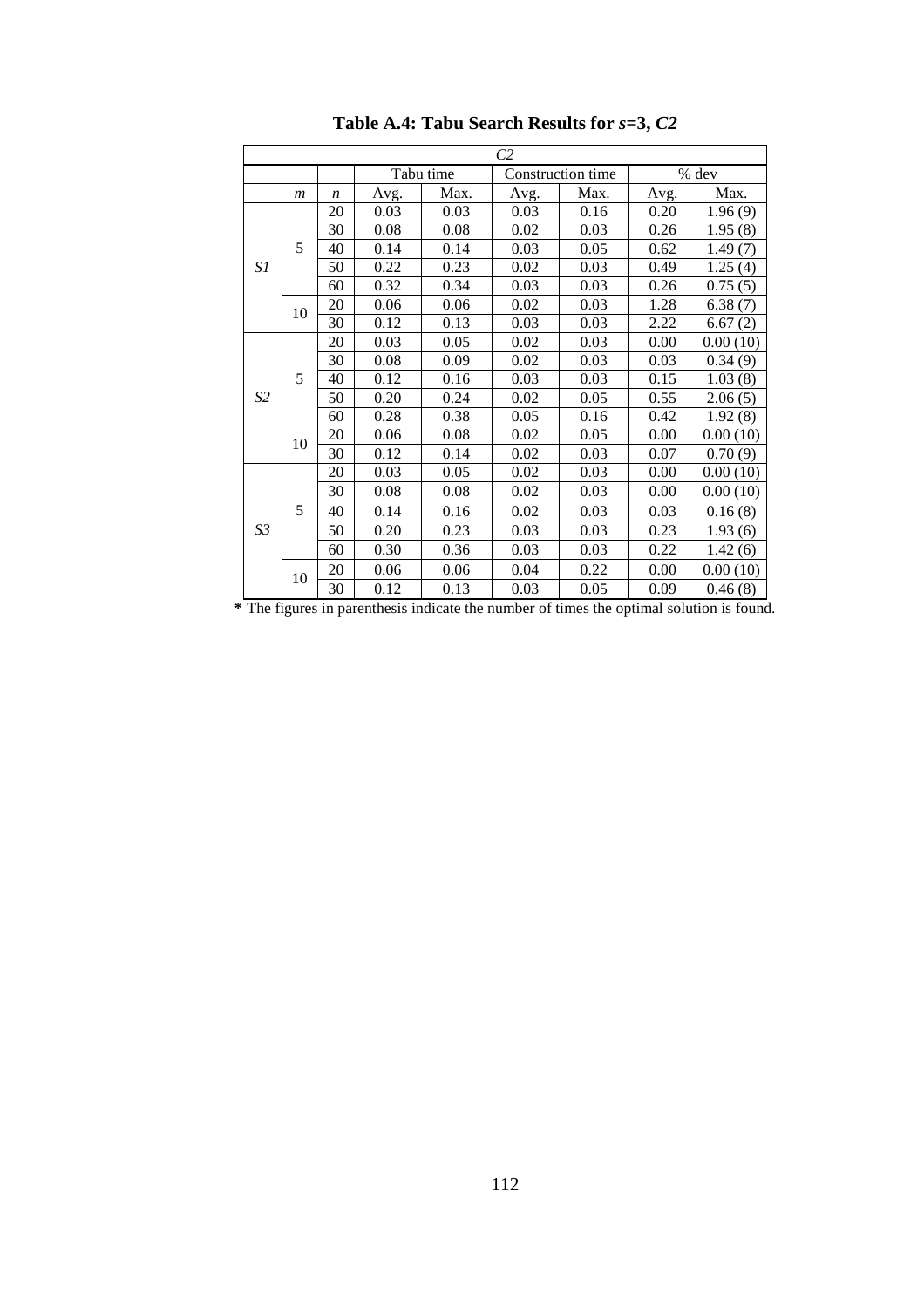|                | C <sub>2</sub>   |                  |      |           |      |                   |      |                                                                              |  |  |  |
|----------------|------------------|------------------|------|-----------|------|-------------------|------|------------------------------------------------------------------------------|--|--|--|
|                |                  |                  |      | Tabu time |      | Construction time |      | $%$ dev                                                                      |  |  |  |
|                | $\boldsymbol{m}$ | $\boldsymbol{n}$ | Avg. | Max.      | Avg. | Max.              | Avg. | Max.                                                                         |  |  |  |
|                |                  | 20               | 0.03 | 0.03      | 0.03 | 0.16              | 0.20 | 1.96(9)                                                                      |  |  |  |
|                |                  | 30               | 0.08 | 0.08      | 0.02 | 0.03              | 0.26 | 1.95(8)                                                                      |  |  |  |
|                | 5                | 40               | 0.14 | 0.14      | 0.03 | 0.05              | 0.62 | 1.49(7)                                                                      |  |  |  |
| S1             |                  | 50               | 0.22 | 0.23      | 0.02 | 0.03              | 0.49 | 1.25(4)                                                                      |  |  |  |
|                | 10               | 60               | 0.32 | 0.34      | 0.03 | 0.03              | 0.26 | 0.75(5)                                                                      |  |  |  |
|                |                  | 20               | 0.06 | 0.06      | 0.02 | 0.03              | 1.28 | 6.38(7)                                                                      |  |  |  |
|                |                  | 30               | 0.12 | 0.13      | 0.03 | 0.03              | 2.22 | 6.67(2)                                                                      |  |  |  |
|                |                  | 20               | 0.03 | 0.05      | 0.02 | 0.03              | 0.00 | 0.00(10)                                                                     |  |  |  |
|                |                  | 30               | 0.08 | 0.09      | 0.02 | 0.03              | 0.03 | 0.34(9)                                                                      |  |  |  |
|                | 5                | 40               | 0.12 | 0.16      | 0.03 | 0.03              | 0.15 | 1.03(8)                                                                      |  |  |  |
| S <sub>2</sub> |                  | 50               | 0.20 | 0.24      | 0.02 | 0.05              | 0.55 | 2.06(5)<br>1.92(8)<br>0.00(10)<br>0.70(9)<br>0.00(10)<br>0.00(10)<br>0.16(8) |  |  |  |
|                |                  | 60               | 0.28 | 0.38      | 0.05 | 0.16              | 0.42 |                                                                              |  |  |  |
|                | 10               | 20               | 0.06 | 0.08      | 0.02 | 0.05              | 0.00 |                                                                              |  |  |  |
|                |                  | 30               | 0.12 | 0.14      | 0.02 | 0.03              | 0.07 |                                                                              |  |  |  |
|                |                  | 20               | 0.03 | 0.05      | 0.02 | 0.03              | 0.00 |                                                                              |  |  |  |
|                |                  | 30               | 0.08 | 0.08      | 0.02 | 0.03              | 0.00 |                                                                              |  |  |  |
|                | 5                | 40               | 0.14 | 0.16      | 0.02 | 0.03              | 0.03 |                                                                              |  |  |  |
| S3             |                  | 50               | 0.20 | 0.23      | 0.03 | 0.03              | 0.23 | 1.93(6)                                                                      |  |  |  |
|                |                  | 60               | 0.30 | 0.36      | 0.03 | 0.03              | 0.22 | 1.42(6)                                                                      |  |  |  |
|                | 10               | 20               | 0.06 | 0.06      | 0.04 | 0.22              | 0.00 | 0.00(10)                                                                     |  |  |  |
|                |                  | 30               | 0.12 | 0.13      | 0.03 | 0.05              | 0.09 | 0.46(8)                                                                      |  |  |  |

**Table A.4: Tabu Search Results for** *s***=3,** *C2*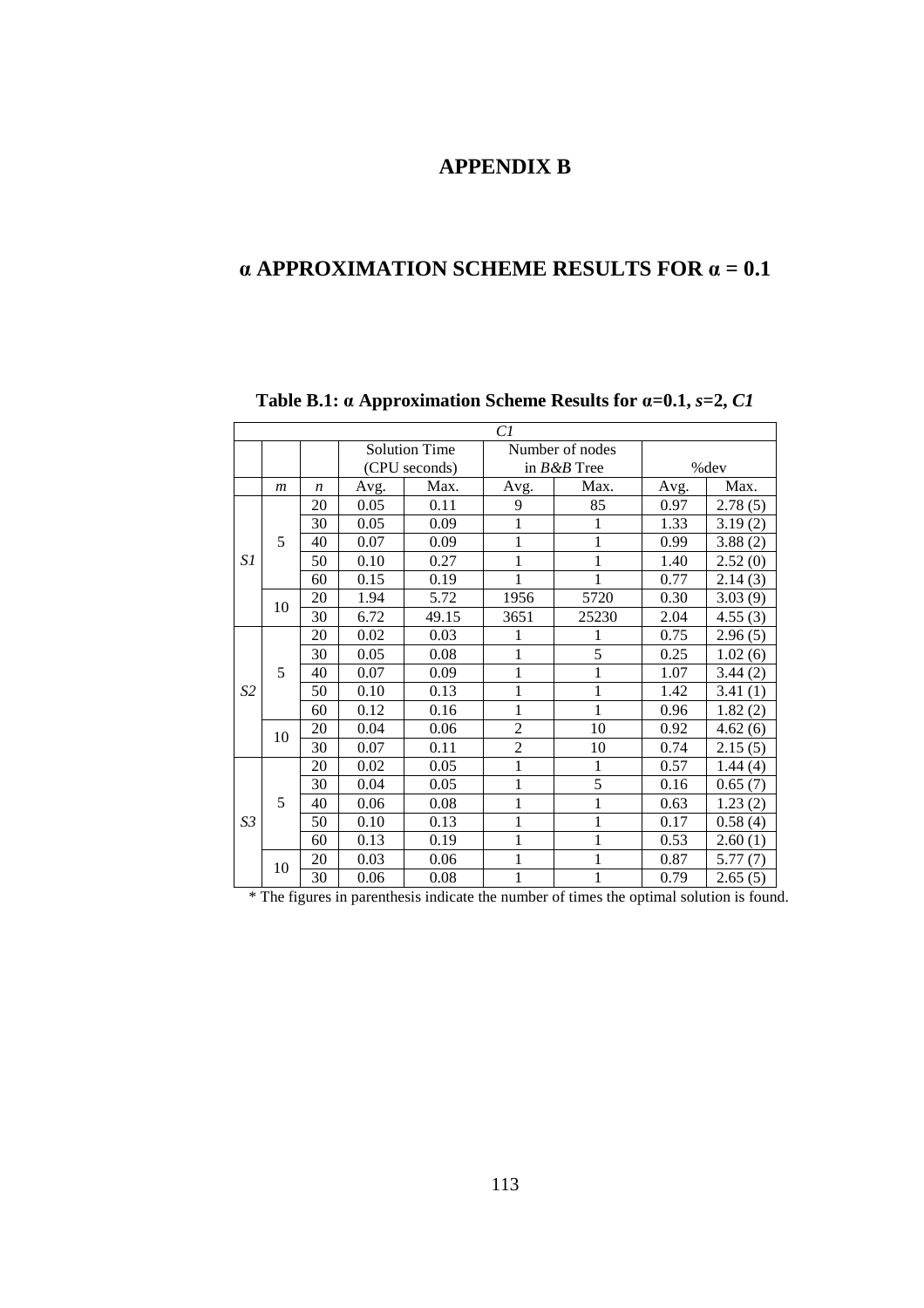### **APPENDIX B**

### **α APPROXIMATION SCHEME RESULTS FOR α = 0.1**

|                | Cl               |                  |      |                      |                |                 |      |                                                                                                                            |  |  |  |
|----------------|------------------|------------------|------|----------------------|----------------|-----------------|------|----------------------------------------------------------------------------------------------------------------------------|--|--|--|
|                |                  |                  |      | <b>Solution Time</b> |                | Number of nodes |      |                                                                                                                            |  |  |  |
|                |                  |                  |      | (CPU seconds)        |                | in $B\&B$ Tree  |      |                                                                                                                            |  |  |  |
|                | $\boldsymbol{m}$ | $\boldsymbol{n}$ | Avg. | Max.                 | Avg.           | Max.            | Avg. | Max.                                                                                                                       |  |  |  |
|                |                  | 20               | 0.05 | 0.11                 | 9              | 85              | 0.97 | 2.78(5)                                                                                                                    |  |  |  |
|                |                  | 30               | 0.05 | 0.09                 | 1              | 1               | 1.33 | 3.19(2)                                                                                                                    |  |  |  |
|                | 5                | 40               | 0.07 | 0.09                 | $\mathbf{1}$   | $\mathbf{1}$    | 0.99 | 3.88(2)                                                                                                                    |  |  |  |
| S1             |                  | 50               | 0.10 | 0.27                 | 1              | $\mathbf{1}$    | 1.40 | 2.52(0)                                                                                                                    |  |  |  |
|                |                  | 60               | 0.15 | 0.19                 | 1              | 1               | 0.77 | 2.14(3)                                                                                                                    |  |  |  |
|                | 10               | 20               | 1.94 | 5.72                 | 1956           | 5720            | 0.30 | 3.03(9)                                                                                                                    |  |  |  |
|                |                  | 30               | 6.72 | 49.15                | 3651           | 25230           | 2.04 | 4.55(3)                                                                                                                    |  |  |  |
|                |                  | 20               | 0.02 | 0.03                 | 1              | 1               | 0.75 | 2.96(5)                                                                                                                    |  |  |  |
|                |                  | 30               | 0.05 | 0.08                 | 1              | $\overline{5}$  | 0.25 | 1.02(6)                                                                                                                    |  |  |  |
|                | 5                | 40               | 0.07 | 0.09                 | 1              | 1               | 1.07 | 3.44(2)                                                                                                                    |  |  |  |
| S <sub>2</sub> |                  | 50               | 0.10 | 0.13                 | 1              | 1               | 1.42 | 3.41<br>(1)                                                                                                                |  |  |  |
|                |                  | 60               | 0.12 | 0.16                 | 1              | 1               | 0.96 | %dev<br>1.82<br>(2)<br>4.62(6)<br>2.15(5)<br>1.44(4)<br>0.65(7)<br>1.23(2)<br>0.58(4)<br>2.60(1)<br>5.77<br>(7)<br>2.65(5) |  |  |  |
|                | 10               | 20               | 0.04 | 0.06                 | $\overline{2}$ | 10              | 0.92 |                                                                                                                            |  |  |  |
|                |                  | 30               | 0.07 | 0.11                 | $\overline{c}$ | 10              | 0.74 |                                                                                                                            |  |  |  |
|                |                  | 20               | 0.02 | 0.05                 | 1              | 1               | 0.57 |                                                                                                                            |  |  |  |
|                |                  | 30               | 0.04 | 0.05                 | 1              | 5               | 0.16 |                                                                                                                            |  |  |  |
|                | 5                | 40               | 0.06 | 0.08                 | $\mathbf{1}$   | 1               | 0.63 |                                                                                                                            |  |  |  |
| S <sub>3</sub> |                  | 50               | 0.10 | 0.13                 | 1              | 1               | 0.17 |                                                                                                                            |  |  |  |
|                |                  | 60               | 0.13 | 0.19                 | $\mathbf{1}$   | 1               | 0.53 |                                                                                                                            |  |  |  |
|                | 10               | 20               | 0.03 | 0.06                 | 1              | 1               | 0.87 |                                                                                                                            |  |  |  |
|                |                  | 30               | 0.06 | 0.08                 | 1              | 1               | 0.79 |                                                                                                                            |  |  |  |

#### **Table B.1: α Approximation Scheme Results for α=0.1,** *s***=2,** *C1*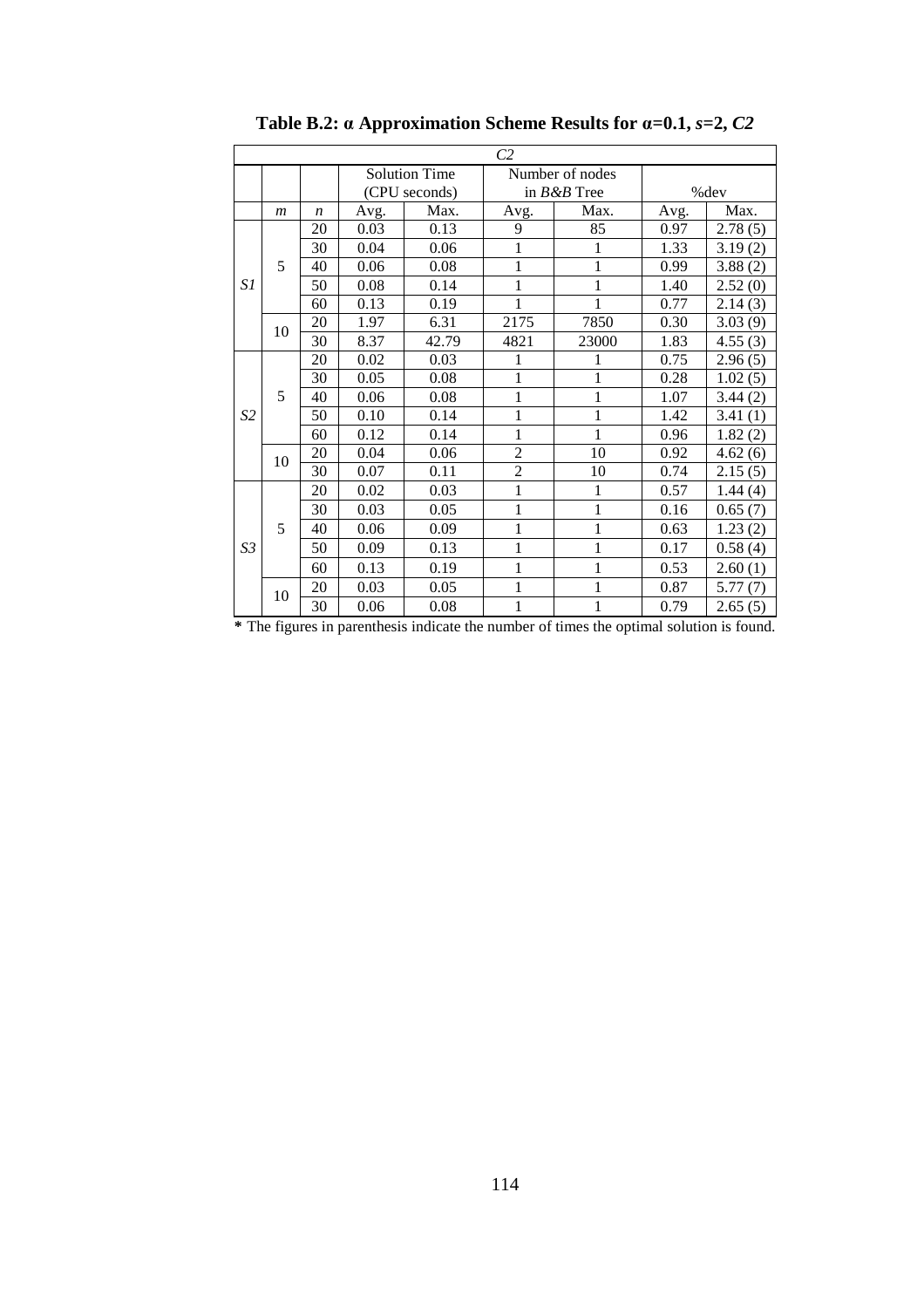|                | C2               |                  |      |                      |                |                 |      |                                          |  |  |  |
|----------------|------------------|------------------|------|----------------------|----------------|-----------------|------|------------------------------------------|--|--|--|
|                |                  |                  |      | <b>Solution Time</b> |                | Number of nodes |      |                                          |  |  |  |
|                |                  |                  |      | (CPU seconds)        |                | in $B\&B$ Tree  |      | %dev                                     |  |  |  |
|                | $\boldsymbol{m}$ | $\boldsymbol{n}$ | Avg. | Max.                 | Avg.           | Max.            | Avg. | Max.                                     |  |  |  |
|                |                  | 20               | 0.03 | 0.13                 | 9              | 85              | 0.97 | 2.78(5)                                  |  |  |  |
|                |                  | 30               | 0.04 | 0.06                 | 1              | 1               | 1.33 | 3.19(2)                                  |  |  |  |
|                | 5                | 40               | 0.06 | 0.08                 | 1              | $\mathbf 1$     | 0.99 | 3.88(2)                                  |  |  |  |
| S1             |                  | 50               | 0.08 | 0.14                 | 1              | $\mathbf{1}$    | 1.40 | 2.52(0)                                  |  |  |  |
|                |                  | 60               | 0.13 | 0.19                 | 1              | 1               | 0.77 | 2.14(3)                                  |  |  |  |
|                | 10               | 20               | 1.97 | 6.31                 | 2175           | 7850            | 0.30 | 3.03(9)                                  |  |  |  |
|                |                  | 30               | 8.37 | 42.79                | 4821           | 23000           | 1.83 | 4.55(3)                                  |  |  |  |
|                |                  | 20               | 0.02 | 0.03                 | 1              | 1               | 0.75 | 2.96(5)                                  |  |  |  |
|                |                  | 30               | 0.05 | 0.08                 | 1              | $\mathbf{1}$    | 0.28 | 1.02(5)                                  |  |  |  |
|                | 5                | 40               | 0.06 | 0.08                 | 1              | $\mathbf 1$     | 1.07 | 3.44(2)                                  |  |  |  |
| S <sub>2</sub> |                  | 50               | 0.10 | 0.14                 | $\mathbf 1$    | $\mathbf{1}$    | 1.42 | 3.41(1)<br>1.82(2)<br>4.62(6)<br>2.15(5) |  |  |  |
|                |                  | 60               | 0.12 | 0.14                 | 1              | 1               | 0.96 |                                          |  |  |  |
|                | 10               | 20               | 0.04 | 0.06                 | $\overline{2}$ | 10              | 0.92 |                                          |  |  |  |
|                |                  | 30               | 0.07 | 0.11                 | $\overline{2}$ | 10              | 0.74 |                                          |  |  |  |
|                |                  | 20               | 0.02 | 0.03                 | $\mathbf 1$    | 1               | 0.57 | 1.44(4)                                  |  |  |  |
|                |                  | 30               | 0.03 | 0.05                 | $\mathbf{1}$   | 1               | 0.16 | 0.65(7)                                  |  |  |  |
|                | 5                | 40               | 0.06 | 0.09                 | 1              | $\mathbf 1$     | 0.63 | 1.23(2)                                  |  |  |  |
| S <sub>3</sub> |                  | 50               | 0.09 | 0.13                 | 1              | $\mathbf 1$     | 0.17 | 0.58(4)                                  |  |  |  |
|                |                  | 60               | 0.13 | 0.19                 | $\mathbf 1$    | $\mathbf{1}$    | 0.53 | 2.60(1)                                  |  |  |  |
|                | 10               | 20               | 0.03 | 0.05                 | $\mathbf{1}$   | 1               | 0.87 | 5.77<br>(7)                              |  |  |  |
|                |                  | 30               | 0.06 | 0.08                 | 1              | 1               | 0.79 | 2.65(5)                                  |  |  |  |

**Table B.2: α Approximation Scheme Results for α=0.1,** *s***=2,** *C2*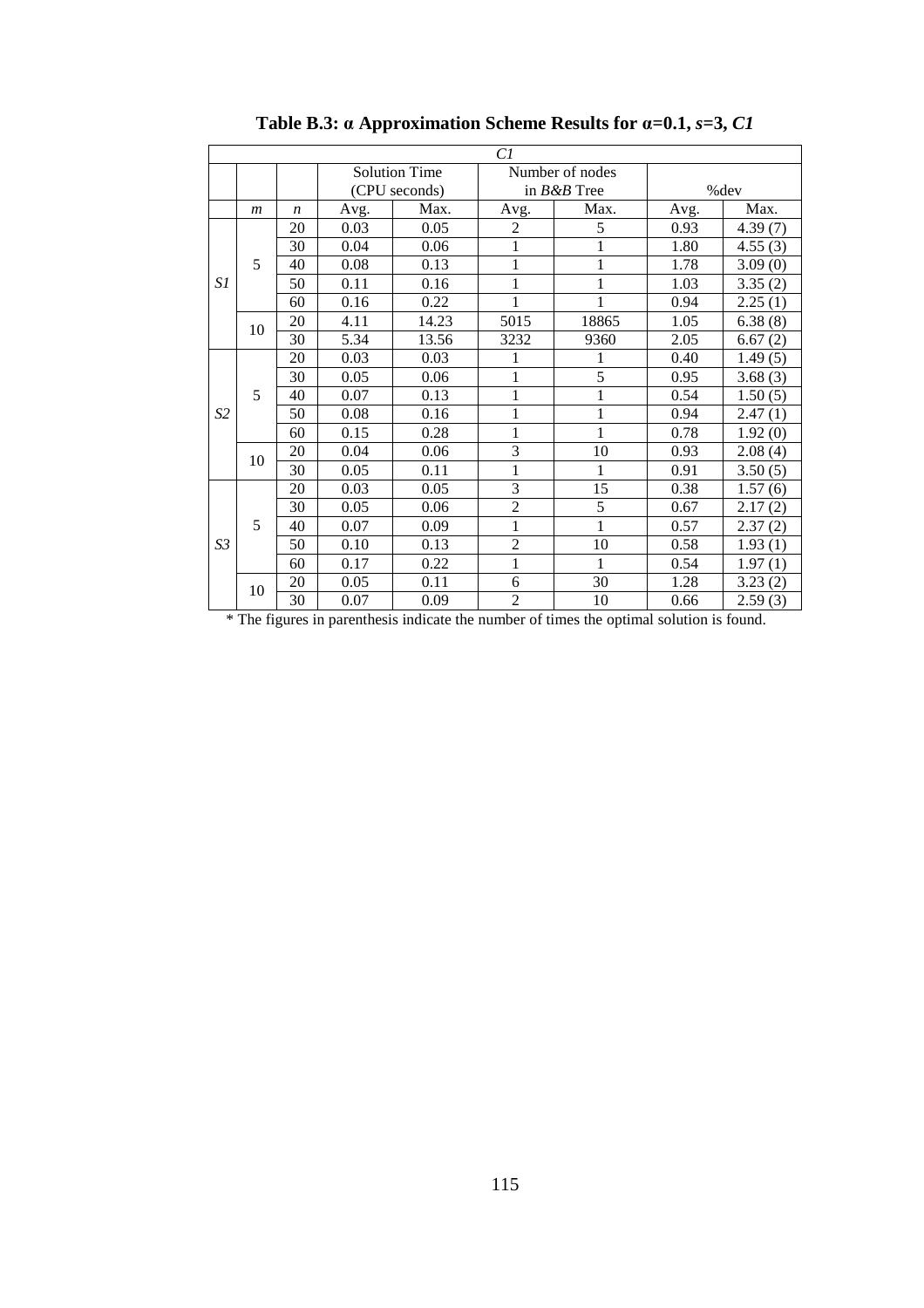|                |                |                  |      |                      | Cl             |                 |      |                                                                                                                                                                                                                                                                                                                                                                       |
|----------------|----------------|------------------|------|----------------------|----------------|-----------------|------|-----------------------------------------------------------------------------------------------------------------------------------------------------------------------------------------------------------------------------------------------------------------------------------------------------------------------------------------------------------------------|
|                |                |                  |      | <b>Solution Time</b> |                | Number of nodes |      |                                                                                                                                                                                                                                                                                                                                                                       |
|                |                |                  |      | (CPU seconds)        |                | in $B\&B$ Tree  |      |                                                                                                                                                                                                                                                                                                                                                                       |
|                | $\mathfrak{m}$ | $\boldsymbol{n}$ | Avg. | Max.                 | Avg.           | Max.            | Avg. | Max.                                                                                                                                                                                                                                                                                                                                                                  |
|                |                | 20               | 0.03 | 0.05                 | $\mathbf{2}$   | 5               | 0.93 | 4.39(7)                                                                                                                                                                                                                                                                                                                                                               |
|                |                | 30               | 0.04 | 0.06                 | $\mathbf{1}$   | 1               | 1.80 | %dev<br>4.55(3)<br>1.78<br>3.09(0)<br>1.03<br>3.35(2)<br>0.94<br>2.25(1)<br>1.05<br>6.38(8)<br>2.05<br>6.67(2)<br>0.40<br>1.49(5)<br>0.95<br>3.68(3)<br>0.54<br>1.50(5)<br>0.94<br>2.47(1)<br>0.78<br>1.92(0)<br>0.93<br>2.08(4)<br>0.91<br>3.50(5)<br>0.38<br>1.57(6)<br>0.67<br>2.17(2)<br>0.57<br>2.37(2)<br>0.58<br>1.93(1)<br>0.54<br>1.97(1)<br>1.28<br>3.23(2) |
|                | 5              | 40               | 0.08 | 0.13                 | $\mathbf{1}$   | 1               |      |                                                                                                                                                                                                                                                                                                                                                                       |
| S1             |                | 50               | 0.11 | 0.16                 | $\mathbf{1}$   | 1               |      |                                                                                                                                                                                                                                                                                                                                                                       |
|                |                | 60               | 0.16 | 0.22                 | $\mathbf{1}$   | 1               |      |                                                                                                                                                                                                                                                                                                                                                                       |
|                | 10             | 20               | 4.11 | 14.23                | 5015           | 18865           |      |                                                                                                                                                                                                                                                                                                                                                                       |
|                |                | 30               | 5.34 | 13.56                | 3232           | 9360            |      |                                                                                                                                                                                                                                                                                                                                                                       |
|                |                | 20               | 0.03 | 0.03                 | $\mathbf{1}$   | 1               |      |                                                                                                                                                                                                                                                                                                                                                                       |
|                |                | 30               | 0.05 | 0.06                 | $\mathbf{1}$   | $\overline{5}$  |      |                                                                                                                                                                                                                                                                                                                                                                       |
|                | 5              | 40               | 0.07 | 0.13                 | $\mathbf{1}$   | $\mathbf{1}$    |      |                                                                                                                                                                                                                                                                                                                                                                       |
| S2             |                | 50               | 0.08 | 0.16                 | $\mathbf 1$    | $\mathbf{1}$    |      |                                                                                                                                                                                                                                                                                                                                                                       |
|                |                | 60               | 0.15 | 0.28                 | $\mathbf{1}$   | 1               |      |                                                                                                                                                                                                                                                                                                                                                                       |
|                | 10             | 20               | 0.04 | 0.06                 | $\mathfrak{Z}$ | 10              |      |                                                                                                                                                                                                                                                                                                                                                                       |
|                |                | 30               | 0.05 | 0.11                 | $\mathbf{1}$   | 1               |      |                                                                                                                                                                                                                                                                                                                                                                       |
|                |                | 20               | 0.03 | 0.05                 | $\overline{3}$ | 15              |      |                                                                                                                                                                                                                                                                                                                                                                       |
|                |                | 30               | 0.05 | 0.06                 | $\overline{2}$ | 5               |      |                                                                                                                                                                                                                                                                                                                                                                       |
|                | 5              | 40               | 0.07 | 0.09                 | $\mathbf{1}$   | 1               |      |                                                                                                                                                                                                                                                                                                                                                                       |
| S <sub>3</sub> |                | 50               | 0.10 | 0.13                 | $\overline{2}$ | 10              |      |                                                                                                                                                                                                                                                                                                                                                                       |
|                |                | 60               | 0.17 | 0.22                 | $\mathbf{1}$   | 1               |      |                                                                                                                                                                                                                                                                                                                                                                       |
|                |                | 20               | 0.05 | 0.11                 | 6              | 30              |      |                                                                                                                                                                                                                                                                                                                                                                       |
|                | 10             | 30               | 0.07 | 0.09                 | $\overline{2}$ | 10              | 0.66 | 2.59(3)                                                                                                                                                                                                                                                                                                                                                               |

**Table B.3: α Approximation Scheme Results for α=0.1,** *s***=3,** *C1*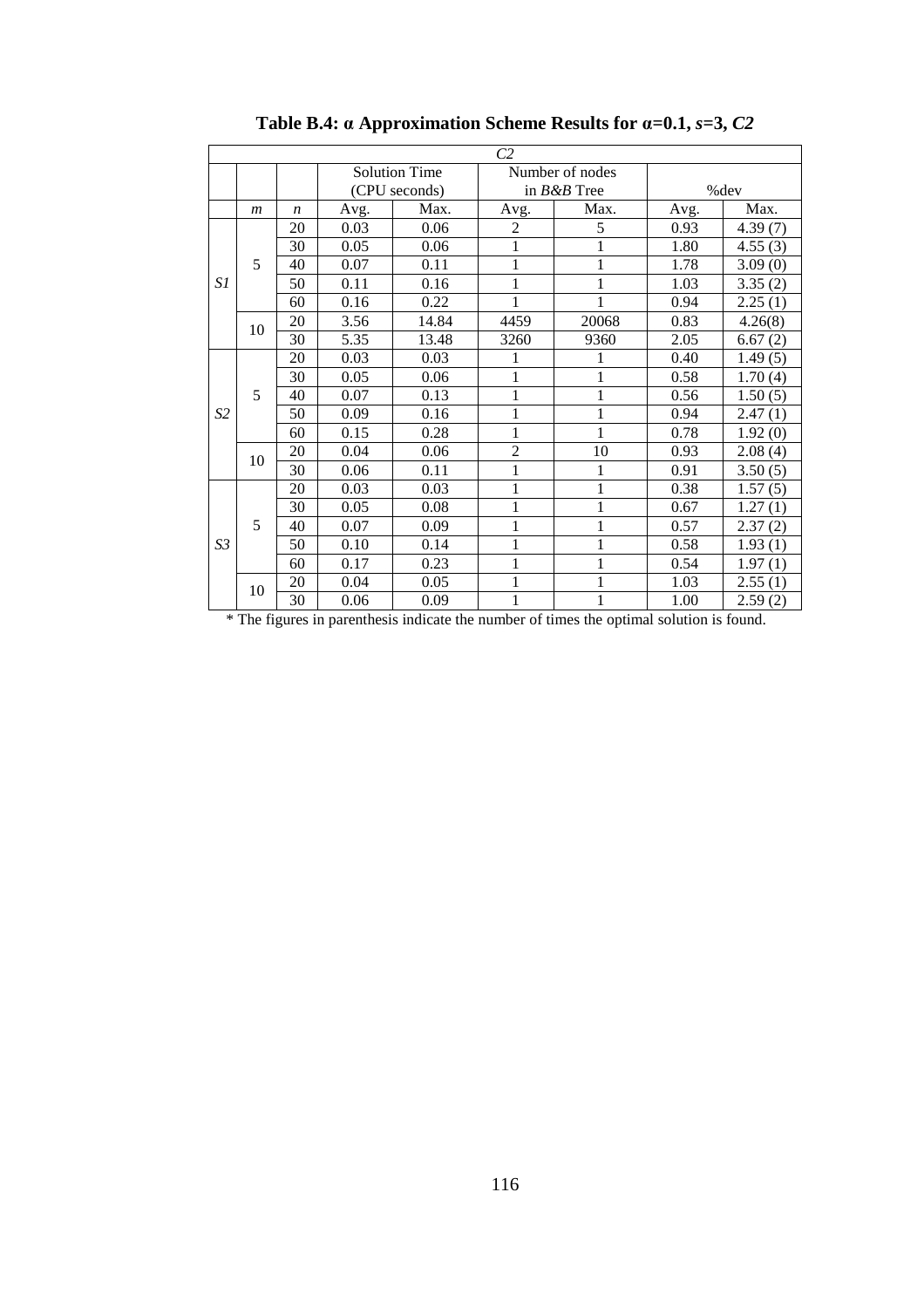|                |                |                  |      |                      | C2             |                 |      |                                                                |
|----------------|----------------|------------------|------|----------------------|----------------|-----------------|------|----------------------------------------------------------------|
|                |                |                  |      | <b>Solution Time</b> |                | Number of nodes |      |                                                                |
|                |                |                  |      | (CPU seconds)        |                | in $B\&B$ Tree  |      | %dev                                                           |
|                | $\mathfrak{m}$ | $\boldsymbol{n}$ | Avg. | Max.                 | Avg.           | Max.            | Avg. | Max.                                                           |
|                |                | 20               | 0.03 | 0.06                 | $\overline{2}$ | 5               | 0.93 | 4.39(7)                                                        |
|                |                | 30               | 0.05 | 0.06                 | $\mathbf{1}$   | 1               | 1.80 | 4.55(3)                                                        |
|                | 5              | 40               | 0.07 | 0.11                 | $\mathbf{1}$   | 1               | 1.78 | 3.09(0)                                                        |
| S1             |                | 50               | 0.11 | 0.16                 | $\mathbf{1}$   | 1               | 1.03 | 3.35(2)                                                        |
|                |                | 60               | 0.16 | 0.22                 | $\mathbf{1}$   | 1               | 0.94 | 2.25(1)                                                        |
|                | 10             | 20               | 3.56 | 14.84                | 4459           | 20068           | 0.83 | 4.26(8)                                                        |
|                |                | 30               | 5.35 | 13.48                | 3260           | 9360            | 2.05 | 6.67(2)                                                        |
|                |                | 20               | 0.03 | 0.03                 | 1              | 1               | 0.40 | 1.49(5)                                                        |
|                |                | 30               | 0.05 | 0.06                 | $\mathbf{1}$   | $\mathbf{1}$    | 0.58 | 1.70(4)                                                        |
|                | 5              | 40               | 0.07 | 0.13                 | $\mathbf{1}$   | $\mathbf{1}$    | 0.56 | 1.50(5)                                                        |
| S2             |                | 50               | 0.09 | 0.16                 | $1\,$          | 1               | 0.94 | 2.47(1)<br>1.92(0)<br>2.08(4)<br>3.50(5)<br>1.57(5)<br>1.27(1) |
|                |                | 60               | 0.15 | 0.28                 | $\mathbf{1}$   | 1               | 0.78 |                                                                |
|                | 10             | 20               | 0.04 | 0.06                 | $\overline{2}$ | 10              | 0.93 |                                                                |
|                |                | 30               | 0.06 | 0.11                 | $\mathbf{1}$   | 1               | 0.91 |                                                                |
|                |                | 20               | 0.03 | 0.03                 | $\mathbf{1}$   | 1               | 0.38 |                                                                |
|                |                | 30               | 0.05 | 0.08                 | $\mathbf{1}$   | 1               | 0.67 |                                                                |
|                | 5              | 40               | 0.07 | 0.09                 | 1              | 1               | 0.57 | 2.37(2)                                                        |
| S <sub>3</sub> |                | 50               | 0.10 | 0.14                 | 1              | 1               | 0.58 | 1.93(1)                                                        |
|                |                | 60               | 0.17 | 0.23                 | 1              | 1               | 0.54 | 1.97(1)                                                        |
|                |                | 20               | 0.04 | 0.05                 | 1              | 1               | 1.03 | 2.55(1)                                                        |
|                | 10             | 30               | 0.06 | 0.09                 | 1              | 1               | 1.00 | 2.59(2)                                                        |

**Table B.4: α Approximation Scheme Results for α=0.1,** *s***=3,** *C2*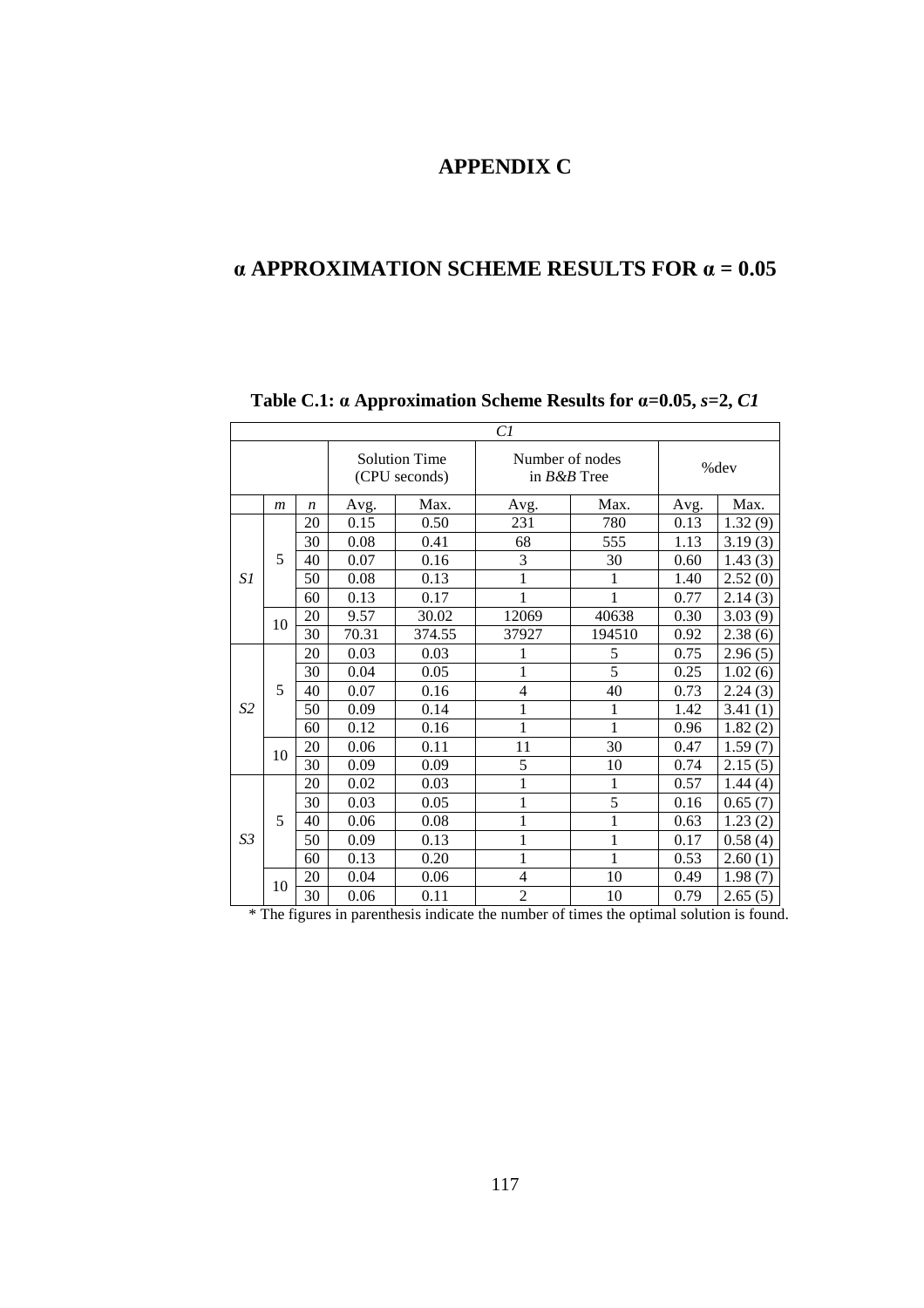# **APPENDIX C**

### **α APPROXIMATION SCHEME RESULTS FOR α = 0.05**

|                | C1               |                  |       |                                       |                                   |                |      |         |  |  |  |  |
|----------------|------------------|------------------|-------|---------------------------------------|-----------------------------------|----------------|------|---------|--|--|--|--|
|                |                  |                  |       | <b>Solution Time</b><br>(CPU seconds) | Number of nodes<br>in $B\&B$ Tree |                | %dev |         |  |  |  |  |
|                | $\boldsymbol{m}$ | $\boldsymbol{n}$ | Avg.  | Max.                                  | Avg.                              | Max.           | Avg. | Max.    |  |  |  |  |
|                |                  | 20               | 0.15  | 0.50                                  | 231                               | 780            | 0.13 | 1.32(9) |  |  |  |  |
|                |                  | 30               | 0.08  | 0.41                                  | 68                                | 555            | 1.13 | 3.19(3) |  |  |  |  |
|                | 5<br>10          | 40               | 0.07  | 0.16                                  | 3                                 | 30             | 0.60 | 1.43(3) |  |  |  |  |
| S1             |                  | 50               | 0.08  | 0.13                                  | 1                                 | 1              | 1.40 | 2.52(0) |  |  |  |  |
|                |                  | 60               | 0.13  | 0.17                                  | $\mathbf{1}$                      | $\mathbf{1}$   | 0.77 | 2.14(3) |  |  |  |  |
|                |                  | 20               | 9.57  | 30.02                                 | 12069                             | 40638          | 0.30 | 3.03(9) |  |  |  |  |
|                |                  | 30               | 70.31 | 374.55                                | 37927                             | 194510         | 0.92 | 2.38(6) |  |  |  |  |
|                |                  | 20<br>30         | 0.03  | 0.03                                  | 1                                 | 5              | 0.75 | 2.96(5) |  |  |  |  |
|                |                  |                  | 0.04  | 0.05<br>0.16<br>0.14<br>0.16          | 1                                 | $\overline{5}$ | 0.25 | 1.02(6) |  |  |  |  |
|                | 5                | 40               | 0.07  |                                       | $\overline{4}$                    | 40             | 0.73 | 2.24(3) |  |  |  |  |
| S <sub>2</sub> |                  | 50               | 0.09  |                                       | 1                                 | 1              | 1.42 | 3.41(1) |  |  |  |  |
|                |                  | 60               | 0.12  |                                       | 1                                 | 1              | 0.96 | 1.82(2) |  |  |  |  |
|                | 10               | 20               | 0.06  | 0.11                                  | 11                                | 30             | 0.47 | 1.59(7) |  |  |  |  |
|                |                  | 30               | 0.09  | 0.09                                  | 5                                 | 10             | 0.74 | 2.15(5) |  |  |  |  |
|                |                  | 20               | 0.02  | 0.03                                  | $\mathbf{1}$                      | 1              | 0.57 | 1.44(4) |  |  |  |  |
|                |                  | 30               | 0.03  | 0.05                                  | 1                                 | 5              | 0.16 | 0.65(7) |  |  |  |  |
|                | 5                | 40               | 0.06  | 0.08                                  | 1                                 | $\mathbf{1}$   | 0.63 | 1.23(2) |  |  |  |  |
| S <sub>3</sub> |                  | 50               | 0.09  | 0.13                                  | 1                                 | 1              | 0.17 | 0.58(4) |  |  |  |  |
|                |                  | 60               | 0.13  | 0.20                                  | 1                                 | 1              | 0.53 | 2.60(1) |  |  |  |  |
|                | 10               | 20               | 0.04  | 0.06                                  | $\overline{4}$                    | 10             | 0.49 | 1.98(7) |  |  |  |  |
|                |                  | 30               | 0.06  | 0.11                                  | $\overline{c}$                    | 10             | 0.79 | 2.65(5) |  |  |  |  |

#### **Table C.1: α Approximation Scheme Results for α=0.05,** *s***=2,** *C1*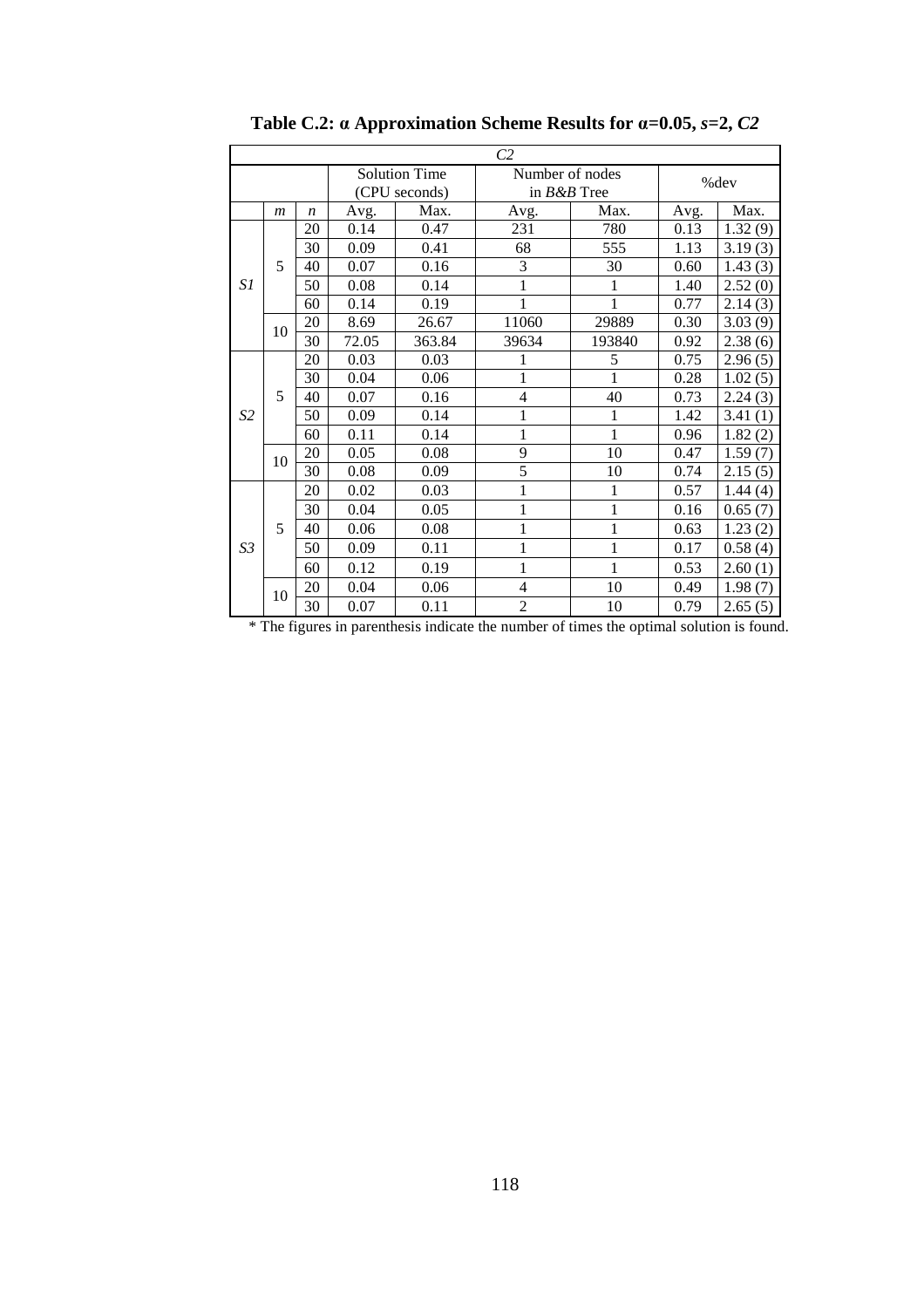|                |                  |                  |       |                      | C2              |              |      |                                                                                                                                                                           |
|----------------|------------------|------------------|-------|----------------------|-----------------|--------------|------|---------------------------------------------------------------------------------------------------------------------------------------------------------------------------|
|                |                  |                  |       | <b>Solution Time</b> | Number of nodes |              |      | %dev                                                                                                                                                                      |
|                |                  |                  |       | (CPU seconds)        | in $B\&B$ Tree  |              |      |                                                                                                                                                                           |
|                | $\boldsymbol{m}$ | $\boldsymbol{n}$ | Avg.  | Max.                 | Avg.            | Max.         | Avg. |                                                                                                                                                                           |
|                |                  | 20               | 0.14  | 0.47                 | 231             | 780          | 0.13 |                                                                                                                                                                           |
|                |                  | 30               | 0.09  | 0.41                 | 68              | 555          | 1.13 | 3.19(3)                                                                                                                                                                   |
|                | 5                | 40               | 0.07  | 0.16                 | 3               | 30           | 0.60 | Max.<br>1.32(9)<br>1.43(3)<br>2.52(0)<br>2.14(3)<br>3.03(9)<br>2.38(6)<br>2.96(5)<br>1.02(5)<br>2.24(3)<br>3.41(1)<br>1.82(2)<br>1.59(7)<br>2.15(5)<br>1.44(4)<br>0.65(7) |
| S1             |                  | 50               | 0.08  | 0.14                 | $\mathbf{1}$    | 1            | 1.40 |                                                                                                                                                                           |
|                |                  | 60               | 0.14  | 0.19                 | 1               | $\mathbf{1}$ | 0.77 |                                                                                                                                                                           |
|                | 10               | 20               | 8.69  | 26.67                | 11060           | 29889        | 0.30 |                                                                                                                                                                           |
|                |                  | 30               | 72.05 | 363.84               | 39634           | 193840       | 0.92 |                                                                                                                                                                           |
|                | 5                | 20               | 0.03  | 0.03                 | 1               | 5            | 0.75 |                                                                                                                                                                           |
|                |                  | 30               | 0.04  | 0.06                 | $\mathbf{1}$    | 1            | 0.28 |                                                                                                                                                                           |
|                |                  | 40               | 0.07  | 0.16                 | $\overline{4}$  | 40           | 0.73 |                                                                                                                                                                           |
| S <sub>2</sub> |                  | 50               | 0.09  | 0.14                 | 1               | 1            | 1.42 |                                                                                                                                                                           |
|                |                  | 60               | 0.11  | 0.14                 | 1               | 1            | 0.96 |                                                                                                                                                                           |
|                | 10               | 20               | 0.05  | 0.08                 | 9               | 10           | 0.47 |                                                                                                                                                                           |
|                |                  | 30               | 0.08  | 0.09                 | 5               | 10           | 0.74 |                                                                                                                                                                           |
|                |                  | 20               | 0.02  | 0.03                 | $\mathbf{1}$    | 1            | 0.57 |                                                                                                                                                                           |
|                |                  | 30               | 0.04  | 0.05                 | $\mathbf{1}$    | 1            | 0.16 |                                                                                                                                                                           |
|                | 5                | 40               | 0.06  | 0.08                 | $\mathbf{1}$    | 1            | 0.63 | 1.23(2)                                                                                                                                                                   |
| S3             |                  | 50               | 0.09  | 0.11                 | $\mathbf{1}$    | 1            | 0.17 | 0.58(4)                                                                                                                                                                   |
|                |                  | 60               | 0.12  | 0.19                 | $\mathbf{1}$    | $\mathbf{1}$ | 0.53 | 2.60(1)                                                                                                                                                                   |
|                | 10               | 20               | 0.04  | 0.06                 | $\overline{4}$  | 10           | 0.49 | 1.98(7)                                                                                                                                                                   |
|                |                  | 30               | 0.07  | 0.11                 | $\overline{c}$  | 10           | 0.79 | 2.65(5)                                                                                                                                                                   |

**Table C.2: α Approximation Scheme Results for α=0.05,** *s***=2,** *C2*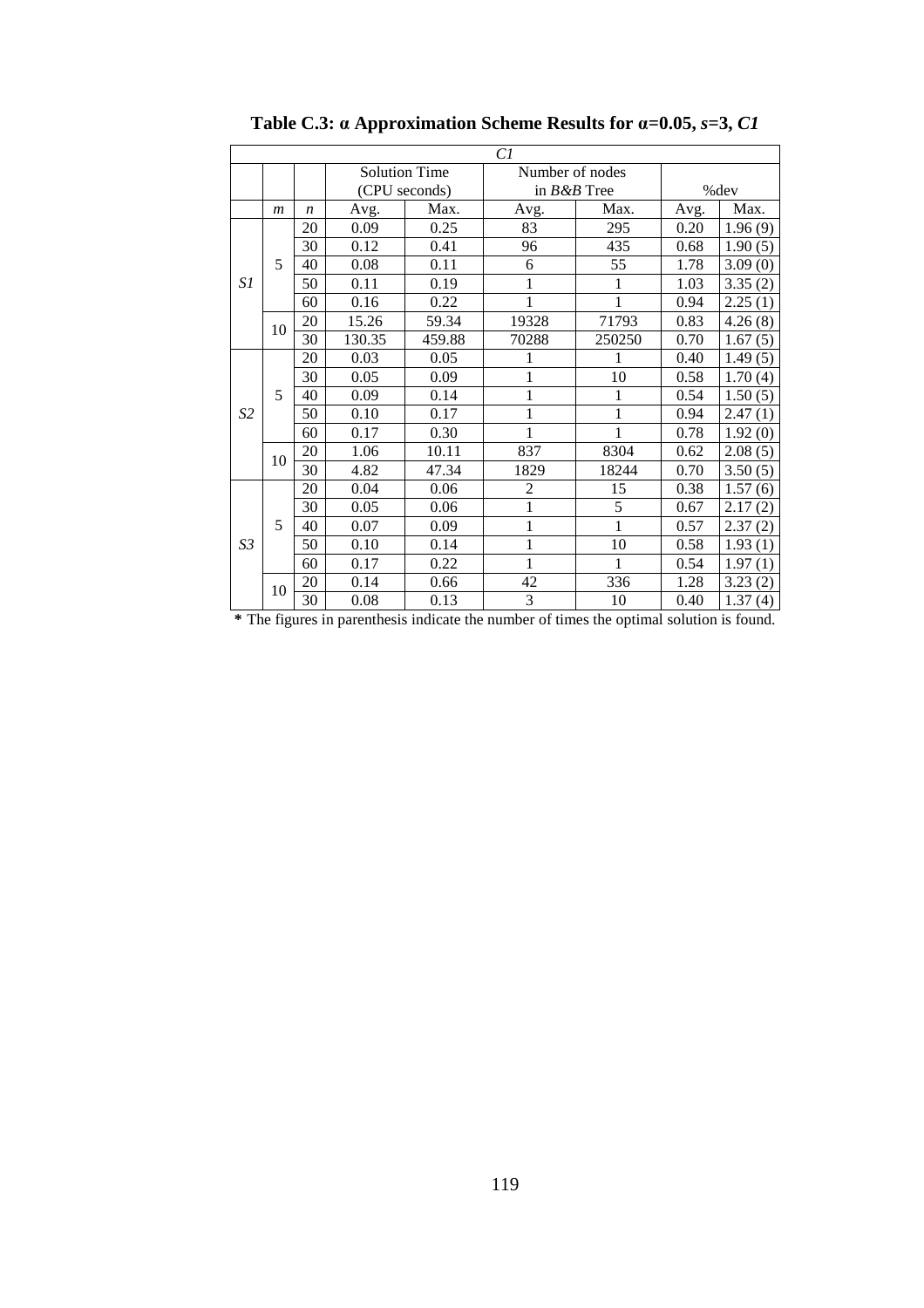|                | Cl               |                  |        |                      |                 |                                                                                                                                                                                                                                                                                                                                             |      |         |  |  |  |
|----------------|------------------|------------------|--------|----------------------|-----------------|---------------------------------------------------------------------------------------------------------------------------------------------------------------------------------------------------------------------------------------------------------------------------------------------------------------------------------------------|------|---------|--|--|--|
|                |                  |                  |        | <b>Solution Time</b> | Number of nodes |                                                                                                                                                                                                                                                                                                                                             |      |         |  |  |  |
|                |                  |                  |        | (CPU seconds)        |                 |                                                                                                                                                                                                                                                                                                                                             |      |         |  |  |  |
|                | $\boldsymbol{m}$ | $\boldsymbol{n}$ | Avg.   | Max.                 | Avg.            | Max.                                                                                                                                                                                                                                                                                                                                        | Avg. | Max.    |  |  |  |
|                |                  | 20               | 0.09   | 0.25                 | 83              | 295                                                                                                                                                                                                                                                                                                                                         | 0.20 | 1.96(9) |  |  |  |
|                |                  | 30               | 0.12   | 0.41                 | 96              | 435                                                                                                                                                                                                                                                                                                                                         | 0.68 | 1.90(5) |  |  |  |
|                | 5                | 40               | 0.08   | 0.11                 | 6               | in $B\&B$ Tree<br>$%$ dev<br>55<br>3.09(0)<br>1.78<br>3.35(2)<br>1<br>1.03<br>1<br>2.25(1)<br>0.94<br>71793<br>0.83<br>4.26(8)<br>1.67(5)<br>250250<br>0.70<br>0.40<br>1.49(5)<br>1<br>10<br>1.70(4)<br>0.58<br>1<br>0.54<br>1.50(5)<br>1<br>0.94<br>2.47(1)<br>1<br>0.78<br>1.92(0)<br>8304<br>2.08(5)<br>0.62<br>0.70<br>3.50(5)<br>18244 |      |         |  |  |  |
| S1             |                  | 50               | 0.11   | 0.19                 | 1               |                                                                                                                                                                                                                                                                                                                                             |      |         |  |  |  |
|                |                  | 60               | 0.16   | 0.22                 | 1               |                                                                                                                                                                                                                                                                                                                                             |      |         |  |  |  |
|                | 10               | 20               | 15.26  | 59.34                | 19328           |                                                                                                                                                                                                                                                                                                                                             |      |         |  |  |  |
|                |                  | 30               | 130.35 | 459.88               | 70288           |                                                                                                                                                                                                                                                                                                                                             |      |         |  |  |  |
|                |                  | 20               | 0.03   | 0.05                 | 1               |                                                                                                                                                                                                                                                                                                                                             |      |         |  |  |  |
|                |                  | 30               | 0.05   | 0.09                 | 1               |                                                                                                                                                                                                                                                                                                                                             |      |         |  |  |  |
|                | 5                | 40               | 0.09   | 0.14                 | 1               |                                                                                                                                                                                                                                                                                                                                             |      |         |  |  |  |
| S <sub>2</sub> |                  | 50               | 0.10   | 0.17                 | $\mathbf{1}$    |                                                                                                                                                                                                                                                                                                                                             |      |         |  |  |  |
|                |                  | 60               | 0.17   | 0.30                 | 1               |                                                                                                                                                                                                                                                                                                                                             |      |         |  |  |  |
|                | 10               | 20               | 1.06   | 10.11                | 837             |                                                                                                                                                                                                                                                                                                                                             |      |         |  |  |  |
|                |                  | 30               | 4.82   | 47.34                | 1829            |                                                                                                                                                                                                                                                                                                                                             |      |         |  |  |  |
|                |                  | 20               | 0.04   | 0.06                 | $\overline{2}$  | 15                                                                                                                                                                                                                                                                                                                                          | 0.38 | 1.57(6) |  |  |  |
|                |                  | 30               | 0.05   | 0.06                 | $\overline{1}$  | $\overline{5}$                                                                                                                                                                                                                                                                                                                              | 0.67 | 2.17(2) |  |  |  |
|                | 5                | 40               | 0.07   | 0.09                 | $\mathbf{1}$    | $\mathbf{1}$                                                                                                                                                                                                                                                                                                                                | 0.57 | 2.37(2) |  |  |  |
| S <sub>3</sub> |                  | 50               | 0.10   | 0.14                 | 1               | 10                                                                                                                                                                                                                                                                                                                                          | 0.58 | 1.93(1) |  |  |  |
|                |                  | 60               | 0.17   | 0.22                 | 1               | 1                                                                                                                                                                                                                                                                                                                                           | 0.54 | 1.97(1) |  |  |  |
|                | 10               | 20               | 0.14   | 0.66                 | 42              | 336                                                                                                                                                                                                                                                                                                                                         | 1.28 | 3.23(2) |  |  |  |
|                |                  | 30               | 0.08   | 0.13                 | 3               | 10                                                                                                                                                                                                                                                                                                                                          | 0.40 | 1.37(4) |  |  |  |

**Table C.3: α Approximation Scheme Results for α=0.05,** *s***=3,** *C1*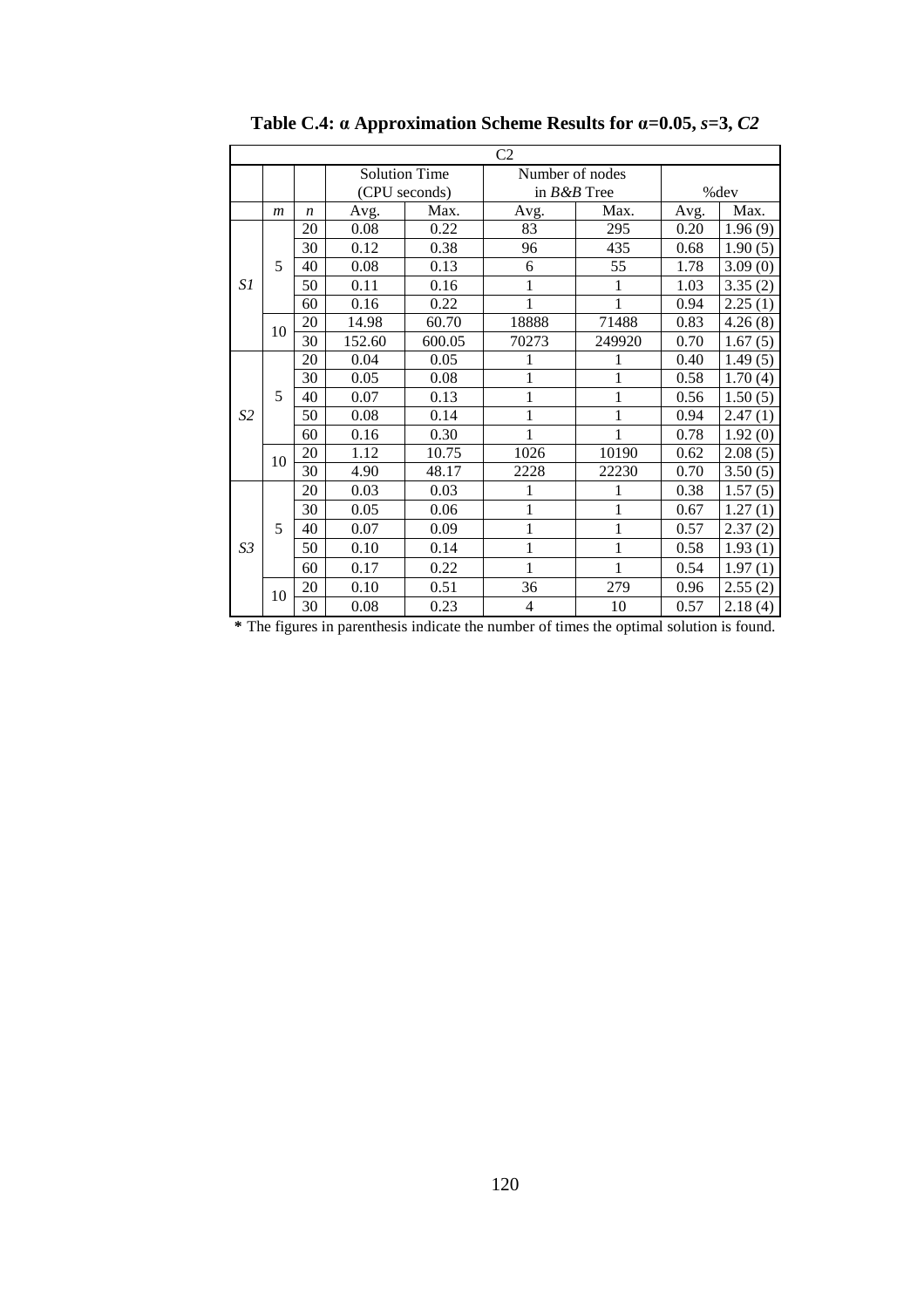|                | C <sub>2</sub>                                                                                                                                                                                                                                                     |                  |         |                      |                 |              |                                                                                                                                                                                                                                                              |         |  |  |  |  |
|----------------|--------------------------------------------------------------------------------------------------------------------------------------------------------------------------------------------------------------------------------------------------------------------|------------------|---------|----------------------|-----------------|--------------|--------------------------------------------------------------------------------------------------------------------------------------------------------------------------------------------------------------------------------------------------------------|---------|--|--|--|--|
|                |                                                                                                                                                                                                                                                                    |                  |         | <b>Solution Time</b> | Number of nodes |              |                                                                                                                                                                                                                                                              |         |  |  |  |  |
|                |                                                                                                                                                                                                                                                                    |                  |         | (CPU seconds)        | in $B\&B$ Tree  |              |                                                                                                                                                                                                                                                              |         |  |  |  |  |
|                | $\boldsymbol{m}$                                                                                                                                                                                                                                                   | $\boldsymbol{n}$ | Avg.    | Max.                 | Avg.            | Max.         | Avg.                                                                                                                                                                                                                                                         | Max.    |  |  |  |  |
|                |                                                                                                                                                                                                                                                                    | 20               | 0.08    | 0.22                 | 83              | 295          | 0.20                                                                                                                                                                                                                                                         | 1.96(9) |  |  |  |  |
|                | 30<br>0.12<br>0.38<br>96<br>435<br>5<br>0.08<br>55<br>40<br>0.13<br>6<br>1<br>0.11<br>50<br>0.16<br>1<br>1<br>1<br>60<br>0.16<br>0.22<br>20<br>71488<br>14.98<br>60.70<br>18888<br>10<br>30<br>600.05<br>152.60<br>70273<br>249920<br>20<br>0.04<br>0.05<br>1<br>1 | 0.68             | 1.90(5) |                      |                 |              |                                                                                                                                                                                                                                                              |         |  |  |  |  |
|                |                                                                                                                                                                                                                                                                    |                  |         |                      |                 |              | % dev<br>1.78<br>3.09(0)<br>1.03<br>3.35(2)<br>0.94<br>2.25(1)<br>0.83<br>4.26(8)<br>1.67(5)<br>0.70<br>1.49(5)<br>0.40<br>1.70(4)<br>0.58<br>1.50(5)<br>0.56<br>0.94<br>2.47(1)<br>0.78<br>1.92(0)<br>0.62<br>2.08(5)<br>0.70<br>3.50(5)<br>1.57(5)<br>0.38 |         |  |  |  |  |
| S1             |                                                                                                                                                                                                                                                                    |                  |         |                      |                 |              |                                                                                                                                                                                                                                                              |         |  |  |  |  |
|                |                                                                                                                                                                                                                                                                    |                  |         |                      |                 |              |                                                                                                                                                                                                                                                              |         |  |  |  |  |
|                |                                                                                                                                                                                                                                                                    |                  |         |                      |                 |              |                                                                                                                                                                                                                                                              |         |  |  |  |  |
|                |                                                                                                                                                                                                                                                                    |                  |         |                      |                 |              |                                                                                                                                                                                                                                                              |         |  |  |  |  |
|                | 5                                                                                                                                                                                                                                                                  |                  |         |                      |                 |              |                                                                                                                                                                                                                                                              |         |  |  |  |  |
|                |                                                                                                                                                                                                                                                                    | 30               | 0.05    | 0.08                 | $\mathbf{1}$    | $\mathbf{1}$ |                                                                                                                                                                                                                                                              |         |  |  |  |  |
|                |                                                                                                                                                                                                                                                                    | 40               | 0.07    | 0.13                 | 1               | 1            |                                                                                                                                                                                                                                                              |         |  |  |  |  |
| S <sub>2</sub> |                                                                                                                                                                                                                                                                    | 50               | 0.08    | 0.14                 | 1               | 1            |                                                                                                                                                                                                                                                              |         |  |  |  |  |
|                |                                                                                                                                                                                                                                                                    | 60               | 0.16    | 0.30                 | 1               | 1            |                                                                                                                                                                                                                                                              |         |  |  |  |  |
|                | 10                                                                                                                                                                                                                                                                 | 20               | 1.12    | 10.75                | 1026            | 10190        |                                                                                                                                                                                                                                                              |         |  |  |  |  |
|                |                                                                                                                                                                                                                                                                    | 30               | 4.90    | 48.17                | 2228            | 22230        |                                                                                                                                                                                                                                                              |         |  |  |  |  |
|                |                                                                                                                                                                                                                                                                    | 20               | 0.03    | 0.03                 | 1               | 1            |                                                                                                                                                                                                                                                              |         |  |  |  |  |
|                |                                                                                                                                                                                                                                                                    | 30               | 0.05    | 0.06                 | $\mathbf{1}$    | 1            | 0.67                                                                                                                                                                                                                                                         | 1.27(1) |  |  |  |  |
|                | 5                                                                                                                                                                                                                                                                  | 40               | 0.07    | 0.09                 | 1               | 1            | 0.57                                                                                                                                                                                                                                                         | 2.37(2) |  |  |  |  |
| S <sub>3</sub> |                                                                                                                                                                                                                                                                    | 50               | 0.10    | 0.14                 | 1               | 1            | 0.58                                                                                                                                                                                                                                                         | 1.93(1) |  |  |  |  |
|                |                                                                                                                                                                                                                                                                    | 60               | 0.17    | 0.22                 | 1               | 1            | 0.54                                                                                                                                                                                                                                                         | 1.97(1) |  |  |  |  |
|                | 10                                                                                                                                                                                                                                                                 | 20               | 0.10    | 0.51                 | 36              | 279          | 0.96                                                                                                                                                                                                                                                         | 2.55(2) |  |  |  |  |
|                |                                                                                                                                                                                                                                                                    | 30               | 0.08    | 0.23                 | $\overline{4}$  | 10           | 0.57                                                                                                                                                                                                                                                         | 2.18(4) |  |  |  |  |

**Table C.4: α Approximation Scheme Results for α=0.05,** *s***=3,** *C2*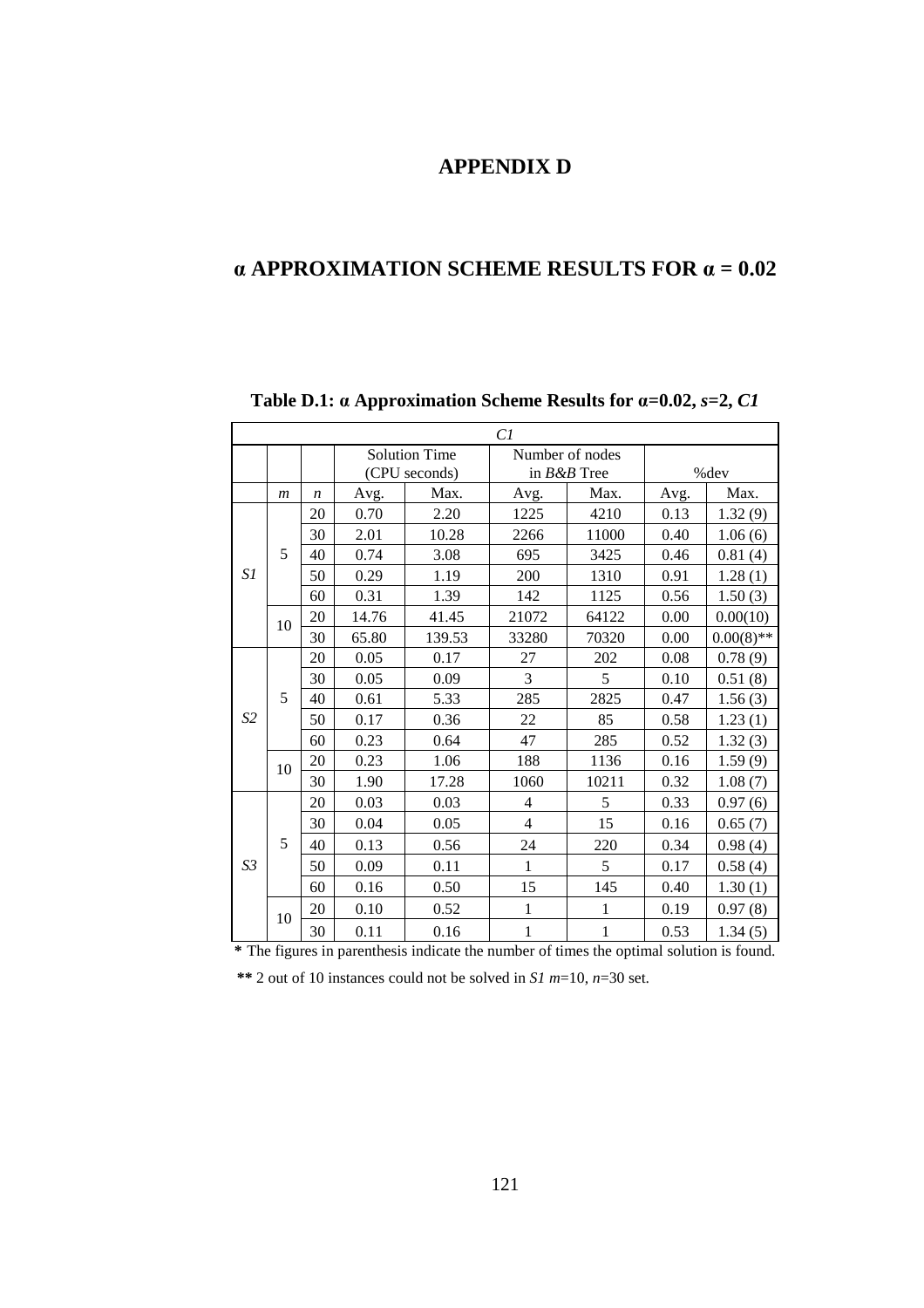### **APPENDIX D**

### **α APPROXIMATION SCHEME RESULTS FOR α = 0.02**

|                | Cl             |                  |                      |               |                 |       |      |              |  |
|----------------|----------------|------------------|----------------------|---------------|-----------------|-------|------|--------------|--|
|                |                |                  | <b>Solution Time</b> |               | Number of nodes |       |      |              |  |
|                |                |                  |                      | (CPU seconds) | in $B\&B$ Tree  |       | %dev |              |  |
|                | $\mathfrak{m}$ | $\boldsymbol{n}$ | Avg.                 | Max.          | Avg.            | Max.  | Avg. | Max.         |  |
|                |                | 20               | 0.70                 | 2.20          | 1225            | 4210  | 0.13 | 1.32(9)      |  |
|                |                | 30               | 2.01                 | 10.28         | 2266            | 11000 | 0.40 | 1.06(6)      |  |
|                | 5              | 40               | 0.74                 | 3.08          | 695             | 3425  | 0.46 | 0.81(4)      |  |
| S1             |                | 50               | 0.29                 | 1.19          | 200             | 1310  | 0.91 | 1.28(1)      |  |
|                |                | 60               | 0.31                 | 1.39          | 142             | 1125  | 0.56 | 1.50(3)      |  |
|                | 10             | 20               | 14.76                | 41.45         | 21072           | 64122 | 0.00 | 0.00(10)     |  |
|                |                | 30               | 65.80                | 139.53        | 33280           | 70320 | 0.00 | $0.00(8)$ ** |  |
|                | 5              | 20               | 0.05                 | 0.17          | 27              | 202   | 0.08 | 0.78(9)      |  |
|                |                | 30               | 0.05                 | 0.09          | 3               | 5     | 0.10 | 0.51(8)      |  |
|                |                | 40               | 0.61                 | 5.33          | 285             | 2825  | 0.47 | 1.56(3)      |  |
| S <sub>2</sub> |                | 50               | 0.17                 | 0.36          | 22              | 85    | 0.58 | 1.23(1)      |  |
|                |                | 60               | 0.23                 | 0.64          | 47              | 285   | 0.52 | 1.32(3)      |  |
|                | 10             | 20               | 0.23                 | 1.06          | 188             | 1136  | 0.16 | 1.59(9)      |  |
|                |                | 30               | 1.90                 | 17.28         | 1060            | 10211 | 0.32 | 1.08(7)      |  |
|                | 5              | 20               | 0.03                 | 0.03          | $\overline{4}$  | 5     | 0.33 | 0.97(6)      |  |
|                |                | 30               | 0.04                 | 0.05          | $\overline{4}$  | 15    | 0.16 | 0.65(7)      |  |
|                |                | 40               | 0.13                 | 0.56          | 24              | 220   | 0.34 | 0.98(4)      |  |
| S <sub>3</sub> |                | 50               | 0.09                 | 0.11          | $\mathbf{1}$    | 5     | 0.17 | 0.58(4)      |  |
|                |                | 60               | 0.16                 | 0.50          | 15              | 145   | 0.40 | 1.30(1)      |  |
|                | 10             | 20               | 0.10                 | 0.52          | $\mathbf{1}$    | 1     | 0.19 | 0.97(8)      |  |
|                |                | 30               | 0.11                 | 0.16          | $\mathbf{1}$    | 1     | 0.53 | 1.34(5)      |  |

**Table D.1: α Approximation Scheme Results for α=0.02,** *s***=2,** *C1* 

**\*** The figures in parenthesis indicate the number of times the optimal solution is found.

 **\*\*** 2 out of 10 instances could not be solved in *S1 m*=10, *n*=30 set.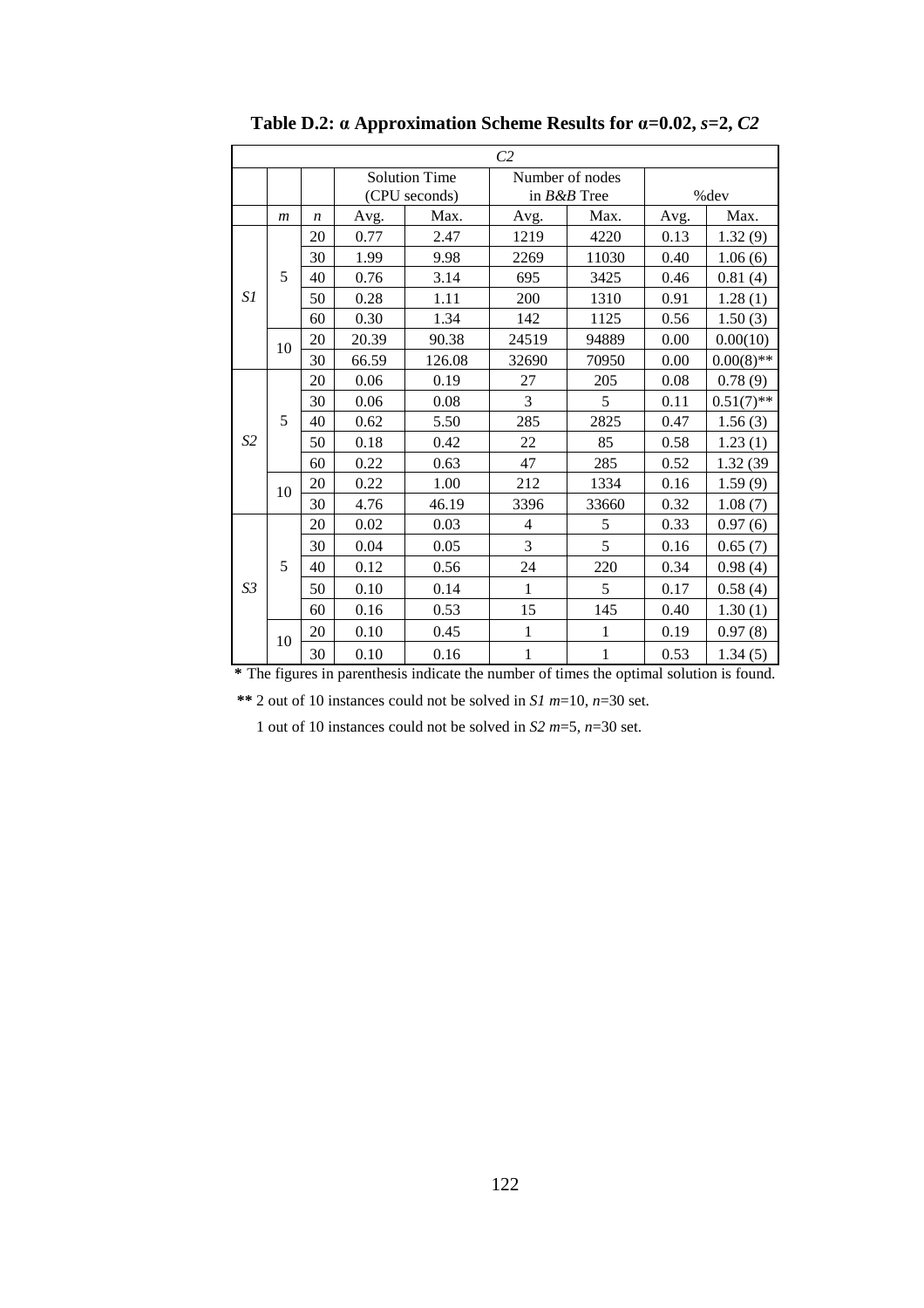| $\mathbb{C}2$  |                  |                  |       |                                         |                |              |      |              |
|----------------|------------------|------------------|-------|-----------------------------------------|----------------|--------------|------|--------------|
|                |                  |                  |       | <b>Solution Time</b><br>Number of nodes |                |              |      |              |
|                |                  |                  |       | (CPU seconds)                           | in B&B Tree    |              | %dev |              |
|                | $\boldsymbol{m}$ | $\boldsymbol{n}$ | Avg.  | Max.                                    | Avg.           | Max.         | Avg. | Max.         |
|                |                  | 20               | 0.77  | 2.47                                    | 1219           | 4220         | 0.13 | 1.32(9)      |
|                |                  | 30               | 1.99  | 9.98                                    | 2269           | 11030        | 0.40 | 1.06(6)      |
|                | 5                | 40               | 0.76  | 3.14                                    | 695            | 3425         | 0.46 | 0.81(4)      |
| S1             |                  | 50               | 0.28  | 1.11                                    | 200            | 1310         | 0.91 | 1.28(1)      |
|                |                  | 60               | 0.30  | 1.34                                    | 142            | 1125         | 0.56 | 1.50(3)      |
|                | 10               | 20               | 20.39 | 90.38                                   | 24519          | 94889        | 0.00 | 0.00(10)     |
|                |                  | 30               | 66.59 | 126.08                                  | 32690          | 70950        | 0.00 | $0.00(8)$ ** |
|                | 5                | 20               | 0.06  | 0.19                                    | 27             | 205          | 0.08 | 0.78(9)      |
|                |                  | 30               | 0.06  | 0.08                                    | 3              | 5            | 0.11 | $0.51(7)$ ** |
|                |                  | 40               | 0.62  | 5.50                                    | 285            | 2825         | 0.47 | 1.56(3)      |
| S <sub>2</sub> |                  | 50               | 0.18  | 0.42                                    | 22             | 85           | 0.58 | 1.23(1)      |
|                |                  | 60               | 0.22  | 0.63                                    | 47             | 285          | 0.52 | 1.32 (39)    |
|                | 10               | 20               | 0.22  | 1.00                                    | 212            | 1334         | 0.16 | 1.59(9)      |
|                |                  | 30               | 4.76  | 46.19                                   | 3396           | 33660        | 0.32 | 1.08(7)      |
|                | 5                | 20               | 0.02  | 0.03                                    | $\overline{4}$ | 5            | 0.33 | 0.97(6)      |
|                |                  | 30               | 0.04  | 0.05                                    | 3              | 5            | 0.16 | 0.65(7)      |
| S3             |                  | 40               | 0.12  | 0.56                                    | 24             | 220          | 0.34 | 0.98(4)      |
|                |                  | 50               | 0.10  | 0.14                                    | $\mathbf{1}$   | 5            | 0.17 | 0.58(4)      |
|                |                  | 60               | 0.16  | 0.53                                    | 15             | 145          | 0.40 | 1.30(1)      |
|                | 10               | 20               | 0.10  | 0.45                                    | $\mathbf{1}$   | $\mathbf{1}$ | 0.19 | 0.97(8)      |
|                |                  | 30               | 0.10  | 0.16                                    | $\mathbf{1}$   | $\mathbf{1}$ | 0.53 | 1.34(5)      |

**Table D.2: α Approximation Scheme Results for α=0.02,** *s***=2,** *C2* 

 **\*\*** 2 out of 10 instances could not be solved in *S1 m*=10, *n*=30 set.

1 out of 10 instances could not be solved in *S2 m*=5, *n*=30 set.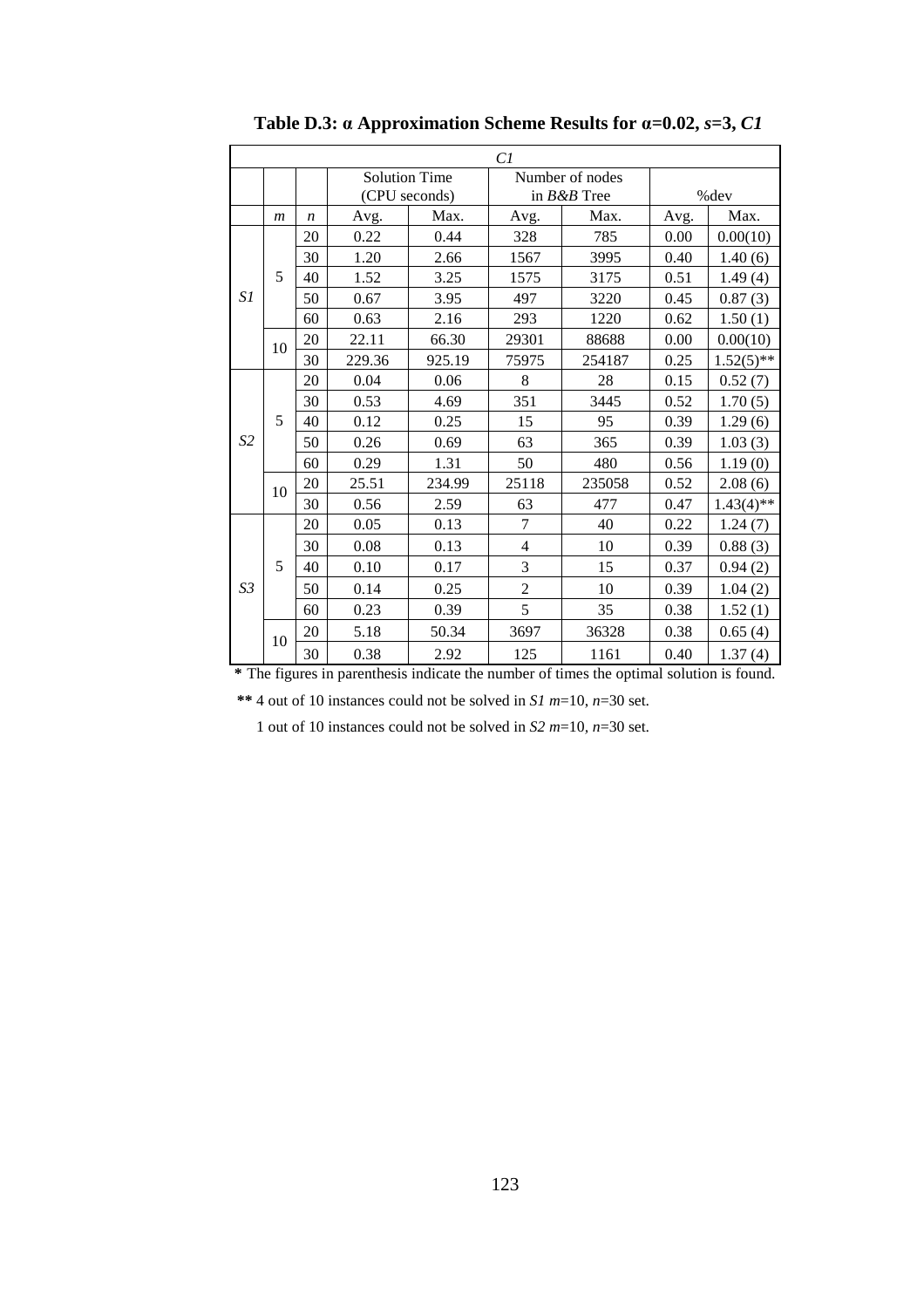| Cl             |                |                  |        |                                       |                                   |        |      |              |
|----------------|----------------|------------------|--------|---------------------------------------|-----------------------------------|--------|------|--------------|
|                |                |                  |        | <b>Solution Time</b><br>(CPU seconds) | Number of nodes<br>in $B\&B$ Tree |        | %dev |              |
|                | $\mathfrak{m}$ | $\boldsymbol{n}$ | Avg.   | Max.                                  | Avg.                              | Max.   | Avg. | Max.         |
|                |                | 20               | 0.22   | 0.44                                  | 328                               | 785    | 0.00 | 0.00(10)     |
|                |                | 30               | 1.20   | 2.66                                  | 1567                              | 3995   | 0.40 | 1.40(6)      |
|                | 5              | 40               | 1.52   | 3.25                                  | 1575                              | 3175   | 0.51 | 1.49(4)      |
| S1             |                | 50               | 0.67   | 3.95                                  | 497                               | 3220   | 0.45 | 0.87(3)      |
|                |                | 60               | 0.63   | 2.16                                  | 293                               | 1220   | 0.62 | 1.50(1)      |
|                | 10             | 20               | 22.11  | 66.30                                 | 29301                             | 88688  | 0.00 | 0.00(10)     |
|                |                | 30               | 229.36 | 925.19                                | 75975                             | 254187 | 0.25 | $1.52(5)$ ** |
|                | 5              | 20               | 0.04   | 0.06                                  | 8                                 | 28     | 0.15 | 0.52(7)      |
|                |                | 30               | 0.53   | 4.69                                  | 351                               | 3445   | 0.52 | 1.70(5)      |
|                |                | 40               | 0.12   | 0.25                                  | 15                                | 95     | 0.39 | 1.29(6)      |
| S <sub>2</sub> |                | 50               | 0.26   | 0.69                                  | 63                                | 365    | 0.39 | 1.03(3)      |
|                |                | 60               | 0.29   | 1.31                                  | 50                                | 480    | 0.56 | 1.19(0)      |
|                | 10             | 20               | 25.51  | 234.99                                | 25118                             | 235058 | 0.52 | 2.08(6)      |
|                |                | 30               | 0.56   | 2.59                                  | 63                                | 477    | 0.47 | $1.43(4)$ ** |
|                | 5              | 20               | 0.05   | 0.13                                  | 7                                 | 40     | 0.22 | 1.24(7)      |
|                |                | 30               | 0.08   | 0.13                                  | $\overline{\mathcal{L}}$          | 10     | 0.39 | 0.88(3)      |
| S3             |                | 40               | 0.10   | 0.17                                  | 3                                 | 15     | 0.37 | 0.94(2)      |
|                |                | 50               | 0.14   | 0.25                                  | $\overline{2}$                    | 10     | 0.39 | 1.04(2)      |
|                |                | 60               | 0.23   | 0.39                                  | 5                                 | 35     | 0.38 | 1.52(1)      |
|                | 10             | 20               | 5.18   | 50.34                                 | 3697                              | 36328  | 0.38 | 0.65(4)      |
|                |                | 30               | 0.38   | 2.92                                  | 125                               | 1161   | 0.40 | 1.37(4)      |

**Table D.3: α Approximation Scheme Results for α=0.02,** *s***=3,** *C1*

 **\*\*** 4 out of 10 instances could not be solved in *S1 m*=10, *n*=30 set.

1 out of 10 instances could not be solved in *S2 m*=10*, n*=30 set.